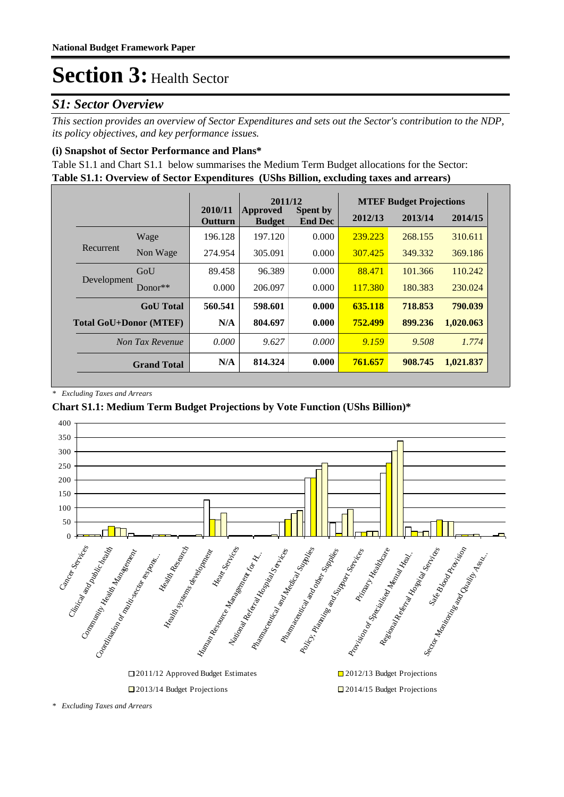### *S1: Sector Overview*

*This section provides an overview of Sector Expenditures and sets out the Sector's contribution to the NDP, its policy objectives, and key performance issues.* 

### **(i) Snapshot of Sector Performance and Plans\***

**Table S1.1: Overview of Sector Expenditures (UShs Billion, excluding taxes and arrears)** Table S1.1 and Chart S1.1 below summarises the Medium Term Budget allocations for the Sector:

|                               |                    |                           | 2011/12                          |                                   |         | <b>MTEF Budget Projections</b> |           |
|-------------------------------|--------------------|---------------------------|----------------------------------|-----------------------------------|---------|--------------------------------|-----------|
|                               |                    | 2010/11<br><b>Outturn</b> | <b>Approved</b><br><b>Budget</b> | <b>Spent by</b><br><b>End Dec</b> | 2012/13 | 2013/14                        | 2014/15   |
|                               | Wage               | 196.128                   | 197.120                          | 0.000                             | 239.223 | 268.155                        | 310.611   |
| Recurrent                     | Non Wage           | 274.954                   | 305.091                          | 0.000                             | 307.425 | 349.332                        | 369.186   |
|                               | GoU                | 89.458                    | 96.389                           | 0.000                             | 88.471  | 101.366                        | 110.242   |
| Development                   | $Donor**$          | 0.000                     | 206.097                          | 0.000                             | 117.380 | 180.383                        | 230.024   |
|                               | <b>GoU</b> Total   | 560.541                   | 598.601                          | 0.000                             | 635.118 | 718.853                        | 790.039   |
| <b>Total GoU+Donor (MTEF)</b> |                    | N/A                       | 804.697                          | 0.000                             | 752.499 | 899.236                        | 1,020.063 |
|                               | Non Tax Revenue    | 0.000                     | 9.627                            | 0.000                             | 9.159   | 9.508                          | 1.774     |
|                               | <b>Grand Total</b> | N/A                       | 814.324                          | 0.000                             | 761.657 | 908.745                        | 1,021.837 |

*\* Excluding Taxes and Arrears*

### **Chart S1.1: Medium Term Budget Projections by Vote Function (UShs Billion)\***



*<sup>\*</sup> Excluding Taxes and Arrears*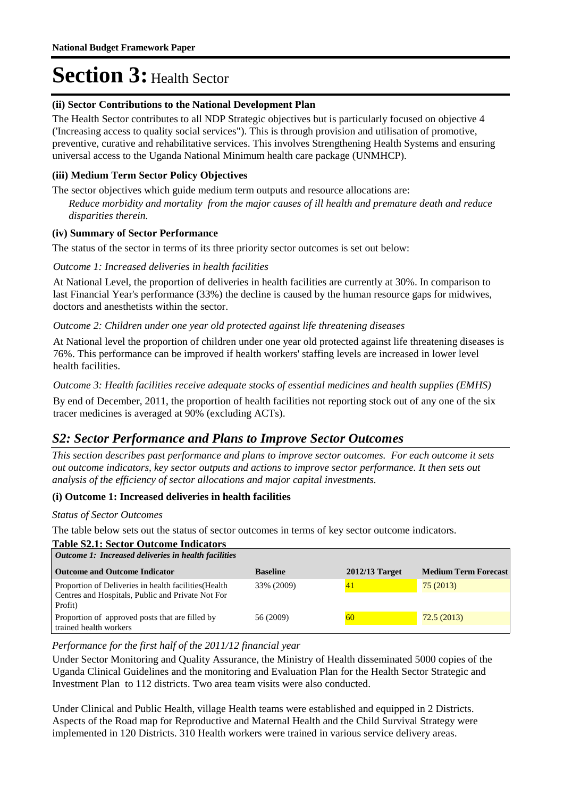### **(ii) Sector Contributions to the National Development Plan**

The Health Sector contributes to all NDP Strategic objectives but is particularly focused on objective 4 ('Increasing access to quality social services"). This is through provision and utilisation of promotive, preventive, curative and rehabilitative services. This involves Strengthening Health Systems and ensuring universal access to the Uganda National Minimum health care package (UNMHCP).

### **(iii) Medium Term Sector Policy Objectives**

The sector objectives which guide medium term outputs and resource allocations are:

*Reduce morbidity and mortality from the major causes of ill health and premature death and reduce disparities therein.*

#### **(iv) Summary of Sector Performance**

The status of the sector in terms of its three priority sector outcomes is set out below:

### Outcome 1: Increased deliveries in health facilities

At National Level, the proportion of deliveries in health facilities are currently at 30%. In comparison to last Financial Year's performance (33%) the decline is caused by the human resource gaps for midwives, doctors and anesthetists within the sector.

### Outcome 2: Children under one year old protected against life threatening diseases

At National level the proportion of children under one year old protected against life threatening diseases is 76%. This performance can be improved if health workers' staffing levels are increased in lower level health facilities.

### Outcome 3: Health facilities receive adequate stocks of essential medicines and health supplies (EMHS)

By end of December,  $2011$ , the proportion of health facilities not reporting stock out of any one of the six tracer medicines is averaged at 90% (excluding ACTs).

### *S2: Sector Performance and Plans to Improve Sector Outcomes*

*This section describes past performance and plans to improve sector outcomes. For each outcome it sets out outcome indicators, key sector outputs and actions to improve sector performance. It then sets out analysis of the efficiency of sector allocations and major capital investments.*

#### **(i) Outcome 1: Increased deliveries in health facilities**

#### *Status of Sector Outcomes*

The table below sets out the status of sector outcomes in terms of key sector outcome indicators.

#### **Table S2.1: Sector Outcome Indicators**

| Outcome 1: Increased deliveries in health facilities                                                                  |                 |                  |                             |  |  |  |
|-----------------------------------------------------------------------------------------------------------------------|-----------------|------------------|-----------------------------|--|--|--|
| <b>Outcome and Outcome Indicator</b>                                                                                  | <b>Baseline</b> | $2012/13$ Target | <b>Medium Term Forecast</b> |  |  |  |
| Proportion of Deliveries in health facilities (Health<br>Centres and Hospitals, Public and Private Not For<br>Profit) | 33% (2009)      | 41               | 75(2013)                    |  |  |  |
| Proportion of approved posts that are filled by<br>trained health workers                                             | 56 (2009)       | 60               | 72.5(2013)                  |  |  |  |

#### *Performance for the first half of the 2011/12 financial year*

Under Sector Monitoring and Quality Assurance, the Ministry of Health disseminated 5000 copies of the Uganda Clinical Guidelines and the monitoring and Evaluation Plan for the Health Sector Strategic and Investment Plan to 112 districts. Two area team visits were also conducted.

Under Clinical and Public Health, village Health teams were established and equipped in 2 Districts. Aspects of the Road map for Reproductive and Maternal Health and the Child Survival Strategy were implemented in 120 Districts. 310 Health workers were trained in various service delivery areas.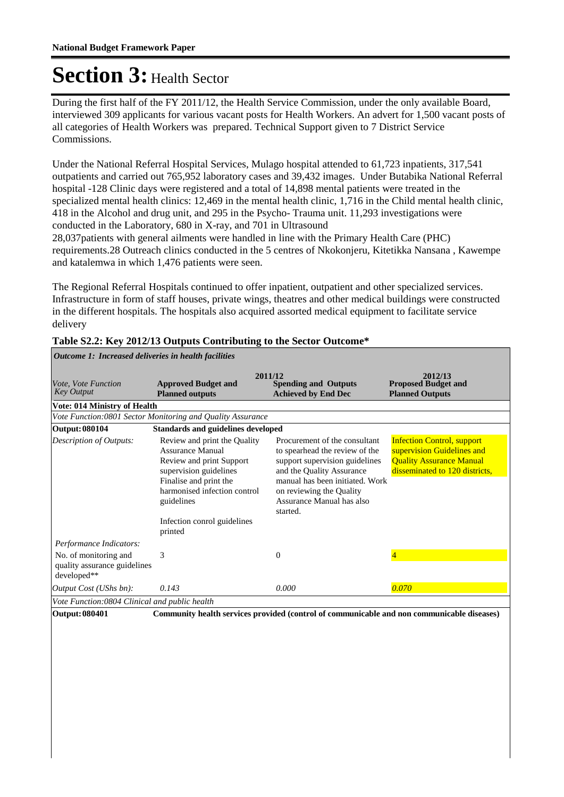During the first half of the FY 2011/12, the Health Service Commission, under the only available Board, interviewed 309 applicants for various vacant posts for Health Workers. An advert for 1,500 vacant posts of all categories of Health Workers was prepared. Technical Support given to 7 District Service Commissions.

Under the National Referral Hospital Services, Mulago hospital attended to 61,723 inpatients, 317,541 outpatients and carried out 765,952 laboratory cases and 39,432 images. Under Butabika National Referral hospital -128 Clinic days were registered and a total of 14,898 mental patients were treated in the specialized mental health clinics: 12,469 in the mental health clinic, 1,716 in the Child mental health clinic, 418 in the Alcohol and drug unit, and 295 in the Psycho- Trauma unit. 11,293 investigations were conducted in the Laboratory, 680 in X-ray, and 701 in Ultrasound

28,037patients with general ailments were handled in line with the Primary Health Care (PHC) requirements.28 Outreach clinics conducted in the 5 centres of Nkokonjeru, Kitetikka Nansana , Kawempe and katalemwa in which 1,476 patients were seen.

The Regional Referral Hospitals continued to offer inpatient, outpatient and other specialized services. Infrastructure in form of staff houses, private wings, theatres and other medical buildings were constructed in the different hospitals. The hospitals also acquired assorted medical equipment to facilitate service delivery

| Outcome 1: Increased deliveries in health facilities                 |                                                                                                                                                                                                                                 |                                                                                                                                                                                                                                        |                                                                                                                                      |  |  |
|----------------------------------------------------------------------|---------------------------------------------------------------------------------------------------------------------------------------------------------------------------------------------------------------------------------|----------------------------------------------------------------------------------------------------------------------------------------------------------------------------------------------------------------------------------------|--------------------------------------------------------------------------------------------------------------------------------------|--|--|
| Vote, Vote Function<br><b>Key Output</b>                             | <b>Approved Budget and</b><br><b>Planned outputs</b>                                                                                                                                                                            | 2011/12<br><b>Spending and Outputs</b><br><b>Achieved by End Dec</b>                                                                                                                                                                   | 2012/13<br><b>Proposed Budget and</b><br><b>Planned Outputs</b>                                                                      |  |  |
| <b>Vote: 014 Ministry of Health</b>                                  |                                                                                                                                                                                                                                 |                                                                                                                                                                                                                                        |                                                                                                                                      |  |  |
|                                                                      | Vote Function:0801 Sector Monitoring and Quality Assurance                                                                                                                                                                      |                                                                                                                                                                                                                                        |                                                                                                                                      |  |  |
| <b>Output: 080104</b>                                                | <b>Standards and guidelines developed</b>                                                                                                                                                                                       |                                                                                                                                                                                                                                        |                                                                                                                                      |  |  |
| <b>Description of Outputs:</b>                                       | Review and print the Quality<br><b>Assurance Manual</b><br>Review and print Support<br>supervision guidelines<br>Finalise and print the<br>harmonised infection control<br>guidelines<br>Infection conrol guidelines<br>printed | Procurement of the consultant<br>to spearhead the review of the<br>support supervision guidelines<br>and the Quality Assurance<br>manual has been initiated. Work<br>on reviewing the Quality<br>Assurance Manual has also<br>started. | <b>Infection Control, support</b><br>supervision Guidelines and<br><b>Quality Assurance Manual</b><br>disseminated to 120 districts, |  |  |
| Performance Indicators:                                              |                                                                                                                                                                                                                                 |                                                                                                                                                                                                                                        |                                                                                                                                      |  |  |
| No. of monitoring and<br>quality assurance guidelines<br>developed** | 3                                                                                                                                                                                                                               | $\Omega$                                                                                                                                                                                                                               | $\overline{4}$                                                                                                                       |  |  |
| Output Cost (UShs bn):                                               | 0.143                                                                                                                                                                                                                           | 0.000                                                                                                                                                                                                                                  | 0.070                                                                                                                                |  |  |
| Vote Function:0804 Clinical and public health                        |                                                                                                                                                                                                                                 |                                                                                                                                                                                                                                        |                                                                                                                                      |  |  |
| <b>Output: 080401</b>                                                |                                                                                                                                                                                                                                 | Community health services provided (control of communicable and non communicable diseases)                                                                                                                                             |                                                                                                                                      |  |  |

### **Table S2.2: Key 2012/13 Outputs Contributing to the Sector Outcome\***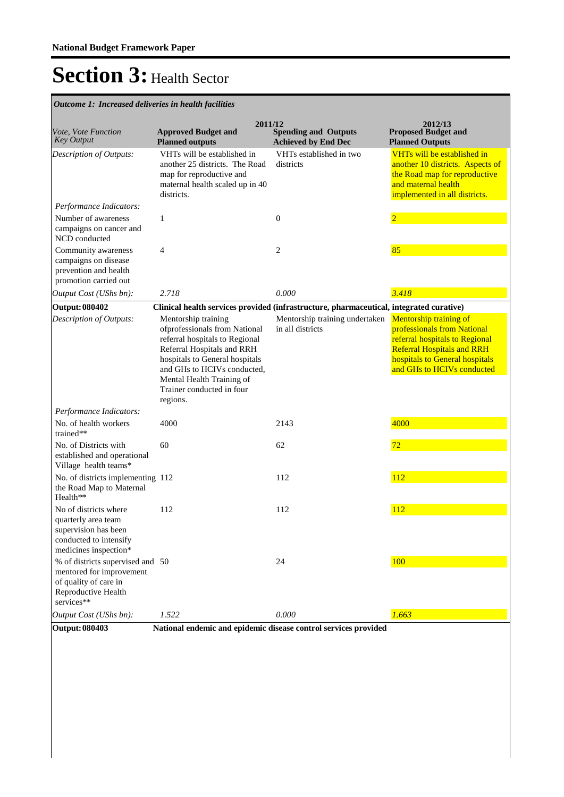**Spending and Outputs Achieved by End Dec Approved Budget and Planned outputs Proposed Budget and Planned Outputs 2011/12** *Vote, Vote Function Key Output* **2012/13** *Outcome 1: Increased deliveries in health facilities* VHTs will be established in another 25 districts. The Road map for reproductive and maternal health scaled up in 40 districts. VHTs established in two districts VHTs will be established in another 10 districts. Aspects of the Road map for reproductive and maternal health implemented in all districts. *Output Cost (UShs bn): 2.718 0.000 3.418 Description of Outputs: Performance Indicators:* Number of awareness campaigns on cancer and NCD conducted 1 0 2 Community awareness campaigns on disease prevention and health promotion carried out 4 2 2 35 **Output: 080402 Clinical health services provided (infrastructure, pharmaceutical, integrated curative)** Mentorship training ofprofessionals from National referral hospitals to Regional Referral Hospitals and RRH hospitals to General hospitals and GHs to HCIVs conducted, Mental Health Training of Trainer conducted in four regions. Mentorship training undertaken in all districts Mentorship training of professionals from National referral hospitals to Regional Referral Hospitals and RRH hospitals to General hospitals and GHs to HCIVs conducted *Output Cost (UShs bn): 1.522 0.000 1.663 Description of Outputs: Performance Indicators:* No. of health workers trained\*\* 4000 2143 2143 2000 No. of Districts with established and operational Village health teams\* 60 62 72 No. of districts implementing the Road Map to Maternal Health\*\* 112 112 112 No of districts where quarterly area team supervision has been conducted to intensify medicines inspection\* 112 112 112 % of districts supervised and mentored for improvement of quality of care in Reproductive Health services\*\* 50 24 100 **Output: 080403 National endemic and epidemic disease control services provided**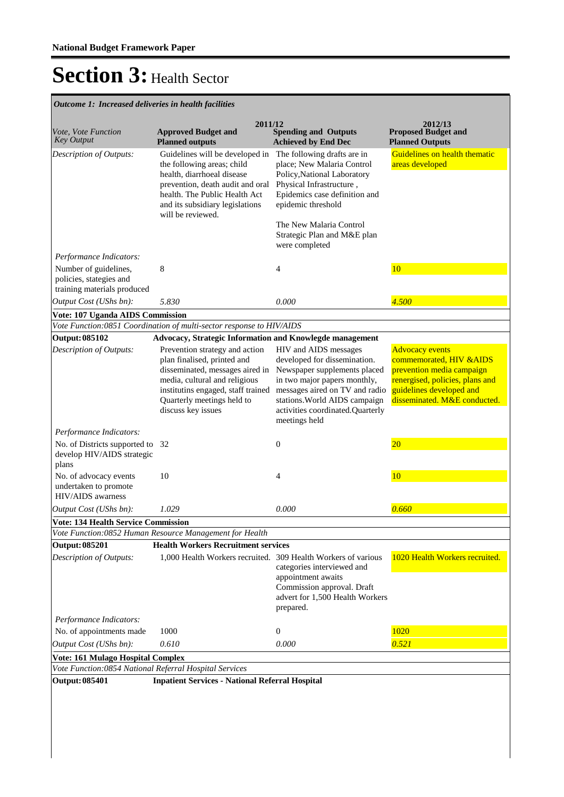*Outcome 1: Increased deliveries in health facilities*

|                                                                                                                      | 2011/12                                                                                                                                                                                                                  |                                                                                                                                                                                                                      | 2012/13                                                                                                                                              |
|----------------------------------------------------------------------------------------------------------------------|--------------------------------------------------------------------------------------------------------------------------------------------------------------------------------------------------------------------------|----------------------------------------------------------------------------------------------------------------------------------------------------------------------------------------------------------------------|------------------------------------------------------------------------------------------------------------------------------------------------------|
| Vote, Vote Function<br><b>Key Output</b>                                                                             | <b>Approved Budget and</b><br><b>Planned outputs</b>                                                                                                                                                                     | <b>Spending and Outputs</b><br><b>Achieved by End Dec</b>                                                                                                                                                            | <b>Proposed Budget and</b><br><b>Planned Outputs</b>                                                                                                 |
| Description of Outputs:                                                                                              | Guidelines will be developed in<br>the following areas; child<br>health, diarrhoeal disease<br>prevention, death audit and oral<br>health. The Public Health Act<br>and its subsidiary legislations<br>will be reviewed. | The following drafts are in<br>place; New Malaria Control<br>Policy, National Laboratory<br>Physical Infrastructure,<br>Epidemics case definition and<br>epidemic threshold                                          | Guidelines on health thematic<br>areas developed                                                                                                     |
|                                                                                                                      |                                                                                                                                                                                                                          | The New Malaria Control<br>Strategic Plan and M&E plan<br>were completed                                                                                                                                             |                                                                                                                                                      |
| Performance Indicators:<br>Number of guidelines,<br>policies, stategies and                                          | 8                                                                                                                                                                                                                        | 4                                                                                                                                                                                                                    | 10                                                                                                                                                   |
| training materials produced                                                                                          | 5.830                                                                                                                                                                                                                    | 0.000                                                                                                                                                                                                                | 4.500                                                                                                                                                |
| Output Cost (UShs bn):                                                                                               |                                                                                                                                                                                                                          |                                                                                                                                                                                                                      |                                                                                                                                                      |
| Vote: 107 Uganda AIDS Commission                                                                                     | Vote Function:0851 Coordination of multi-sector response to HIV/AIDS                                                                                                                                                     |                                                                                                                                                                                                                      |                                                                                                                                                      |
| <b>Output: 085102</b>                                                                                                | Advocacy, Strategic Information and Knowlegde management                                                                                                                                                                 |                                                                                                                                                                                                                      |                                                                                                                                                      |
| Description of Outputs:                                                                                              | Prevention strategy and action                                                                                                                                                                                           | HIV and AIDS messages                                                                                                                                                                                                | <b>Advocacy events</b>                                                                                                                               |
|                                                                                                                      | plan finalised, printed and<br>disseminated, messages aired in<br>media, cultural and religious<br>institutins engaged, staff trained<br>Quarterly meetings held to<br>discuss key issues                                | developed for dissemination.<br>Newspaper supplements placed<br>in two major papers monthly,<br>messages aired on TV and radio<br>stations. World AIDS campaign<br>activities coordinated.Quarterly<br>meetings held | commemorated, HIV & AIDS<br>prevention media campaign<br>renergised, policies, plans and<br>guidelines developed and<br>disseminated. M&E conducted. |
| Performance Indicators:                                                                                              |                                                                                                                                                                                                                          |                                                                                                                                                                                                                      |                                                                                                                                                      |
| No. of Districts supported to 32<br>develop HIV/AIDS strategic<br>plans                                              |                                                                                                                                                                                                                          | $\boldsymbol{0}$                                                                                                                                                                                                     | 20                                                                                                                                                   |
| No. of advocacy events<br>undertaken to promote<br>HIV/AIDS awarness                                                 | 10                                                                                                                                                                                                                       | 4                                                                                                                                                                                                                    | 10                                                                                                                                                   |
| Output Cost (UShs bn):                                                                                               | 1.029                                                                                                                                                                                                                    | 0.000                                                                                                                                                                                                                | 0.660                                                                                                                                                |
| <b>Vote: 134 Health Service Commission</b>                                                                           | Vote Function:0852 Human Resource Management for Health                                                                                                                                                                  |                                                                                                                                                                                                                      |                                                                                                                                                      |
| <b>Output: 085201</b>                                                                                                | <b>Health Workers Recruitment services</b>                                                                                                                                                                               |                                                                                                                                                                                                                      |                                                                                                                                                      |
| Description of Outputs:                                                                                              | 1,000 Health Workers recruited. 309 Health Workers of various                                                                                                                                                            | categories interviewed and<br>appointment awaits<br>Commission approval. Draft<br>advert for 1,500 Health Workers<br>prepared.                                                                                       | 1020 Health Workers recruited.                                                                                                                       |
| Performance Indicators:                                                                                              |                                                                                                                                                                                                                          |                                                                                                                                                                                                                      |                                                                                                                                                      |
| No. of appointments made                                                                                             | 1000                                                                                                                                                                                                                     | 0                                                                                                                                                                                                                    | 1020                                                                                                                                                 |
| Output Cost (UShs bn):                                                                                               | 0.610                                                                                                                                                                                                                    | 0.000                                                                                                                                                                                                                | 0.521                                                                                                                                                |
|                                                                                                                      |                                                                                                                                                                                                                          |                                                                                                                                                                                                                      |                                                                                                                                                      |
|                                                                                                                      |                                                                                                                                                                                                                          |                                                                                                                                                                                                                      |                                                                                                                                                      |
| Vote: 161 Mulago Hospital Complex<br>Vote Function:0854 National Referral Hospital Services<br><b>Output: 085401</b> | <b>Inpatient Services - National Referral Hospital</b>                                                                                                                                                                   |                                                                                                                                                                                                                      |                                                                                                                                                      |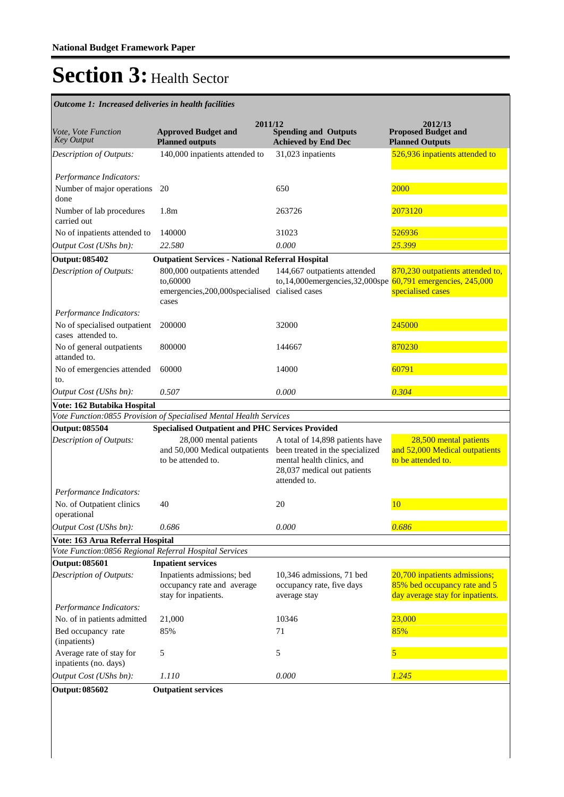| Outcome 1: Increased deliveries in health facilities          |                                                                                        |                                                                                                                                                 |                                                                                                   |
|---------------------------------------------------------------|----------------------------------------------------------------------------------------|-------------------------------------------------------------------------------------------------------------------------------------------------|---------------------------------------------------------------------------------------------------|
| Vote, Vote Function<br><b>Key Output</b>                      | 2011/12<br><b>Approved Budget and</b><br><b>Planned outputs</b>                        | <b>Spending and Outputs</b><br><b>Achieved by End Dec</b>                                                                                       | 2012/13<br><b>Proposed Budget and</b><br><b>Planned Outputs</b>                                   |
| Description of Outputs:                                       | 140,000 inpatients attended to                                                         | 31,023 inpatients                                                                                                                               | 526,936 inpatients attended to                                                                    |
| Performance Indicators:<br>Number of major operations<br>done | 20                                                                                     | 650                                                                                                                                             | 2000                                                                                              |
| Number of lab procedures<br>carried out                       | 1.8 <sub>m</sub>                                                                       | 263726                                                                                                                                          | 2073120                                                                                           |
| No of inpatients attended to                                  | 140000                                                                                 | 31023                                                                                                                                           | 526936                                                                                            |
| Output Cost (UShs bn):                                        | 22.580                                                                                 | 0.000                                                                                                                                           | 25.399                                                                                            |
| <b>Output: 085402</b>                                         | <b>Outpatient Services - National Referral Hospital</b>                                |                                                                                                                                                 |                                                                                                   |
| Description of Outputs:                                       | 800,000 outpatients attended<br>to,60000<br>emergencies, 200, 000 specialised<br>cases | 144,667 outpatients attended<br>to,14,000emergencies,32,000spe<br>cialised cases                                                                | 870,230 outpatients attended to,<br>60,791 emergencies, 245,000<br>specialised cases              |
| Performance Indicators:                                       |                                                                                        |                                                                                                                                                 |                                                                                                   |
| No of specialised outpatient<br>cases attended to.            | 200000                                                                                 | 32000                                                                                                                                           | 245000                                                                                            |
| No of general outpatients<br>attanded to.                     | 800000                                                                                 | 144667                                                                                                                                          | 870230                                                                                            |
| No of emergencies attended<br>to.                             | 60000                                                                                  | 14000                                                                                                                                           | 60791                                                                                             |
| Output Cost (UShs bn):                                        | 0.507                                                                                  | 0.000                                                                                                                                           | 0.304                                                                                             |
| Vote: 162 Butabika Hospital                                   |                                                                                        |                                                                                                                                                 |                                                                                                   |
|                                                               | Vote Function: 0855 Provision of Specialised Mental Health Services                    |                                                                                                                                                 |                                                                                                   |
| <b>Output: 085504</b>                                         | <b>Specialised Outpatient and PHC Services Provided</b>                                |                                                                                                                                                 |                                                                                                   |
| Description of Outputs:                                       | 28,000 mental patients<br>and 50,000 Medical outpatients<br>to be attended to.         | A total of 14,898 patients have<br>been treated in the specialized<br>mental health clinics, and<br>28,037 medical out patients<br>attended to. | 28,500 mental patients<br>and 52,000 Medical outpatients<br>to be attended to.                    |
| Performance Indicators:                                       |                                                                                        |                                                                                                                                                 |                                                                                                   |
| No. of Outpatient clinics<br>operational                      | 40                                                                                     | 20                                                                                                                                              | 10                                                                                                |
| Output Cost (UShs bn):                                        | $0.686\,$                                                                              | $0.000\,$                                                                                                                                       | 0.686                                                                                             |
| Vote: 163 Arua Referral Hospital                              |                                                                                        |                                                                                                                                                 |                                                                                                   |
| Vote Function:0856 Regional Referral Hospital Services        |                                                                                        |                                                                                                                                                 |                                                                                                   |
| <b>Output: 085601</b>                                         | <b>Inpatient services</b>                                                              |                                                                                                                                                 |                                                                                                   |
| Description of Outputs:                                       | Inpatients admissions; bed<br>occupancy rate and average<br>stay for inpatients.       | 10,346 admissions, 71 bed<br>occupancy rate, five days<br>average stay                                                                          | 20,700 inpatients admissions;<br>85% bed occupancy rate and 5<br>day average stay for inpatients. |
| Performance Indicators:                                       |                                                                                        |                                                                                                                                                 |                                                                                                   |
| No. of in patients admitted                                   | 21,000                                                                                 | 10346                                                                                                                                           | 23,000                                                                                            |
| Bed occupancy rate<br>(inpatients)                            | 85%                                                                                    | 71                                                                                                                                              | 85%                                                                                               |
| Average rate of stay for<br>inpatients (no. days)             | 5                                                                                      | 5                                                                                                                                               | 5                                                                                                 |
| Output Cost (UShs bn):                                        | 1.110                                                                                  | 0.000                                                                                                                                           | 1.245                                                                                             |
| <b>Output: 085602</b>                                         | <b>Outpatient services</b>                                                             |                                                                                                                                                 |                                                                                                   |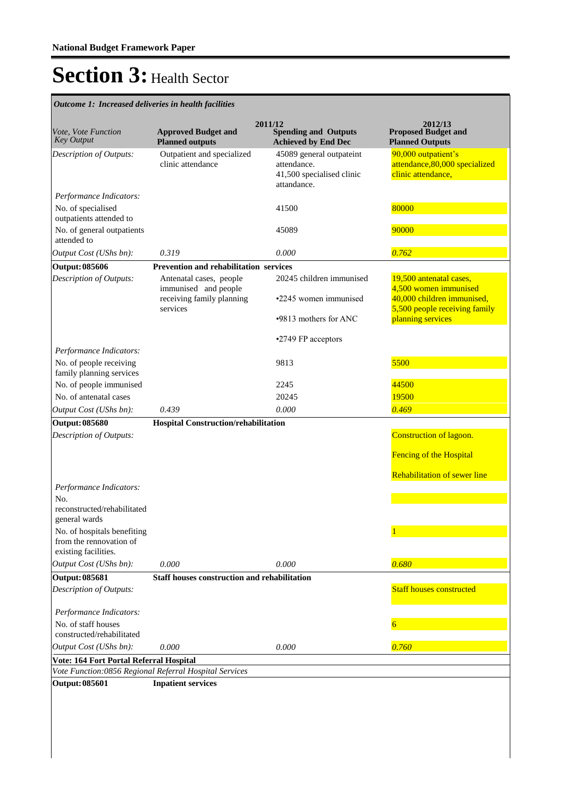**Spending and Outputs Achieved by End Dec Approved Budget and Planned outputs Proposed Budget and Planned Outputs 2011/12** *Vote, Vote Function Key Output* **2012/13** *Outcome 1: Increased deliveries in health facilities* Outpatient and specialized clinic attendance 45089 general outpateint attendance. 41,500 specialised clinic attandance. 90,000 outpatient's attendance,80,000 specialized clinic attendance, *Output Cost (UShs bn): 0.319 0.000 0.762 Description of Outputs: Performance Indicators:* No. of specialised outpatients attended to 41500 80000 No. of general outpatients attended to 45089 90000 **Output: 085606 Prevention and rehabilitation services** Antenatal cases, people immunised and people receiving family planning services 20245 children immunised • 2245 women immunised • 9813 mothers for ANC • 2749 FP acceptors 19,500 antenatal cases, 4,500 women immunised 40,000 children immunised, 5,500 people receiving family planning services *Output Cost (UShs bn): 0.439 0.000 0.469 Description of Outputs: Performance Indicators:* No. of people receiving family planning services 9813 5500 No. of people immunised 2245 2245 44500 No. of antenatal cases 20245 20245 19500 **Output: 085680 Hospital Construction/rehabilitation**  Construction of lagoon. **Fencing of the Hospital** Rehabilitation of sewer line *Output Cost (UShs bn): 0.000 0.000 0.680 Description of Outputs: Performance Indicators:* No. reconstructed/rehabilitated general wards No. of hospitals benefiting from the rennovation of existing facilities. 1 **Output: 085681 Staff houses construction and rehabilitation** Staff houses constructed *Output Cost (UShs bn): 0.000 0.000 0.760 Description of Outputs: Performance Indicators:* No. of staff houses constructed/rehabilitated 6 **Vote: 164 Fort Portal Referral Hospital** *Vote Function:0856 Regional Referral Hospital Services* **Output: 085601 Inpatient services**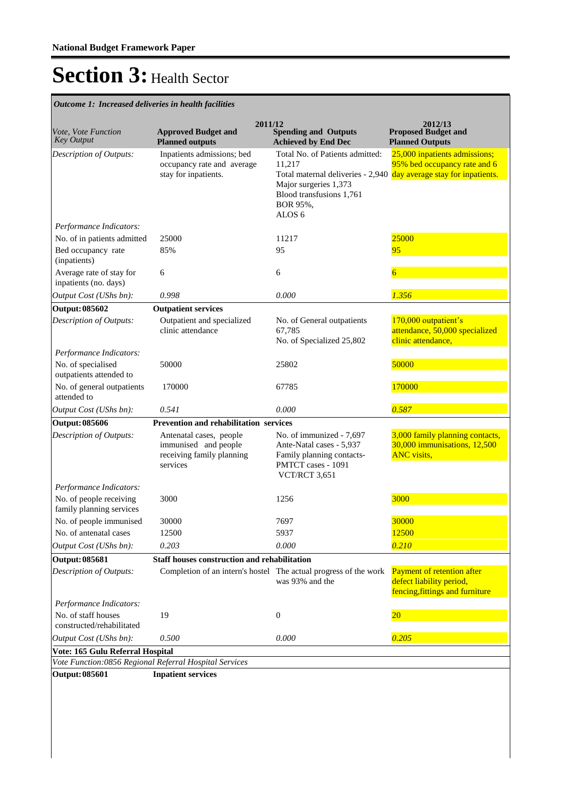| Vote, Vote Function<br><b>Key Output</b>            | <b>Approved Budget and</b><br><b>Planned outputs</b>                                     | 2011/12<br><b>Spending and Outputs</b><br><b>Achieved by End Dec</b>                                                            | 2012/13<br><b>Proposed Budget and</b><br><b>Planned Outputs</b>                                                                     |
|-----------------------------------------------------|------------------------------------------------------------------------------------------|---------------------------------------------------------------------------------------------------------------------------------|-------------------------------------------------------------------------------------------------------------------------------------|
| Description of Outputs:                             | Inpatients admissions; bed<br>occupancy rate and average<br>stay for inpatients.         | Total No. of Patients admitted:<br>11,217<br>Major surgeries 1,373<br>Blood transfusions 1,761<br>BOR 95%,<br>ALOS <sub>6</sub> | 25,000 inpatients admissions;<br>95% bed occupancy rate and 6<br>Total maternal deliveries - 2,940 day average stay for inpatients. |
| Performance Indicators:                             |                                                                                          |                                                                                                                                 |                                                                                                                                     |
| No. of in patients admitted                         | 25000                                                                                    | 11217                                                                                                                           | 25000                                                                                                                               |
| Bed occupancy rate<br>(inpatients)                  | 85%                                                                                      | 95                                                                                                                              | 95                                                                                                                                  |
| Average rate of stay for<br>inpatients (no. days)   | 6                                                                                        | 6                                                                                                                               | 6                                                                                                                                   |
| Output Cost (UShs bn):                              | 0.998                                                                                    | 0.000                                                                                                                           | 1.356                                                                                                                               |
| <b>Output: 085602</b>                               | <b>Outpatient services</b>                                                               |                                                                                                                                 |                                                                                                                                     |
| Description of Outputs:                             | Outpatient and specialized<br>clinic attendance                                          | No. of General outpatients<br>67.785<br>No. of Specialized 25,802                                                               | 170,000 outpatient's<br>attendance, 50,000 specialized<br>clinic attendance,                                                        |
| Performance Indicators:                             |                                                                                          |                                                                                                                                 |                                                                                                                                     |
| No. of specialised<br>outpatients attended to       | 50000                                                                                    | 25802                                                                                                                           | 50000                                                                                                                               |
| No. of general outpatients<br>attended to           | 170000                                                                                   | 67785                                                                                                                           | 170000                                                                                                                              |
| Output Cost (UShs bn):                              | 0.541                                                                                    | 0.000                                                                                                                           | 0.587                                                                                                                               |
| <b>Output: 085606</b>                               | Prevention and rehabilitation services                                                   |                                                                                                                                 |                                                                                                                                     |
| Description of Outputs:                             | Antenatal cases, people<br>immunised and people<br>receiving family planning<br>services | No. of immunized - 7,697<br>Ante-Natal cases - 5,937<br>Family planning contacts-<br>PMTCT cases - 1091<br>VCT/RCT 3,651        | 3,000 family planning contacts,<br>30,000 immunisations, 12,500<br><b>ANC</b> visits,                                               |
| Performance Indicators:                             |                                                                                          |                                                                                                                                 |                                                                                                                                     |
| No. of people receiving<br>family planning services | 3000                                                                                     | 1256                                                                                                                            | 3000                                                                                                                                |
| No. of people immunised                             | 30000                                                                                    | 7697                                                                                                                            | 30000                                                                                                                               |
| No. of antenatal cases                              | 12500                                                                                    | 5937                                                                                                                            | 12500                                                                                                                               |
| Output Cost (UShs bn):                              | 0.203                                                                                    | 0.000                                                                                                                           | 0.210                                                                                                                               |
| <b>Output: 085681</b>                               | <b>Staff houses construction and rehabilitation</b>                                      |                                                                                                                                 |                                                                                                                                     |
| Description of Outputs:                             |                                                                                          | Completion of an intern's hostel The actual progress of the work<br>was 93% and the                                             | Payment of retention after<br>defect liability period,<br>fencing, fittings and furniture                                           |
| Performance Indicators:                             |                                                                                          |                                                                                                                                 |                                                                                                                                     |
| No. of staff houses                                 | 19                                                                                       | $\boldsymbol{0}$                                                                                                                | $\overline{20}$                                                                                                                     |
| constructed/rehabilitated                           |                                                                                          |                                                                                                                                 |                                                                                                                                     |
| Output Cost (UShs bn):                              | 0.500                                                                                    | 0.000                                                                                                                           | 0.205                                                                                                                               |
| Vote: 165 Gulu Referral Hospital                    | Vote Function:0856 Regional Referral Hospital Services                                   |                                                                                                                                 |                                                                                                                                     |
| <b>Output: 085601</b>                               | <b>Inpatient services</b>                                                                |                                                                                                                                 |                                                                                                                                     |
|                                                     |                                                                                          |                                                                                                                                 |                                                                                                                                     |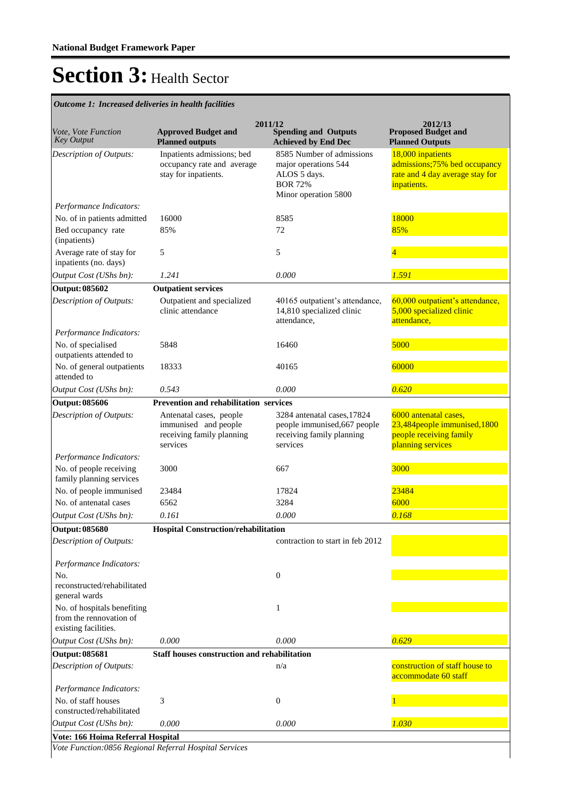*Outcome 1: Increased deliveries in health facilities*

|                                                     |                                                      | 2011/12                                                     | 2012/13                                                         |
|-----------------------------------------------------|------------------------------------------------------|-------------------------------------------------------------|-----------------------------------------------------------------|
| <i>Vote, Vote Function</i><br><b>Key Output</b>     | <b>Approved Budget and</b><br><b>Planned outputs</b> | <b>Spending and Outputs</b><br><b>Achieved by End Dec</b>   | <b>Proposed Budget and</b><br><b>Planned Outputs</b>            |
| Description of Outputs:                             | Inpatients admissions; bed                           | 8585 Number of admissions                                   | 18,000 inpatients                                               |
|                                                     | occupancy rate and average<br>stay for inpatients.   | major operations 544<br>ALOS 5 days.                        | admissions;75% bed occupancy<br>rate and 4 day average stay for |
|                                                     |                                                      | <b>BOR 72%</b>                                              | inpatients.                                                     |
|                                                     |                                                      | Minor operation 5800                                        |                                                                 |
| Performance Indicators:                             |                                                      |                                                             |                                                                 |
| No. of in patients admitted                         | 16000                                                | 8585                                                        | 18000                                                           |
| Bed occupancy rate<br>(inpatients)                  | 85%                                                  | 72                                                          | 85%                                                             |
| Average rate of stay for<br>inpatients (no. days)   | 5                                                    | 5                                                           | $\overline{4}$                                                  |
| Output Cost (UShs bn):                              | 1.241                                                | 0.000                                                       | 1.591                                                           |
| <b>Output: 085602</b>                               | <b>Outpatient services</b>                           |                                                             |                                                                 |
| Description of Outputs:                             | Outpatient and specialized<br>clinic attendance      | 40165 outpatient's attendance,<br>14,810 specialized clinic | 60,000 outpatient's attendance,<br>5,000 specialized clinic     |
|                                                     |                                                      | attendance,                                                 | attendance,                                                     |
| Performance Indicators:                             |                                                      |                                                             |                                                                 |
| No. of specialised<br>outpatients attended to       | 5848                                                 | 16460                                                       | 5000                                                            |
| No. of general outpatients                          | 18333                                                | 40165                                                       | 60000                                                           |
| attended to                                         |                                                      |                                                             |                                                                 |
| Output Cost (UShs bn):                              | 0.543                                                | 0.000                                                       | 0.620                                                           |
| Output: 085606                                      | <b>Prevention and rehabilitation services</b>        |                                                             |                                                                 |
| Description of Outputs:                             | Antenatal cases, people<br>immunised and people      | 3284 antenatal cases, 17824<br>people immunised, 667 people | 6000 antenatal cases,<br>23,484 people immunised, 1800          |
|                                                     | receiving family planning                            | receiving family planning                                   | people receiving family                                         |
|                                                     | services                                             | services                                                    | planning services                                               |
| Performance Indicators:                             |                                                      |                                                             |                                                                 |
| No. of people receiving<br>family planning services | 3000                                                 | 667                                                         | 3000                                                            |
| No. of people immunised                             | 23484                                                | 17824                                                       | 23484                                                           |
| No. of antenatal cases                              | 6562                                                 | 3284                                                        | 6000                                                            |
| Output Cost (UShs bn):                              | 0.161                                                | 0.000                                                       | 0.168                                                           |
| <b>Output: 085680</b>                               | Hospital Construction/rehabilitation                 |                                                             |                                                                 |
| Description of Outputs:                             |                                                      | contraction to start in feb 2012                            |                                                                 |
| Performance Indicators:                             |                                                      |                                                             |                                                                 |
| No.<br>reconstructed/rehabilitated<br>general wards |                                                      | $\boldsymbol{0}$                                            |                                                                 |
| No. of hospitals benefiting                         |                                                      | 1                                                           |                                                                 |
| from the rennovation of<br>existing facilities.     |                                                      |                                                             |                                                                 |
| Output Cost (UShs bn):                              | 0.000                                                | 0.000                                                       | 0.629                                                           |
| <b>Output: 085681</b>                               | Staff houses construction and rehabilitation         |                                                             |                                                                 |
| Description of Outputs:                             |                                                      | n/a                                                         | construction of staff house to<br>accommodate 60 staff          |
| Performance Indicators:                             |                                                      |                                                             |                                                                 |
| No. of staff houses                                 | 3                                                    | $\boldsymbol{0}$                                            |                                                                 |
| constructed/rehabilitated                           |                                                      |                                                             |                                                                 |
| Output Cost (UShs bn):                              | 0.000                                                | 0.000                                                       | 1.030                                                           |
| Vote: 166 Hoima Referral Hospital                   |                                                      |                                                             |                                                                 |

*Vote Function:0856 Regional Referral Hospital Services*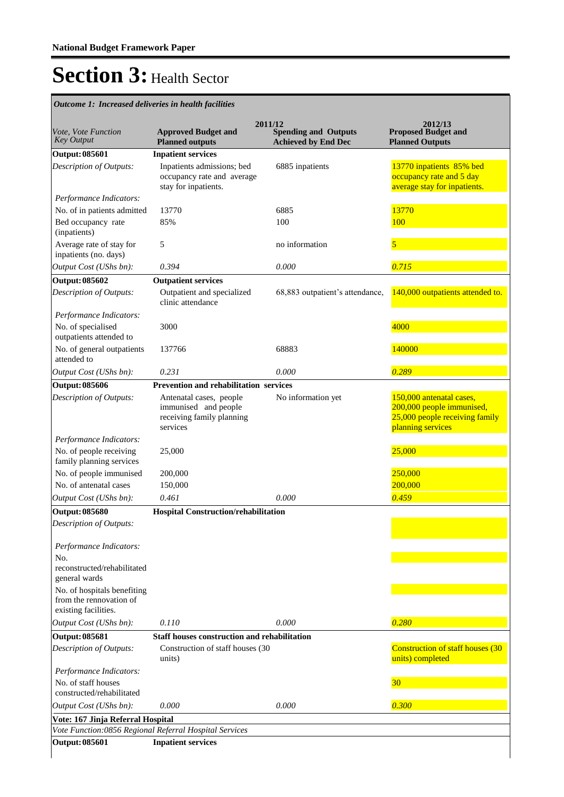| <i>Vote, Vote Function</i><br><b>Key Output</b>                                | <b>Approved Budget and</b><br><b>Planned outputs</b>                                     | 2011/12<br><b>Spending and Outputs</b><br><b>Achieved by End Dec</b> | 2012/13<br><b>Proposed Budget and</b><br><b>Planned Outputs</b>                                              |
|--------------------------------------------------------------------------------|------------------------------------------------------------------------------------------|----------------------------------------------------------------------|--------------------------------------------------------------------------------------------------------------|
| <b>Output: 085601</b>                                                          | <b>Inpatient services</b>                                                                |                                                                      |                                                                                                              |
| Description of Outputs:                                                        | Inpatients admissions; bed<br>occupancy rate and average<br>stay for inpatients.         | 6885 inpatients                                                      | 13770 inpatients 85% bed<br>occupancy rate and 5 day<br>average stay for inpatients.                         |
| Performance Indicators:<br>No. of in patients admitted                         | 13770                                                                                    | 6885                                                                 | 13770                                                                                                        |
| Bed occupancy rate<br>(inpatients)                                             | 85%                                                                                      | 100                                                                  | 100                                                                                                          |
| Average rate of stay for<br>inpatients (no. days)                              | 5                                                                                        | no information                                                       | 5                                                                                                            |
| Output Cost (UShs bn):                                                         | 0.394                                                                                    | 0.000                                                                | 0.715                                                                                                        |
| <b>Output: 085602</b>                                                          | <b>Outpatient services</b>                                                               |                                                                      |                                                                                                              |
| Description of Outputs:                                                        | Outpatient and specialized<br>clinic attendance                                          | 68,883 outpatient's attendance,                                      | 140,000 outpatients attended to.                                                                             |
| Performance Indicators:                                                        |                                                                                          |                                                                      |                                                                                                              |
| No. of specialised<br>outpatients attended to                                  | 3000                                                                                     |                                                                      | 4000                                                                                                         |
| No. of general outpatients<br>attended to                                      | 137766                                                                                   | 68883                                                                | 140000                                                                                                       |
| Output Cost (UShs bn):                                                         | 0.231                                                                                    | 0.000                                                                | 0.289                                                                                                        |
| <b>Output: 085606</b>                                                          | Prevention and rehabilitation services                                                   |                                                                      |                                                                                                              |
| Description of Outputs:<br>Performance Indicators:                             | Antenatal cases, people<br>immunised and people<br>receiving family planning<br>services | No information yet                                                   | 150,000 antenatal cases,<br>200,000 people immunised,<br>25,000 people receiving family<br>planning services |
| No. of people receiving<br>family planning services                            | 25,000                                                                                   |                                                                      | 25,000                                                                                                       |
| No. of people immunised                                                        | 200,000                                                                                  |                                                                      | 250,000                                                                                                      |
| No. of antenatal cases                                                         | 150,000                                                                                  |                                                                      | 200,000                                                                                                      |
| Output Cost (UShs bn):                                                         | 0.461                                                                                    | 0.000                                                                | 0.459                                                                                                        |
| <b>Output: 085680</b>                                                          | <b>Hospital Construction/rehabilitation</b>                                              |                                                                      |                                                                                                              |
| <b>Description of Outputs:</b>                                                 |                                                                                          |                                                                      |                                                                                                              |
| Performance Indicators:<br>No.                                                 |                                                                                          |                                                                      |                                                                                                              |
| reconstructed/rehabilitated<br>general wards                                   |                                                                                          |                                                                      |                                                                                                              |
| No. of hospitals benefiting<br>from the rennovation of<br>existing facilities. |                                                                                          |                                                                      |                                                                                                              |
| Output Cost (UShs bn):                                                         | 0.110                                                                                    | 0.000                                                                | 0.280                                                                                                        |
| <b>Output: 085681</b>                                                          | <b>Staff houses construction and rehabilitation</b>                                      |                                                                      |                                                                                                              |
| Description of Outputs:                                                        | Construction of staff houses (30<br>units)                                               |                                                                      | <b>Construction of staff houses (30</b><br>units) completed                                                  |
| Performance Indicators:<br>No. of staff houses<br>constructed/rehabilitated    |                                                                                          |                                                                      | 30                                                                                                           |
| Output Cost (UShs bn):                                                         | 0.000                                                                                    | 0.000                                                                | 0.300                                                                                                        |
| Vote: 167 Jinja Referral Hospital                                              |                                                                                          |                                                                      |                                                                                                              |
|                                                                                | Vote Function:0856 Regional Referral Hospital Services                                   |                                                                      |                                                                                                              |
| <b>Output: 085601</b>                                                          | <b>Inpatient services</b>                                                                |                                                                      |                                                                                                              |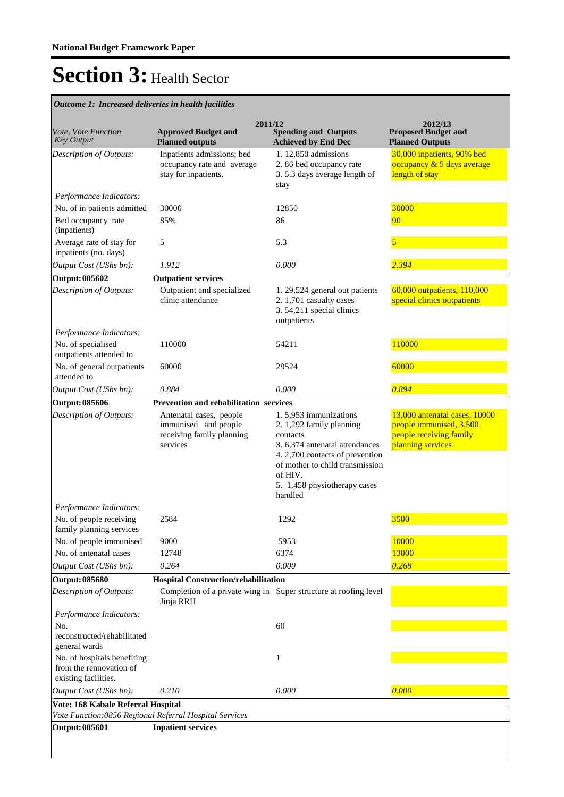| <i>Vote, Vote Function</i><br><b>Key Output</b>                                | 2011/12<br><b>Approved Budget and</b><br><b>Planned outputs</b>                          | <b>Spending and Outputs</b><br><b>Achieved by End Dec</b>                                                                                                                                                                   | 2012/13<br><b>Proposed Budget and</b><br><b>Planned Outputs</b>                                          |
|--------------------------------------------------------------------------------|------------------------------------------------------------------------------------------|-----------------------------------------------------------------------------------------------------------------------------------------------------------------------------------------------------------------------------|----------------------------------------------------------------------------------------------------------|
| Description of Outputs:                                                        | Inpatients admissions; bed<br>occupancy rate and average<br>stay for inpatients.         | 1.12,850 admissions<br>2.86 bed occupancy rate<br>3.5.3 days average length of<br>stay                                                                                                                                      | 30,000 inpatients, 90% bed<br>occupancy & 5 days average<br>length of stay                               |
| Performance Indicators:                                                        |                                                                                          |                                                                                                                                                                                                                             |                                                                                                          |
| No. of in patients admitted                                                    | 30000                                                                                    | 12850                                                                                                                                                                                                                       | 30000                                                                                                    |
| Bed occupancy rate<br>(inpatients)                                             | 85%                                                                                      | 86                                                                                                                                                                                                                          | 90                                                                                                       |
| Average rate of stay for<br>inpatients (no. days)                              | 5                                                                                        | 5.3                                                                                                                                                                                                                         | $\overline{5}$                                                                                           |
| Output Cost (UShs bn):                                                         | 1.912                                                                                    | 0.000                                                                                                                                                                                                                       | 2.394                                                                                                    |
| Output: 085602                                                                 | <b>Outpatient services</b>                                                               |                                                                                                                                                                                                                             |                                                                                                          |
| Description of Outputs:                                                        | Outpatient and specialized<br>clinic attendance                                          | 1. 29,524 general out patients<br>2. 1,701 casualty cases<br>3.54,211 special clinics<br>outpatients                                                                                                                        | 60,000 outpatients, 110,000<br>special clinics outpatients                                               |
| Performance Indicators:                                                        |                                                                                          |                                                                                                                                                                                                                             |                                                                                                          |
| No. of specialised<br>outpatients attended to                                  | 110000                                                                                   | 54211                                                                                                                                                                                                                       | 110000                                                                                                   |
| No. of general outpatients<br>attended to                                      | 60000                                                                                    | 29524                                                                                                                                                                                                                       | 60000                                                                                                    |
| Output Cost (UShs bn):                                                         | 0.884                                                                                    | 0.000                                                                                                                                                                                                                       | 0.894                                                                                                    |
| <b>Output: 085606</b>                                                          | Prevention and rehabilitation services                                                   |                                                                                                                                                                                                                             |                                                                                                          |
| <b>Description of Outputs:</b>                                                 | Antenatal cases, people<br>immunised and people<br>receiving family planning<br>services | 1.5,953 immunizations<br>2. 1,292 family planning<br>contacts<br>3. 6,374 antenatal attendances<br>4. 2,700 contacts of prevention<br>of mother to child transmission<br>of HIV.<br>5. 1,458 physiotherapy cases<br>handled | 13,000 antenatal cases, 10000<br>people immunised, 3,500<br>people receiving family<br>planning services |
| Performance Indicators:                                                        |                                                                                          |                                                                                                                                                                                                                             |                                                                                                          |
| No. of people receiving<br>family planning services                            | 2584                                                                                     | 1292                                                                                                                                                                                                                        | 3500                                                                                                     |
| No. of people immunised                                                        | 9000                                                                                     | 5953                                                                                                                                                                                                                        | 10000                                                                                                    |
| No. of antenatal cases                                                         | 12748                                                                                    | 6374                                                                                                                                                                                                                        | 13000                                                                                                    |
| Output Cost (UShs bn):                                                         | 0.264                                                                                    | 0.000                                                                                                                                                                                                                       | 0.268                                                                                                    |
| Output: 085680                                                                 | <b>Hospital Construction/rehabilitation</b>                                              |                                                                                                                                                                                                                             |                                                                                                          |
| Description of Outputs:                                                        | Jinja RRH                                                                                | Completion of a private wing in Super structure at roofing level                                                                                                                                                            |                                                                                                          |
| Performance Indicators:                                                        |                                                                                          |                                                                                                                                                                                                                             |                                                                                                          |
| No.<br>reconstructed/rehabilitated<br>general wards                            |                                                                                          | 60                                                                                                                                                                                                                          |                                                                                                          |
| No. of hospitals benefiting<br>from the rennovation of<br>existing facilities. |                                                                                          | 1                                                                                                                                                                                                                           |                                                                                                          |
| Output Cost (UShs bn):                                                         | 0.210                                                                                    | 0.000                                                                                                                                                                                                                       | 0.000                                                                                                    |
| Vote: 168 Kabale Referral Hospital                                             |                                                                                          |                                                                                                                                                                                                                             |                                                                                                          |
|                                                                                | Vote Function:0856 Regional Referral Hospital Services                                   |                                                                                                                                                                                                                             |                                                                                                          |
| <b>Output: 085601</b>                                                          | <b>Inpatient services</b>                                                                |                                                                                                                                                                                                                             |                                                                                                          |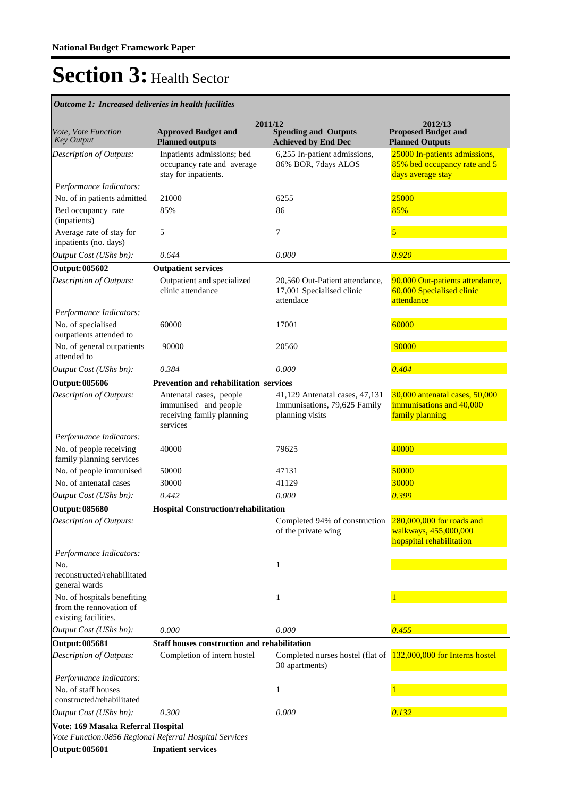|                                                                                |                                                                                          | 2011/12                                                                           | 2012/13                                                                            |
|--------------------------------------------------------------------------------|------------------------------------------------------------------------------------------|-----------------------------------------------------------------------------------|------------------------------------------------------------------------------------|
| Vote, Vote Function<br><b>Key Output</b>                                       | <b>Approved Budget and</b><br><b>Planned outputs</b>                                     | <b>Spending and Outputs</b><br><b>Achieved by End Dec</b>                         | <b>Proposed Budget and</b><br><b>Planned Outputs</b>                               |
| Description of Outputs:                                                        | Inpatients admissions; bed<br>occupancy rate and average<br>stay for inpatients.         | 6,255 In-patient admissions,<br>86% BOR, 7days ALOS                               | 25000 In-patients admissions,<br>85% bed occupancy rate and 5<br>days average stay |
| Performance Indicators:                                                        |                                                                                          |                                                                                   |                                                                                    |
| No. of in patients admitted                                                    | 21000                                                                                    | 6255                                                                              | 25000                                                                              |
| Bed occupancy rate<br>(inpatients)                                             | 85%                                                                                      | 86                                                                                | 85%                                                                                |
| Average rate of stay for<br>inpatients (no. days)                              | 5                                                                                        | 7                                                                                 | 5                                                                                  |
| Output Cost (UShs bn):                                                         | 0.644                                                                                    | 0.000                                                                             | 0.920                                                                              |
| <b>Output: 085602</b>                                                          | <b>Outpatient services</b>                                                               |                                                                                   |                                                                                    |
| Description of Outputs:                                                        | Outpatient and specialized<br>clinic attendance                                          | 20,560 Out-Patient attendance,<br>17,001 Specialised clinic<br>attendace          | 90,000 Out-patients attendance,<br>60,000 Specialised clinic<br>attendance         |
| Performance Indicators:                                                        |                                                                                          |                                                                                   |                                                                                    |
| No. of specialised<br>outpatients attended to                                  | 60000                                                                                    | 17001                                                                             | 60000                                                                              |
| No. of general outpatients<br>attended to                                      | 90000                                                                                    | 20560                                                                             | 90000                                                                              |
| Output Cost (UShs bn):                                                         | 0.384                                                                                    | 0.000                                                                             | 0.404                                                                              |
| <b>Output: 085606</b>                                                          | <b>Prevention and rehabilitation services</b>                                            |                                                                                   |                                                                                    |
| Description of Outputs:                                                        | Antenatal cases, people<br>immunised and people<br>receiving family planning<br>services | 41,129 Antenatal cases, 47,131<br>Immunisations, 79,625 Family<br>planning visits | 30,000 antenatal cases, 50,000<br>immunisations and 40,000<br>family planning      |
| Performance Indicators:<br>No. of people receiving                             | 40000                                                                                    | 79625                                                                             | 40000                                                                              |
| family planning services                                                       |                                                                                          |                                                                                   |                                                                                    |
| No. of people immunised                                                        | 50000                                                                                    | 47131                                                                             | 50000                                                                              |
| No. of antenatal cases                                                         | 30000                                                                                    | 41129                                                                             | 30000                                                                              |
| Output Cost (UShs bn):                                                         | 0.442                                                                                    | 0.000                                                                             | 0.399                                                                              |
| <b>Output: 085680</b>                                                          | <b>Hospital Construction/rehabilitation</b>                                              |                                                                                   |                                                                                    |
| Description of Outputs:                                                        |                                                                                          | Completed 94% of construction<br>of the private wing                              | 280,000,000 for roads and<br>walkways, 455,000,000<br>hopspital rehabilitation     |
| Performance Indicators:                                                        |                                                                                          |                                                                                   |                                                                                    |
| No.<br>reconstructed/rehabilitated<br>general wards                            |                                                                                          | 1                                                                                 |                                                                                    |
| No. of hospitals benefiting<br>from the rennovation of<br>existing facilities. |                                                                                          | 1                                                                                 |                                                                                    |
| Output Cost (UShs bn):                                                         | 0.000                                                                                    | 0.000                                                                             | 0.455                                                                              |
| <b>Output: 085681</b>                                                          | <b>Staff houses construction and rehabilitation</b>                                      |                                                                                   |                                                                                    |
| Description of Outputs:                                                        | Completion of intern hostel                                                              | Completed nurses hostel (flat of 132,000,000 for Interns hostel<br>30 apartments) |                                                                                    |
| Performance Indicators:                                                        |                                                                                          |                                                                                   |                                                                                    |
| No. of staff houses<br>constructed/rehabilitated                               |                                                                                          | 1                                                                                 |                                                                                    |
| Output Cost (UShs bn):                                                         | 0.300                                                                                    | 0.000                                                                             | 0.132                                                                              |
| Vote: 169 Masaka Referral Hospital                                             |                                                                                          |                                                                                   |                                                                                    |
|                                                                                | Vote Function:0856 Regional Referral Hospital Services                                   |                                                                                   |                                                                                    |
| <b>Output: 085601</b>                                                          | <b>Inpatient services</b>                                                                |                                                                                   |                                                                                    |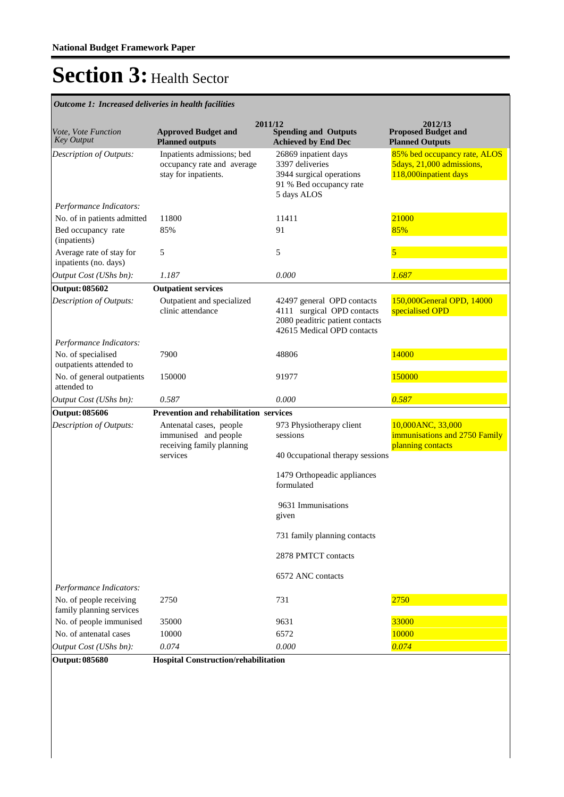| Vote, Vote Function<br><b>Key Output</b>            | <b>Approved Budget and</b><br><b>Planned outputs</b>                             | 2011/12<br><b>Spending and Outputs</b><br><b>Achieved by End Dec</b>                                                      | 2012/13<br><b>Proposed Budget and</b><br><b>Planned Outputs</b>                    |
|-----------------------------------------------------|----------------------------------------------------------------------------------|---------------------------------------------------------------------------------------------------------------------------|------------------------------------------------------------------------------------|
| Description of Outputs:                             | Inpatients admissions; bed<br>occupancy rate and average<br>stay for inpatients. | 26869 inpatient days<br>3397 deliveries<br>3944 surgical operations<br>91 % Bed occupancy rate<br>5 days ALOS             | 85% bed occupancy rate, ALOS<br>5days, 21,000 admissions,<br>118,000inpatient days |
| Performance Indicators:                             |                                                                                  |                                                                                                                           |                                                                                    |
| No. of in patients admitted                         | 11800                                                                            | 11411                                                                                                                     | 21000                                                                              |
| Bed occupancy rate<br>(inpatients)                  | 85%                                                                              | 91                                                                                                                        | 85%                                                                                |
| Average rate of stay for<br>inpatients (no. days)   | 5                                                                                | 5                                                                                                                         | 5                                                                                  |
| Output Cost (UShs bn):                              | 1.187                                                                            | 0.000                                                                                                                     | 1.687                                                                              |
| <b>Output: 085602</b>                               | <b>Outpatient services</b>                                                       |                                                                                                                           |                                                                                    |
| Description of Outputs:                             | Outpatient and specialized<br>clinic attendance                                  | 42497 general OPD contacts<br>4111 surgical OPD contacts<br>2080 peaditric patient contacts<br>42615 Medical OPD contacts | 150,000General OPD, 14000<br>specialised OPD                                       |
| Performance Indicators:                             |                                                                                  |                                                                                                                           |                                                                                    |
| No. of specialised<br>outpatients attended to       | 7900                                                                             | 48806                                                                                                                     | 14000                                                                              |
| No. of general outpatients<br>attended to           | 150000                                                                           | 91977                                                                                                                     | 150000                                                                             |
| Output Cost (UShs bn):                              | 0.587                                                                            | 0.000                                                                                                                     | 0.587                                                                              |
| <b>Output: 085606</b>                               | Prevention and rehabilitation services                                           |                                                                                                                           |                                                                                    |
| Description of Outputs:                             | Antenatal cases, people<br>immunised and people<br>receiving family planning     | 973 Physiotherapy client<br>sessions                                                                                      | 10,000ANC, 33,000<br>immunisations and 2750 Family<br>planning contacts            |
|                                                     | services                                                                         | 40 Occupational therapy sessions                                                                                          |                                                                                    |
|                                                     |                                                                                  | 1479 Orthopeadic appliances<br>formulated                                                                                 |                                                                                    |
|                                                     |                                                                                  | 9631 Immunisations<br>given                                                                                               |                                                                                    |
|                                                     |                                                                                  | 731 family planning contacts                                                                                              |                                                                                    |
|                                                     |                                                                                  | 2878 PMTCT contacts                                                                                                       |                                                                                    |
|                                                     |                                                                                  | 6572 ANC contacts                                                                                                         |                                                                                    |
| Performance Indicators:                             |                                                                                  |                                                                                                                           |                                                                                    |
| No. of people receiving<br>family planning services | 2750                                                                             | 731                                                                                                                       | 2750                                                                               |
| No. of people immunised                             | 35000                                                                            | 9631                                                                                                                      | 33000                                                                              |
| No. of antenatal cases                              | 10000                                                                            | 6572                                                                                                                      | 10000                                                                              |
| Output Cost (UShs bn):                              | 0.074                                                                            | 0.000                                                                                                                     | 0.074                                                                              |
| <b>Output: 085680</b>                               | Hospital Construction/rehabilitation                                             |                                                                                                                           |                                                                                    |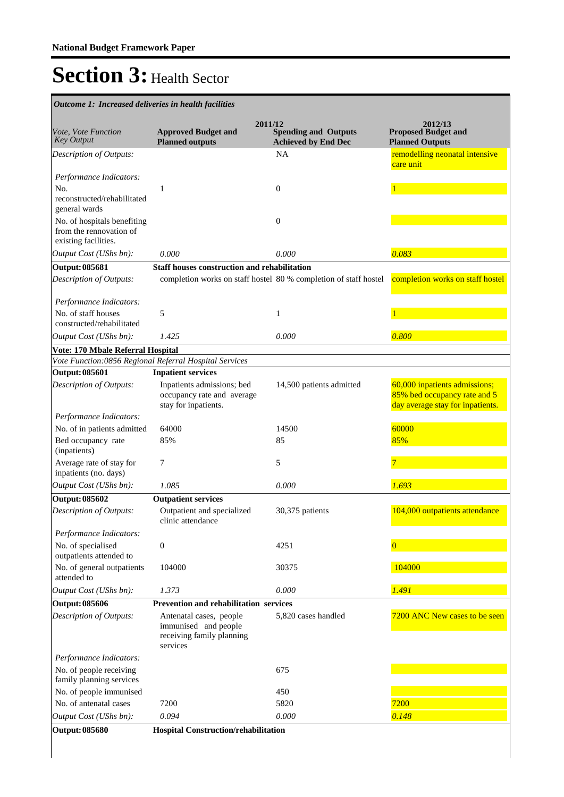| Outcome 1: Increased deliveries in health facilities                                            |                                                                                          |                                                                      |                                                                                                   |
|-------------------------------------------------------------------------------------------------|------------------------------------------------------------------------------------------|----------------------------------------------------------------------|---------------------------------------------------------------------------------------------------|
| Vote, Vote Function<br><b>Key Output</b>                                                        | <b>Approved Budget and</b><br><b>Planned outputs</b>                                     | 2011/12<br><b>Spending and Outputs</b><br><b>Achieved by End Dec</b> | 2012/13<br><b>Proposed Budget and</b><br><b>Planned Outputs</b>                                   |
| Description of Outputs:                                                                         |                                                                                          | <b>NA</b>                                                            | remodelling neonatal intensive<br>care unit                                                       |
| Performance Indicators:<br>No.<br>reconstructed/rehabilitated                                   | 1                                                                                        | $\mathbf{0}$                                                         |                                                                                                   |
| general wards<br>No. of hospitals benefiting<br>from the rennovation of<br>existing facilities. |                                                                                          | $\mathbf{0}$                                                         |                                                                                                   |
| Output Cost (UShs bn):                                                                          | 0.000                                                                                    | 0.000                                                                | 0.083                                                                                             |
| <b>Output: 085681</b>                                                                           | <b>Staff houses construction and rehabilitation</b>                                      |                                                                      |                                                                                                   |
| Description of Outputs:                                                                         |                                                                                          | completion works on staff hostel 80 % completion of staff hostel     | completion works on staff hostel                                                                  |
| Performance Indicators:                                                                         |                                                                                          |                                                                      |                                                                                                   |
| No. of staff houses<br>constructed/rehabilitated                                                | 5                                                                                        | 1                                                                    |                                                                                                   |
| Output Cost (UShs bn):                                                                          | 1.425                                                                                    | 0.000                                                                | 0.800                                                                                             |
| Vote: 170 Mbale Referral Hospital                                                               |                                                                                          |                                                                      |                                                                                                   |
| Vote Function:0856 Regional Referral Hospital Services                                          |                                                                                          |                                                                      |                                                                                                   |
| <b>Output: 085601</b>                                                                           | <b>Inpatient services</b>                                                                |                                                                      |                                                                                                   |
| Description of Outputs:                                                                         | Inpatients admissions; bed<br>occupancy rate and average<br>stay for inpatients.         | 14,500 patients admitted                                             | 60,000 inpatients admissions;<br>85% bed occupancy rate and 5<br>day average stay for inpatients. |
| Performance Indicators:                                                                         |                                                                                          |                                                                      |                                                                                                   |
| No. of in patients admitted                                                                     | 64000                                                                                    | 14500                                                                | 60000                                                                                             |
| Bed occupancy rate<br>(inpatients)                                                              | 85%                                                                                      | 85                                                                   | 85%                                                                                               |
| Average rate of stay for<br>inpatients (no. days)                                               | 7                                                                                        | 5                                                                    |                                                                                                   |
| Output Cost (UShs bn):                                                                          | 1.085                                                                                    | 0.000                                                                | 1.693                                                                                             |
| <b>Output: 085602</b>                                                                           | <b>Outpatient services</b>                                                               |                                                                      |                                                                                                   |
| Description of Outputs:                                                                         | Outpatient and specialized<br>clinic attendance                                          | 30,375 patients                                                      | 104,000 outpatients attendance                                                                    |
| Performance Indicators:                                                                         |                                                                                          |                                                                      |                                                                                                   |
| No. of specialised<br>outpatients attended to                                                   | $\boldsymbol{0}$                                                                         | 4251                                                                 | $\overline{0}$                                                                                    |
| No. of general outpatients<br>attended to                                                       | 104000                                                                                   | 30375                                                                | 104000                                                                                            |
| Output Cost (UShs bn):                                                                          | 1.373                                                                                    | 0.000                                                                | 1.491                                                                                             |
| <b>Output: 085606</b>                                                                           | <b>Prevention and rehabilitation services</b>                                            |                                                                      |                                                                                                   |
| Description of Outputs:                                                                         | Antenatal cases, people<br>immunised and people<br>receiving family planning<br>services | 5,820 cases handled                                                  | 7200 ANC New cases to be seen                                                                     |
| Performance Indicators:                                                                         |                                                                                          |                                                                      |                                                                                                   |
| No. of people receiving<br>family planning services                                             |                                                                                          | 675                                                                  |                                                                                                   |
| No. of people immunised                                                                         |                                                                                          | 450                                                                  |                                                                                                   |
| No. of antenatal cases                                                                          | 7200                                                                                     | 5820                                                                 | 7200                                                                                              |
| Output Cost (UShs bn):                                                                          | 0.094                                                                                    | 0.000                                                                | 0.148                                                                                             |
| <b>Output: 085680</b>                                                                           | <b>Hospital Construction/rehabilitation</b>                                              |                                                                      |                                                                                                   |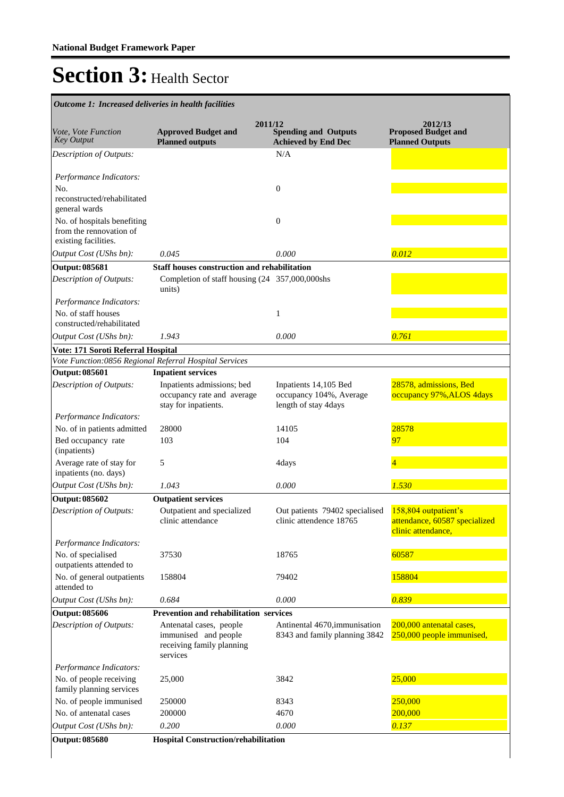| Outcome 1: Increased deliveries in health facilities                           |                                                                                          |                                                                          |                                                                             |
|--------------------------------------------------------------------------------|------------------------------------------------------------------------------------------|--------------------------------------------------------------------------|-----------------------------------------------------------------------------|
|                                                                                |                                                                                          | 2011/12                                                                  | 2012/13                                                                     |
| Vote, Vote Function<br><b>Key Output</b>                                       | <b>Approved Budget and</b><br><b>Planned outputs</b>                                     | <b>Spending and Outputs</b><br><b>Achieved by End Dec</b>                | <b>Proposed Budget and</b><br><b>Planned Outputs</b>                        |
| Description of Outputs:                                                        |                                                                                          | N/A                                                                      |                                                                             |
| Performance Indicators:<br>No.                                                 |                                                                                          | $\boldsymbol{0}$                                                         |                                                                             |
| reconstructed/rehabilitated<br>general wards                                   |                                                                                          |                                                                          |                                                                             |
| No. of hospitals benefiting<br>from the rennovation of<br>existing facilities. |                                                                                          | $\mathbf{0}$                                                             |                                                                             |
| Output Cost (UShs bn):                                                         | 0.045                                                                                    | 0.000                                                                    | 0.012                                                                       |
| <b>Output: 085681</b>                                                          | <b>Staff houses construction and rehabilitation</b>                                      |                                                                          |                                                                             |
| Description of Outputs:                                                        | Completion of staff housing (24 357,000,000shs)<br>units)                                |                                                                          |                                                                             |
| Performance Indicators:                                                        |                                                                                          |                                                                          |                                                                             |
| No. of staff houses                                                            |                                                                                          | $\mathbf{1}$                                                             |                                                                             |
| constructed/rehabilitated                                                      |                                                                                          |                                                                          |                                                                             |
| Output Cost (UShs bn):                                                         | 1.943                                                                                    | 0.000                                                                    | 0.761                                                                       |
| Vote: 171 Soroti Referral Hospital                                             |                                                                                          |                                                                          |                                                                             |
|                                                                                | Vote Function:0856 Regional Referral Hospital Services                                   |                                                                          |                                                                             |
| <b>Output: 085601</b>                                                          | <b>Inpatient services</b>                                                                |                                                                          |                                                                             |
| Description of Outputs:                                                        | Inpatients admissions; bed<br>occupancy rate and average<br>stay for inpatients.         | Inpatients 14,105 Bed<br>occupancy 104%, Average<br>length of stay 4days | 28578, admissions, Bed<br>occupancy 97%, ALOS 4days                         |
| Performance Indicators:                                                        |                                                                                          |                                                                          |                                                                             |
| No. of in patients admitted                                                    | 28000                                                                                    | 14105                                                                    | 28578                                                                       |
| Bed occupancy rate<br>(inpatients)                                             | 103                                                                                      | 104                                                                      | 97                                                                          |
| Average rate of stay for<br>inpatients (no. days)                              | 5                                                                                        | 4days                                                                    | $\overline{4}$                                                              |
| Output Cost (UShs bn):                                                         | 1.043                                                                                    | 0.000                                                                    | 1.530                                                                       |
| <b>Output: 085602</b>                                                          | <b>Outpatient services</b>                                                               |                                                                          |                                                                             |
| <b>Description of Outputs:</b>                                                 | Outpatient and specialized<br>clinic attendance                                          | Out patients 79402 specialised<br>clinic attendence 18765                | 158,804 outpatient's<br>attendance, 60587 specialized<br>clinic attendance, |
| Performance Indicators:<br>No. of specialised                                  | 37530                                                                                    | 18765                                                                    | 60587                                                                       |
| outpatients attended to<br>No. of general outpatients                          | 158804                                                                                   | 79402                                                                    | 158804                                                                      |
| attended to                                                                    | 0.684                                                                                    | 0.000                                                                    | 0.839                                                                       |
| Output Cost (UShs bn):                                                         |                                                                                          |                                                                          |                                                                             |
| <b>Output: 085606</b>                                                          | Prevention and rehabilitation services                                                   |                                                                          |                                                                             |
| Description of Outputs:                                                        | Antenatal cases, people<br>immunised and people<br>receiving family planning<br>services | Antinental 4670, immunisation<br>8343 and family planning 3842           | 200,000 antenatal cases,<br>250,000 people immunised,                       |
| Performance Indicators:                                                        |                                                                                          |                                                                          |                                                                             |
| No. of people receiving<br>family planning services                            | 25,000                                                                                   | 3842                                                                     | 25,000                                                                      |
| No. of people immunised                                                        | 250000                                                                                   | 8343                                                                     | 250,000                                                                     |
| No. of antenatal cases                                                         | 200000                                                                                   | 4670                                                                     | 200,000                                                                     |
| Output Cost (UShs bn):                                                         | 0.200                                                                                    | 0.000                                                                    | 0.137                                                                       |
| <b>Output: 085680</b>                                                          | Hospital Construction/rehabilitation                                                     |                                                                          |                                                                             |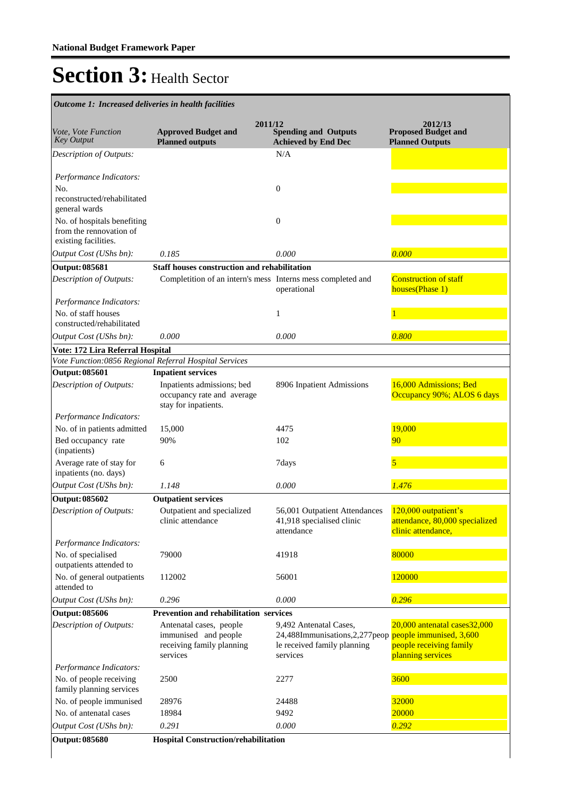| Outcome 1: Increased deliveries in health facilities                           |                                                                                          |                                                                                                       |                                                                                                          |
|--------------------------------------------------------------------------------|------------------------------------------------------------------------------------------|-------------------------------------------------------------------------------------------------------|----------------------------------------------------------------------------------------------------------|
| Vote, Vote Function<br><b>Key Output</b>                                       | 2011/12<br><b>Approved Budget and</b><br><b>Planned outputs</b>                          | <b>Spending and Outputs</b><br><b>Achieved by End Dec</b>                                             | 2012/13<br><b>Proposed Budget and</b><br><b>Planned Outputs</b>                                          |
| Description of Outputs:                                                        |                                                                                          | N/A                                                                                                   |                                                                                                          |
| Performance Indicators:                                                        |                                                                                          |                                                                                                       |                                                                                                          |
| No.<br>reconstructed/rehabilitated<br>general wards                            |                                                                                          | $\boldsymbol{0}$                                                                                      |                                                                                                          |
| No. of hospitals benefiting<br>from the rennovation of<br>existing facilities. |                                                                                          | $\mathbf{0}$                                                                                          |                                                                                                          |
| Output Cost (UShs bn):                                                         | 0.185                                                                                    | 0.000                                                                                                 | 0.000                                                                                                    |
| <b>Output: 085681</b>                                                          | <b>Staff houses construction and rehabilitation</b>                                      |                                                                                                       |                                                                                                          |
| Description of Outputs:                                                        | Completition of an intern's mess Interns mess completed and                              | operational                                                                                           | <b>Construction of staff</b><br>houses(Phase 1)                                                          |
| Performance Indicators:                                                        |                                                                                          |                                                                                                       |                                                                                                          |
| No. of staff houses                                                            |                                                                                          | 1                                                                                                     |                                                                                                          |
| constructed/rehabilitated                                                      |                                                                                          |                                                                                                       |                                                                                                          |
| Output Cost (UShs bn):                                                         | 0.000                                                                                    | 0.000                                                                                                 | 0.800                                                                                                    |
| Vote: 172 Lira Referral Hospital                                               | Vote Function:0856 Regional Referral Hospital Services                                   |                                                                                                       |                                                                                                          |
| <b>Output: 085601</b>                                                          | <b>Inpatient services</b>                                                                |                                                                                                       |                                                                                                          |
| Description of Outputs:                                                        | Inpatients admissions; bed                                                               | 8906 Inpatient Admissions                                                                             | 16,000 Admissions; Bed                                                                                   |
|                                                                                | occupancy rate and average<br>stay for inpatients.                                       |                                                                                                       | Occupancy 90%; ALOS 6 days                                                                               |
| Performance Indicators:                                                        |                                                                                          |                                                                                                       |                                                                                                          |
| No. of in patients admitted                                                    | 15,000                                                                                   | 4475                                                                                                  | 19,000                                                                                                   |
| Bed occupancy rate<br>(inpatients)                                             | 90%                                                                                      | 102                                                                                                   | 90                                                                                                       |
| Average rate of stay for<br>inpatients (no. days)                              | 6                                                                                        | 7days                                                                                                 | 5                                                                                                        |
| Output Cost (UShs bn):                                                         | 1.148                                                                                    | 0.000                                                                                                 | 1.476                                                                                                    |
| <b>Output: 085602</b>                                                          | <b>Outpatient services</b>                                                               |                                                                                                       |                                                                                                          |
| <b>Description of Outputs:</b>                                                 | Outpatient and specialized<br>clinic attendance                                          | 56,001 Outpatient Attendances<br>41,918 specialised clinic<br>attendance                              | 120,000 outpatient's<br>attendance, 80,000 specialized<br>clinic attendance,                             |
| Performance Indicators:                                                        |                                                                                          |                                                                                                       |                                                                                                          |
| No. of specialised<br>outpatients attended to                                  | 79000                                                                                    | 41918                                                                                                 | 80000                                                                                                    |
| No. of general outpatients<br>attended to                                      | 112002                                                                                   | 56001                                                                                                 | 120000                                                                                                   |
| Output Cost (UShs bn):                                                         | 0.296                                                                                    | 0.000                                                                                                 | 0.296                                                                                                    |
| <b>Output: 085606</b>                                                          | Prevention and rehabilitation services                                                   |                                                                                                       |                                                                                                          |
| <b>Description of Outputs:</b>                                                 | Antenatal cases, people<br>immunised and people<br>receiving family planning<br>services | 9,492 Antenatal Cases,<br>24,488Immunisations, 2, 277 peop<br>le received family planning<br>services | 20,000 antenatal cases 32,000<br>people immunised, 3,600<br>people receiving family<br>planning services |
| Performance Indicators:                                                        |                                                                                          |                                                                                                       |                                                                                                          |
| No. of people receiving<br>family planning services                            | 2500                                                                                     | 2277                                                                                                  | 3600                                                                                                     |
| No. of people immunised                                                        | 28976                                                                                    | 24488                                                                                                 | 32000                                                                                                    |
| No. of antenatal cases                                                         | 18984                                                                                    | 9492                                                                                                  | 20000                                                                                                    |
| Output Cost (UShs bn):                                                         | 0.291                                                                                    | 0.000                                                                                                 | 0.292                                                                                                    |
| <b>Output: 085680</b>                                                          | Hospital Construction/rehabilitation                                                     |                                                                                                       |                                                                                                          |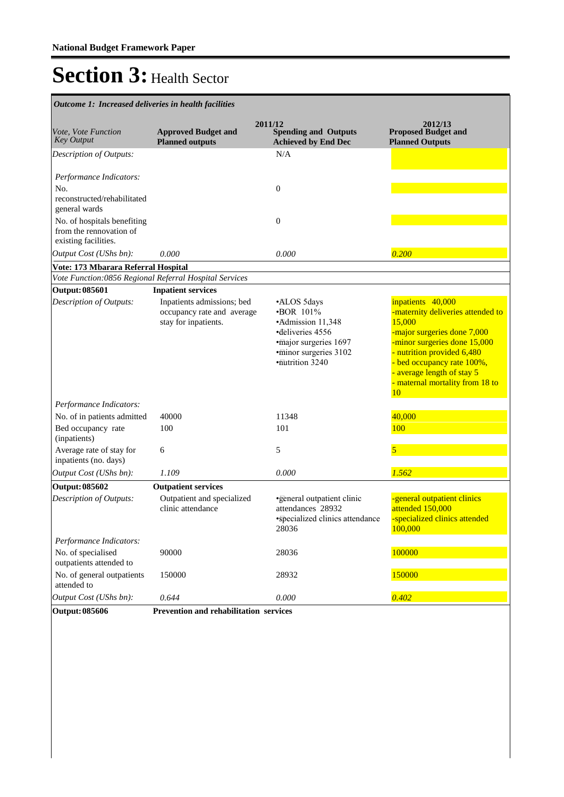| Outcome 1: Increased deliveries in health facilities                               |                                                                                                               |                                                                                                                                              |                                                                                                                                                                                                                                                                    |
|------------------------------------------------------------------------------------|---------------------------------------------------------------------------------------------------------------|----------------------------------------------------------------------------------------------------------------------------------------------|--------------------------------------------------------------------------------------------------------------------------------------------------------------------------------------------------------------------------------------------------------------------|
| Vote, Vote Function<br>Key Output                                                  | <b>Approved Budget and</b><br><b>Planned outputs</b>                                                          | 2011/12<br><b>Spending and Outputs</b><br><b>Achieved by End Dec</b>                                                                         | 2012/13<br><b>Proposed Budget and</b><br><b>Planned Outputs</b>                                                                                                                                                                                                    |
| Description of Outputs:                                                            |                                                                                                               | N/A                                                                                                                                          |                                                                                                                                                                                                                                                                    |
| Performance Indicators:<br>No.<br>reconstructed/rehabilitated<br>general wards     |                                                                                                               | $\boldsymbol{0}$                                                                                                                             |                                                                                                                                                                                                                                                                    |
| No. of hospitals benefiting<br>from the rennovation of<br>existing facilities.     |                                                                                                               | $\boldsymbol{0}$                                                                                                                             |                                                                                                                                                                                                                                                                    |
| Output Cost (UShs bn):                                                             | 0.000                                                                                                         | 0.000                                                                                                                                        | 0.200                                                                                                                                                                                                                                                              |
| Vote: 173 Mbarara Referral Hospital                                                |                                                                                                               |                                                                                                                                              |                                                                                                                                                                                                                                                                    |
|                                                                                    | Vote Function:0856 Regional Referral Hospital Services                                                        |                                                                                                                                              |                                                                                                                                                                                                                                                                    |
| <b>Output: 085601</b><br><b>Description of Outputs:</b><br>Performance Indicators: | <b>Inpatient services</b><br>Inpatients admissions; bed<br>occupancy rate and average<br>stay for inpatients. | •ALOS 5days<br>$\cdot$ BOR 101%<br>•Admission 11,348<br>deliveries 4556<br>·major surgeries 1697<br>·minor surgeries 3102<br>·nutrition 3240 | inpatients 40,000<br>-maternity deliveries attended to<br>15,000<br>-major surgeries done 7,000<br>-minor surgeries done 15,000<br>- nutrition provided 6,480<br>- bed occupancy rate 100%,<br>- average length of stay 5<br>- maternal mortality from 18 to<br>10 |
| No. of in patients admitted                                                        | 40000                                                                                                         | 11348                                                                                                                                        | 40,000                                                                                                                                                                                                                                                             |
| Bed occupancy rate<br>(inpatients)                                                 | 100                                                                                                           | 101                                                                                                                                          | 100                                                                                                                                                                                                                                                                |
| Average rate of stay for<br>inpatients (no. days)                                  | 6                                                                                                             | 5                                                                                                                                            | 5                                                                                                                                                                                                                                                                  |
| Output Cost (UShs bn):                                                             | 1.109                                                                                                         | 0.000                                                                                                                                        | 1.562                                                                                                                                                                                                                                                              |
| <b>Output: 085602</b>                                                              | <b>Outpatient services</b>                                                                                    |                                                                                                                                              |                                                                                                                                                                                                                                                                    |
| Description of Outputs:                                                            | Outpatient and specialized<br>clinic attendance                                                               | •general outpatient clinic<br>attendances 28932<br>·specialized clinics attendance<br>28036                                                  | -general outpatient clinics<br>attended 150,000<br>-specialized clinics attended<br>100,000                                                                                                                                                                        |
| Performance Indicators:<br>No. of specialised<br>outpatients attended to           | 90000                                                                                                         | 28036                                                                                                                                        | 100000                                                                                                                                                                                                                                                             |
| No. of general outpatients<br>attended to                                          | 150000                                                                                                        | 28932                                                                                                                                        | 150000                                                                                                                                                                                                                                                             |
| Output Cost (UShs bn):                                                             | 0.644                                                                                                         | 0.000                                                                                                                                        | 0.402                                                                                                                                                                                                                                                              |
| <b>Output: 085606</b>                                                              | Prevention and rehabilitation services                                                                        |                                                                                                                                              |                                                                                                                                                                                                                                                                    |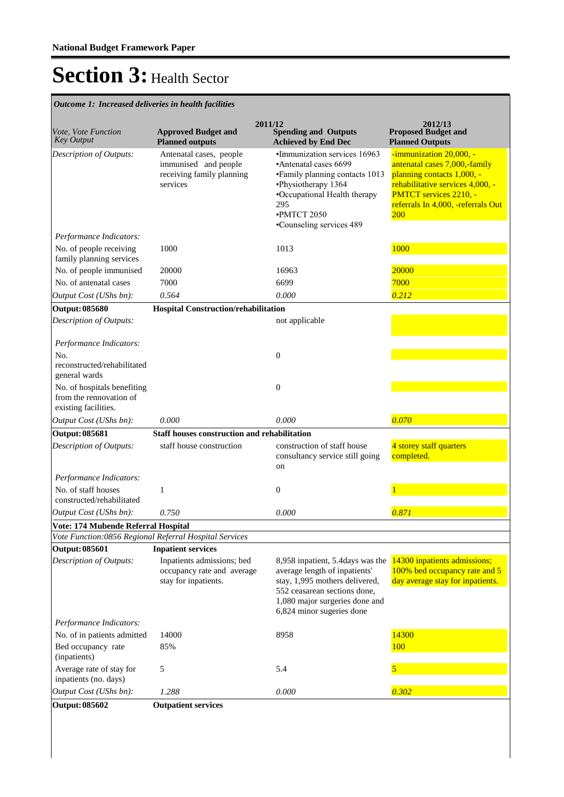| Vote, Vote Function<br><b>Key Output</b>                                       | <b>Approved Budget and</b><br><b>Planned outputs</b>                                     | 2011/12<br><b>Spending and Outputs</b><br><b>Achieved by End Dec</b>                                                                                                                               | 2012/13<br><b>Proposed Budget and</b><br><b>Planned Outputs</b>                                                                                                                                          |
|--------------------------------------------------------------------------------|------------------------------------------------------------------------------------------|----------------------------------------------------------------------------------------------------------------------------------------------------------------------------------------------------|----------------------------------------------------------------------------------------------------------------------------------------------------------------------------------------------------------|
| Description of Outputs:                                                        | Antenatal cases, people<br>immunised and people<br>receiving family planning<br>services | ·Immunization services 16963<br>•Antenatal cases 6699<br>• Family planning contacts 1013<br>·Physiotherapy 1364<br>•Occupational Health therapy<br>295<br>·PMTCT 2050<br>•Counseling services 489  | -immunization 20,000, -<br>antenatal cases 7,000,-family<br>planning contacts 1,000, -<br>rehabilitative services 4,000, -<br>PMTCT services 2210, -<br>referrals In 4,000, -referrals Out<br><b>200</b> |
| Performance Indicators:                                                        |                                                                                          |                                                                                                                                                                                                    |                                                                                                                                                                                                          |
| No. of people receiving<br>family planning services                            | 1000                                                                                     | 1013                                                                                                                                                                                               | 1000                                                                                                                                                                                                     |
| No. of people immunised                                                        | 20000                                                                                    | 16963                                                                                                                                                                                              | 20000                                                                                                                                                                                                    |
| No. of antenatal cases                                                         | 7000                                                                                     | 6699                                                                                                                                                                                               | 7000                                                                                                                                                                                                     |
| Output Cost (UShs bn):                                                         | 0.564                                                                                    | 0.000                                                                                                                                                                                              | 0.212                                                                                                                                                                                                    |
| <b>Output: 085680</b>                                                          | <b>Hospital Construction/rehabilitation</b>                                              |                                                                                                                                                                                                    |                                                                                                                                                                                                          |
| Description of Outputs:                                                        |                                                                                          | not applicable                                                                                                                                                                                     |                                                                                                                                                                                                          |
| Performance Indicators:<br>No.<br>reconstructed/rehabilitated<br>general wards |                                                                                          | $\boldsymbol{0}$                                                                                                                                                                                   |                                                                                                                                                                                                          |
| No. of hospitals benefiting<br>from the rennovation of<br>existing facilities. |                                                                                          | $\mathbf{0}$                                                                                                                                                                                       |                                                                                                                                                                                                          |
| Output Cost (UShs bn):                                                         | 0.000                                                                                    | 0.000                                                                                                                                                                                              | 0.070                                                                                                                                                                                                    |
| <b>Output: 085681</b>                                                          | <b>Staff houses construction and rehabilitation</b>                                      |                                                                                                                                                                                                    |                                                                                                                                                                                                          |
| Description of Outputs:                                                        | staff house construction                                                                 | construction of staff house<br>consultancy service still going<br>on                                                                                                                               | 4 storey staff quarters<br>completed.                                                                                                                                                                    |
| Performance Indicators:                                                        |                                                                                          |                                                                                                                                                                                                    |                                                                                                                                                                                                          |
| No. of staff houses<br>constructed/rehabilitated                               | 1                                                                                        | $\mathbf{0}$                                                                                                                                                                                       |                                                                                                                                                                                                          |
| Output Cost (UShs bn):                                                         | 0.750                                                                                    | 0.000                                                                                                                                                                                              | 0.871                                                                                                                                                                                                    |
| Vote: 174 Mubende Referral Hospital                                            |                                                                                          |                                                                                                                                                                                                    |                                                                                                                                                                                                          |
|                                                                                | Vote Function:0856 Regional Referral Hospital Services                                   |                                                                                                                                                                                                    |                                                                                                                                                                                                          |
| <b>Output: 085601</b>                                                          | <b>Inpatient services</b>                                                                |                                                                                                                                                                                                    |                                                                                                                                                                                                          |
| Description of Outputs:                                                        | Inpatients admissions; bed<br>occupancy rate and average<br>stay for inpatients.         | 8,958 inpatient, 5.4days was the<br>average length of inpatients'<br>stay, 1,995 mothers delivered,<br>552 ceasarean sections done,<br>1,080 major surgeries done and<br>6,824 minor sugeries done | 14300 inpatients admissions;<br>100% bed occupancy rate and 5<br>day average stay for inpatients.                                                                                                        |
| Performance Indicators:                                                        |                                                                                          |                                                                                                                                                                                                    |                                                                                                                                                                                                          |
| No. of in patients admitted<br>Bed occupancy rate<br>(inpatients)              | 14000<br>85%                                                                             | 8958                                                                                                                                                                                               | 14300<br>100                                                                                                                                                                                             |
| Average rate of stay for<br>inpatients (no. days)                              | 5                                                                                        | 5.4                                                                                                                                                                                                | 5                                                                                                                                                                                                        |
| Output Cost (UShs bn):                                                         | 1.288                                                                                    | 0.000                                                                                                                                                                                              | 0.302                                                                                                                                                                                                    |
| <b>Output: 085602</b>                                                          |                                                                                          |                                                                                                                                                                                                    |                                                                                                                                                                                                          |
|                                                                                | <b>Outpatient services</b>                                                               |                                                                                                                                                                                                    |                                                                                                                                                                                                          |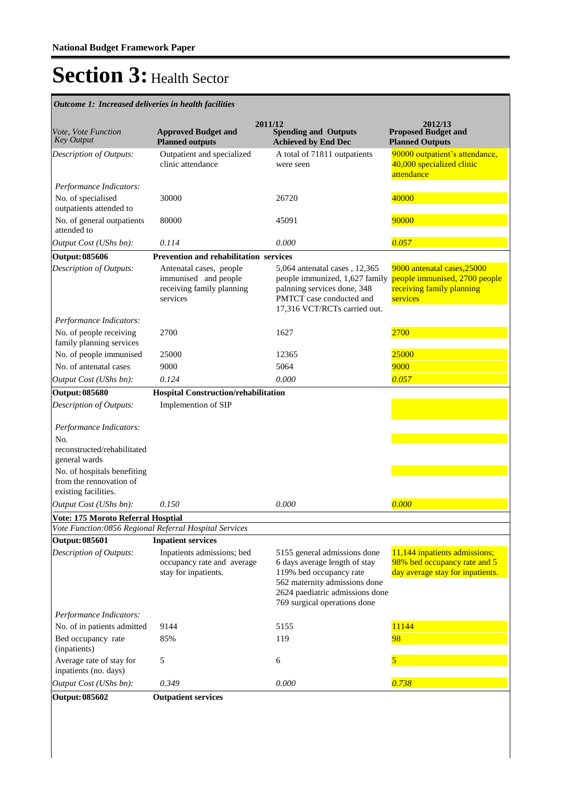| Outcome 1: Increased deliveries in health facilities                           |                                                                                          |                                                                                                                                                                                              |                                                                                                       |
|--------------------------------------------------------------------------------|------------------------------------------------------------------------------------------|----------------------------------------------------------------------------------------------------------------------------------------------------------------------------------------------|-------------------------------------------------------------------------------------------------------|
| Vote, Vote Function<br><b>Key Output</b>                                       | <b>Approved Budget and</b><br><b>Planned outputs</b>                                     | 2011/12<br><b>Spending and Outputs</b><br><b>Achieved by End Dec</b>                                                                                                                         | 2012/13<br><b>Proposed Budget and</b><br><b>Planned Outputs</b>                                       |
| Description of Outputs:                                                        | Outpatient and specialized<br>clinic attendance                                          | A total of 71811 outpatients<br>were seen                                                                                                                                                    | 90000 outpatient's attendance,<br>40,000 specialized clinic<br>attendance                             |
| Performance Indicators:                                                        |                                                                                          |                                                                                                                                                                                              |                                                                                                       |
| No. of specialised<br>outpatients attended to                                  | 30000                                                                                    | 26720                                                                                                                                                                                        | 40000                                                                                                 |
| No. of general outpatients<br>attended to                                      | 80000                                                                                    | 45091                                                                                                                                                                                        | 90000                                                                                                 |
| Output Cost (UShs bn):                                                         | 0.114                                                                                    | 0.000                                                                                                                                                                                        | 0.057                                                                                                 |
| <b>Output: 085606</b>                                                          | <b>Prevention and rehabilitation services</b>                                            |                                                                                                                                                                                              |                                                                                                       |
| Description of Outputs:                                                        | Antenatal cases, people<br>immunised and people<br>receiving family planning<br>services | 5,064 antenatal cases, 12,365<br>people immunized, 1,627 family<br>palnning services done, 348<br>PMTCT case conducted and<br>17,316 VCT/RCTs carried out.                                   | 9000 antenatal cases, 25000<br>people immunised, 2700 people<br>receiving family planning<br>services |
| Performance Indicators:                                                        |                                                                                          |                                                                                                                                                                                              |                                                                                                       |
| No. of people receiving<br>family planning services                            | 2700                                                                                     | 1627                                                                                                                                                                                         | 2700                                                                                                  |
| No. of people immunised                                                        | 25000                                                                                    | 12365                                                                                                                                                                                        | 25000                                                                                                 |
| No. of antenatal cases                                                         | 9000                                                                                     | 5064                                                                                                                                                                                         | 9000                                                                                                  |
| Output Cost (UShs bn):                                                         | 0.124                                                                                    | 0.000                                                                                                                                                                                        | 0.057                                                                                                 |
| <b>Output: 085680</b>                                                          | Hospital Construction/rehabilitation                                                     |                                                                                                                                                                                              |                                                                                                       |
| Description of Outputs:                                                        | Implemention of SIP                                                                      |                                                                                                                                                                                              |                                                                                                       |
| Performance Indicators:                                                        |                                                                                          |                                                                                                                                                                                              |                                                                                                       |
| No.                                                                            |                                                                                          |                                                                                                                                                                                              |                                                                                                       |
| reconstructed/rehabilitated<br>general wards                                   |                                                                                          |                                                                                                                                                                                              |                                                                                                       |
| No. of hospitals benefiting<br>from the rennovation of<br>existing facilities. |                                                                                          |                                                                                                                                                                                              |                                                                                                       |
| Output Cost (UShs bn):                                                         | 0.150                                                                                    | 0.000                                                                                                                                                                                        | 0.000                                                                                                 |
| <b>Vote: 175 Moroto Referral Hosptial</b>                                      |                                                                                          |                                                                                                                                                                                              |                                                                                                       |
|                                                                                | Vote Function:0856 Regional Referral Hospital Services                                   |                                                                                                                                                                                              |                                                                                                       |
| <b>Output: 085601</b>                                                          | <b>Inpatient services</b>                                                                |                                                                                                                                                                                              |                                                                                                       |
| Description of Outputs:                                                        | Inpatients admissions; bed<br>occupancy rate and average<br>stay for inpatients.         | 5155 general admissions done<br>6 days average length of stay<br>119% bed occupancy rate<br>562 maternity admissions done<br>2624 paediatric admissions done<br>769 surgical operations done | 11,144 inpatients admissions;<br>98% bed occupancy rate and 5<br>day average stay for inpatients.     |
| Performance Indicators:                                                        |                                                                                          |                                                                                                                                                                                              |                                                                                                       |
| No. of in patients admitted                                                    | 9144                                                                                     | 5155                                                                                                                                                                                         | 11144                                                                                                 |
| Bed occupancy rate<br>(inpatients)                                             | 85%                                                                                      | 119                                                                                                                                                                                          | 98                                                                                                    |
| Average rate of stay for<br>inpatients (no. days)                              | 5                                                                                        | 6                                                                                                                                                                                            | 5                                                                                                     |
| Output Cost (UShs bn):                                                         | 0.349                                                                                    | 0.000                                                                                                                                                                                        | 0.738                                                                                                 |
| <b>Output: 085602</b>                                                          | <b>Outpatient services</b>                                                               |                                                                                                                                                                                              |                                                                                                       |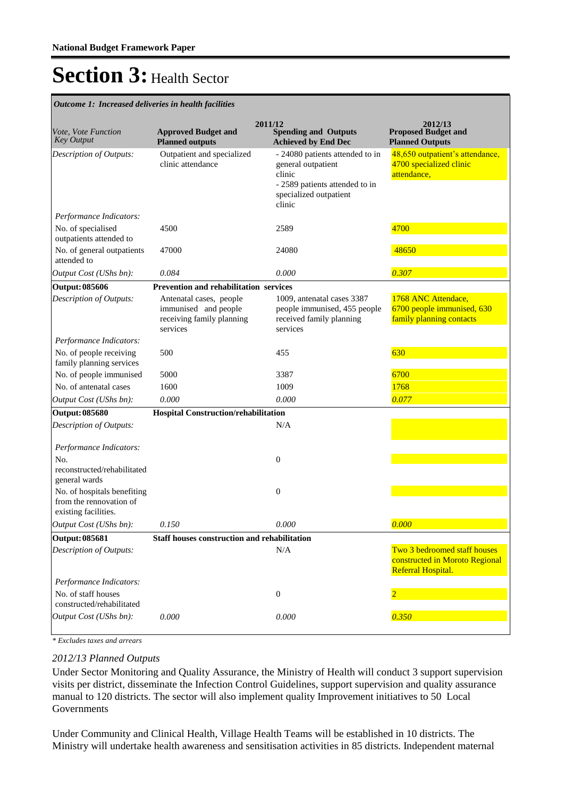*Outcome 1: Increased deliveries in health facilities*

| Vote, Vote Function<br><b>Key Output</b>                                       | <b>Approved Budget and</b><br><b>Planned outputs</b>                                     | 2011/12<br><b>Spending and Outputs</b><br><b>Achieved by End Dec</b>                                                                  | 2012/13<br><b>Proposed Budget and</b><br><b>Planned Outputs</b>                      |
|--------------------------------------------------------------------------------|------------------------------------------------------------------------------------------|---------------------------------------------------------------------------------------------------------------------------------------|--------------------------------------------------------------------------------------|
| Description of Outputs:                                                        | Outpatient and specialized<br>clinic attendance                                          | - 24080 patients attended to in<br>general outpatient<br>clinic<br>- 2589 patients attended to in<br>specialized outpatient<br>clinic | 48,650 outpatient's attendance,<br>4700 specialized clinic<br>attendance,            |
| Performance Indicators:                                                        |                                                                                          |                                                                                                                                       |                                                                                      |
| No. of specialised<br>outpatients attended to                                  | 4500                                                                                     | 2589                                                                                                                                  | 4700                                                                                 |
| No. of general outpatients<br>attended to                                      | 47000                                                                                    | 24080                                                                                                                                 | 48650                                                                                |
| Output Cost (UShs bn):                                                         | 0.084                                                                                    | 0.000                                                                                                                                 | 0.307                                                                                |
| <b>Output: 085606</b>                                                          | Prevention and rehabilitation services                                                   |                                                                                                                                       |                                                                                      |
| Description of Outputs:                                                        | Antenatal cases, people<br>immunised and people<br>receiving family planning<br>services | 1009, antenatal cases 3387<br>people immunised, 455 people<br>received family planning<br>services                                    | 1768 ANC Attendace,<br>6700 people immunised, 630<br>family planning contacts        |
| Performance Indicators:                                                        |                                                                                          |                                                                                                                                       |                                                                                      |
| No. of people receiving<br>family planning services                            | 500                                                                                      | 455                                                                                                                                   | 630                                                                                  |
| No. of people immunised                                                        | 5000                                                                                     | 3387                                                                                                                                  | 6700                                                                                 |
| No. of antenatal cases                                                         | 1600                                                                                     | 1009                                                                                                                                  | 1768                                                                                 |
| Output Cost (UShs bn):                                                         | 0.000                                                                                    | 0.000                                                                                                                                 | 0.077                                                                                |
| <b>Output: 085680</b>                                                          | <b>Hospital Construction/rehabilitation</b>                                              |                                                                                                                                       |                                                                                      |
| Description of Outputs:                                                        |                                                                                          | N/A                                                                                                                                   |                                                                                      |
| Performance Indicators:                                                        |                                                                                          |                                                                                                                                       |                                                                                      |
| No.<br>reconstructed/rehabilitated<br>general wards                            |                                                                                          | $\overline{0}$                                                                                                                        |                                                                                      |
| No. of hospitals benefiting<br>from the rennovation of<br>existing facilities. |                                                                                          | $\mathbf{0}$                                                                                                                          |                                                                                      |
| Output Cost (UShs bn):                                                         | 0.150                                                                                    | 0.000                                                                                                                                 | 0.000                                                                                |
| <b>Output: 085681</b>                                                          | Staff houses construction and rehabilitation                                             |                                                                                                                                       |                                                                                      |
| Description of Outputs:                                                        |                                                                                          | N/A                                                                                                                                   | Two 3 bedroomed staff houses<br>constructed in Moroto Regional<br>Referral Hospital. |
| Performance Indicators:                                                        |                                                                                          |                                                                                                                                       |                                                                                      |
| No. of staff houses<br>constructed/rehabilitated                               |                                                                                          | $\boldsymbol{0}$                                                                                                                      |                                                                                      |
| Output Cost (UShs bn):                                                         | 0.000                                                                                    | 0.000                                                                                                                                 | 0.350                                                                                |

*\* Excludes taxes and arrears*

### *2012/13 Planned Outputs*

Under Sector Monitoring and Quality Assurance, the Ministry of Health will conduct 3 support supervision visits per district, disseminate the Infection Control Guidelines, support supervision and quality assurance manual to 120 districts. The sector will also implement quality Improvement initiatives to 50 Local Governments

Under Community and Clinical Health, Village Health Teams will be established in 10 districts. The Ministry will undertake health awareness and sensitisation activities in 85 districts. Independent maternal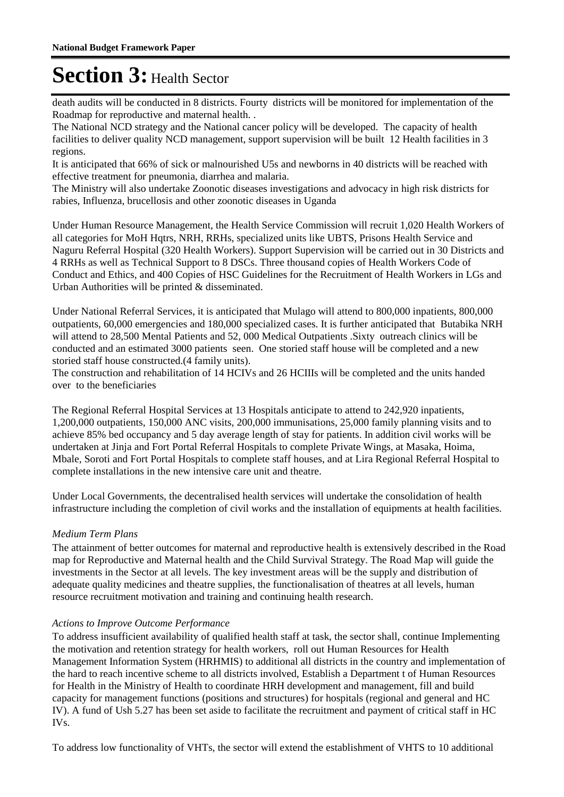death audits will be conducted in 8 districts. Fourty districts will be monitored for implementation of the Roadmap for reproductive and maternal health. .

The National NCD strategy and the National cancer policy will be developed. The capacity of health facilities to deliver quality NCD management, support supervision will be built 12 Health facilities in 3 regions.

It is anticipated that 66% of sick or malnourished U5s and newborns in 40 districts will be reached with effective treatment for pneumonia, diarrhea and malaria.

The Ministry will also undertake Zoonotic diseases investigations and advocacy in high risk districts for rabies, Influenza, brucellosis and other zoonotic diseases in Uganda

Under Human Resource Management, the Health Service Commission will recruit 1,020 Health Workers of all categories for MoH Hqtrs, NRH, RRHs, specialized units like UBTS, Prisons Health Service and Naguru Referral Hospital (320 Health Workers). Support Supervision will be carried out in 30 Districts and 4 RRHs as well as Technical Support to 8 DSCs. Three thousand copies of Health Workers Code of Conduct and Ethics, and 400 Copies of HSC Guidelines for the Recruitment of Health Workers in LGs and Urban Authorities will be printed & disseminated.

Under National Referral Services, it is anticipated that Mulago will attend to 800,000 inpatients, 800,000 outpatients, 60,000 emergencies and 180,000 specialized cases. It is further anticipated that Butabika NRH will attend to 28,500 Mental Patients and 52, 000 Medical Outpatients .Sixty outreach clinics will be conducted and an estimated 3000 patients seen. One storied staff house will be completed and a new storied staff house constructed.(4 family units).

The construction and rehabilitation of 14 HCIVs and 26 HCIIIs will be completed and the units handed over to the beneficiaries

The Regional Referral Hospital Services at 13 Hospitals anticipate to attend to 242,920 inpatients, 1,200,000 outpatients, 150,000 ANC visits, 200,000 immunisations, 25,000 family planning visits and to achieve 85% bed occupancy and 5 day average length of stay for patients. In addition civil works will be undertaken at Jinja and Fort Portal Referral Hospitals to complete Private Wings, at Masaka, Hoima, Mbale, Soroti and Fort Portal Hospitals to complete staff houses, and at Lira Regional Referral Hospital to complete installations in the new intensive care unit and theatre.

Under Local Governments, the decentralised health services will undertake the consolidation of health infrastructure including the completion of civil works and the installation of equipments at health facilities.

### *Medium Term Plans*

The attainment of better outcomes for maternal and reproductive health is extensively described in the Road map for Reproductive and Maternal health and the Child Survival Strategy. The Road Map will guide the investments in the Sector at all levels. The key investment areas will be the supply and distribution of adequate quality medicines and theatre supplies, the functionalisation of theatres at all levels, human resource recruitment motivation and training and continuing health research.

### *Actions to Improve Outcome Performance*

To address insufficient availability of qualified health staff at task, the sector shall, continue Implementing the motivation and retention strategy for health workers, roll out Human Resources for Health Management Information System (HRHMIS) to additional all districts in the country and implementation of the hard to reach incentive scheme to all districts involved, Establish a Department t of Human Resources for Health in the Ministry of Health to coordinate HRH development and management, fill and build capacity for management functions (positions and structures) for hospitals (regional and general and HC IV). A fund of Ush 5.27 has been set aside to facilitate the recruitment and payment of critical staff in HC IVs.

To address low functionality of VHTs, the sector will extend the establishment of VHTS to 10 additional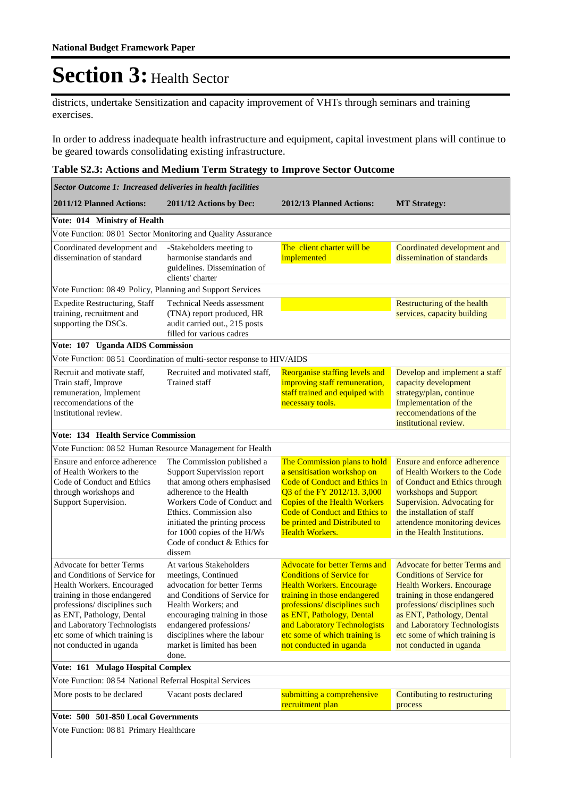districts, undertake Sensitization and capacity improvement of VHTs through seminars and training exercises.

In order to address inadequate health infrastructure and equipment, capital investment plans will continue to be geared towards consolidating existing infrastructure.

#### **Table S2.3: Actions and Medium Term Strategy to Improve Sector Outcome**

| Sector Outcome 1: Increased deliveries in health facilities                                                                                                                                                                                                                              |                                                                                                                                                                                                                                                                                 |                                                                                                                                                                                                                                                                                                        |                                                                                                                                                                                                                                                                                                |  |  |
|------------------------------------------------------------------------------------------------------------------------------------------------------------------------------------------------------------------------------------------------------------------------------------------|---------------------------------------------------------------------------------------------------------------------------------------------------------------------------------------------------------------------------------------------------------------------------------|--------------------------------------------------------------------------------------------------------------------------------------------------------------------------------------------------------------------------------------------------------------------------------------------------------|------------------------------------------------------------------------------------------------------------------------------------------------------------------------------------------------------------------------------------------------------------------------------------------------|--|--|
| 2011/12 Planned Actions:                                                                                                                                                                                                                                                                 | 2011/12 Actions by Dec:                                                                                                                                                                                                                                                         | 2012/13 Planned Actions:                                                                                                                                                                                                                                                                               | <b>MT Strategy:</b>                                                                                                                                                                                                                                                                            |  |  |
| Vote: 014 Ministry of Health                                                                                                                                                                                                                                                             |                                                                                                                                                                                                                                                                                 |                                                                                                                                                                                                                                                                                                        |                                                                                                                                                                                                                                                                                                |  |  |
| Vote Function: 08 01 Sector Monitoring and Quality Assurance                                                                                                                                                                                                                             |                                                                                                                                                                                                                                                                                 |                                                                                                                                                                                                                                                                                                        |                                                                                                                                                                                                                                                                                                |  |  |
| Coordinated development and<br>dissemination of standard                                                                                                                                                                                                                                 | -Stakeholders meeting to<br>harmonise standards and<br>guidelines. Dissemination of<br>clients' charter                                                                                                                                                                         | The client charter will be<br>implemented                                                                                                                                                                                                                                                              | Coordinated development and<br>dissemination of standards                                                                                                                                                                                                                                      |  |  |
| Vote Function: 08 49 Policy, Planning and Support Services                                                                                                                                                                                                                               |                                                                                                                                                                                                                                                                                 |                                                                                                                                                                                                                                                                                                        |                                                                                                                                                                                                                                                                                                |  |  |
| <b>Expedite Restructuring, Staff</b><br>training, recruitment and<br>supporting the DSCs.                                                                                                                                                                                                | <b>Technical Needs assessment</b><br>(TNA) report produced, HR<br>audit carried out., 215 posts<br>filled for various cadres                                                                                                                                                    |                                                                                                                                                                                                                                                                                                        | Restructuring of the health<br>services, capacity building                                                                                                                                                                                                                                     |  |  |
| Vote: 107 Uganda AIDS Commission                                                                                                                                                                                                                                                         |                                                                                                                                                                                                                                                                                 |                                                                                                                                                                                                                                                                                                        |                                                                                                                                                                                                                                                                                                |  |  |
|                                                                                                                                                                                                                                                                                          | Vote Function: 08 51 Coordination of multi-sector response to HIV/AIDS                                                                                                                                                                                                          |                                                                                                                                                                                                                                                                                                        |                                                                                                                                                                                                                                                                                                |  |  |
| Recruit and motivate staff,<br>Train staff, Improve<br>remuneration, Implement<br>reccomendations of the<br>institutional review.                                                                                                                                                        | Recruited and motivated staff,<br><b>Trained staff</b>                                                                                                                                                                                                                          | Reorganise staffing levels and<br>improving staff remuneration,<br>staff trained and equiped with<br>necessary tools.                                                                                                                                                                                  | Develop and implement a staff<br>capacity development<br>strategy/plan, continue<br>Implementation of the<br>reccomendations of the<br>institutional review.                                                                                                                                   |  |  |
| <b>Vote: 134 Health Service Commission</b>                                                                                                                                                                                                                                               |                                                                                                                                                                                                                                                                                 |                                                                                                                                                                                                                                                                                                        |                                                                                                                                                                                                                                                                                                |  |  |
|                                                                                                                                                                                                                                                                                          | Vote Function: 08 52 Human Resource Management for Health                                                                                                                                                                                                                       |                                                                                                                                                                                                                                                                                                        |                                                                                                                                                                                                                                                                                                |  |  |
| Ensure and enforce adherence<br>of Health Workers to the<br>Code of Conduct and Ethics<br>through workshops and<br>Support Supervision.                                                                                                                                                  | The Commission published a<br>Support Supervission report<br>that among others emphasised<br>adherence to the Health<br>Workers Code of Conduct and<br>Ethics. Commission also<br>initiated the printing process<br>for 1000 copies of the H/Ws<br>Code of conduct & Ethics for | The Commission plans to hold<br>a sensitisation workshop on<br><b>Code of Conduct and Ethics in</b><br>Q3 of the FY 2012/13. 3,000<br><b>Copies of the Health Workers</b><br><b>Code of Conduct and Ethics to</b><br>be printed and Distributed to<br><b>Health Workers.</b>                           | Ensure and enforce adherence<br>of Health Workers to the Code<br>of Conduct and Ethics through<br>workshops and Support<br>Supervision. Advocating for<br>the installation of staff<br>attendence monitoring devices<br>in the Health Institutions.                                            |  |  |
|                                                                                                                                                                                                                                                                                          | dissem                                                                                                                                                                                                                                                                          |                                                                                                                                                                                                                                                                                                        |                                                                                                                                                                                                                                                                                                |  |  |
| <b>Advocate for better Terms</b><br>and Conditions of Service for<br>Health Workers. Encouraged<br>training in those endangered<br>professions/disciplines such<br>as ENT, Pathology, Dental<br>and Laboratory Technologists<br>etc some of which training is<br>not conducted in uganda | At various Stakeholders<br>meetings, Continued<br>advocation for better Terms<br>and Conditions of Service for<br>Health Workers; and<br>encouraging training in those<br>endangered professions/<br>disciplines where the labour<br>market is limited has been<br>done.        | <b>Advocate for better Terms and</b><br><b>Conditions of Service for</b><br><b>Health Workers. Encourage</b><br>training in those endangered<br>professions/ disciplines such<br>as ENT, Pathology, Dental<br>and Laboratory Technologists<br>etc some of which training is<br>not conducted in uganda | <b>Advocate for better Terms and</b><br><b>Conditions of Service for</b><br>Health Workers. Encourage<br>training in those endangered<br>professions/disciplines such<br>as ENT, Pathology, Dental<br>and Laboratory Technologists<br>etc some of which training is<br>not conducted in uganda |  |  |
| Vote: 161 Mulago Hospital Complex                                                                                                                                                                                                                                                        |                                                                                                                                                                                                                                                                                 |                                                                                                                                                                                                                                                                                                        |                                                                                                                                                                                                                                                                                                |  |  |
| Vote Function: 08 54 National Referral Hospital Services                                                                                                                                                                                                                                 |                                                                                                                                                                                                                                                                                 |                                                                                                                                                                                                                                                                                                        |                                                                                                                                                                                                                                                                                                |  |  |
| More posts to be declared                                                                                                                                                                                                                                                                | Vacant posts declared                                                                                                                                                                                                                                                           | submitting a comprehensive<br>recruitment plan                                                                                                                                                                                                                                                         | Contibuting to restructuring<br>process                                                                                                                                                                                                                                                        |  |  |
| Vote: 500 501-850 Local Governments                                                                                                                                                                                                                                                      |                                                                                                                                                                                                                                                                                 |                                                                                                                                                                                                                                                                                                        |                                                                                                                                                                                                                                                                                                |  |  |
| Vote Function: 08 81 Primary Healthcare                                                                                                                                                                                                                                                  |                                                                                                                                                                                                                                                                                 |                                                                                                                                                                                                                                                                                                        |                                                                                                                                                                                                                                                                                                |  |  |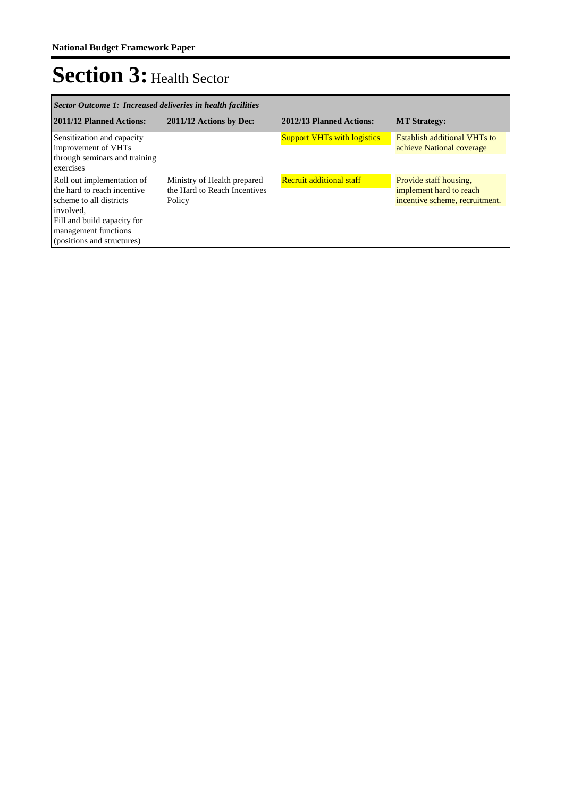| Sector Outcome 1: Increased deliveries in health facilities                                                                                                                            |                                                                       |                                    |                                                                                     |  |  |
|----------------------------------------------------------------------------------------------------------------------------------------------------------------------------------------|-----------------------------------------------------------------------|------------------------------------|-------------------------------------------------------------------------------------|--|--|
| 2011/12 Planned Actions:                                                                                                                                                               | 2011/12 Actions by Dec:                                               | 2012/13 Planned Actions:           | <b>MT Strategy:</b>                                                                 |  |  |
| Sensitization and capacity<br>improvement of VHTs<br>through seminars and training<br>exercises                                                                                        |                                                                       | <b>Support VHTs with logistics</b> | <b>Establish additional VHTs to</b><br>achieve National coverage                    |  |  |
| Roll out implementation of<br>the hard to reach incentive<br>scheme to all districts<br>involved.<br>Fill and build capacity for<br>management functions<br>(positions and structures) | Ministry of Health prepared<br>the Hard to Reach Incentives<br>Policy | <b>Recruit additional staff</b>    | Provide staff housing,<br>implement hard to reach<br>incentive scheme, recruitment. |  |  |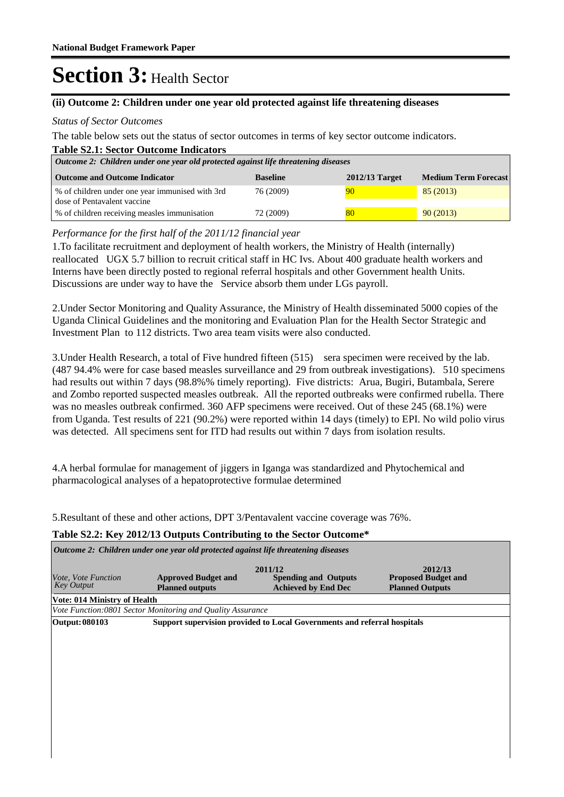### **(ii) Outcome 2: Children under one year old protected against life threatening diseases**

#### *Status of Sector Outcomes*

The table below sets out the status of sector outcomes in terms of key sector outcome indicators.

| <b>Table S2.1: Sector Outcome Indicators</b><br>Outcome 2: Children under one year old protected against life threatening diseases |                 |                  |                             |  |  |
|------------------------------------------------------------------------------------------------------------------------------------|-----------------|------------------|-----------------------------|--|--|
| <b>Outcome and Outcome Indicator</b>                                                                                               | <b>Baseline</b> | $2012/13$ Target | <b>Medium Term Forecast</b> |  |  |
| % of children under one year immunised with 3rd<br>dose of Pentavalent vaccine                                                     | 76 (2009)       | 90               | 85 (2013)                   |  |  |
| % of children receiving measles immunisation                                                                                       | 72 (2009)       | 80               | 90(2013)                    |  |  |

### *Performance for the first half of the 2011/12 financial year*

1. To facilitate recruitment and deployment of health workers, the Ministry of Health (internally) reallocated UGX 5.7 billion to recruit critical staff in HC Ivs. About 400 graduate health workers and Interns have been directly posted to regional referral hospitals and other Government health Units. Discussions are under way to have the Service absorb them under LGs payroll.

2. Under Sector Monitoring and Quality Assurance, the Ministry of Health disseminated 5000 copies of the Uganda Clinical Guidelines and the monitoring and Evaluation Plan for the Health Sector Strategic and Investment Plan to 112 districts. Two area team visits were also conducted.

3. Under Health Research, a total of Five hundred fifteen (515) sera specimen were received by the lab. (487 94.4% were for case based measles surveillance and 29 from outbreak investigations). 510 specimens had results out within 7 days (98.8%% timely reporting). Five districts: Arua, Bugiri, Butambala, Serere and Zombo reported suspected measles outbreak. All the reported outbreaks were confirmed rubella. There was no measles outbreak confirmed. 360 AFP specimens were received. Out of these 245 (68.1%) were from Uganda. Test results of 221 (90.2%) were reported within 14 days (timely) to EPI. No wild polio virus was detected. All specimens sent for ITD had results out within 7 days from isolation results.

4. A herbal formulae for management of jiggers in Iganga was standardized and Phytochemical and pharmacological analyses of a hepatoprotective formulae determined

5. Resultant of these and other actions, DPT 3/Pentavalent vaccine coverage was 76%.

#### **Table S2.2: Key 2012/13 Outputs Contributing to the Sector Outcome\***

| Outcome 2: Children under one year old protected against life threatening diseases |                                                             |                                                                          |                                                                 |  |  |  |
|------------------------------------------------------------------------------------|-------------------------------------------------------------|--------------------------------------------------------------------------|-----------------------------------------------------------------|--|--|--|
| <i>Vote, Vote Function</i><br><b>Key Output</b>                                    | <b>Approved Budget and</b><br><b>Planned outputs</b>        | 2011/12<br><b>Spending and Outputs</b><br><b>Achieved by End Dec</b>     | 2012/13<br><b>Proposed Budget and</b><br><b>Planned Outputs</b> |  |  |  |
| <b>Vote: 014 Ministry of Health</b>                                                |                                                             |                                                                          |                                                                 |  |  |  |
|                                                                                    | Vote Function: 0801 Sector Monitoring and Quality Assurance |                                                                          |                                                                 |  |  |  |
| Output: 080103                                                                     |                                                             | Support supervision provided to Local Governments and referral hospitals |                                                                 |  |  |  |
|                                                                                    |                                                             |                                                                          |                                                                 |  |  |  |
|                                                                                    |                                                             |                                                                          |                                                                 |  |  |  |
|                                                                                    |                                                             |                                                                          |                                                                 |  |  |  |
|                                                                                    |                                                             |                                                                          |                                                                 |  |  |  |
|                                                                                    |                                                             |                                                                          |                                                                 |  |  |  |
|                                                                                    |                                                             |                                                                          |                                                                 |  |  |  |
|                                                                                    |                                                             |                                                                          |                                                                 |  |  |  |
|                                                                                    |                                                             |                                                                          |                                                                 |  |  |  |
|                                                                                    |                                                             |                                                                          |                                                                 |  |  |  |
|                                                                                    |                                                             |                                                                          |                                                                 |  |  |  |
|                                                                                    |                                                             |                                                                          |                                                                 |  |  |  |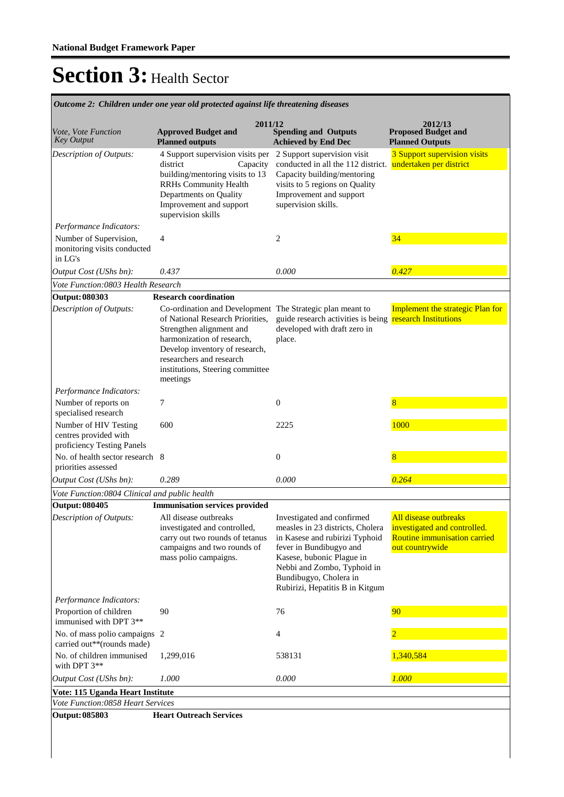|                                                                              | Outcome 2: Children under one year old protected against life threatening diseases                                                                                                                                                                                    |                                                                                                                                                                                                                                                      |                                                                                                          |
|------------------------------------------------------------------------------|-----------------------------------------------------------------------------------------------------------------------------------------------------------------------------------------------------------------------------------------------------------------------|------------------------------------------------------------------------------------------------------------------------------------------------------------------------------------------------------------------------------------------------------|----------------------------------------------------------------------------------------------------------|
| Vote, Vote Function<br><b>Key Output</b>                                     | 2011/12<br><b>Approved Budget and</b><br><b>Planned outputs</b>                                                                                                                                                                                                       | <b>Spending and Outputs</b><br><b>Achieved by End Dec</b>                                                                                                                                                                                            | 2012/13<br><b>Proposed Budget and</b><br><b>Planned Outputs</b>                                          |
| Description of Outputs:                                                      | 4 Support supervision visits per<br>district<br>Capacity<br>building/mentoring visits to 13<br><b>RRHs Community Health</b><br>Departments on Quality<br>Improvement and support<br>supervision skills                                                                | 2 Support supervision visit<br>conducted in all the 112 district.<br>Capacity building/mentoring<br>visits to 5 regions on Quality<br>Improvement and support<br>supervision skills.                                                                 | 3 Support supervision visits<br>undertaken per district                                                  |
| Performance Indicators:                                                      |                                                                                                                                                                                                                                                                       |                                                                                                                                                                                                                                                      |                                                                                                          |
| Number of Supervision,<br>monitoring visits conducted<br>in LG's             | 4                                                                                                                                                                                                                                                                     | 2                                                                                                                                                                                                                                                    | 34                                                                                                       |
| Output Cost (UShs bn):                                                       | 0.437                                                                                                                                                                                                                                                                 | 0.000                                                                                                                                                                                                                                                | 0.427                                                                                                    |
| Vote Function: 0803 Health Research                                          |                                                                                                                                                                                                                                                                       |                                                                                                                                                                                                                                                      |                                                                                                          |
| <b>Output: 080303</b>                                                        | <b>Research coordination</b>                                                                                                                                                                                                                                          |                                                                                                                                                                                                                                                      |                                                                                                          |
| <b>Description of Outputs:</b>                                               | Co-ordination and Development The Strategic plan meant to<br>of National Research Priorities,<br>Strengthen alignment and<br>harmonization of research,<br>Develop inventory of research,<br>researchers and research<br>institutions, Steering committee<br>meetings | guide research activities is being research Institutions<br>developed with draft zero in<br>place.                                                                                                                                                   | <b>Implement the strategic Plan for</b>                                                                  |
| Performance Indicators:                                                      |                                                                                                                                                                                                                                                                       |                                                                                                                                                                                                                                                      |                                                                                                          |
| Number of reports on<br>specialised research                                 | 7                                                                                                                                                                                                                                                                     | $\mathbf{0}$                                                                                                                                                                                                                                         | 8                                                                                                        |
| Number of HIV Testing<br>centres provided with<br>proficiency Testing Panels | 600                                                                                                                                                                                                                                                                   | 2225                                                                                                                                                                                                                                                 | 1000                                                                                                     |
| No. of health sector research 8<br>priorities assessed                       |                                                                                                                                                                                                                                                                       | $\theta$                                                                                                                                                                                                                                             | 8                                                                                                        |
| Output Cost (UShs bn):                                                       | 0.289                                                                                                                                                                                                                                                                 | 0.000                                                                                                                                                                                                                                                | 0.264                                                                                                    |
| Vote Function:0804 Clinical and public health                                |                                                                                                                                                                                                                                                                       |                                                                                                                                                                                                                                                      |                                                                                                          |
| <b>Output: 080405</b>                                                        | <b>Immunisation services provided</b>                                                                                                                                                                                                                                 |                                                                                                                                                                                                                                                      |                                                                                                          |
| Description of Outputs:                                                      | All disease outbreaks<br>investigated and controlled,<br>carry out two rounds of tetanus<br>campaigns and two rounds of<br>mass polio campaigns.                                                                                                                      | Investigated and confirmed<br>measles in 23 districts, Cholera<br>in Kasese and rubirizi Typhoid<br>fever in Bundibugyo and<br>Kasese, bubonic Plague in<br>Nebbi and Zombo, Typhoid in<br>Bundibugyo, Cholera in<br>Rubirizi, Hepatitis B in Kitgum | All disease outbreaks<br>investigated and controlled.<br>Routine immunisation carried<br>out countrywide |
| Performance Indicators:                                                      |                                                                                                                                                                                                                                                                       |                                                                                                                                                                                                                                                      |                                                                                                          |
| Proportion of children<br>immunised with DPT 3**                             | 90                                                                                                                                                                                                                                                                    | 76                                                                                                                                                                                                                                                   | 90                                                                                                       |
| No. of mass polio campaigns 2<br>carried out**(rounds made)                  |                                                                                                                                                                                                                                                                       | $\overline{4}$                                                                                                                                                                                                                                       |                                                                                                          |
| No. of children immunised<br>with DPT 3**                                    | 1,299,016                                                                                                                                                                                                                                                             | 538131                                                                                                                                                                                                                                               | 1,340,584                                                                                                |
| Output Cost (UShs bn):                                                       | 1.000                                                                                                                                                                                                                                                                 | 0.000                                                                                                                                                                                                                                                | 1.000                                                                                                    |
| Vote: 115 Uganda Heart Institute                                             |                                                                                                                                                                                                                                                                       |                                                                                                                                                                                                                                                      |                                                                                                          |
| Vote Function:0858 Heart Services                                            |                                                                                                                                                                                                                                                                       |                                                                                                                                                                                                                                                      |                                                                                                          |
| <b>Output: 085803</b>                                                        | <b>Heart Outreach Services</b>                                                                                                                                                                                                                                        |                                                                                                                                                                                                                                                      |                                                                                                          |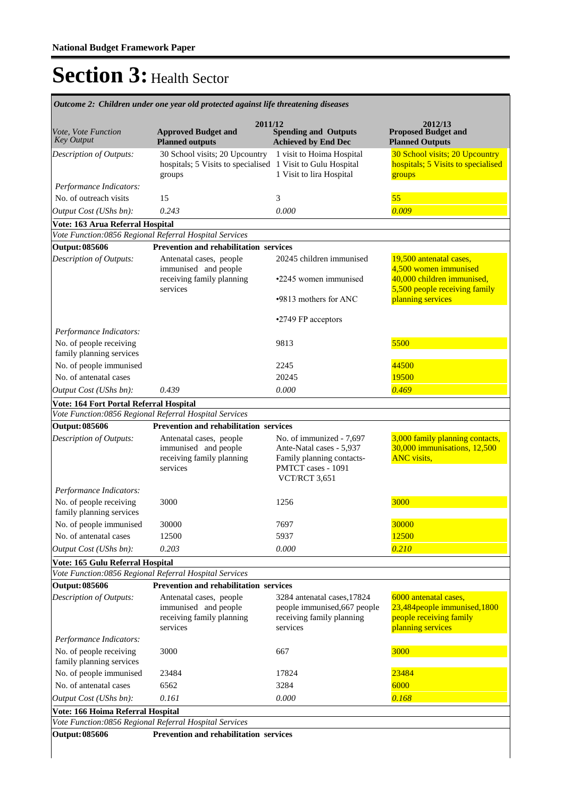| <b>Key Output</b><br><b>Planned outputs</b><br><b>Achieved by End Dec</b><br><b>Planned Outputs</b><br>30 School visits; 20 Upcountry<br>1 visit to Hoima Hospital<br>Description of Outputs:<br>hospitals; 5 Visits to specialised 1 Visit to Gulu Hospital<br>1 Visit to lira Hospital<br>groups<br>groups<br>Performance Indicators:<br>55<br>No. of outreach visits<br>15<br>3<br>0.009<br>Output Cost (UShs bn):<br>0.243<br>0.000<br>Vote: 163 Arua Referral Hospital<br>Vote Function:0856 Regional Referral Hospital Services<br><b>Prevention and rehabilitation services</b><br><b>Output: 085606</b><br>Description of Outputs:<br>Antenatal cases, people<br>20245 children immunised<br>19,500 antenatal cases,<br>4,500 women immunised<br>immunised and people<br>40,000 children immunised,<br>receiving family planning<br>•2245 women immunised<br>services<br>planning services<br>.9813 mothers for ANC<br>•2749 FP acceptors<br>Performance Indicators:<br>5500<br>No. of people receiving<br>9813<br>family planning services<br>No. of people immunised<br>44500<br>2245<br>No. of antenatal cases<br>20245<br>19500<br>0.469<br>Output Cost (UShs bn):<br>0.000<br>0.439<br>Vote: 164 Fort Portal Referral Hospital<br>Vote Function:0856 Regional Referral Hospital Services<br><b>Output: 085606</b><br><b>Prevention and rehabilitation services</b><br>Description of Outputs:<br>Antenatal cases, people<br>No. of immunized - 7,697<br>immunised and people<br>Ante-Natal cases - 5,937<br>receiving family planning<br>Family planning contacts-<br><b>ANC</b> visits,<br>PMTCT cases - 1091<br>services<br>VCT/RCT 3,651<br>Performance Indicators:<br>3000<br>No. of people receiving<br>3000<br>1256<br>family planning services<br>7697<br>30000<br>No. of people immunised<br>30000<br>12500<br>No. of antenatal cases<br>12500<br>5937<br>Output Cost (UShs bn):<br>0.000<br>0.210<br>0.203<br>Vote: 165 Gulu Referral Hospital<br>Vote Function:0856 Regional Referral Hospital Services<br>Prevention and rehabilitation services<br><b>Output: 085606</b><br>6000 antenatal cases,<br>Description of Outputs:<br>Antenatal cases, people<br>3284 antenatal cases, 17824<br>immunised and people<br>people immunised, 667 people<br>people receiving family<br>receiving family planning<br>receiving family planning<br>planning services<br>services<br>services<br>Performance Indicators:<br>No. of people receiving<br>3000<br>667<br>3000<br>family planning services<br>No. of people immunised<br>17824<br>23484<br>23484<br>No. of antenatal cases<br>6562<br>3284<br>6000<br>0.161<br>Output Cost (UShs bn):<br>0.000<br>0.168<br>Vote: 166 Hoima Referral Hospital<br>Vote Function:0856 Regional Referral Hospital Services | <i>Vote, Vote Function</i> | 2011/12<br><b>Approved Budget and</b> | <b>Spending and Outputs</b> | 2012/13<br><b>Proposed Budget and</b>                                |
|--------------------------------------------------------------------------------------------------------------------------------------------------------------------------------------------------------------------------------------------------------------------------------------------------------------------------------------------------------------------------------------------------------------------------------------------------------------------------------------------------------------------------------------------------------------------------------------------------------------------------------------------------------------------------------------------------------------------------------------------------------------------------------------------------------------------------------------------------------------------------------------------------------------------------------------------------------------------------------------------------------------------------------------------------------------------------------------------------------------------------------------------------------------------------------------------------------------------------------------------------------------------------------------------------------------------------------------------------------------------------------------------------------------------------------------------------------------------------------------------------------------------------------------------------------------------------------------------------------------------------------------------------------------------------------------------------------------------------------------------------------------------------------------------------------------------------------------------------------------------------------------------------------------------------------------------------------------------------------------------------------------------------------------------------------------------------------------------------------------------------------------------------------------------------------------------------------------------------------------------------------------------------------------------------------------------------------------------------------------------------------------------------------------------------------------------------------------------------------------------------------------------------------------------------------------------------------------------------------------------------------------------------------------------------------------------------------------------------------------------------------------------------------|----------------------------|---------------------------------------|-----------------------------|----------------------------------------------------------------------|
|                                                                                                                                                                                                                                                                                                                                                                                                                                                                                                                                                                                                                                                                                                                                                                                                                                                                                                                                                                                                                                                                                                                                                                                                                                                                                                                                                                                                                                                                                                                                                                                                                                                                                                                                                                                                                                                                                                                                                                                                                                                                                                                                                                                                                                                                                                                                                                                                                                                                                                                                                                                                                                                                                                                                                                                |                            |                                       |                             |                                                                      |
|                                                                                                                                                                                                                                                                                                                                                                                                                                                                                                                                                                                                                                                                                                                                                                                                                                                                                                                                                                                                                                                                                                                                                                                                                                                                                                                                                                                                                                                                                                                                                                                                                                                                                                                                                                                                                                                                                                                                                                                                                                                                                                                                                                                                                                                                                                                                                                                                                                                                                                                                                                                                                                                                                                                                                                                |                            |                                       |                             | 30 School visits; 20 Upcountry<br>hospitals; 5 Visits to specialised |
|                                                                                                                                                                                                                                                                                                                                                                                                                                                                                                                                                                                                                                                                                                                                                                                                                                                                                                                                                                                                                                                                                                                                                                                                                                                                                                                                                                                                                                                                                                                                                                                                                                                                                                                                                                                                                                                                                                                                                                                                                                                                                                                                                                                                                                                                                                                                                                                                                                                                                                                                                                                                                                                                                                                                                                                |                            |                                       |                             |                                                                      |
|                                                                                                                                                                                                                                                                                                                                                                                                                                                                                                                                                                                                                                                                                                                                                                                                                                                                                                                                                                                                                                                                                                                                                                                                                                                                                                                                                                                                                                                                                                                                                                                                                                                                                                                                                                                                                                                                                                                                                                                                                                                                                                                                                                                                                                                                                                                                                                                                                                                                                                                                                                                                                                                                                                                                                                                |                            |                                       |                             |                                                                      |
|                                                                                                                                                                                                                                                                                                                                                                                                                                                                                                                                                                                                                                                                                                                                                                                                                                                                                                                                                                                                                                                                                                                                                                                                                                                                                                                                                                                                                                                                                                                                                                                                                                                                                                                                                                                                                                                                                                                                                                                                                                                                                                                                                                                                                                                                                                                                                                                                                                                                                                                                                                                                                                                                                                                                                                                |                            |                                       |                             |                                                                      |
|                                                                                                                                                                                                                                                                                                                                                                                                                                                                                                                                                                                                                                                                                                                                                                                                                                                                                                                                                                                                                                                                                                                                                                                                                                                                                                                                                                                                                                                                                                                                                                                                                                                                                                                                                                                                                                                                                                                                                                                                                                                                                                                                                                                                                                                                                                                                                                                                                                                                                                                                                                                                                                                                                                                                                                                |                            |                                       |                             |                                                                      |
|                                                                                                                                                                                                                                                                                                                                                                                                                                                                                                                                                                                                                                                                                                                                                                                                                                                                                                                                                                                                                                                                                                                                                                                                                                                                                                                                                                                                                                                                                                                                                                                                                                                                                                                                                                                                                                                                                                                                                                                                                                                                                                                                                                                                                                                                                                                                                                                                                                                                                                                                                                                                                                                                                                                                                                                |                            |                                       |                             |                                                                      |
|                                                                                                                                                                                                                                                                                                                                                                                                                                                                                                                                                                                                                                                                                                                                                                                                                                                                                                                                                                                                                                                                                                                                                                                                                                                                                                                                                                                                                                                                                                                                                                                                                                                                                                                                                                                                                                                                                                                                                                                                                                                                                                                                                                                                                                                                                                                                                                                                                                                                                                                                                                                                                                                                                                                                                                                |                            |                                       |                             |                                                                      |
|                                                                                                                                                                                                                                                                                                                                                                                                                                                                                                                                                                                                                                                                                                                                                                                                                                                                                                                                                                                                                                                                                                                                                                                                                                                                                                                                                                                                                                                                                                                                                                                                                                                                                                                                                                                                                                                                                                                                                                                                                                                                                                                                                                                                                                                                                                                                                                                                                                                                                                                                                                                                                                                                                                                                                                                |                            |                                       |                             |                                                                      |
|                                                                                                                                                                                                                                                                                                                                                                                                                                                                                                                                                                                                                                                                                                                                                                                                                                                                                                                                                                                                                                                                                                                                                                                                                                                                                                                                                                                                                                                                                                                                                                                                                                                                                                                                                                                                                                                                                                                                                                                                                                                                                                                                                                                                                                                                                                                                                                                                                                                                                                                                                                                                                                                                                                                                                                                |                            |                                       |                             | 5,500 people receiving family                                        |
|                                                                                                                                                                                                                                                                                                                                                                                                                                                                                                                                                                                                                                                                                                                                                                                                                                                                                                                                                                                                                                                                                                                                                                                                                                                                                                                                                                                                                                                                                                                                                                                                                                                                                                                                                                                                                                                                                                                                                                                                                                                                                                                                                                                                                                                                                                                                                                                                                                                                                                                                                                                                                                                                                                                                                                                |                            |                                       |                             |                                                                      |
|                                                                                                                                                                                                                                                                                                                                                                                                                                                                                                                                                                                                                                                                                                                                                                                                                                                                                                                                                                                                                                                                                                                                                                                                                                                                                                                                                                                                                                                                                                                                                                                                                                                                                                                                                                                                                                                                                                                                                                                                                                                                                                                                                                                                                                                                                                                                                                                                                                                                                                                                                                                                                                                                                                                                                                                |                            |                                       |                             |                                                                      |
|                                                                                                                                                                                                                                                                                                                                                                                                                                                                                                                                                                                                                                                                                                                                                                                                                                                                                                                                                                                                                                                                                                                                                                                                                                                                                                                                                                                                                                                                                                                                                                                                                                                                                                                                                                                                                                                                                                                                                                                                                                                                                                                                                                                                                                                                                                                                                                                                                                                                                                                                                                                                                                                                                                                                                                                |                            |                                       |                             |                                                                      |
|                                                                                                                                                                                                                                                                                                                                                                                                                                                                                                                                                                                                                                                                                                                                                                                                                                                                                                                                                                                                                                                                                                                                                                                                                                                                                                                                                                                                                                                                                                                                                                                                                                                                                                                                                                                                                                                                                                                                                                                                                                                                                                                                                                                                                                                                                                                                                                                                                                                                                                                                                                                                                                                                                                                                                                                |                            |                                       |                             |                                                                      |
|                                                                                                                                                                                                                                                                                                                                                                                                                                                                                                                                                                                                                                                                                                                                                                                                                                                                                                                                                                                                                                                                                                                                                                                                                                                                                                                                                                                                                                                                                                                                                                                                                                                                                                                                                                                                                                                                                                                                                                                                                                                                                                                                                                                                                                                                                                                                                                                                                                                                                                                                                                                                                                                                                                                                                                                |                            |                                       |                             |                                                                      |
|                                                                                                                                                                                                                                                                                                                                                                                                                                                                                                                                                                                                                                                                                                                                                                                                                                                                                                                                                                                                                                                                                                                                                                                                                                                                                                                                                                                                                                                                                                                                                                                                                                                                                                                                                                                                                                                                                                                                                                                                                                                                                                                                                                                                                                                                                                                                                                                                                                                                                                                                                                                                                                                                                                                                                                                |                            |                                       |                             |                                                                      |
|                                                                                                                                                                                                                                                                                                                                                                                                                                                                                                                                                                                                                                                                                                                                                                                                                                                                                                                                                                                                                                                                                                                                                                                                                                                                                                                                                                                                                                                                                                                                                                                                                                                                                                                                                                                                                                                                                                                                                                                                                                                                                                                                                                                                                                                                                                                                                                                                                                                                                                                                                                                                                                                                                                                                                                                |                            |                                       |                             |                                                                      |
|                                                                                                                                                                                                                                                                                                                                                                                                                                                                                                                                                                                                                                                                                                                                                                                                                                                                                                                                                                                                                                                                                                                                                                                                                                                                                                                                                                                                                                                                                                                                                                                                                                                                                                                                                                                                                                                                                                                                                                                                                                                                                                                                                                                                                                                                                                                                                                                                                                                                                                                                                                                                                                                                                                                                                                                |                            |                                       |                             |                                                                      |
|                                                                                                                                                                                                                                                                                                                                                                                                                                                                                                                                                                                                                                                                                                                                                                                                                                                                                                                                                                                                                                                                                                                                                                                                                                                                                                                                                                                                                                                                                                                                                                                                                                                                                                                                                                                                                                                                                                                                                                                                                                                                                                                                                                                                                                                                                                                                                                                                                                                                                                                                                                                                                                                                                                                                                                                |                            |                                       |                             |                                                                      |
|                                                                                                                                                                                                                                                                                                                                                                                                                                                                                                                                                                                                                                                                                                                                                                                                                                                                                                                                                                                                                                                                                                                                                                                                                                                                                                                                                                                                                                                                                                                                                                                                                                                                                                                                                                                                                                                                                                                                                                                                                                                                                                                                                                                                                                                                                                                                                                                                                                                                                                                                                                                                                                                                                                                                                                                |                            |                                       |                             |                                                                      |
|                                                                                                                                                                                                                                                                                                                                                                                                                                                                                                                                                                                                                                                                                                                                                                                                                                                                                                                                                                                                                                                                                                                                                                                                                                                                                                                                                                                                                                                                                                                                                                                                                                                                                                                                                                                                                                                                                                                                                                                                                                                                                                                                                                                                                                                                                                                                                                                                                                                                                                                                                                                                                                                                                                                                                                                |                            |                                       |                             | 3,000 family planning contacts,<br>30,000 immunisations, 12,500      |
|                                                                                                                                                                                                                                                                                                                                                                                                                                                                                                                                                                                                                                                                                                                                                                                                                                                                                                                                                                                                                                                                                                                                                                                                                                                                                                                                                                                                                                                                                                                                                                                                                                                                                                                                                                                                                                                                                                                                                                                                                                                                                                                                                                                                                                                                                                                                                                                                                                                                                                                                                                                                                                                                                                                                                                                |                            |                                       |                             |                                                                      |
|                                                                                                                                                                                                                                                                                                                                                                                                                                                                                                                                                                                                                                                                                                                                                                                                                                                                                                                                                                                                                                                                                                                                                                                                                                                                                                                                                                                                                                                                                                                                                                                                                                                                                                                                                                                                                                                                                                                                                                                                                                                                                                                                                                                                                                                                                                                                                                                                                                                                                                                                                                                                                                                                                                                                                                                |                            |                                       |                             |                                                                      |
|                                                                                                                                                                                                                                                                                                                                                                                                                                                                                                                                                                                                                                                                                                                                                                                                                                                                                                                                                                                                                                                                                                                                                                                                                                                                                                                                                                                                                                                                                                                                                                                                                                                                                                                                                                                                                                                                                                                                                                                                                                                                                                                                                                                                                                                                                                                                                                                                                                                                                                                                                                                                                                                                                                                                                                                |                            |                                       |                             |                                                                      |
|                                                                                                                                                                                                                                                                                                                                                                                                                                                                                                                                                                                                                                                                                                                                                                                                                                                                                                                                                                                                                                                                                                                                                                                                                                                                                                                                                                                                                                                                                                                                                                                                                                                                                                                                                                                                                                                                                                                                                                                                                                                                                                                                                                                                                                                                                                                                                                                                                                                                                                                                                                                                                                                                                                                                                                                |                            |                                       |                             |                                                                      |
|                                                                                                                                                                                                                                                                                                                                                                                                                                                                                                                                                                                                                                                                                                                                                                                                                                                                                                                                                                                                                                                                                                                                                                                                                                                                                                                                                                                                                                                                                                                                                                                                                                                                                                                                                                                                                                                                                                                                                                                                                                                                                                                                                                                                                                                                                                                                                                                                                                                                                                                                                                                                                                                                                                                                                                                |                            |                                       |                             |                                                                      |
|                                                                                                                                                                                                                                                                                                                                                                                                                                                                                                                                                                                                                                                                                                                                                                                                                                                                                                                                                                                                                                                                                                                                                                                                                                                                                                                                                                                                                                                                                                                                                                                                                                                                                                                                                                                                                                                                                                                                                                                                                                                                                                                                                                                                                                                                                                                                                                                                                                                                                                                                                                                                                                                                                                                                                                                |                            |                                       |                             |                                                                      |
|                                                                                                                                                                                                                                                                                                                                                                                                                                                                                                                                                                                                                                                                                                                                                                                                                                                                                                                                                                                                                                                                                                                                                                                                                                                                                                                                                                                                                                                                                                                                                                                                                                                                                                                                                                                                                                                                                                                                                                                                                                                                                                                                                                                                                                                                                                                                                                                                                                                                                                                                                                                                                                                                                                                                                                                |                            |                                       |                             |                                                                      |
|                                                                                                                                                                                                                                                                                                                                                                                                                                                                                                                                                                                                                                                                                                                                                                                                                                                                                                                                                                                                                                                                                                                                                                                                                                                                                                                                                                                                                                                                                                                                                                                                                                                                                                                                                                                                                                                                                                                                                                                                                                                                                                                                                                                                                                                                                                                                                                                                                                                                                                                                                                                                                                                                                                                                                                                |                            |                                       |                             |                                                                      |
|                                                                                                                                                                                                                                                                                                                                                                                                                                                                                                                                                                                                                                                                                                                                                                                                                                                                                                                                                                                                                                                                                                                                                                                                                                                                                                                                                                                                                                                                                                                                                                                                                                                                                                                                                                                                                                                                                                                                                                                                                                                                                                                                                                                                                                                                                                                                                                                                                                                                                                                                                                                                                                                                                                                                                                                |                            |                                       |                             | 23,484 people immunised, 1800                                        |
|                                                                                                                                                                                                                                                                                                                                                                                                                                                                                                                                                                                                                                                                                                                                                                                                                                                                                                                                                                                                                                                                                                                                                                                                                                                                                                                                                                                                                                                                                                                                                                                                                                                                                                                                                                                                                                                                                                                                                                                                                                                                                                                                                                                                                                                                                                                                                                                                                                                                                                                                                                                                                                                                                                                                                                                |                            |                                       |                             |                                                                      |
|                                                                                                                                                                                                                                                                                                                                                                                                                                                                                                                                                                                                                                                                                                                                                                                                                                                                                                                                                                                                                                                                                                                                                                                                                                                                                                                                                                                                                                                                                                                                                                                                                                                                                                                                                                                                                                                                                                                                                                                                                                                                                                                                                                                                                                                                                                                                                                                                                                                                                                                                                                                                                                                                                                                                                                                |                            |                                       |                             |                                                                      |
|                                                                                                                                                                                                                                                                                                                                                                                                                                                                                                                                                                                                                                                                                                                                                                                                                                                                                                                                                                                                                                                                                                                                                                                                                                                                                                                                                                                                                                                                                                                                                                                                                                                                                                                                                                                                                                                                                                                                                                                                                                                                                                                                                                                                                                                                                                                                                                                                                                                                                                                                                                                                                                                                                                                                                                                |                            |                                       |                             |                                                                      |
|                                                                                                                                                                                                                                                                                                                                                                                                                                                                                                                                                                                                                                                                                                                                                                                                                                                                                                                                                                                                                                                                                                                                                                                                                                                                                                                                                                                                                                                                                                                                                                                                                                                                                                                                                                                                                                                                                                                                                                                                                                                                                                                                                                                                                                                                                                                                                                                                                                                                                                                                                                                                                                                                                                                                                                                |                            |                                       |                             |                                                                      |
|                                                                                                                                                                                                                                                                                                                                                                                                                                                                                                                                                                                                                                                                                                                                                                                                                                                                                                                                                                                                                                                                                                                                                                                                                                                                                                                                                                                                                                                                                                                                                                                                                                                                                                                                                                                                                                                                                                                                                                                                                                                                                                                                                                                                                                                                                                                                                                                                                                                                                                                                                                                                                                                                                                                                                                                |                            |                                       |                             |                                                                      |
|                                                                                                                                                                                                                                                                                                                                                                                                                                                                                                                                                                                                                                                                                                                                                                                                                                                                                                                                                                                                                                                                                                                                                                                                                                                                                                                                                                                                                                                                                                                                                                                                                                                                                                                                                                                                                                                                                                                                                                                                                                                                                                                                                                                                                                                                                                                                                                                                                                                                                                                                                                                                                                                                                                                                                                                |                            |                                       |                             |                                                                      |
| <b>Output: 085606</b><br>Prevention and rehabilitation services                                                                                                                                                                                                                                                                                                                                                                                                                                                                                                                                                                                                                                                                                                                                                                                                                                                                                                                                                                                                                                                                                                                                                                                                                                                                                                                                                                                                                                                                                                                                                                                                                                                                                                                                                                                                                                                                                                                                                                                                                                                                                                                                                                                                                                                                                                                                                                                                                                                                                                                                                                                                                                                                                                                |                            |                                       |                             |                                                                      |

٦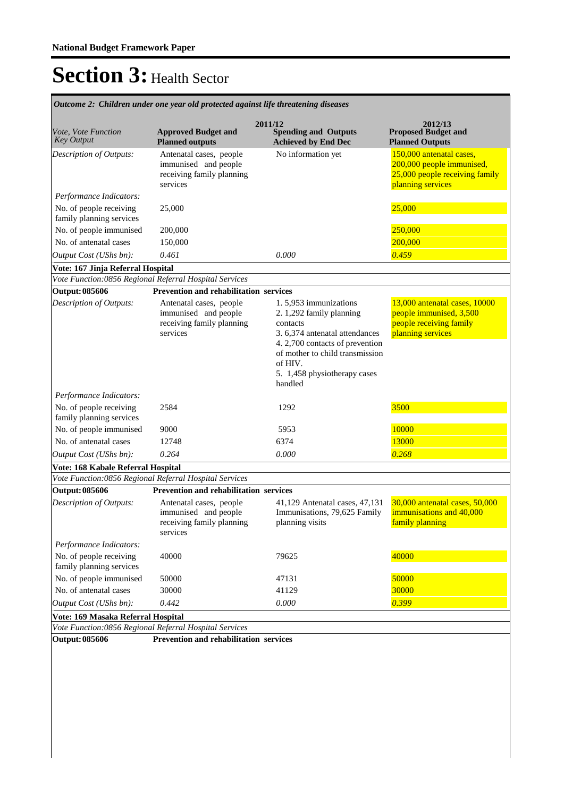|                                                     | лисотс 2. Спишен иниегоне усигош ргоненей изины пре пнешениез                            |                                                                                                                                                                                                                            |                                                                                                              |  |  |
|-----------------------------------------------------|------------------------------------------------------------------------------------------|----------------------------------------------------------------------------------------------------------------------------------------------------------------------------------------------------------------------------|--------------------------------------------------------------------------------------------------------------|--|--|
| Vote, Vote Function<br><b>Key Output</b>            | <b>Approved Budget and</b><br><b>Planned outputs</b>                                     | 2011/12<br><b>Spending and Outputs</b><br><b>Achieved by End Dec</b>                                                                                                                                                       | 2012/13<br><b>Proposed Budget and</b><br><b>Planned Outputs</b>                                              |  |  |
| Description of Outputs:                             | Antenatal cases, people<br>immunised and people<br>receiving family planning<br>services | No information yet                                                                                                                                                                                                         | 150,000 antenatal cases,<br>200,000 people immunised,<br>25,000 people receiving family<br>planning services |  |  |
| Performance Indicators:                             |                                                                                          |                                                                                                                                                                                                                            |                                                                                                              |  |  |
| No. of people receiving<br>family planning services | 25,000                                                                                   |                                                                                                                                                                                                                            | 25,000                                                                                                       |  |  |
| No. of people immunised                             | 200,000                                                                                  |                                                                                                                                                                                                                            | 250,000                                                                                                      |  |  |
| No. of antenatal cases                              | 150,000                                                                                  |                                                                                                                                                                                                                            | 200,000                                                                                                      |  |  |
| Output Cost (UShs bn):                              | 0.461                                                                                    | 0.000                                                                                                                                                                                                                      | 0.459                                                                                                        |  |  |
| Vote: 167 Jinja Referral Hospital                   |                                                                                          |                                                                                                                                                                                                                            |                                                                                                              |  |  |
|                                                     | Vote Function:0856 Regional Referral Hospital Services                                   |                                                                                                                                                                                                                            |                                                                                                              |  |  |
| <b>Output: 085606</b>                               | Prevention and rehabilitation services                                                   |                                                                                                                                                                                                                            |                                                                                                              |  |  |
| <b>Description of Outputs:</b>                      | Antenatal cases, people<br>immunised and people<br>receiving family planning<br>services | 1.5,953 immunizations<br>2. 1,292 family planning<br>contacts<br>3. 6,374 antenatal attendances<br>4.2,700 contacts of prevention<br>of mother to child transmission<br>of HIV.<br>5. 1,458 physiotherapy cases<br>handled | 13,000 antenatal cases, 10000<br>people immunised, 3,500<br>people receiving family<br>planning services     |  |  |
| Performance Indicators:                             |                                                                                          |                                                                                                                                                                                                                            |                                                                                                              |  |  |
| No. of people receiving<br>family planning services | 2584                                                                                     | 1292                                                                                                                                                                                                                       | 3500                                                                                                         |  |  |
| No. of people immunised                             | 9000                                                                                     | 5953                                                                                                                                                                                                                       | 10000                                                                                                        |  |  |
| No. of antenatal cases                              | 12748                                                                                    | 6374                                                                                                                                                                                                                       | 13000                                                                                                        |  |  |
| Output Cost (UShs bn):                              | 0.264                                                                                    | 0.000                                                                                                                                                                                                                      |                                                                                                              |  |  |
| Vote: 168 Kabale Referral Hospital                  |                                                                                          |                                                                                                                                                                                                                            |                                                                                                              |  |  |
|                                                     | Vote Function:0856 Regional Referral Hospital Services                                   |                                                                                                                                                                                                                            |                                                                                                              |  |  |
| <b>Output: 085606</b>                               | <b>Prevention and rehabilitation services</b>                                            |                                                                                                                                                                                                                            |                                                                                                              |  |  |
| Description of Outputs:                             | Antenatal cases, people<br>immunised and people<br>receiving family planning<br>services | 41,129 Antenatal cases, 47,131<br>Immunisations, 79,625 Family<br>planning visits                                                                                                                                          | 30,000 antenatal cases, 50,000<br>immunisations and 40,000<br>family planning                                |  |  |
| Performance Indicators:                             |                                                                                          |                                                                                                                                                                                                                            |                                                                                                              |  |  |
| No. of people receiving<br>family planning services | 40000                                                                                    | 79625                                                                                                                                                                                                                      | 40000                                                                                                        |  |  |
| No. of people immunised                             | 50000                                                                                    | 47131                                                                                                                                                                                                                      | 50000                                                                                                        |  |  |
| No. of antenatal cases                              | 30000                                                                                    | 41129                                                                                                                                                                                                                      | 30000                                                                                                        |  |  |
| Output Cost (UShs bn):                              | 0.442                                                                                    | 0.000                                                                                                                                                                                                                      | 0.399                                                                                                        |  |  |
| Vote: 169 Masaka Referral Hospital                  |                                                                                          |                                                                                                                                                                                                                            |                                                                                                              |  |  |
|                                                     | Vote Function:0856 Regional Referral Hospital Services                                   |                                                                                                                                                                                                                            |                                                                                                              |  |  |
| <b>Output: 085606</b>                               | Prevention and rehabilitation services                                                   |                                                                                                                                                                                                                            |                                                                                                              |  |  |

*Outcome 2: Children under one year old protected against life threatening diseases*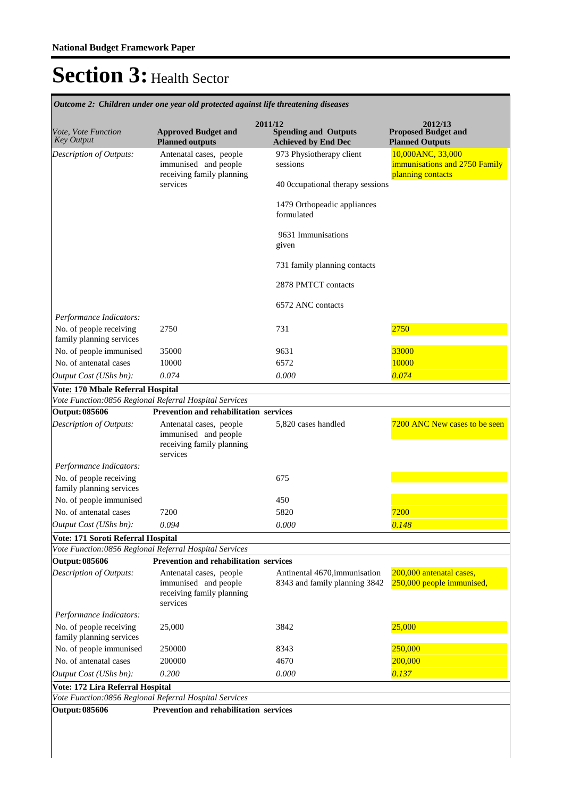| Vote, Vote Function<br><b>Key Output</b>            | <b>Approved Budget and</b><br><b>Planned outputs</b>                                     | 2011/12<br><b>Spending and Outputs</b><br><b>Achieved by End Dec</b> | 2012/13<br><b>Proposed Budget and</b><br><b>Planned Outputs</b>         |
|-----------------------------------------------------|------------------------------------------------------------------------------------------|----------------------------------------------------------------------|-------------------------------------------------------------------------|
| Description of Outputs:                             | Antenatal cases, people<br>immunised and people<br>receiving family planning             | 973 Physiotherapy client<br>sessions                                 | 10,000ANC, 33,000<br>immunisations and 2750 Family<br>planning contacts |
|                                                     | services                                                                                 | 40 Occupational therapy sessions                                     |                                                                         |
|                                                     |                                                                                          | 1479 Orthopeadic appliances<br>formulated                            |                                                                         |
|                                                     |                                                                                          | 9631 Immunisations<br>given                                          |                                                                         |
|                                                     |                                                                                          | 731 family planning contacts                                         |                                                                         |
|                                                     |                                                                                          | 2878 PMTCT contacts                                                  |                                                                         |
| Performance Indicators:                             |                                                                                          | 6572 ANC contacts                                                    |                                                                         |
| No. of people receiving<br>family planning services | 2750                                                                                     | 731                                                                  | 2750                                                                    |
| No. of people immunised                             | 35000                                                                                    | 9631                                                                 | 33000                                                                   |
| No. of antenatal cases                              | 10000                                                                                    | 6572                                                                 | 10000                                                                   |
| Output Cost (UShs bn):                              | 0.074                                                                                    | 0.000                                                                | 0.074                                                                   |
| Vote: 170 Mbale Referral Hospital                   |                                                                                          |                                                                      |                                                                         |
|                                                     | Vote Function:0856 Regional Referral Hospital Services                                   |                                                                      |                                                                         |
| <b>Output: 085606</b>                               | Prevention and rehabilitation services                                                   |                                                                      |                                                                         |
| Description of Outputs:                             | Antenatal cases, people<br>immunised and people<br>receiving family planning<br>services | 5,820 cases handled                                                  | 7200 ANC New cases to be seen                                           |
| Performance Indicators:                             |                                                                                          |                                                                      |                                                                         |
| No. of people receiving<br>family planning services |                                                                                          | 675                                                                  |                                                                         |
| No. of people immunised                             |                                                                                          | 450                                                                  |                                                                         |
| No. of antenatal cases                              | 7200                                                                                     | 5820                                                                 | 7200                                                                    |
| Output Cost (UShs bn):                              | 0.094                                                                                    | 0.000                                                                | 0.148                                                                   |
| Vote: 171 Soroti Referral Hospital                  |                                                                                          |                                                                      |                                                                         |
|                                                     | Vote Function:0856 Regional Referral Hospital Services                                   |                                                                      |                                                                         |
| <b>Output: 085606</b>                               | Prevention and rehabilitation services                                                   |                                                                      |                                                                         |
| <b>Description of Outputs:</b>                      | Antenatal cases, people<br>immunised and people<br>receiving family planning<br>services | Antinental 4670, immunisation<br>8343 and family planning 3842       | 200,000 antenatal cases,<br>250,000 people immunised,                   |
| Performance Indicators:                             |                                                                                          |                                                                      |                                                                         |
| No. of people receiving<br>family planning services | 25,000                                                                                   | 3842                                                                 | 25,000                                                                  |
| No. of people immunised                             | 250000                                                                                   | 8343                                                                 | 250,000                                                                 |
| No. of antenatal cases                              | 200000                                                                                   | 4670                                                                 | 200,000                                                                 |
| Output Cost (UShs bn):                              | 0.200                                                                                    | 0.000                                                                | 0.137                                                                   |
| Vote: 172 Lira Referral Hospital                    |                                                                                          |                                                                      |                                                                         |
|                                                     | Vote Function:0856 Regional Referral Hospital Services                                   |                                                                      |                                                                         |
| Output: 085606                                      | Prevention and rehabilitation services                                                   |                                                                      |                                                                         |
|                                                     |                                                                                          |                                                                      |                                                                         |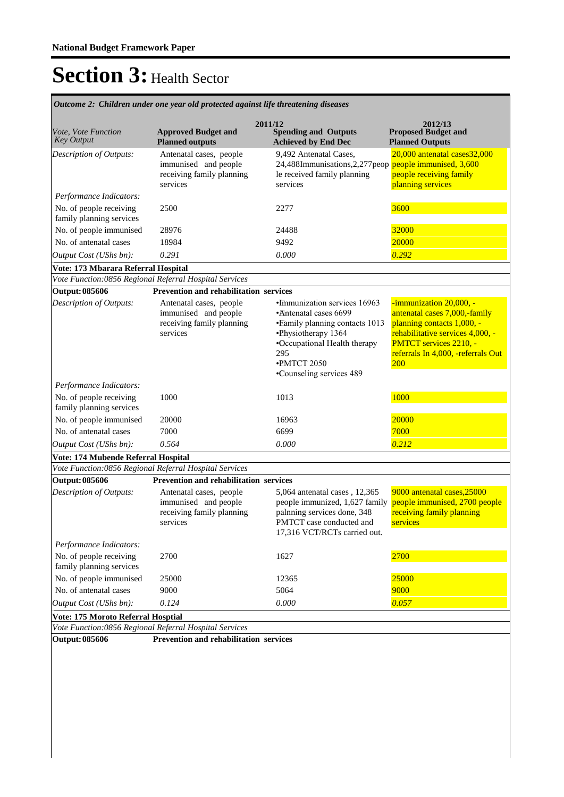| Vote, Vote Function<br><b>Key Output</b>            | <b>Approved Budget and</b><br><b>Planned outputs</b>                                     | 2011/12<br><b>Spending and Outputs</b><br><b>Achieved by End Dec</b>                                                                                                                              | 2012/13<br><b>Proposed Budget and</b><br><b>Planned Outputs</b>                                                                                                                                   |
|-----------------------------------------------------|------------------------------------------------------------------------------------------|---------------------------------------------------------------------------------------------------------------------------------------------------------------------------------------------------|---------------------------------------------------------------------------------------------------------------------------------------------------------------------------------------------------|
| Description of Outputs:                             | Antenatal cases, people<br>immunised and people<br>receiving family planning<br>services | 9,492 Antenatal Cases.<br>24,488Immunisations, 2,277 peop people immunised, 3,600<br>le received family planning<br>services                                                                      | 20,000 antenatal cases32,000<br>people receiving family<br>planning services                                                                                                                      |
| Performance Indicators:                             |                                                                                          |                                                                                                                                                                                                   |                                                                                                                                                                                                   |
| No. of people receiving<br>family planning services | 2500                                                                                     | 2277                                                                                                                                                                                              | 3600                                                                                                                                                                                              |
| No. of people immunised                             | 28976                                                                                    | 24488                                                                                                                                                                                             | 32000                                                                                                                                                                                             |
| No. of antenatal cases                              | 18984                                                                                    | 9492                                                                                                                                                                                              | 20000                                                                                                                                                                                             |
| Output Cost (UShs bn):                              | 0.291                                                                                    | 0.000                                                                                                                                                                                             | 0.292                                                                                                                                                                                             |
| Vote: 173 Mbarara Referral Hospital                 |                                                                                          |                                                                                                                                                                                                   |                                                                                                                                                                                                   |
|                                                     | Vote Function:0856 Regional Referral Hospital Services                                   |                                                                                                                                                                                                   |                                                                                                                                                                                                   |
| <b>Output: 085606</b>                               | Prevention and rehabilitation services                                                   |                                                                                                                                                                                                   |                                                                                                                                                                                                   |
| Description of Outputs:                             | Antenatal cases, people<br>immunised and people<br>receiving family planning<br>services | •Immunization services 16963<br>•Antenatal cases 6699<br>• Family planning contacts 1013<br>•Physiotherapy 1364<br>•Occupational Health therapy<br>295<br>·PMTCT 2050<br>•Counseling services 489 | -immunization 20,000, -<br>antenatal cases 7,000,-family<br>planning contacts 1,000, -<br>rehabilitative services 4,000, -<br>PMTCT services 2210, -<br>referrals In 4,000, -referrals Out<br>200 |
| Performance Indicators:                             |                                                                                          |                                                                                                                                                                                                   |                                                                                                                                                                                                   |
| No. of people receiving<br>family planning services | 1000                                                                                     | 1013                                                                                                                                                                                              | 1000                                                                                                                                                                                              |
| No. of people immunised                             | 20000                                                                                    | 16963                                                                                                                                                                                             | 20000                                                                                                                                                                                             |
| No. of antenatal cases                              | 7000                                                                                     | 6699                                                                                                                                                                                              | 7000                                                                                                                                                                                              |
| Output Cost (UShs bn):                              | 0.564                                                                                    | 0.000                                                                                                                                                                                             | 0.212                                                                                                                                                                                             |
| Vote: 174 Mubende Referral Hospital                 |                                                                                          |                                                                                                                                                                                                   |                                                                                                                                                                                                   |
|                                                     | Vote Function:0856 Regional Referral Hospital Services                                   |                                                                                                                                                                                                   |                                                                                                                                                                                                   |
| <b>Output: 085606</b>                               | Prevention and rehabilitation services                                                   |                                                                                                                                                                                                   |                                                                                                                                                                                                   |
| Description of Outputs:                             | Antenatal cases, people<br>immunised and people<br>receiving family planning<br>services | 5,064 antenatal cases, 12,365<br>people immunized, 1,627 family<br>palnning services done, 348<br>PMTCT case conducted and<br>17,316 VCT/RCTs carried out.                                        | 9000 antenatal cases, 25000<br>people immunised, 2700 people<br>receiving family planning<br>services                                                                                             |
| Performance Indicators:                             |                                                                                          |                                                                                                                                                                                                   |                                                                                                                                                                                                   |
| No. of people receiving<br>family planning services | 2700                                                                                     | 1627                                                                                                                                                                                              | 2700                                                                                                                                                                                              |
| No. of people immunised                             | 25000                                                                                    | 12365                                                                                                                                                                                             | 25000                                                                                                                                                                                             |
| No. of antenatal cases                              | 9000                                                                                     | 5064                                                                                                                                                                                              | 9000                                                                                                                                                                                              |
| Output Cost (UShs bn):                              | 0.124                                                                                    | 0.000                                                                                                                                                                                             | 0.057                                                                                                                                                                                             |
| <b>Vote: 175 Moroto Referral Hosptial</b>           |                                                                                          |                                                                                                                                                                                                   |                                                                                                                                                                                                   |
|                                                     | Vote Function:0856 Regional Referral Hospital Services                                   |                                                                                                                                                                                                   |                                                                                                                                                                                                   |
| <b>Output: 085606</b>                               | Prevention and rehabilitation services                                                   |                                                                                                                                                                                                   |                                                                                                                                                                                                   |

*Outcome 2: Children under one year old protected against life threatening diseases*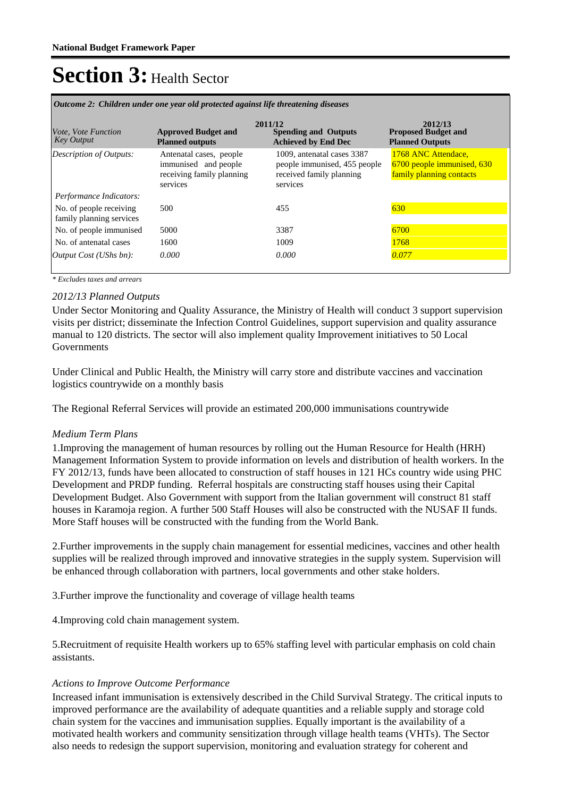| Vote, Vote Function<br><b>Key Output</b>            | <b>Approved Budget and</b><br><b>Planned outputs</b>                                     | 2011/12<br><b>Spending and Outputs</b><br><b>Achieved by End Dec</b>                               | 2012/13<br><b>Proposed Budget and</b><br><b>Planned Outputs</b>               |
|-----------------------------------------------------|------------------------------------------------------------------------------------------|----------------------------------------------------------------------------------------------------|-------------------------------------------------------------------------------|
| <b>Description of Outputs:</b>                      | Antenatal cases, people<br>immunised and people<br>receiving family planning<br>services | 1009, antenatal cases 3387<br>people immunised, 455 people<br>received family planning<br>services | 1768 ANC Attendace,<br>6700 people immunised, 630<br>family planning contacts |
| Performance Indicators:                             |                                                                                          |                                                                                                    |                                                                               |
| No. of people receiving<br>family planning services | 500                                                                                      | 455                                                                                                | 630                                                                           |
| No. of people immunised                             | 5000                                                                                     | 3387                                                                                               | 6700                                                                          |
| No. of antenatal cases                              | 1600                                                                                     | 1009                                                                                               | 1768                                                                          |
| <i>Output Cost (UShs bn):</i>                       | 0.000                                                                                    | 0.000                                                                                              | 0.077                                                                         |

*Outcome 2: Children under one year old protected against life threatening diseases*

*\* Excludes taxes and arrears*

#### *2012/13 Planned Outputs*

Under Sector Monitoring and Quality Assurance, the Ministry of Health will conduct 3 support supervision visits per district; disseminate the Infection Control Guidelines, support supervision and quality assurance manual to 120 districts. The sector will also implement quality Improvement initiatives to 50 Local Governments

Under Clinical and Public Health, the Ministry will carry store and distribute vaccines and vaccination logistics countrywide on a monthly basis

The Regional Referral Services will provide an estimated 200,000 immunisations countrywide

#### *Medium Term Plans*

1. Improving the management of human resources by rolling out the Human Resource for Health (HRH) Management Information System to provide information on levels and distribution of health workers. In the FY 2012/13, funds have been allocated to construction of staff houses in 121 HCs country wide using PHC Development and PRDP funding. Referral hospitals are constructing staff houses using their Capital Development Budget. Also Government with support from the Italian government will construct 81 staff houses in Karamoja region. A further 500 Staff Houses will also be constructed with the NUSAF II funds. More Staff houses will be constructed with the funding from the World Bank.

2. Further improvements in the supply chain management for essential medicines, vaccines and other health supplies will be realized through improved and innovative strategies in the supply system. Supervision will be enhanced through collaboration with partners, local governments and other stake holders.

3. Further improve the functionality and coverage of village health teams

4. Improving cold chain management system.

5. Recruitment of requisite Health workers up to 65% staffing level with particular emphasis on cold chain assistants.

#### *Actions to Improve Outcome Performance*

Increased infant immunisation is extensively described in the Child Survival Strategy. The critical inputs to improved performance are the availability of adequate quantities and a reliable supply and storage cold chain system for the vaccines and immunisation supplies. Equally important is the availability of a motivated health workers and community sensitization through village health teams (VHTs). The Sector also needs to redesign the support supervision, monitoring and evaluation strategy for coherent and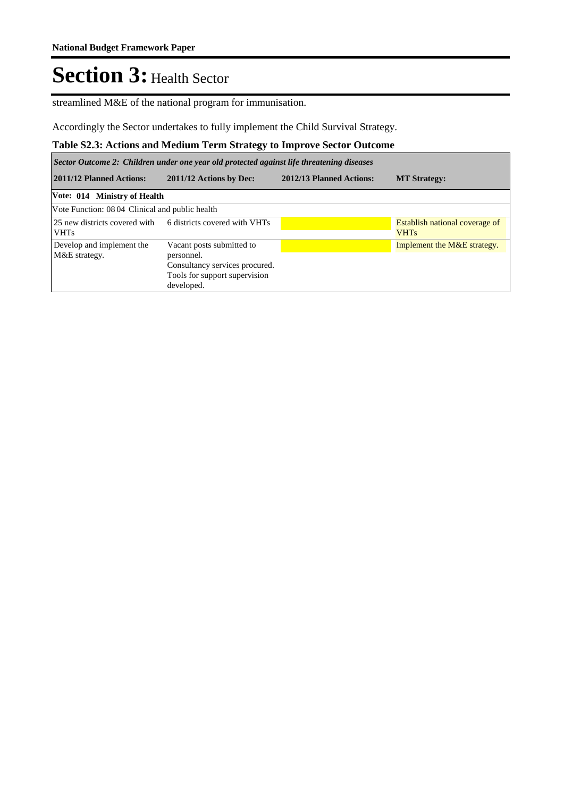streamlined M&E of the national program for immunisation.

Accordingly the Sector undertakes to fully implement the Child Survival Strategy.

### **Table S2.3: Actions and Medium Term Strategy to Improve Sector Outcome**

*Sector Outcome 2: Children under one year old protected against life threatening diseases*

| 2011/12 Planned Actions:                       | 2011/12 Actions by Dec:                                                                                                  | 2012/13 Planned Actions: | <b>MT Strategy:</b>                           |
|------------------------------------------------|--------------------------------------------------------------------------------------------------------------------------|--------------------------|-----------------------------------------------|
| Vote: 014 Ministry of Health                   |                                                                                                                          |                          |                                               |
| Vote Function: 0804 Clinical and public health |                                                                                                                          |                          |                                               |
| <b>VHTs</b>                                    | 25 new districts covered with 6 districts covered with VHTs                                                              |                          | Establish national coverage of<br><b>VHTs</b> |
| Develop and implement the<br>M&E strategy.     | Vacant posts submitted to<br>personnel.<br>Consultancy services procured.<br>Tools for support supervision<br>developed. |                          | Implement the M&E strategy.                   |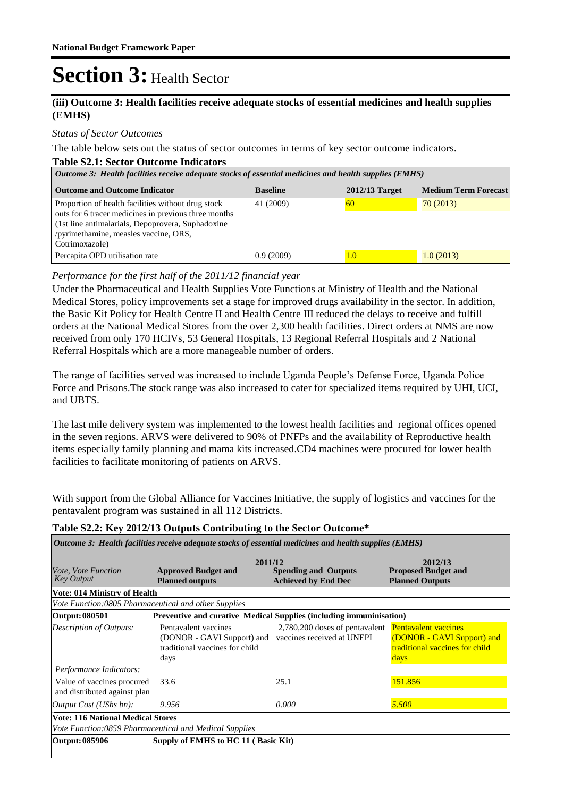### **(iii) Outcome 3: Health facilities receive adequate stocks of essential medicines and health supplies (EMHS)**

#### *Status of Sector Outcomes*

The table below sets out the status of sector outcomes in terms of key sector outcome indicators.

#### **Table S2.1: Sector Outcome Indicators**

| Outcome 3: Health facilities receive adequate stocks of essential medicines and health supplies (EMHS)                                                                                                                     |                 |                |                             |  |  |  |  |
|----------------------------------------------------------------------------------------------------------------------------------------------------------------------------------------------------------------------------|-----------------|----------------|-----------------------------|--|--|--|--|
| <b>Outcome and Outcome Indicator</b>                                                                                                                                                                                       | <b>Baseline</b> | 2012/13 Target | <b>Medium Term Forecast</b> |  |  |  |  |
| Proportion of health facilities without drug stock<br>outs for 6 tracer medicines in previous three months<br>(1st line antimalarials, Depoprovera, Suphadoxine<br>/pyrimethamine, measles vaccine, ORS,<br>Cotrimoxazole) | 41 (2009)       | 60             | 70(2013)                    |  |  |  |  |
| Percapita OPD utilisation rate                                                                                                                                                                                             | 0.9(2009)       | 1.0            | 1.0(2013)                   |  |  |  |  |

### *Performance for the first half of the 2011/12 financial year*

Under the Pharmaceutical and Health Supplies Vote Functions at Ministry of Health and the National Medical Stores, policy improvements set a stage for improved drugs availability in the sector. In addition, the Basic Kit Policy for Health Centre II and Health Centre III reduced the delays to receive and fulfill orders at the National Medical Stores from the over 2,300 health facilities. Direct orders at NMS are now received from only 170 HCIVs, 53 General Hospitals, 13 Regional Referral Hospitals and 2 National Referral Hospitals which are a more manageable number of orders.

The range of facilities served was increased to include Uganda People's Defense Force, Uganda Police Force and Prisons.The stock range was also increased to cater for specialized items required by UHI, UCI, and UBTS.

The last mile delivery system was implemented to the lowest health facilities and regional offices opened in the seven regions. ARVS were delivered to 90% of PNFPs and the availability of Reproductive health items especially family planning and mama kits increased.CD4 machines were procured for lower health facilities to facilitate monitoring of patients on ARVS.

With support from the Global Alliance for Vaccines Initiative, the supply of logistics and vaccines for the pentavalent program was sustained in all 112 Districts.

#### **Table S2.2: Key 2012/13 Outputs Contributing to the Sector Outcome\***

| Outcome 3: Health facilities receive adequate stocks of essential medicines and health supplies (EMHS) |                                                                                                                         |                                                           |                                                                      |  |  |  |
|--------------------------------------------------------------------------------------------------------|-------------------------------------------------------------------------------------------------------------------------|-----------------------------------------------------------|----------------------------------------------------------------------|--|--|--|
| <i>Vote, Vote Function</i><br><b>Key Output</b>                                                        | 2011/12<br><b>Approved Budget and</b><br><b>Planned outputs</b>                                                         | <b>Spending and Outputs</b><br><b>Achieved by End Dec</b> | 2012/13<br><b>Proposed Budget and</b><br><b>Planned Outputs</b>      |  |  |  |
| <b>Vote: 014 Ministry of Health</b>                                                                    |                                                                                                                         |                                                           |                                                                      |  |  |  |
| Vote Function:0805 Pharmaceutical and other Supplies                                                   |                                                                                                                         |                                                           |                                                                      |  |  |  |
| Output: 080501                                                                                         | Preventive and curative Medical Supplies (including immuninisation)                                                     |                                                           |                                                                      |  |  |  |
| <b>Description of Outputs:</b>                                                                         | Pentavalent vaccines<br>(DONOR - GAVI Support) and vaccines received at UNEPI<br>traditional vaccines for child<br>days | 2,780,200 doses of pentavalent Pentavalent vaccines       | (DONOR - GAVI Support) and<br>traditional vaccines for child<br>days |  |  |  |
| Performance Indicators:                                                                                |                                                                                                                         |                                                           |                                                                      |  |  |  |
| Value of vaccines procured<br>and distributed against plan                                             | 33.6                                                                                                                    | 25.1                                                      | 151.856                                                              |  |  |  |
| <i>Output Cost (UShs bn):</i>                                                                          | 9.956                                                                                                                   | 0.000                                                     | 5.500                                                                |  |  |  |
| <b>Vote: 116 National Medical Stores</b>                                                               |                                                                                                                         |                                                           |                                                                      |  |  |  |
| Vote Function:0859 Pharmaceutical and Medical Supplies                                                 |                                                                                                                         |                                                           |                                                                      |  |  |  |
| Output: 085906                                                                                         | Supply of EMHS to HC 11 (Basic Kit)                                                                                     |                                                           |                                                                      |  |  |  |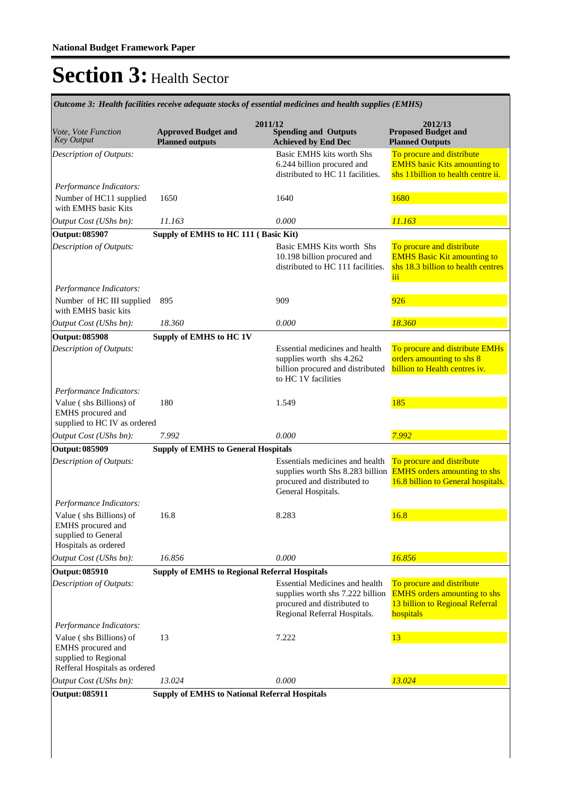**Spending and Outputs Achieved by End Dec Approved Budget and Planned outputs Proposed Budget and Planned Outputs 2011/12** *Vote, Vote Function Key Output* **2012/13** *Outcome 3: Health facilities receive adequate stocks of essential medicines and health supplies (EMHS)*

|                                                                              |                                                      | $\mathbf{m}$ , and $\mathbf{r}$                                                                                                          | 1 iulilicu Vutpulo                                                                                                                      |
|------------------------------------------------------------------------------|------------------------------------------------------|------------------------------------------------------------------------------------------------------------------------------------------|-----------------------------------------------------------------------------------------------------------------------------------------|
| Description of Outputs:                                                      |                                                      | Basic EMHS kits worth Shs<br>6.244 billion procured and                                                                                  | To procure and distribute<br><b>EMHS</b> basic Kits amounting to                                                                        |
|                                                                              |                                                      | distributed to HC 11 facilities.                                                                                                         | shs 11billion to health centre ii.                                                                                                      |
| Performance Indicators:                                                      |                                                      |                                                                                                                                          |                                                                                                                                         |
| Number of HC11 supplied<br>with EMHS basic Kits                              | 1650                                                 | 1680<br>1640                                                                                                                             |                                                                                                                                         |
| Output Cost (UShs bn):                                                       | 11.163                                               | 0.000                                                                                                                                    | 11.163                                                                                                                                  |
| <b>Output: 085907</b>                                                        | Supply of EMHS to HC 111 (Basic Kit)                 |                                                                                                                                          |                                                                                                                                         |
| Description of Outputs:                                                      |                                                      | Basic EMHS Kits worth Shs<br>10.198 billion procured and<br>distributed to HC 111 facilities.                                            | To procure and distribute<br><b>EMHS Basic Kit amounting to</b><br>shs 18.3 billion to health centres<br>iii                            |
| Performance Indicators:<br>Number of HC III supplied<br>with EMHS basic kits | 895                                                  | 909                                                                                                                                      | 926                                                                                                                                     |
| Output Cost (UShs bn):                                                       | 18.360                                               | 0.000                                                                                                                                    | 18.360                                                                                                                                  |
| <b>Output: 085908</b>                                                        | Supply of EMHS to HC 1V                              |                                                                                                                                          |                                                                                                                                         |
| Description of Outputs:                                                      |                                                      | Essential medicines and health<br>supplies worth shs 4.262<br>billion procured and distributed<br>to HC 1V facilities                    | To procure and distribute EMHs<br>orders amounting to shs 8<br>billion to Health centres iv.                                            |
| Performance Indicators:                                                      |                                                      |                                                                                                                                          |                                                                                                                                         |
| Value (shs Billions) of<br>EMHS procured and<br>supplied to HC IV as ordered | 180                                                  | 1.549                                                                                                                                    | 185                                                                                                                                     |
| Output Cost (UShs bn):                                                       | 7.992                                                | 0.000                                                                                                                                    | 7.992                                                                                                                                   |
| <b>Output: 085909</b>                                                        | <b>Supply of EMHS to General Hospitals</b>           |                                                                                                                                          |                                                                                                                                         |
| Description of Outputs:<br>Performance Indicators:                           |                                                      | Essentials medicines and health<br>procured and distributed to<br>General Hospitals.                                                     | To procure and distribute<br>supplies worth Shs 8.283 billion <b>EMHS</b> orders amounting to shs<br>16.8 billion to General hospitals. |
| Value (shs Billions) of                                                      | 16.8                                                 | 8.283                                                                                                                                    | 16.8                                                                                                                                    |
| EMHS procured and<br>supplied to General<br>Hospitals as ordered             |                                                      |                                                                                                                                          |                                                                                                                                         |
| Output Cost (UShs bn):                                                       | 16.856                                               | 0.000                                                                                                                                    | 16.856                                                                                                                                  |
| <b>Output: 085910</b>                                                        | <b>Supply of EMHS to Regional Referral Hospitals</b> |                                                                                                                                          |                                                                                                                                         |
| <b>Description of Outputs:</b>                                               |                                                      | <b>Essential Medicines and health</b><br>supplies worth shs 7.222 billion<br>procured and distributed to<br>Regional Referral Hospitals. | To procure and distribute<br><b>EMHS</b> orders amounting to shs<br>13 billion to Regional Referral<br>hospitals                        |
| Performance Indicators:<br>Value (shs Billions) of                           | 13                                                   | 7.222                                                                                                                                    | 13                                                                                                                                      |
| EMHS procured and<br>supplied to Regional<br>Refferal Hospitals as ordered   |                                                      |                                                                                                                                          |                                                                                                                                         |
| Output Cost (UShs bn):                                                       | 13.024                                               | 0.000                                                                                                                                    | 13.024                                                                                                                                  |
| <b>Output: 085911</b>                                                        | <b>Supply of EMHS to National Referral Hospitals</b> |                                                                                                                                          |                                                                                                                                         |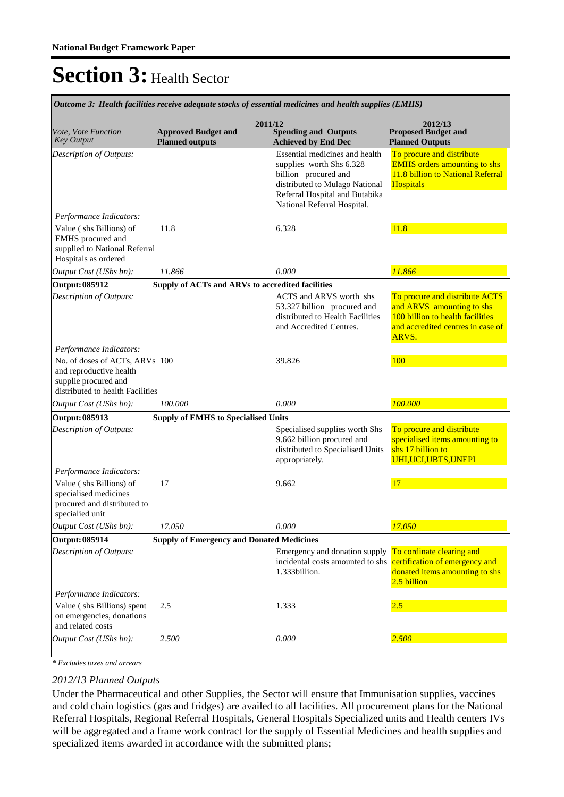**Spending and Outputs Achieved by End Dec Approved Budget and Planned outputs Proposed Budget and Planned Outputs 2011/12** *Vote, Vote Function Key Output* **2012/13** *Outcome 3: Health facilities receive adequate stocks of essential medicines and health supplies (EMHS)* Essential medicines and health supplies worth Shs 6.328 billion procured and distributed to Mulago National Referral Hospital and Butabika National Referral Hospital. To procure and distribute EMHS orders amounting to shs 11.8 billion to National Referral **Hospitals** *Output Cost (UShs bn): 11.866 0.000 11.866 Description of Outputs: Performance Indicators:* Value ( shs Billions) of EMHS procured and supplied to National Referral Hospitals as ordered 11.8 6.328 11.8 **Output: 085912 Supply of ACTs and ARVs to accredited facilities** ACTS and ARVS worth shs 53.327 billion procured and distributed to Health Facilities and Accredited Centres. To procure and distribute ACTS and ARVS amounting to shs 100 billion to health facilities and accredited centres in case of ARVS. *Output Cost (UShs bn): 100.000 0.000 100.000 Description of Outputs: Performance Indicators:* No. of doses of ACTs, ARVs and reproductive health supplie procured and distributed to health Facilities 100 39.826 100 **Output: 085913 Supply of EMHS to Specialised Units** Specialised supplies worth Shs 9.662 billion procured and distributed to Specialised Units appropriately. To procure and distribute specialised items amounting to shs 17 billion to UHI,UCI,UBTS,UNEPI *Output Cost (UShs bn): 17.050 0.000 17.050 Description of Outputs: Performance Indicators:* Value ( shs Billions) of specialised medicines procured and distributed to specialied unit 17 9.662 17 **Output: 085914 Supply of Emergency and Donated Medicines** Emergency and donation supply To cordinate clearing and incidental costs amounted to shs 1.333billion. certification of emergency and donated items amounting to shs 2.5 billion *Output Cost (UShs bn): 2.500 0.000 2.500 Description of Outputs: Performance Indicators:* Value ( shs Billions) spent on emergencies, donations and related costs 2.5 1.333 2.5

*\* Excludes taxes and arrears*

#### *2012/13 Planned Outputs*

Under the Pharmaceutical and other Supplies, the Sector will ensure that Immunisation supplies, vaccines and cold chain logistics (gas and fridges) are availed to all facilities. All procurement plans for the National Referral Hospitals, Regional Referral Hospitals, General Hospitals Specialized units and Health centers IVs will be aggregated and a frame work contract for the supply of Essential Medicines and health supplies and specialized items awarded in accordance with the submitted plans;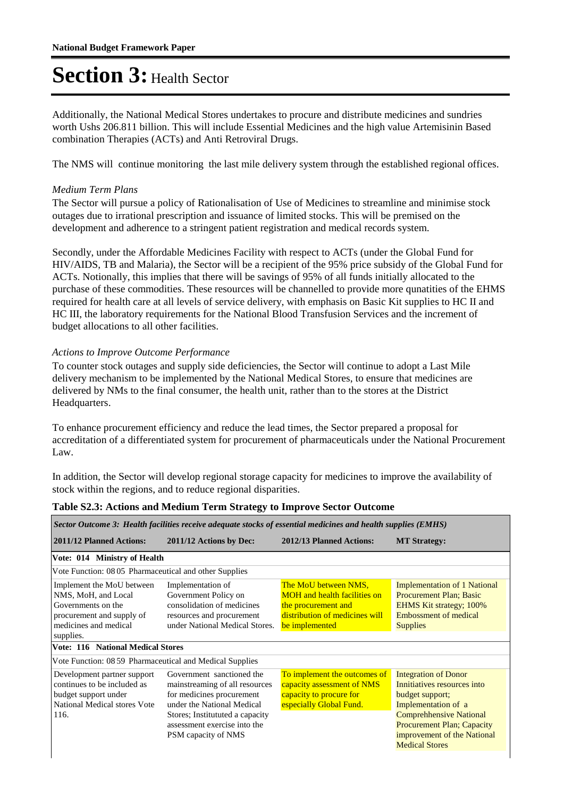Additionally, the National Medical Stores undertakes to procure and distribute medicines and sundries worth Ushs 206.811 billion. This will include Essential Medicines and the high value Artemisinin Based combination Therapies (ACTs) and Anti Retroviral Drugs.

The NMS will continue monitoring the last mile delivery system through the established regional offices.

### *Medium Term Plans*

The Sector will pursue a policy of Rationalisation of Use of Medicines to streamline and minimise stock outages due to irrational prescription and issuance of limited stocks. This will be premised on the development and adherence to a stringent patient registration and medical records system.

Secondly, under the Affordable Medicines Facility with respect to ACTs (under the Global Fund for HIV/AIDS, TB and Malaria), the Sector will be a recipient of the 95% price subsidy of the Global Fund for ACTs. Notionally, this implies that there will be savings of 95% of all funds initially allocated to the purchase of these commodities. These resources will be channelled to provide more qunatities of the EHMS required for health care at all levels of service delivery, with emphasis on Basic Kit supplies to HC II and HC III, the laboratory requirements for the National Blood Transfusion Services and the increment of budget allocations to all other facilities.

### *Actions to Improve Outcome Performance*

To counter stock outages and supply side deficiencies, the Sector will continue to adopt a Last Mile delivery mechanism to be implemented by the National Medical Stores, to ensure that medicines are delivered by NMs to the final consumer, the health unit, rather than to the stores at the District Headquarters.

To enhance procurement efficiency and reduce the lead times, the Sector prepared a proposal for accreditation of a differentiated system for procurement of pharmaceuticals under the National Procurement Law.

In addition, the Sector will develop regional storage capacity for medicines to improve the availability of stock within the regions, and to reduce regional disparities.

| Sector Outcome 3: Health facilities receive adequate stocks of essential medicines and health supplies (EMHS)                             |                                                                                                                                                                                                                  |                                                                                                                                        |                                                                                                                                                                                                                                     |  |  |
|-------------------------------------------------------------------------------------------------------------------------------------------|------------------------------------------------------------------------------------------------------------------------------------------------------------------------------------------------------------------|----------------------------------------------------------------------------------------------------------------------------------------|-------------------------------------------------------------------------------------------------------------------------------------------------------------------------------------------------------------------------------------|--|--|
| 2011/12 Planned Actions:                                                                                                                  | 2011/12 Actions by Dec:                                                                                                                                                                                          | 2012/13 Planned Actions:                                                                                                               | <b>MT Strategy:</b>                                                                                                                                                                                                                 |  |  |
| Vote: 014 Ministry of Health                                                                                                              |                                                                                                                                                                                                                  |                                                                                                                                        |                                                                                                                                                                                                                                     |  |  |
| Vote Function: 08 05 Pharmaceutical and other Supplies                                                                                    |                                                                                                                                                                                                                  |                                                                                                                                        |                                                                                                                                                                                                                                     |  |  |
| Implement the MoU between<br>NMS, MoH, and Local<br>Governments on the<br>procurement and supply of<br>medicines and medical<br>supplies. | Implementation of<br>Government Policy on<br>consolidation of medicines<br>resources and procurement<br>under National Medical Stores.                                                                           | The MoU between NMS,<br><b>MOH</b> and health facilities on<br>the procurement and<br>distribution of medicines will<br>be implemented | <b>Implementation of 1 National</b><br><b>Procurement Plan; Basic</b><br>EHMS Kit strategy; 100%<br>Embossment of medical<br><b>Supplies</b>                                                                                        |  |  |
| <b>Vote: 116 National Medical Stores</b>                                                                                                  |                                                                                                                                                                                                                  |                                                                                                                                        |                                                                                                                                                                                                                                     |  |  |
| Vote Function: 08 59 Pharmaceutical and Medical Supplies                                                                                  |                                                                                                                                                                                                                  |                                                                                                                                        |                                                                                                                                                                                                                                     |  |  |
| Development partner support<br>continues to be included as<br>budget support under<br>National Medical stores Vote<br>116.                | Government sanctioned the<br>mainstreaming of all resources<br>for medicines procurement<br>under the National Medical<br>Stores; Institututed a capacity<br>assessment exercise into the<br>PSM capacity of NMS | To implement the outcomes of<br>capacity assessment of NMS<br>capacity to procure for<br>especially Global Fund.                       | <b>Integration of Donor</b><br>Innitiatives resources into<br>budget support;<br>Implementation of a<br><b>Comprehhensive National</b><br><b>Procurement Plan; Capacity</b><br>improvement of the National<br><b>Medical Stores</b> |  |  |

#### **Table S2.3: Actions and Medium Term Strategy to Improve Sector Outcome**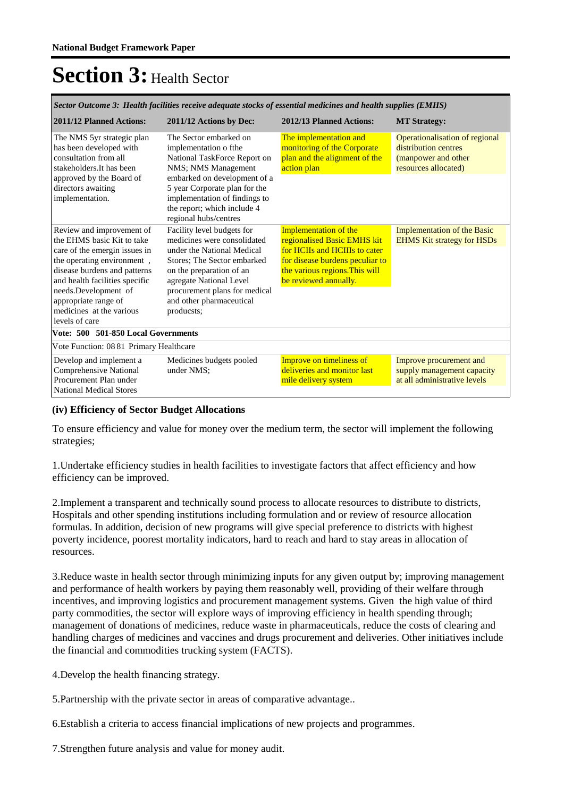| Sector Outcome 3: Health facilities receive adequate stocks of essential medicines and health supplies (EMHS)                                                                                                                                            |                                                                                                                                                                                            |                                                                                                       |  |  |  |
|----------------------------------------------------------------------------------------------------------------------------------------------------------------------------------------------------------------------------------------------------------|--------------------------------------------------------------------------------------------------------------------------------------------------------------------------------------------|-------------------------------------------------------------------------------------------------------|--|--|--|
| 2011/12 Actions by Dec:                                                                                                                                                                                                                                  | 2012/13 Planned Actions:                                                                                                                                                                   | <b>MT Strategy:</b>                                                                                   |  |  |  |
| The Sector embarked on<br>implementation o fthe<br>National TaskForce Report on<br>NMS; NMS Management<br>embarked on development of a<br>5 year Corporate plan for the<br>implementation of findings to<br>the report; which include 4                  | The implementation and<br>monitoring of the Corporate<br>plan and the alignment of the<br>action plan                                                                                      | Operationalisation of regional<br>distribution centres<br>(manpower and other<br>resources allocated) |  |  |  |
| Facility level budgets for<br>medicines were consolidated<br>under the National Medical<br>Stores: The Sector embarked<br>on the preparation of an<br>agregate National Level<br>procurement plans for medical<br>and other pharmaceutical<br>producsts; | <b>Implementation of the</b><br>regionalised Basic EMHS kit<br>for HCIIs and HCIIIs to cater<br>for disease burdens peculiar to<br>the various regions. This will<br>be reviewed annually. | <b>Implementation of the Basic</b><br><b>EHMS Kit strategy for HSDs</b>                               |  |  |  |
|                                                                                                                                                                                                                                                          |                                                                                                                                                                                            |                                                                                                       |  |  |  |
|                                                                                                                                                                                                                                                          |                                                                                                                                                                                            |                                                                                                       |  |  |  |
| Medicines budgets pooled<br>under NMS:                                                                                                                                                                                                                   | Improve on timeliness of<br>deliveries and monitor last<br>mile delivery system                                                                                                            | Improve procurement and<br>supply management capacity<br>at all administrative levels                 |  |  |  |
|                                                                                                                                                                                                                                                          | regional hubs/centres<br>Vote: 500 501-850 Local Governments<br>Vote Function: 08 81 Primary Healthcare                                                                                    |                                                                                                       |  |  |  |

### **(iv) Efficiency of Sector Budget Allocations**

To ensure efficiency and value for money over the medium term, the sector will implement the following strategies;

1.Undertake efficiency studies in health facilities to investigate factors that affect efficiency and how efficiency can be improved.

2.Implement a transparent and technically sound process to allocate resources to distribute to districts, Hospitals and other spending institutions including formulation and or review of resource allocation formulas. In addition, decision of new programs will give special preference to districts with highest poverty incidence, poorest mortality indicators, hard to reach and hard to stay areas in allocation of resources.

3.Reduce waste in health sector through minimizing inputs for any given output by; improving management and performance of health workers by paying them reasonably well, providing of their welfare through incentives, and improving logistics and procurement management systems. Given the high value of third party commodities, the sector will explore ways of improving efficiency in health spending through; management of donations of medicines, reduce waste in pharmaceuticals, reduce the costs of clearing and handling charges of medicines and vaccines and drugs procurement and deliveries. Other initiatives include the financial and commodities trucking system (FACTS).

4.Develop the health financing strategy.

5.Partnership with the private sector in areas of comparative advantage..

6.Establish a criteria to access financial implications of new projects and programmes.

7.Strengthen future analysis and value for money audit.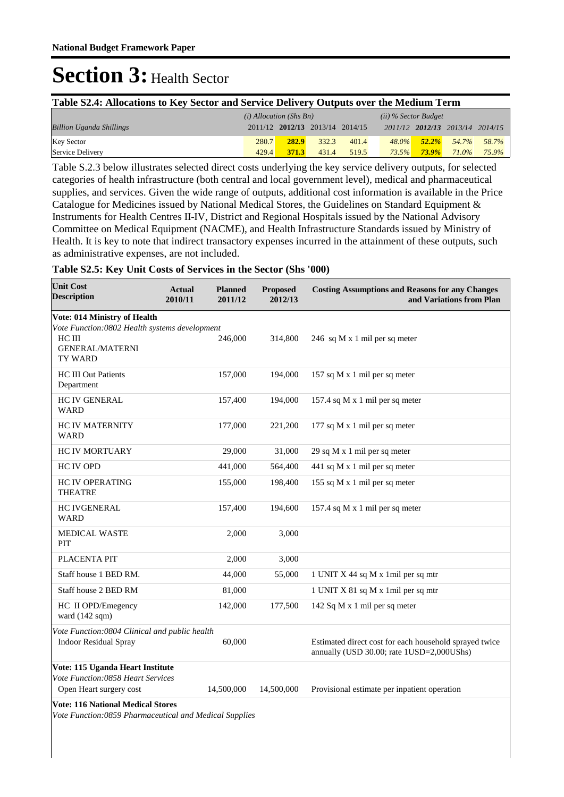| Table S2.4: Allocations to Key Sector and Service Delivery Outputs over the Medium Term |       |                                 |       |       |          |                                 |       |       |
|-----------------------------------------------------------------------------------------|-------|---------------------------------|-------|-------|----------|---------------------------------|-------|-------|
| $(i)$ Allocation (Shs Bn)<br>$(ii)$ % Sector Budget                                     |       |                                 |       |       |          |                                 |       |       |
| <b>Billion Uganda Shillings</b>                                                         |       | 2011/12 2012/13 2013/14 2014/15 |       |       |          | 2011/12 2012/13 2013/14 2014/15 |       |       |
| <b>Key Sector</b>                                                                       | 280.7 | 282.9                           | 332.3 | 401.4 | $48.0\%$ | $52.2\%$                        | 54.7% | 58.7% |
| Service Delivery                                                                        | 429.4 | 371.3                           | 431.4 | 519.5 | 73.5%    | $73.9\%$                        | 71.0% | 75.9% |

Table S.2.3 below illustrates selected direct costs underlying the key service delivery outputs, for selected categories of health infrastructure (both central and local government level), medical and pharmaceutical supplies, and services. Given the wide range of outputs, additional cost information is available in the Price Catalogue for Medicines issued by National Medical Stores, the Guidelines on Standard Equipment & Instruments for Health Centres II-IV, District and Regional Hospitals issued by the National Advisory Committee on Medical Equipment (NACME), and Health Infrastructure Standards issued by Ministry of Health. It is key to note that indirect transactory expenses incurred in the attainment of these outputs, such as administrative expenses, are not included.

#### **Table S2.5: Key Unit Costs of Services in the Sector (Shs '000)**

| <b>Unit Cost</b><br><b>Description</b>                                                             | <b>Actual</b><br><b>Planned</b><br>2010/11<br>2011/12 | <b>Proposed</b><br>2012/13 | <b>Costing Assumptions and Reasons for any Changes</b><br>and Variations from Plan |
|----------------------------------------------------------------------------------------------------|-------------------------------------------------------|----------------------------|------------------------------------------------------------------------------------|
| <b>Vote: 014 Ministry of Health</b>                                                                |                                                       |                            |                                                                                    |
| Vote Function:0802 Health systems development                                                      |                                                       |                            |                                                                                    |
| HC III                                                                                             | 246,000                                               | 314,800                    | 246 sq M x 1 mil per sq meter                                                      |
| <b>GENERAL/MATERNI</b><br>TY WARD                                                                  |                                                       |                            |                                                                                    |
| <b>HC III Out Patients</b>                                                                         | 157,000                                               | 194,000                    | 157 sq M x 1 mil per sq meter                                                      |
| Department                                                                                         |                                                       |                            |                                                                                    |
| <b>HC IV GENERAL</b>                                                                               | 157,400                                               | 194,000                    | 157.4 sq M x 1 mil per sq meter                                                    |
| <b>WARD</b>                                                                                        |                                                       |                            |                                                                                    |
| <b>HC IV MATERNITY</b>                                                                             | 177,000                                               | 221,200                    | 177 sq M x 1 mil per sq meter                                                      |
| <b>WARD</b>                                                                                        |                                                       |                            |                                                                                    |
| <b>HC IV MORTUARY</b>                                                                              | 29,000                                                | 31,000                     | 29 sq M x 1 mil per sq meter                                                       |
| <b>HC IV OPD</b>                                                                                   | 441,000                                               | 564,400                    | 441 sq M x 1 mil per sq meter                                                      |
| <b>HC IV OPERATING</b>                                                                             | 155,000                                               | 198,400                    | 155 sq M x 1 mil per sq meter                                                      |
| <b>THEATRE</b>                                                                                     |                                                       |                            |                                                                                    |
| <b>HC IVGENERAL</b>                                                                                | 157,400                                               | 194,600                    | 157.4 sq M x 1 mil per sq meter                                                    |
| <b>WARD</b>                                                                                        |                                                       |                            |                                                                                    |
| <b>MEDICAL WASTE</b>                                                                               | 2,000                                                 | 3,000                      |                                                                                    |
| PIT                                                                                                |                                                       |                            |                                                                                    |
| PLACENTA PIT                                                                                       | 2.000                                                 | 3,000                      |                                                                                    |
| Staff house 1 BED RM.                                                                              | 44,000                                                | 55,000                     | 1 UNIT X 44 sq M x 1 mil per sq mtr                                                |
| Staff house 2 BED RM                                                                               | 81,000                                                |                            | 1 UNIT X 81 sq M x 1 mil per sq mtr                                                |
| HC II OPD/Emegency                                                                                 | 142,000                                               | 177,500                    | 142 Sq M x 1 mil per sq meter                                                      |
| ward $(142 \text{ sqm})$                                                                           |                                                       |                            |                                                                                    |
| Vote Function:0804 Clinical and public health                                                      |                                                       |                            |                                                                                    |
| <b>Indoor Residual Spray</b>                                                                       | 60,000                                                |                            | Estimated direct cost for each household sprayed twice                             |
|                                                                                                    |                                                       |                            | annually (USD 30.00; rate 1USD=2,000UShs)                                          |
| Vote: 115 Uganda Heart Institute<br>Vote Function:0858 Heart Services                              |                                                       |                            |                                                                                    |
| Open Heart surgery cost                                                                            | 14,500,000                                            | 14,500,000                 | Provisional estimate per inpatient operation                                       |
|                                                                                                    |                                                       |                            |                                                                                    |
| <b>Vote: 116 National Medical Stores</b><br>Vote Function:0859 Pharmaceutical and Medical Supplies |                                                       |                            |                                                                                    |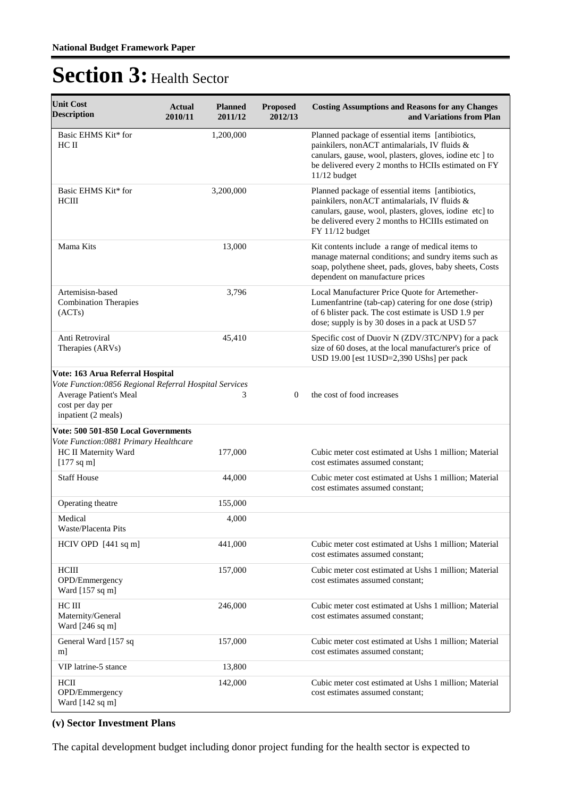| <b>Unit Cost</b><br><b>Description</b>                                                                                                                          | <b>Planned</b><br>Actual<br>2011/12<br>2010/11 | <b>Proposed</b><br>2012/13 | <b>Costing Assumptions and Reasons for any Changes</b><br>and Variations from Plan                                                                                                                                                      |
|-----------------------------------------------------------------------------------------------------------------------------------------------------------------|------------------------------------------------|----------------------------|-----------------------------------------------------------------------------------------------------------------------------------------------------------------------------------------------------------------------------------------|
| Basic EHMS Kit* for<br>HC II                                                                                                                                    | 1,200,000                                      |                            | Planned package of essential items [antibiotics,<br>painkilers, nonACT antimalarials, IV fluids &<br>canulars, gause, wool, plasters, gloves, iodine etc ] to<br>be delivered every 2 months to HCIIs estimated on FY<br>$11/12$ budget |
| Basic EHMS Kit* for<br>HCIII                                                                                                                                    | 3,200,000                                      |                            | Planned package of essential items [antibiotics,<br>painkilers, nonACT antimalarials, IV fluids &<br>canulars, gause, wool, plasters, gloves, iodine etc] to<br>be delivered every 2 months to HCIIIs estimated on<br>FY 11/12 budget   |
| Mama Kits                                                                                                                                                       | 13,000                                         |                            | Kit contents include a range of medical items to<br>manage maternal conditions; and sundry items such as<br>soap, polythene sheet, pads, gloves, baby sheets, Costs<br>dependent on manufacture prices                                  |
| Artemisisn-based<br><b>Combination Therapies</b><br>(ACTs)                                                                                                      | 3,796                                          |                            | Local Manufacturer Price Quote for Artemether-<br>Lumenfantrine (tab-cap) catering for one dose (strip)<br>of 6 blister pack. The cost estimate is USD 1.9 per<br>dose; supply is by 30 doses in a pack at USD 57                       |
| Anti Retroviral<br>Therapies (ARVs)                                                                                                                             | 45,410                                         |                            | Specific cost of Duovir N (ZDV/3TC/NPV) for a pack<br>size of 60 doses, at the local manufacturer's price of<br>USD 19.00 [est 1USD=2,390 UShs] per pack                                                                                |
| Vote: 163 Arua Referral Hospital<br>Vote Function:0856 Regional Referral Hospital Services<br>Average Patient's Meal<br>cost per day per<br>inpatient (2 meals) | 3                                              | $\Omega$                   | the cost of food increases                                                                                                                                                                                                              |
| Vote: 500 501-850 Local Governments                                                                                                                             |                                                |                            |                                                                                                                                                                                                                                         |
| Vote Function: 0881 Primary Healthcare<br>HC II Maternity Ward<br>$[177$ sq m]                                                                                  | 177,000                                        |                            | Cubic meter cost estimated at Ushs 1 million; Material<br>cost estimates assumed constant;                                                                                                                                              |
| <b>Staff House</b>                                                                                                                                              | 44,000                                         |                            | Cubic meter cost estimated at Ushs 1 million; Material<br>cost estimates assumed constant:                                                                                                                                              |
| Operating theatre                                                                                                                                               | 155,000                                        |                            |                                                                                                                                                                                                                                         |
| Medical<br>Waste/Placenta Pits                                                                                                                                  | 4,000                                          |                            |                                                                                                                                                                                                                                         |
| HCIV OPD [441 sq m]                                                                                                                                             | 441,000                                        |                            | Cubic meter cost estimated at Ushs 1 million; Material<br>cost estimates assumed constant;                                                                                                                                              |
| <b>HCIII</b><br>OPD/Emmergency<br>Ward $[157 \text{ sq m}]$                                                                                                     | 157,000                                        |                            | Cubic meter cost estimated at Ushs 1 million; Material<br>cost estimates assumed constant;                                                                                                                                              |
| HC III<br>Maternity/General<br>Ward [246 sq m]                                                                                                                  | 246,000                                        |                            | Cubic meter cost estimated at Ushs 1 million; Material<br>cost estimates assumed constant;                                                                                                                                              |
| General Ward [157 sq<br>m                                                                                                                                       | 157,000                                        |                            | Cubic meter cost estimated at Ushs 1 million; Material<br>cost estimates assumed constant;                                                                                                                                              |
| VIP latrine-5 stance                                                                                                                                            | 13,800                                         |                            |                                                                                                                                                                                                                                         |
| HCII<br>OPD/Emmergency<br>Ward [142 sq m]                                                                                                                       | 142,000                                        |                            | Cubic meter cost estimated at Ushs 1 million; Material<br>cost estimates assumed constant;                                                                                                                                              |

### **(v) Sector Investment Plans**

The capital development budget including donor project funding for the health sector is expected to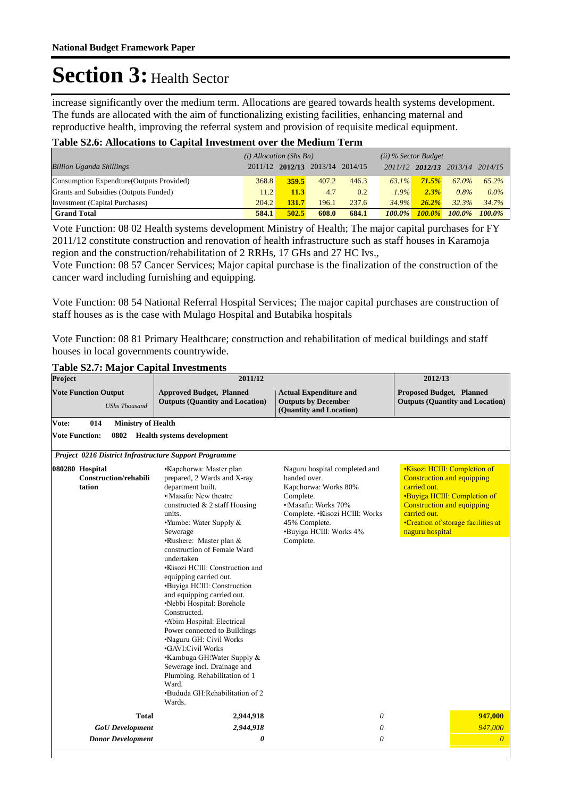increase significantly over the medium term. Allocations are geared towards health systems development. The funds are allocated with the aim of functionalizing existing facilities, enhancing maternal and reproductive health, improving the referral system and provision of requisite medical equipment.

### **Table S2.6: Allocations to Capital Investment over the Medium Term**

|                                           | $(i)$ Allocation (Shs Bn) |       |                                 |       | $(ii)$ % Sector Budget |                         |        |           |
|-------------------------------------------|---------------------------|-------|---------------------------------|-------|------------------------|-------------------------|--------|-----------|
| <b>Billion Uganda Shillings</b>           |                           |       | 2011/12 2012/13 2013/14 2014/15 |       |                        | 2011/12 2012/13 2013/14 |        | 2014/15   |
| Consumption Expendture (Outputs Provided) | 368.8                     | 359.5 | 407.2                           | 446.3 | $63.1\%$               | 71.5%                   | 67.0%  | $65.2\%$  |
| Grants and Subsidies (Outputs Funded)     | 11.2                      | 11.3  | 4.7                             | 0.2   | $1.9\%$                | 2.3%                    | 0.8%   | $0.0\%$   |
| Investment (Capital Purchases)            | 204.2                     | 131.7 | 196.1                           | 237.6 | 34.9%                  | 26.2%                   | 32.3%  | 34.7%     |
| <b>Grand Total</b>                        | 584.1                     | 502.5 | 608.0                           | 684.1 | $100.0\%$              | $100.0\%$               | 100.0% | $100.0\%$ |

Vote Function: 08 02 Health systems development Ministry of Health; The major capital purchases for FY 2011/12 constitute construction and renovation of health infrastructure such as staff houses in Karamoja region and the construction/rehabilitation of 2 RRHs, 17 GHs and 27 HC Ivs.,

Vote Function: 08 57 Cancer Services; Major capital purchase is the finalization of the construction of the cancer ward including furnishing and equipping.

Vote Function: 08 54 National Referral Hospital Services; The major capital purchases are construction of staff houses as is the case with Mulago Hospital and Butabika hospitals

Vote Function: 08 81 Primary Healthcare; construction and rehabilitation of medical buildings and staff houses in local governments countrywide.

#### **Table S2.7: Major Capital Investments**

| Project                                                | 2011/12                                                                                                                                                                                                                                                                                                                                                                                                                                                                                                                                                                                                                                                                                                                       | 2012/13                                                                                                                                                                                               |                                                                                                                                                                  |                                                                    |
|--------------------------------------------------------|-------------------------------------------------------------------------------------------------------------------------------------------------------------------------------------------------------------------------------------------------------------------------------------------------------------------------------------------------------------------------------------------------------------------------------------------------------------------------------------------------------------------------------------------------------------------------------------------------------------------------------------------------------------------------------------------------------------------------------|-------------------------------------------------------------------------------------------------------------------------------------------------------------------------------------------------------|------------------------------------------------------------------------------------------------------------------------------------------------------------------|--------------------------------------------------------------------|
| <b>Vote Function Output</b><br><b>UShs Thousand</b>    | <b>Approved Budget, Planned</b><br><b>Outputs (Quantity and Location)</b>                                                                                                                                                                                                                                                                                                                                                                                                                                                                                                                                                                                                                                                     | <b>Actual Expenditure and</b><br><b>Outputs by December</b><br>(Quantity and Location)                                                                                                                | <b>Proposed Budget, Planned</b><br><b>Outputs (Quantity and Location)</b>                                                                                        |                                                                    |
| 014<br>Vote:<br><b>Ministry of Health</b>              |                                                                                                                                                                                                                                                                                                                                                                                                                                                                                                                                                                                                                                                                                                                               |                                                                                                                                                                                                       |                                                                                                                                                                  |                                                                    |
| <b>Vote Function:</b><br>0802                          | <b>Health systems development</b>                                                                                                                                                                                                                                                                                                                                                                                                                                                                                                                                                                                                                                                                                             |                                                                                                                                                                                                       |                                                                                                                                                                  |                                                                    |
| Project 0216 District Infrastructure Support Programme |                                                                                                                                                                                                                                                                                                                                                                                                                                                                                                                                                                                                                                                                                                                               |                                                                                                                                                                                                       |                                                                                                                                                                  |                                                                    |
| 080280 Hospital<br>Construction/rehabili<br>tation     | •Klapchorwa: Master plan<br>prepared, 2 Wards and X-ray<br>department built.<br>• Masafu: New theatre<br>constructed $& 2$ staff Housing<br>units.<br>$\cdot$ Yumbe: Water Supply &<br>Sewerage<br>•Rushere: Master plan &<br>construction of Female Ward<br>undertaken<br><b>.</b> Kisozi HCIII: Construction and<br>equipping carried out.<br>•Buyiga HCIII: Construction<br>and equipping carried out.<br>·Nebbi Hospital: Borehole<br>Constructed.<br>•Abim Hospital: Electrical<br>Power connected to Buildings<br>•Naguru GH: Civil Works<br><b>GAVI:Civil Works</b><br>•Kambuga GH:Water Supply &<br>Sewerage incl. Drainage and<br>Plumbing. Rehabilitation of 1<br>Ward.<br>•Bududa GH:Rehabilitation of 2<br>Wards. | Naguru hospital completed and<br>handed over.<br>Kapchorwa: Works 80%<br>Complete.<br>• Masafu: Works 70%<br>Complete. . Kisozi HCIII: Works<br>45% Complete.<br>·Buyiga HCIII: Works 4%<br>Complete. | <b>.Kisozi HCIII: Completion of</b><br><b>Construction and equipping</b><br>carried out.<br><b>Construction and equipping</b><br>carried out.<br>naguru hospital | •Buyiga HCIII: Completion of<br>•Creation of storage facilities at |
| <b>Total</b>                                           | 2,944,918                                                                                                                                                                                                                                                                                                                                                                                                                                                                                                                                                                                                                                                                                                                     | 0                                                                                                                                                                                                     |                                                                                                                                                                  | 947,000                                                            |
| <b>GoU</b> Development                                 | 2,944,918                                                                                                                                                                                                                                                                                                                                                                                                                                                                                                                                                                                                                                                                                                                     | 0                                                                                                                                                                                                     |                                                                                                                                                                  | 947,000                                                            |
| <b>Donor Development</b>                               | 0                                                                                                                                                                                                                                                                                                                                                                                                                                                                                                                                                                                                                                                                                                                             | 0                                                                                                                                                                                                     |                                                                                                                                                                  | $\overline{0}$                                                     |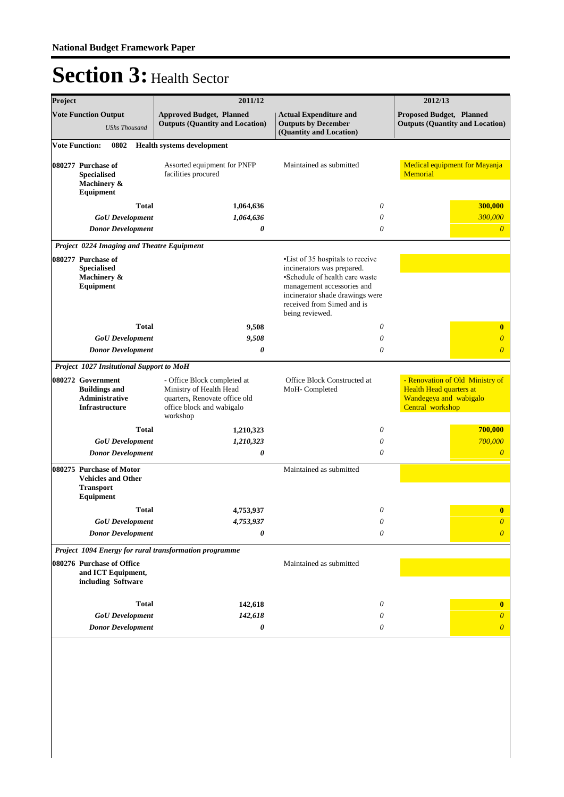| Project                                                              |                                                                                        | 2011/12                                                                                                                          |                                                                                                                                                                                                                     | 2012/13                                                                                                  |
|----------------------------------------------------------------------|----------------------------------------------------------------------------------------|----------------------------------------------------------------------------------------------------------------------------------|---------------------------------------------------------------------------------------------------------------------------------------------------------------------------------------------------------------------|----------------------------------------------------------------------------------------------------------|
|                                                                      | <b>Vote Function Output</b><br><b>UShs Thousand</b>                                    | <b>Approved Budget, Planned</b><br><b>Outputs (Quantity and Location)</b>                                                        | <b>Actual Expenditure and</b><br><b>Outputs by December</b><br>(Quantity and Location)                                                                                                                              | Proposed Budget, Planned<br><b>Outputs (Quantity and Location)</b>                                       |
| <b>Vote Function:</b>                                                | 0802                                                                                   | <b>Health systems development</b>                                                                                                |                                                                                                                                                                                                                     |                                                                                                          |
|                                                                      | 080277 Purchase of<br><b>Specialised</b><br>Machinery &<br>Equipment                   | Assorted equipment for PNFP<br>facilities procured                                                                               | Maintained as submitted                                                                                                                                                                                             | Medical equipment for Mayanja<br>Memorial                                                                |
|                                                                      | <b>Total</b>                                                                           | 1,064,636                                                                                                                        | 0                                                                                                                                                                                                                   | 300,000                                                                                                  |
|                                                                      | <b>GoU</b> Development                                                                 | 1,064,636                                                                                                                        | 0                                                                                                                                                                                                                   | 300,000                                                                                                  |
|                                                                      | <b>Donor Development</b>                                                               | 0                                                                                                                                | $\theta$                                                                                                                                                                                                            | $\theta$                                                                                                 |
|                                                                      | Project 0224 Imaging and Theatre Equipment                                             |                                                                                                                                  |                                                                                                                                                                                                                     |                                                                                                          |
| 080277 Purchase of<br><b>Specialised</b><br>Machinery &<br>Equipment |                                                                                        |                                                                                                                                  | • List of 35 hospitals to receive<br>incinerators was prepared.<br>•Schedule of health care waste<br>management accessories and<br>incinerator shade drawings were<br>received from Simed and is<br>being reviewed. |                                                                                                          |
|                                                                      | <b>Total</b>                                                                           | 9,508                                                                                                                            | 0                                                                                                                                                                                                                   | $\bf{0}$                                                                                                 |
|                                                                      | <b>GoU</b> Development                                                                 | 9,508                                                                                                                            | 0                                                                                                                                                                                                                   | $\overline{\theta}$                                                                                      |
|                                                                      | <b>Donor Development</b>                                                               | 0                                                                                                                                | 0                                                                                                                                                                                                                   | $\overline{\theta}$                                                                                      |
|                                                                      | Project 1027 Insitutional Support to MoH                                               |                                                                                                                                  |                                                                                                                                                                                                                     |                                                                                                          |
|                                                                      | 080272 Government<br><b>Buildings and</b><br>Administrative<br>Infrastructure          | - Office Block completed at<br>Ministry of Health Head<br>quarters, Renovate office old<br>office block and wabigalo<br>workshop | Office Block Constructed at<br>MoH-Completed                                                                                                                                                                        | - Renovation of Old Ministry of<br>Health Head quarters at<br>Wandegeya and wabigalo<br>Central workshop |
|                                                                      | <b>Total</b>                                                                           | 1,210,323                                                                                                                        | 0                                                                                                                                                                                                                   | 700,000                                                                                                  |
|                                                                      | <b>GoU</b> Development                                                                 | 1,210,323                                                                                                                        | 0                                                                                                                                                                                                                   | 700,000                                                                                                  |
|                                                                      | <b>Donor Development</b>                                                               | 0                                                                                                                                | $\theta$                                                                                                                                                                                                            | $\overline{\theta}$                                                                                      |
|                                                                      | 080275 Purchase of Motor<br><b>Vehicles and Other</b><br><b>Transport</b><br>Equipment |                                                                                                                                  | Maintained as submitted                                                                                                                                                                                             |                                                                                                          |
|                                                                      | <b>Total</b>                                                                           | 4,753,937                                                                                                                        | 0                                                                                                                                                                                                                   | $\bf{0}$                                                                                                 |
|                                                                      | <b>GoU</b> Development                                                                 | 4,753,937                                                                                                                        | $\boldsymbol{\mathit{0}}$                                                                                                                                                                                           | $\boldsymbol{\theta}$                                                                                    |
|                                                                      | <b>Donor Development</b>                                                               | 0                                                                                                                                | 0                                                                                                                                                                                                                   | $\overline{0}$                                                                                           |
|                                                                      |                                                                                        | Project 1094 Energy for rural transformation programme                                                                           |                                                                                                                                                                                                                     |                                                                                                          |
|                                                                      | 080276 Purchase of Office<br>and ICT Equipment,<br>including Software                  |                                                                                                                                  | Maintained as submitted                                                                                                                                                                                             |                                                                                                          |
|                                                                      | <b>Total</b>                                                                           | 142,618                                                                                                                          | 0                                                                                                                                                                                                                   | $\bf{0}$                                                                                                 |
|                                                                      | <b>GoU</b> Development                                                                 | 142,618                                                                                                                          | 0                                                                                                                                                                                                                   | 0                                                                                                        |
|                                                                      | <b>Donor Development</b>                                                               | 0                                                                                                                                | 0                                                                                                                                                                                                                   | $\overline{\theta}$                                                                                      |
|                                                                      |                                                                                        |                                                                                                                                  |                                                                                                                                                                                                                     |                                                                                                          |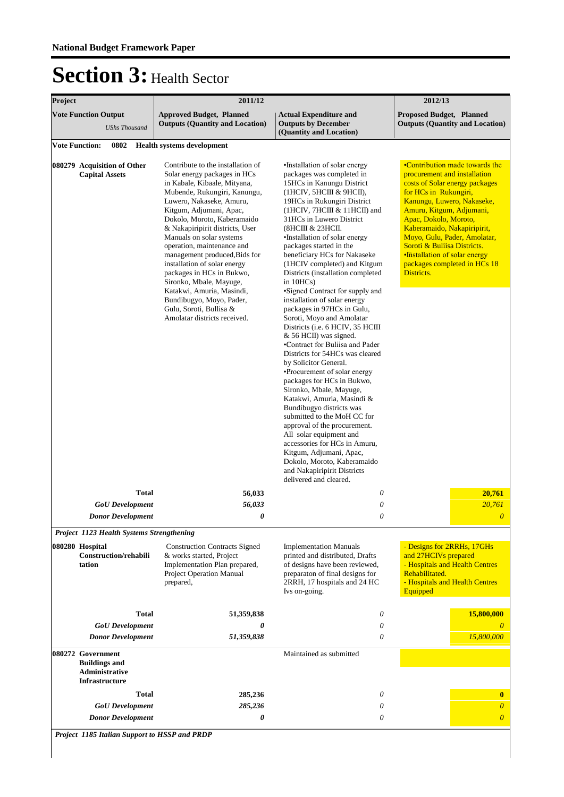| Project                                                                       | 2011/12                                                                                                                                                                                                                                                                                                                                                                                                                                                                                                                                                           | 2012/13                                                                                                                                                                                                                                                                                                                                                                                                                                                                                                                                                                                                                                                                                                                                                                                                                                                                                                                                                                                                                                                                                                    |                                                                                                                                                                                                                                                                                                                                                                                           |
|-------------------------------------------------------------------------------|-------------------------------------------------------------------------------------------------------------------------------------------------------------------------------------------------------------------------------------------------------------------------------------------------------------------------------------------------------------------------------------------------------------------------------------------------------------------------------------------------------------------------------------------------------------------|------------------------------------------------------------------------------------------------------------------------------------------------------------------------------------------------------------------------------------------------------------------------------------------------------------------------------------------------------------------------------------------------------------------------------------------------------------------------------------------------------------------------------------------------------------------------------------------------------------------------------------------------------------------------------------------------------------------------------------------------------------------------------------------------------------------------------------------------------------------------------------------------------------------------------------------------------------------------------------------------------------------------------------------------------------------------------------------------------------|-------------------------------------------------------------------------------------------------------------------------------------------------------------------------------------------------------------------------------------------------------------------------------------------------------------------------------------------------------------------------------------------|
| <b>Vote Function Output</b><br><b>UShs Thousand</b>                           | <b>Approved Budget, Planned</b><br><b>Outputs (Quantity and Location)</b>                                                                                                                                                                                                                                                                                                                                                                                                                                                                                         | <b>Actual Expenditure and</b><br><b>Outputs by December</b><br>(Quantity and Location)                                                                                                                                                                                                                                                                                                                                                                                                                                                                                                                                                                                                                                                                                                                                                                                                                                                                                                                                                                                                                     | <b>Proposed Budget, Planned</b><br><b>Outputs (Quantity and Location)</b>                                                                                                                                                                                                                                                                                                                 |
| 0802<br><b>Vote Function:</b>                                                 | <b>Health systems development</b>                                                                                                                                                                                                                                                                                                                                                                                                                                                                                                                                 |                                                                                                                                                                                                                                                                                                                                                                                                                                                                                                                                                                                                                                                                                                                                                                                                                                                                                                                                                                                                                                                                                                            |                                                                                                                                                                                                                                                                                                                                                                                           |
| 080279 Acquisition of Other<br><b>Capital Assets</b>                          | Contribute to the installation of<br>Solar energy packages in HCs<br>in Kabale, Kibaale, Mityana,<br>Mubende, Rukungiri, Kanungu,<br>Luwero, Nakaseke, Amuru,<br>Kitgum, Adjumani, Apac,<br>Dokolo, Moroto, Kaberamaido<br>& Nakapiripirit districts, User<br>Manuals on solar systems<br>operation, maintenance and<br>management produced, Bids for<br>installation of solar energy<br>packages in HCs in Bukwo,<br>Sironko, Mbale, Mayuge,<br>Katakwi, Amuria, Masindi,<br>Bundibugyo, Moyo, Pader,<br>Gulu, Soroti, Bullisa &<br>Amolatar districts received. | •Installation of solar energy<br>packages was completed in<br>15HCs in Kanungu District<br>(1НСІV, 5НСШ & 9НСП),<br>19HCs in Rukungiri District<br>(1HCIV, 7HCIII & 11HCII) and<br>31HCs in Luwero District<br>(8НСШ & 23НСП.<br>•Installation of solar energy<br>packages started in the<br>beneficiary HCs for Nakaseke<br>(1HCIV completed) and Kitgum<br>Districts (installation completed<br>in $10HCs$ )<br>•Signed Contract for supply and<br>installation of solar energy<br>packages in 97HCs in Gulu,<br>Soroti, Moyo and Amolatar<br>Districts (i.e. 6 HCIV, 35 HCIII<br>& 56 HCII) was signed.<br>•Contract for Buliisa and Pader<br>Districts for 54HCs was cleared<br>by Solicitor General.<br>•Procurement of solar energy<br>packages for HCs in Bukwo,<br>Sironko, Mbale, Mayuge,<br>Katakwi, Amuria, Masindi &<br>Bundibugyo districts was<br>submitted to the MoH CC for<br>approval of the procurement.<br>All solar equipment and<br>accessories for HCs in Amuru,<br>Kitgum, Adjumani, Apac,<br>Dokolo, Moroto, Kaberamaido<br>and Nakapiripirit Districts<br>delivered and cleared. | •Contribution made towards the<br>procurement and installation<br>costs of Solar energy packages<br>for HCs in Rukungiri,<br>Kanungu, Luwero, Nakaseke,<br>Amuru, Kitgum, Adjumani,<br>Apac, Dokolo, Moroto,<br>Kaberamaido, Nakapiripirit,<br>Moyo, Gulu, Pader, Amolatar,<br>Soroti & Buliisa Districts.<br>•Installation of solar energy<br>packages completed in HCs 18<br>Districts. |
| <b>Total</b>                                                                  | 56,033                                                                                                                                                                                                                                                                                                                                                                                                                                                                                                                                                            | 0                                                                                                                                                                                                                                                                                                                                                                                                                                                                                                                                                                                                                                                                                                                                                                                                                                                                                                                                                                                                                                                                                                          | 20,761                                                                                                                                                                                                                                                                                                                                                                                    |
| <b>GoU</b> Development<br><b>Donor Development</b>                            | 56,033<br>0                                                                                                                                                                                                                                                                                                                                                                                                                                                                                                                                                       | 0                                                                                                                                                                                                                                                                                                                                                                                                                                                                                                                                                                                                                                                                                                                                                                                                                                                                                                                                                                                                                                                                                                          | 20,761                                                                                                                                                                                                                                                                                                                                                                                    |
| Project 1123 Health Systems Strengthening                                     |                                                                                                                                                                                                                                                                                                                                                                                                                                                                                                                                                                   |                                                                                                                                                                                                                                                                                                                                                                                                                                                                                                                                                                                                                                                                                                                                                                                                                                                                                                                                                                                                                                                                                                            |                                                                                                                                                                                                                                                                                                                                                                                           |
| 080280 Hospital<br>Construction/rehabili<br>tation                            | <b>Construction Contracts Signed</b><br>& works started, Project<br>Implementation Plan prepared,<br>Project Operation Manual<br>prepared,                                                                                                                                                                                                                                                                                                                                                                                                                        | <b>Implementation Manuals</b><br>printed and distributed, Drafts<br>of designs have been reviewed,<br>preparaton of final designs for<br>2RRH, 17 hospitals and 24 HC<br>Ivs on-going.                                                                                                                                                                                                                                                                                                                                                                                                                                                                                                                                                                                                                                                                                                                                                                                                                                                                                                                     | - Designs for 2RRHs, 17GHs<br>and 27HCIVs prepared<br>- Hospitals and Health Centres<br>Rehabilitated.<br>- Hospitals and Health Centres<br>Equipped                                                                                                                                                                                                                                      |
| <b>Total</b>                                                                  | 51,359,838                                                                                                                                                                                                                                                                                                                                                                                                                                                                                                                                                        | 0                                                                                                                                                                                                                                                                                                                                                                                                                                                                                                                                                                                                                                                                                                                                                                                                                                                                                                                                                                                                                                                                                                          | 15,800,000                                                                                                                                                                                                                                                                                                                                                                                |
| <b>GoU</b> Development                                                        | 0                                                                                                                                                                                                                                                                                                                                                                                                                                                                                                                                                                 | 0                                                                                                                                                                                                                                                                                                                                                                                                                                                                                                                                                                                                                                                                                                                                                                                                                                                                                                                                                                                                                                                                                                          | $\theta$                                                                                                                                                                                                                                                                                                                                                                                  |
| <b>Donor Development</b>                                                      | 51,359,838                                                                                                                                                                                                                                                                                                                                                                                                                                                                                                                                                        | 0                                                                                                                                                                                                                                                                                                                                                                                                                                                                                                                                                                                                                                                                                                                                                                                                                                                                                                                                                                                                                                                                                                          | 15,800,000                                                                                                                                                                                                                                                                                                                                                                                |
| 080272 Government<br><b>Buildings and</b><br>Administrative<br>Infrastructure |                                                                                                                                                                                                                                                                                                                                                                                                                                                                                                                                                                   | Maintained as submitted                                                                                                                                                                                                                                                                                                                                                                                                                                                                                                                                                                                                                                                                                                                                                                                                                                                                                                                                                                                                                                                                                    |                                                                                                                                                                                                                                                                                                                                                                                           |
| <b>Total</b>                                                                  | 285,236                                                                                                                                                                                                                                                                                                                                                                                                                                                                                                                                                           | 0                                                                                                                                                                                                                                                                                                                                                                                                                                                                                                                                                                                                                                                                                                                                                                                                                                                                                                                                                                                                                                                                                                          | $\bf{0}$                                                                                                                                                                                                                                                                                                                                                                                  |
| <b>GoU</b> Development                                                        | 285,236                                                                                                                                                                                                                                                                                                                                                                                                                                                                                                                                                           | 0                                                                                                                                                                                                                                                                                                                                                                                                                                                                                                                                                                                                                                                                                                                                                                                                                                                                                                                                                                                                                                                                                                          | $\boldsymbol{\theta}$                                                                                                                                                                                                                                                                                                                                                                     |
| <b>Donor Development</b>                                                      | 0                                                                                                                                                                                                                                                                                                                                                                                                                                                                                                                                                                 | 0                                                                                                                                                                                                                                                                                                                                                                                                                                                                                                                                                                                                                                                                                                                                                                                                                                                                                                                                                                                                                                                                                                          | $\overline{0}$                                                                                                                                                                                                                                                                                                                                                                            |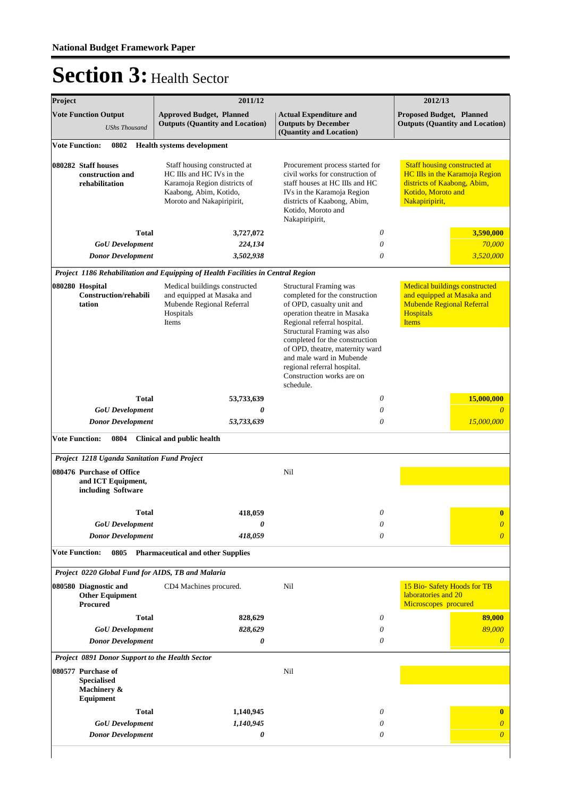| Project |                                                                       | 2011/12                                                                                                                                          | 2012/13                                                                                                                                                                                                                                                                                                                                                             |                                                                                                                                              |
|---------|-----------------------------------------------------------------------|--------------------------------------------------------------------------------------------------------------------------------------------------|---------------------------------------------------------------------------------------------------------------------------------------------------------------------------------------------------------------------------------------------------------------------------------------------------------------------------------------------------------------------|----------------------------------------------------------------------------------------------------------------------------------------------|
|         | <b>Vote Function Output</b><br><b>UShs Thousand</b>                   | <b>Approved Budget, Planned</b><br><b>Outputs (Quantity and Location)</b>                                                                        | <b>Actual Expenditure and</b><br><b>Outputs by December</b><br>(Quantity and Location)                                                                                                                                                                                                                                                                              | <b>Proposed Budget, Planned</b><br><b>Outputs (Quantity and Location)</b>                                                                    |
|         | 0802<br><b>Vote Function:</b>                                         | <b>Health systems development</b>                                                                                                                |                                                                                                                                                                                                                                                                                                                                                                     |                                                                                                                                              |
|         | 080282 Staff houses<br>construction and<br>rehabilitation             | Staff housing constructed at<br>HC IIIs and HC IVs in the<br>Karamoja Region districts of<br>Kaabong, Abim, Kotido,<br>Moroto and Nakapiripirit, | Procurement process started for<br>civil works for construction of<br>staff houses at HC IIIs and HC<br>IVs in the Karamoja Region<br>districts of Kaabong, Abim,<br>Kotido, Moroto and<br>Nakapiripirit,                                                                                                                                                           | <b>Staff housing constructed at</b><br>HC IIIs in the Karamoja Region<br>districts of Kaabong, Abim,<br>Kotido, Moroto and<br>Nakapiripirit, |
|         | <b>Total</b>                                                          | 3,727,072                                                                                                                                        | $\theta$                                                                                                                                                                                                                                                                                                                                                            | 3,590,000                                                                                                                                    |
|         | <b>GoU</b> Development                                                | 224,134                                                                                                                                          | 0                                                                                                                                                                                                                                                                                                                                                                   | 70,000                                                                                                                                       |
|         | <b>Donor Development</b>                                              | 3,502,938                                                                                                                                        | 0                                                                                                                                                                                                                                                                                                                                                                   | 3,520,000                                                                                                                                    |
|         |                                                                       | Project 1186 Rehabilitation and Equipping of Health Facilities in Central Region                                                                 |                                                                                                                                                                                                                                                                                                                                                                     |                                                                                                                                              |
|         | 080280 Hospital<br><b>Construction/rehabili</b><br>tation             | Medical buildings constructed<br>and equipped at Masaka and<br>Mubende Regional Referral<br>Hospitals<br>Items                                   | <b>Structural Framing was</b><br>completed for the construction<br>of OPD, casualty unit and<br>operation theatre in Masaka<br>Regional referral hospital.<br>Structural Framing was also<br>completed for the construction<br>of OPD, theatre, maternity ward<br>and male ward in Mubende<br>regional referral hospital.<br>Construction works are on<br>schedule. | <b>Medical buildings constructed</b><br>and equipped at Masaka and<br><b>Mubende Regional Referral</b><br><b>Hospitals</b><br><b>Items</b>   |
|         | <b>Total</b>                                                          | 53,733,639                                                                                                                                       | 0                                                                                                                                                                                                                                                                                                                                                                   | 15,000,000                                                                                                                                   |
|         | <b>GoU</b> Development                                                | 0                                                                                                                                                | 0                                                                                                                                                                                                                                                                                                                                                                   | $\theta$                                                                                                                                     |
|         | <b>Donor Development</b>                                              | 53,733,639                                                                                                                                       | 0                                                                                                                                                                                                                                                                                                                                                                   | 15,000,000                                                                                                                                   |
|         | <b>Vote Function:</b><br>0804                                         | Clinical and public health                                                                                                                       |                                                                                                                                                                                                                                                                                                                                                                     |                                                                                                                                              |
|         | Project 1218 Uganda Sanitation Fund Project                           |                                                                                                                                                  |                                                                                                                                                                                                                                                                                                                                                                     |                                                                                                                                              |
|         | 080476 Purchase of Office<br>and ICT Equipment,<br>including Software |                                                                                                                                                  | Nil                                                                                                                                                                                                                                                                                                                                                                 |                                                                                                                                              |
|         | Total                                                                 | 418,059                                                                                                                                          | 0                                                                                                                                                                                                                                                                                                                                                                   | $\bf{0}$                                                                                                                                     |
|         | <b>GoU</b> Development                                                | 0                                                                                                                                                | 0                                                                                                                                                                                                                                                                                                                                                                   | $\overline{0}$                                                                                                                               |
|         | <b>Donor Development</b>                                              | 418,059                                                                                                                                          | 0                                                                                                                                                                                                                                                                                                                                                                   | $\overline{0}$                                                                                                                               |
|         | <b>Vote Function:</b><br>0805                                         | <b>Pharmaceutical and other Supplies</b>                                                                                                         |                                                                                                                                                                                                                                                                                                                                                                     |                                                                                                                                              |
|         | Project 0220 Global Fund for AIDS, TB and Malaria                     |                                                                                                                                                  |                                                                                                                                                                                                                                                                                                                                                                     |                                                                                                                                              |
|         | 080580 Diagnostic and<br><b>Other Equipment</b><br><b>Procured</b>    | CD4 Machines procured.                                                                                                                           | Nil                                                                                                                                                                                                                                                                                                                                                                 | 15 Bio-Safety Hoods for TB<br>laboratories and 20<br>Microscopes procured                                                                    |
|         | <b>Total</b>                                                          | 828,629                                                                                                                                          | 0                                                                                                                                                                                                                                                                                                                                                                   | 89,000                                                                                                                                       |
|         | <b>GoU</b> Development                                                | 828,629                                                                                                                                          | 0                                                                                                                                                                                                                                                                                                                                                                   | 89,000                                                                                                                                       |
|         | <b>Donor Development</b>                                              | 0                                                                                                                                                | 0                                                                                                                                                                                                                                                                                                                                                                   | $\boldsymbol{\theta}$                                                                                                                        |
|         | <b>Project 0891 Donor Support to the Health Sector</b>                |                                                                                                                                                  |                                                                                                                                                                                                                                                                                                                                                                     |                                                                                                                                              |
|         | 080577 Purchase of<br><b>Specialised</b><br>Machinery &<br>Equipment  |                                                                                                                                                  | Nil                                                                                                                                                                                                                                                                                                                                                                 |                                                                                                                                              |
|         | <b>Total</b>                                                          | 1,140,945                                                                                                                                        | 0                                                                                                                                                                                                                                                                                                                                                                   | $\bf{0}$                                                                                                                                     |
|         | <b>GoU</b> Development                                                | 1,140,945                                                                                                                                        | 0                                                                                                                                                                                                                                                                                                                                                                   | $\overline{0}$                                                                                                                               |
|         | <b>Donor Development</b>                                              | 0                                                                                                                                                | 0                                                                                                                                                                                                                                                                                                                                                                   | $\overline{0}$                                                                                                                               |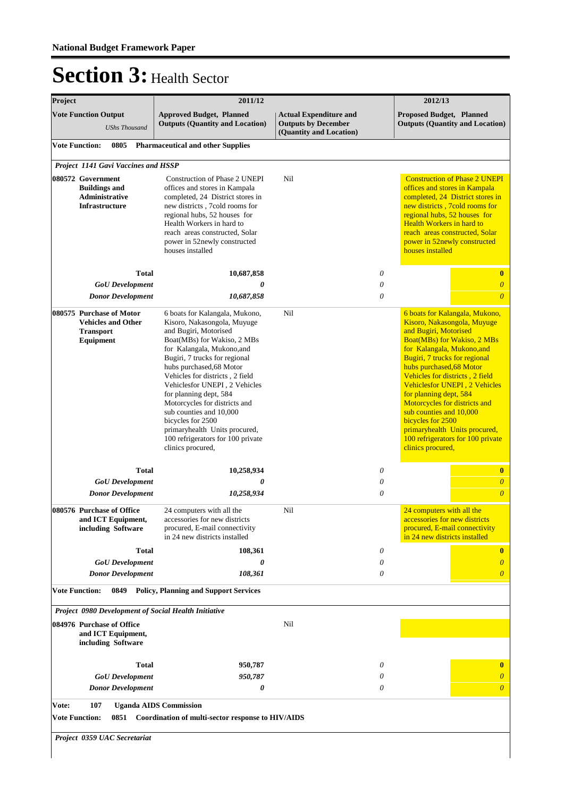| Project |                                                                                        | 2011/12                                                                                                                                                                                                                                                                                                                                                                                                                                                                                    |                                                                                        | 2012/13 |                                                                                                                                                                                                                                                                                     |                                                                                                                                                                                                               |
|---------|----------------------------------------------------------------------------------------|--------------------------------------------------------------------------------------------------------------------------------------------------------------------------------------------------------------------------------------------------------------------------------------------------------------------------------------------------------------------------------------------------------------------------------------------------------------------------------------------|----------------------------------------------------------------------------------------|---------|-------------------------------------------------------------------------------------------------------------------------------------------------------------------------------------------------------------------------------------------------------------------------------------|---------------------------------------------------------------------------------------------------------------------------------------------------------------------------------------------------------------|
|         | <b>Vote Function Output</b><br><b>UShs Thousand</b>                                    | <b>Approved Budget, Planned</b><br><b>Outputs (Quantity and Location)</b>                                                                                                                                                                                                                                                                                                                                                                                                                  | <b>Actual Expenditure and</b><br><b>Outputs by December</b><br>(Quantity and Location) |         | Proposed Budget, Planned                                                                                                                                                                                                                                                            | <b>Outputs (Quantity and Location)</b>                                                                                                                                                                        |
|         | <b>Vote Function:</b><br>0805                                                          | <b>Pharmaceutical and other Supplies</b>                                                                                                                                                                                                                                                                                                                                                                                                                                                   |                                                                                        |         |                                                                                                                                                                                                                                                                                     |                                                                                                                                                                                                               |
|         | Project 1141 Gavi Vaccines and HSSP                                                    |                                                                                                                                                                                                                                                                                                                                                                                                                                                                                            |                                                                                        |         |                                                                                                                                                                                                                                                                                     |                                                                                                                                                                                                               |
|         | 080572 Government<br><b>Buildings and</b><br><b>Administrative</b><br>Infrastructure   | Construction of Phase 2 UNEPI<br>offices and stores in Kampala<br>completed, 24 District stores in<br>new districts, 7cold rooms for<br>regional hubs, 52 houses for<br>Health Workers in hard to<br>reach areas constructed, Solar<br>power in 52newly constructed<br>houses installed                                                                                                                                                                                                    | Nil                                                                                    |         | regional hubs, 52 houses for<br>Health Workers in hard to<br>houses installed                                                                                                                                                                                                       | <b>Construction of Phase 2 UNEPI</b><br>offices and stores in Kampala<br>completed, 24 District stores in<br>new districts, 7cold rooms for<br>reach areas constructed, Solar<br>power in 52newly constructed |
|         | <b>Total</b>                                                                           | 10,687,858                                                                                                                                                                                                                                                                                                                                                                                                                                                                                 |                                                                                        | 0       |                                                                                                                                                                                                                                                                                     | $\bf{0}$                                                                                                                                                                                                      |
|         | <b>GoU</b> Development                                                                 | 0                                                                                                                                                                                                                                                                                                                                                                                                                                                                                          |                                                                                        | 0       |                                                                                                                                                                                                                                                                                     | $\boldsymbol{0}$                                                                                                                                                                                              |
|         | <b>Donor Development</b>                                                               | 10,687,858                                                                                                                                                                                                                                                                                                                                                                                                                                                                                 |                                                                                        | 0       |                                                                                                                                                                                                                                                                                     | $\overline{0}$                                                                                                                                                                                                |
|         | 080575 Purchase of Motor<br><b>Vehicles and Other</b><br><b>Transport</b><br>Equipment | 6 boats for Kalangala, Mukono,<br>Kisoro, Nakasongola, Muyuge<br>and Bugiri, Motorised<br>Boat(MBs) for Wakiso, 2 MBs<br>for Kalangala, Mukono, and<br>Bugiri, 7 trucks for regional<br>hubs purchased, 68 Motor<br>Vehicles for districts, 2 field<br>Vehiclesfor UNEPI, 2 Vehicles<br>for planning dept, 584<br>Motorcycles for districts and<br>sub counties and 10,000<br>bicycles for 2500<br>primaryhealth Units procured,<br>100 refrigerators for 100 private<br>clinics procured, | Nil                                                                                    |         | and Bugiri, Motorised<br>for Kalangala, Mukono, and<br>Bugiri, 7 trucks for regional<br>hubs purchased, 68 Motor<br>Vehicles for districts, 2 field<br>for planning dept, 584<br>Motorcycles for districts and<br>sub counties and 10,000<br>bicycles for 2500<br>clinics procured, | 6 boats for Kalangala, Mukono,<br>Kisoro, Nakasongola, Muyuge<br>Boat(MBs) for Wakiso, 2 MBs<br>Vehiclesfor UNEPI, 2 Vehicles<br>primaryhealth Units procured,<br>100 refrigerators for 100 private           |
|         | <b>Total</b>                                                                           | 10,258,934                                                                                                                                                                                                                                                                                                                                                                                                                                                                                 |                                                                                        | 0       |                                                                                                                                                                                                                                                                                     | $\bf{0}$                                                                                                                                                                                                      |
|         | <b>GoU</b> Development                                                                 | 0                                                                                                                                                                                                                                                                                                                                                                                                                                                                                          |                                                                                        | 0       |                                                                                                                                                                                                                                                                                     | $\boldsymbol{\theta}$                                                                                                                                                                                         |
|         | <b>Donor Development</b>                                                               | 10,258,934                                                                                                                                                                                                                                                                                                                                                                                                                                                                                 |                                                                                        | 0       |                                                                                                                                                                                                                                                                                     | $\overline{0}$                                                                                                                                                                                                |
|         | 080576 Purchase of Office<br>and ICT Equipment,<br>including Software                  | 24 computers with all the<br>accessories for new districts<br>procured, E-mail connectivity<br>in 24 new districts installed                                                                                                                                                                                                                                                                                                                                                               | Nil                                                                                    |         | 24 computers with all the<br>accessories for new districts<br>in 24 new districts installed                                                                                                                                                                                         | procured, E-mail connectivity                                                                                                                                                                                 |
|         | <b>Total</b>                                                                           | 108,361                                                                                                                                                                                                                                                                                                                                                                                                                                                                                    |                                                                                        | 0       |                                                                                                                                                                                                                                                                                     | $\bf{0}$                                                                                                                                                                                                      |
|         | <b>GoU</b> Development<br><b>Donor Development</b>                                     | 0<br>108,361                                                                                                                                                                                                                                                                                                                                                                                                                                                                               |                                                                                        | 0<br>0  |                                                                                                                                                                                                                                                                                     | $\theta$<br>$\boldsymbol{\theta}$                                                                                                                                                                             |
|         | <b>Vote Function:</b><br>0849                                                          | <b>Policy, Planning and Support Services</b>                                                                                                                                                                                                                                                                                                                                                                                                                                               |                                                                                        |         |                                                                                                                                                                                                                                                                                     |                                                                                                                                                                                                               |
|         | Project 0980 Development of Social Health Initiative                                   |                                                                                                                                                                                                                                                                                                                                                                                                                                                                                            |                                                                                        |         |                                                                                                                                                                                                                                                                                     |                                                                                                                                                                                                               |
|         | 084976 Purchase of Office                                                              |                                                                                                                                                                                                                                                                                                                                                                                                                                                                                            | Nil                                                                                    |         |                                                                                                                                                                                                                                                                                     |                                                                                                                                                                                                               |
|         | and ICT Equipment,<br>including Software                                               |                                                                                                                                                                                                                                                                                                                                                                                                                                                                                            |                                                                                        |         |                                                                                                                                                                                                                                                                                     |                                                                                                                                                                                                               |
|         | <b>Total</b>                                                                           | 950,787                                                                                                                                                                                                                                                                                                                                                                                                                                                                                    |                                                                                        | 0       |                                                                                                                                                                                                                                                                                     | $\bf{0}$                                                                                                                                                                                                      |
|         | <b>GoU</b> Development                                                                 | 950,787                                                                                                                                                                                                                                                                                                                                                                                                                                                                                    |                                                                                        | 0       |                                                                                                                                                                                                                                                                                     | $\theta$                                                                                                                                                                                                      |
|         | <b>Donor Development</b>                                                               | 0                                                                                                                                                                                                                                                                                                                                                                                                                                                                                          |                                                                                        | 0       |                                                                                                                                                                                                                                                                                     | $\boldsymbol{\theta}$                                                                                                                                                                                         |
| Vote:   | 107<br><b>Vote Function:</b>                                                           | <b>Uganda AIDS Commission</b><br>0851 Coordination of multi-sector response to HIV/AIDS                                                                                                                                                                                                                                                                                                                                                                                                    |                                                                                        |         |                                                                                                                                                                                                                                                                                     |                                                                                                                                                                                                               |
|         | Project 0359 UAC Secretariat                                                           |                                                                                                                                                                                                                                                                                                                                                                                                                                                                                            |                                                                                        |         |                                                                                                                                                                                                                                                                                     |                                                                                                                                                                                                               |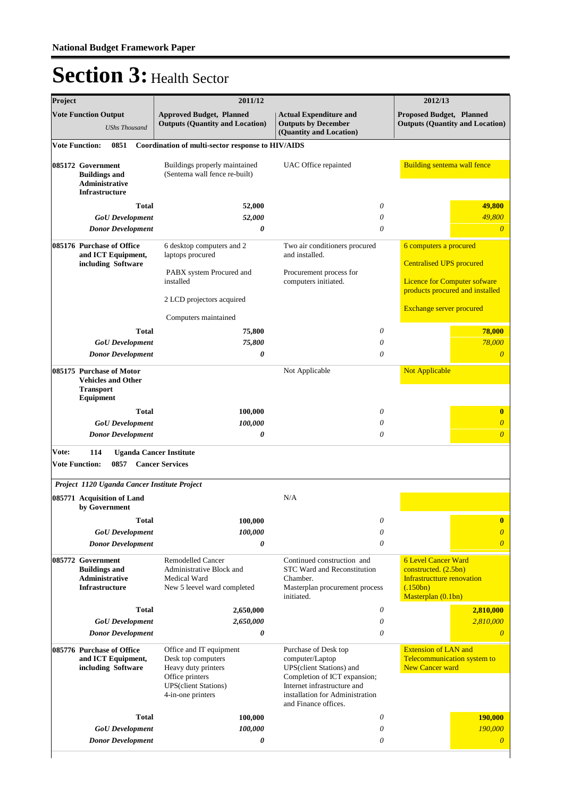| Project |                                                                                        | 2011/12                                                                                                                                                             | 2012/13                                                                                                                                                                                       |                                                                                                                           |                                 |
|---------|----------------------------------------------------------------------------------------|---------------------------------------------------------------------------------------------------------------------------------------------------------------------|-----------------------------------------------------------------------------------------------------------------------------------------------------------------------------------------------|---------------------------------------------------------------------------------------------------------------------------|---------------------------------|
|         | <b>Vote Function Output</b><br><b>UShs Thousand</b>                                    | <b>Approved Budget, Planned</b><br><b>Actual Expenditure and</b><br><b>Outputs (Quantity and Location)</b><br><b>Outputs by December</b><br>(Quantity and Location) |                                                                                                                                                                                               | <b>Proposed Budget, Planned</b><br><b>Outputs (Quantity and Location)</b>                                                 |                                 |
|         | <b>Vote Function:</b><br>0851                                                          | Coordination of multi-sector response to HIV/AIDS                                                                                                                   |                                                                                                                                                                                               |                                                                                                                           |                                 |
|         | 085172 Government<br><b>Buildings and</b><br>Administrative<br>Infrastructure          | Buildings properly maintained<br>(Sentema wall fence re-built)                                                                                                      | UAC Office repainted                                                                                                                                                                          | <b>Building sentema wall fence</b>                                                                                        |                                 |
|         | <b>Total</b>                                                                           | 52,000                                                                                                                                                              | 0                                                                                                                                                                                             |                                                                                                                           | 49,800                          |
|         | <b>GoU</b> Development<br><b>Donor Development</b>                                     | 52,000<br>0                                                                                                                                                         | $\theta$<br>$\theta$                                                                                                                                                                          |                                                                                                                           | 49,800<br>$\overline{\theta}$   |
|         | 085176 Purchase of Office<br>and ICT Equipment,<br>including Software                  | 6 desktop computers and 2<br>laptops procured<br>PABX system Procured and<br>installed                                                                              | Two air conditioners procured<br>and installed.<br>Procurement process for<br>computers initiated.                                                                                            | 6 computers a procured<br><b>Centralised UPS procured</b><br><b>Licence for Computer sofware</b>                          | products procured and installed |
|         |                                                                                        | 2 LCD projectors acquired                                                                                                                                           |                                                                                                                                                                                               |                                                                                                                           |                                 |
|         |                                                                                        | Computers maintained                                                                                                                                                |                                                                                                                                                                                               | <b>Exchange server procured</b>                                                                                           |                                 |
|         | <b>Total</b>                                                                           | 75,800                                                                                                                                                              | 0                                                                                                                                                                                             |                                                                                                                           | 78,000                          |
|         | <b>GoU</b> Development                                                                 | 75,800                                                                                                                                                              | 0                                                                                                                                                                                             |                                                                                                                           | 78,000                          |
|         | <b>Donor Development</b>                                                               | 0                                                                                                                                                                   | $\theta$                                                                                                                                                                                      |                                                                                                                           | $\overline{\theta}$             |
|         | 085175 Purchase of Motor<br><b>Vehicles and Other</b><br><b>Transport</b><br>Equipment |                                                                                                                                                                     | Not Applicable                                                                                                                                                                                | <b>Not Applicable</b>                                                                                                     |                                 |
|         | <b>Total</b>                                                                           | 100,000                                                                                                                                                             | $\theta$                                                                                                                                                                                      |                                                                                                                           | $\bf{0}$                        |
|         | <b>GoU</b> Development                                                                 | 100,000                                                                                                                                                             | 0                                                                                                                                                                                             |                                                                                                                           | $\theta$                        |
|         | <b>Donor Development</b>                                                               | 0                                                                                                                                                                   | $\theta$                                                                                                                                                                                      |                                                                                                                           | $\overline{0}$                  |
| Vote:   | 114<br><b>Uganda Cancer Institute</b>                                                  |                                                                                                                                                                     |                                                                                                                                                                                               |                                                                                                                           |                                 |
|         | <b>Vote Function:</b><br>0857                                                          | <b>Cancer Services</b>                                                                                                                                              |                                                                                                                                                                                               |                                                                                                                           |                                 |
|         | Project 1120 Uganda Cancer Institute Project                                           |                                                                                                                                                                     |                                                                                                                                                                                               |                                                                                                                           |                                 |
|         | 085771 Acquisition of Land<br>by Government                                            |                                                                                                                                                                     | N/A                                                                                                                                                                                           |                                                                                                                           |                                 |
|         | <b>Total</b>                                                                           | 100,000                                                                                                                                                             | $\theta$                                                                                                                                                                                      |                                                                                                                           | $\bf{0}$                        |
|         | <b>GoU</b> Development                                                                 | 100,000                                                                                                                                                             | $\theta$                                                                                                                                                                                      |                                                                                                                           | $\overline{0}$                  |
|         | <b>Donor Development</b>                                                               | 0                                                                                                                                                                   | $\theta$                                                                                                                                                                                      |                                                                                                                           | $\overline{0}$                  |
|         | 085772 Government<br><b>Buildings and</b><br>Administrative<br><b>Infrastructure</b>   | Remodelled Cancer<br>Administrative Block and<br>Medical Ward<br>New 5 leevel ward completed                                                                        | Continued construction and<br>STC Ward and Reconstitution<br>Chamber.<br>Masterplan procurement process<br>initiated.                                                                         | <b>6 Level Cancer Ward</b><br>constructed. (2.5bn)<br><b>Infrastructture renovation</b><br>(.150bn)<br>Masterplan (0.1bn) |                                 |
|         | <b>Total</b>                                                                           | 2,650,000                                                                                                                                                           | 0                                                                                                                                                                                             |                                                                                                                           | 2,810,000                       |
|         | <b>GoU</b> Development                                                                 | 2,650,000                                                                                                                                                           | $\theta$                                                                                                                                                                                      |                                                                                                                           | 2,810,000                       |
|         | <b>Donor Development</b>                                                               | 0                                                                                                                                                                   | 0                                                                                                                                                                                             |                                                                                                                           | $\theta$                        |
|         | 085776 Purchase of Office<br>and ICT Equipment,<br>including Software                  | Office and IT equipment<br>Desk top computers<br>Heavy duty printers<br>Office printers<br><b>UPS</b> (client Stations)<br>4-in-one printers                        | Purchase of Desk top<br>computer/Laptop<br>UPS(client Stations) and<br>Completion of ICT expansion;<br>Internet infrastructure and<br>installation for Administration<br>and Finance offices. | <b>Extension of LAN and</b><br>Telecommunication system to<br><b>New Cancer ward</b>                                      |                                 |
|         | Total                                                                                  | 100,000                                                                                                                                                             | 0                                                                                                                                                                                             |                                                                                                                           | 190,000                         |
|         | <b>GoU</b> Development                                                                 | 100,000                                                                                                                                                             | 0                                                                                                                                                                                             |                                                                                                                           | 190,000                         |
|         | <b>Donor Development</b>                                                               | 0                                                                                                                                                                   | 0                                                                                                                                                                                             |                                                                                                                           | $\overline{0}$                  |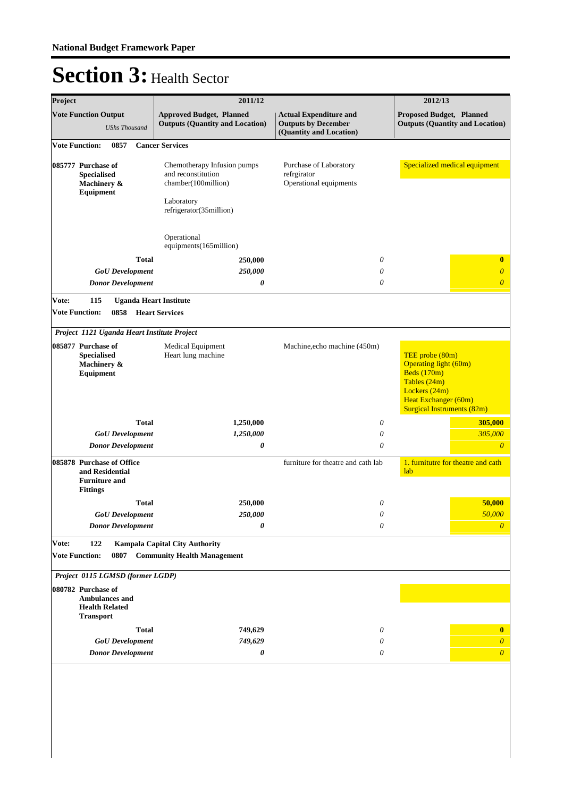| Project |                                                                                          |                      |                          | 2011/12                                                                                                           |                                                                                        | 2012/13                                                                                                                                                 |
|---------|------------------------------------------------------------------------------------------|----------------------|--------------------------|-------------------------------------------------------------------------------------------------------------------|----------------------------------------------------------------------------------------|---------------------------------------------------------------------------------------------------------------------------------------------------------|
|         | <b>Vote Function Output</b>                                                              | <b>UShs Thousand</b> |                          | <b>Approved Budget, Planned</b><br><b>Outputs (Quantity and Location)</b>                                         | <b>Actual Expenditure and</b><br><b>Outputs by December</b><br>(Quantity and Location) | Proposed Budget, Planned<br><b>Outputs (Quantity and Location)</b>                                                                                      |
|         | <b>Vote Function:</b>                                                                    | 0857                 |                          | <b>Cancer Services</b>                                                                                            |                                                                                        |                                                                                                                                                         |
|         | 085777 Purchase of<br><b>Specialised</b><br>Machinery &<br>Equipment                     |                      |                          | Chemotherapy Infusion pumps<br>and reconstitution<br>chamber(100million)<br>Laboratory<br>refrigerator(35million) | Purchase of Laboratory<br>refrgirator<br>Operational equipments                        | Specialized medical equipment                                                                                                                           |
|         |                                                                                          |                      |                          | Operational<br>equipments(165million)                                                                             |                                                                                        |                                                                                                                                                         |
|         |                                                                                          |                      | <b>Total</b>             | 250,000                                                                                                           | 0                                                                                      | $\bf{0}$                                                                                                                                                |
|         |                                                                                          |                      | <b>GoU</b> Development   | 250,000                                                                                                           | $\theta$                                                                               | $\overline{0}$                                                                                                                                          |
|         |                                                                                          |                      | <b>Donor Development</b> | 0                                                                                                                 | $\theta$                                                                               | $\overline{\theta}$                                                                                                                                     |
| Vote:   | 115                                                                                      |                      |                          | <b>Uganda Heart Institute</b>                                                                                     |                                                                                        |                                                                                                                                                         |
|         | <b>Vote Function:</b>                                                                    | 0858                 |                          | <b>Heart Services</b>                                                                                             |                                                                                        |                                                                                                                                                         |
|         |                                                                                          |                      |                          | Project 1121 Uganda Heart Institute Project                                                                       |                                                                                        |                                                                                                                                                         |
|         | 085877 Purchase of<br><b>Specialised</b><br>Machinery &<br>Equipment                     |                      |                          | Medical Equipment<br>Heart lung machine                                                                           | Machine, echo machine (450m)                                                           | TEE probe (80m)<br>Operating light (60m)<br>Beds $(170m)$<br>Tables (24m)<br>Lockers (24m)<br>Heat Exchanger (60m)<br><b>Surgical Instruments (82m)</b> |
|         |                                                                                          |                      | <b>Total</b>             | 1,250,000                                                                                                         | 0                                                                                      | 305,000                                                                                                                                                 |
|         |                                                                                          |                      | <b>GoU</b> Development   | 1,250,000                                                                                                         | 0                                                                                      | 305,000                                                                                                                                                 |
|         |                                                                                          |                      | <b>Donor Development</b> | 0                                                                                                                 | 0                                                                                      | $\theta$                                                                                                                                                |
|         | 085878 Purchase of Office<br>and Residential<br><b>Furniture and</b><br><b>Fittings</b>  |                      |                          |                                                                                                                   | furniture for theatre and cath lab                                                     | 1. furnitutre for theatre and cath<br>lab                                                                                                               |
|         |                                                                                          |                      | <b>Total</b>             | 250,000                                                                                                           | $\theta$                                                                               | 50,000                                                                                                                                                  |
|         |                                                                                          |                      | $GoU$ Development        | 250,000                                                                                                           | $\boldsymbol{\theta}$                                                                  | 50,000                                                                                                                                                  |
|         |                                                                                          |                      | <b>Donor Development</b> | 0                                                                                                                 | $\theta$                                                                               | $\boldsymbol{0}$                                                                                                                                        |
| Vote:   | 122                                                                                      |                      |                          | <b>Kampala Capital City Authority</b>                                                                             |                                                                                        |                                                                                                                                                         |
|         | <b>Vote Function:</b>                                                                    | 0807                 |                          | <b>Community Health Management</b>                                                                                |                                                                                        |                                                                                                                                                         |
|         |                                                                                          |                      |                          |                                                                                                                   |                                                                                        |                                                                                                                                                         |
|         | Project 0115 LGMSD (former LGDP)                                                         |                      |                          |                                                                                                                   |                                                                                        |                                                                                                                                                         |
|         | 080782 Purchase of<br><b>Ambulances and</b><br><b>Health Related</b><br><b>Transport</b> |                      |                          |                                                                                                                   |                                                                                        |                                                                                                                                                         |
|         |                                                                                          |                      | <b>Total</b>             | 749,629                                                                                                           | 0                                                                                      | $\bf{0}$                                                                                                                                                |
|         |                                                                                          |                      | <b>GoU</b> Development   | 749,629                                                                                                           | 0                                                                                      | $\overline{\theta}$                                                                                                                                     |
|         |                                                                                          |                      | <b>Donor Development</b> | 0                                                                                                                 | 0                                                                                      | $\boldsymbol{\theta}$                                                                                                                                   |
|         |                                                                                          |                      |                          |                                                                                                                   |                                                                                        |                                                                                                                                                         |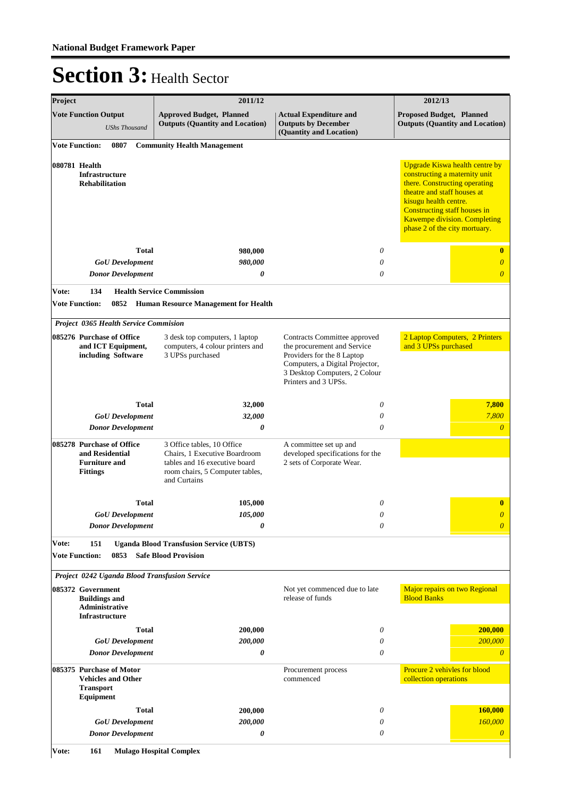| Project                        |                                                                                         |                                          | 2011/12                                                                                                                                         |                                                                                                                                                                                       | 2012/13                                                                                                                                                                                                                                                          |
|--------------------------------|-----------------------------------------------------------------------------------------|------------------------------------------|-------------------------------------------------------------------------------------------------------------------------------------------------|---------------------------------------------------------------------------------------------------------------------------------------------------------------------------------------|------------------------------------------------------------------------------------------------------------------------------------------------------------------------------------------------------------------------------------------------------------------|
|                                | <b>Vote Function Output</b>                                                             | <b>UShs Thousand</b>                     | <b>Approved Budget, Planned</b><br><b>Outputs (Quantity and Location)</b>                                                                       | <b>Actual Expenditure and</b><br><b>Outputs by December</b><br>(Quantity and Location)                                                                                                | <b>Proposed Budget, Planned</b><br><b>Outputs (Quantity and Location)</b>                                                                                                                                                                                        |
| <b>Vote Function:</b>          |                                                                                         | 0807                                     | <b>Community Health Management</b>                                                                                                              |                                                                                                                                                                                       |                                                                                                                                                                                                                                                                  |
| 080781 Health                  | <b>Infrastructure</b><br><b>Rehabilitation</b>                                          |                                          |                                                                                                                                                 |                                                                                                                                                                                       | Upgrade Kiswa health centre by<br>constructing a maternity unit<br>there. Constructing operating<br>theatre and staff houses at<br>kisugu health centre.<br>Constructing staff houses in<br><b>Kawempe division. Completing</b><br>phase 2 of the city mortuary. |
|                                |                                                                                         | <b>Total</b>                             | 980,000                                                                                                                                         | 0                                                                                                                                                                                     | $\bf{0}$                                                                                                                                                                                                                                                         |
|                                |                                                                                         | <b>GoU</b> Development                   | 980,000                                                                                                                                         | $\theta$                                                                                                                                                                              | $\overline{\theta}$                                                                                                                                                                                                                                              |
|                                |                                                                                         | <b>Donor Development</b>                 | 0                                                                                                                                               | $\theta$                                                                                                                                                                              | $\overline{\theta}$                                                                                                                                                                                                                                              |
| Vote:                          | 134<br><b>Vote Function:</b>                                                            | 0852                                     | <b>Health Service Commission</b><br><b>Human Resource Management for Health</b>                                                                 |                                                                                                                                                                                       |                                                                                                                                                                                                                                                                  |
|                                |                                                                                         | Project 0365 Health Service Commision    |                                                                                                                                                 |                                                                                                                                                                                       |                                                                                                                                                                                                                                                                  |
|                                | 085276 Purchase of Office                                                               | and ICT Equipment,<br>including Software | 3 desk top computers, 1 laptop<br>computers, 4 colour printers and<br>3 UPSs purchased                                                          | Contracts Committee approved<br>the procurement and Service<br>Providers for the 8 Laptop<br>Computers, a Digital Projector,<br>3 Desktop Computers, 2 Colour<br>Printers and 3 UPSs. | 2 Laptop Computers, 2 Printers<br>and 3 UPSs purchased                                                                                                                                                                                                           |
|                                |                                                                                         | <b>Total</b>                             | 32,000                                                                                                                                          | 0                                                                                                                                                                                     | 7,800                                                                                                                                                                                                                                                            |
|                                |                                                                                         | <b>GoU</b> Development                   | 32,000                                                                                                                                          | $\theta$                                                                                                                                                                              | 7,800                                                                                                                                                                                                                                                            |
|                                |                                                                                         | <b>Donor Development</b>                 | 0                                                                                                                                               | $\theta$                                                                                                                                                                              | $\overline{0}$                                                                                                                                                                                                                                                   |
|                                | 085278 Purchase of Office<br>and Residential<br><b>Furniture and</b><br><b>Fittings</b> |                                          | 3 Office tables, 10 Office<br>Chairs, 1 Executive Boardroom<br>tables and 16 executive board<br>room chairs, 5 Computer tables,<br>and Curtains | A committee set up and<br>developed specifications for the<br>2 sets of Corporate Wear.                                                                                               |                                                                                                                                                                                                                                                                  |
|                                |                                                                                         | <b>Total</b>                             | 105,000                                                                                                                                         | 0                                                                                                                                                                                     | $\bf{0}$                                                                                                                                                                                                                                                         |
|                                |                                                                                         | <b>GoU</b> Development                   | <i><b>105,000</b></i>                                                                                                                           | 0                                                                                                                                                                                     | $\overline{\mathbf{0}}$                                                                                                                                                                                                                                          |
|                                |                                                                                         | <b>Donor Development</b>                 | 0                                                                                                                                               | $\theta$                                                                                                                                                                              | $\overline{\theta}$                                                                                                                                                                                                                                              |
| Vote:<br><b>Vote Function:</b> | 151                                                                                     | 0853                                     | <b>Uganda Blood Transfusion Service (UBTS)</b><br><b>Safe Blood Provision</b>                                                                   |                                                                                                                                                                                       |                                                                                                                                                                                                                                                                  |
|                                |                                                                                         |                                          | Project 0242 Uganda Blood Transfusion Service                                                                                                   |                                                                                                                                                                                       |                                                                                                                                                                                                                                                                  |
|                                | 085372 Government<br><b>Buildings and</b><br>Administrative<br><b>Infrastructure</b>    |                                          |                                                                                                                                                 | Not yet commenced due to late<br>release of funds                                                                                                                                     | Major repairs on two Regional<br><b>Blood Banks</b>                                                                                                                                                                                                              |
|                                |                                                                                         | <b>Total</b>                             | 200,000                                                                                                                                         | 0                                                                                                                                                                                     | 200,000                                                                                                                                                                                                                                                          |
|                                |                                                                                         | <b>GoU</b> Development                   | 200,000                                                                                                                                         | 0                                                                                                                                                                                     | 200,000                                                                                                                                                                                                                                                          |
|                                |                                                                                         | <b>Donor Development</b>                 | 0                                                                                                                                               | $\theta$                                                                                                                                                                              | $\overline{\theta}$                                                                                                                                                                                                                                              |
|                                | 085375 Purchase of Motor<br><b>Transport</b><br><b>Equipment</b>                        | <b>Vehicles and Other</b>                |                                                                                                                                                 | Procurement process<br>commenced                                                                                                                                                      | Procure 2 vehivles for blood<br>collection operations                                                                                                                                                                                                            |
|                                |                                                                                         | <b>Total</b>                             | 200,000                                                                                                                                         | 0                                                                                                                                                                                     | <b>160,000</b>                                                                                                                                                                                                                                                   |
|                                |                                                                                         | <b>GoU</b> Development                   | 200,000                                                                                                                                         | $\theta$                                                                                                                                                                              | 160,000                                                                                                                                                                                                                                                          |
|                                |                                                                                         | <b>Donor Development</b>                 | 0                                                                                                                                               | 0                                                                                                                                                                                     | $\boldsymbol{\theta}$                                                                                                                                                                                                                                            |
| Vote:                          | 161                                                                                     |                                          | <b>Mulago Hospital Complex</b>                                                                                                                  |                                                                                                                                                                                       |                                                                                                                                                                                                                                                                  |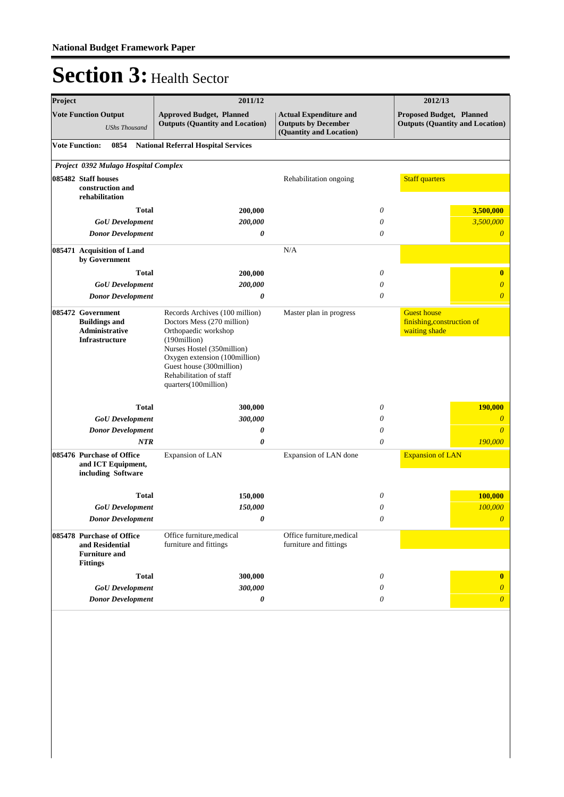| Project               |                                                                                         | 2011/12                                                                                                                                                                                                                                            |                                                                                        | 2012/13  |                                                                    |  |
|-----------------------|-----------------------------------------------------------------------------------------|----------------------------------------------------------------------------------------------------------------------------------------------------------------------------------------------------------------------------------------------------|----------------------------------------------------------------------------------------|----------|--------------------------------------------------------------------|--|
|                       | <b>Vote Function Output</b><br><b>UShs Thousand</b>                                     | <b>Approved Budget, Planned</b><br><b>Outputs (Quantity and Location)</b>                                                                                                                                                                          | <b>Actual Expenditure and</b><br><b>Outputs by December</b><br>(Quantity and Location) |          | Proposed Budget, Planned<br><b>Outputs (Quantity and Location)</b> |  |
| <b>Vote Function:</b> | 0854                                                                                    | <b>National Referral Hospital Services</b>                                                                                                                                                                                                         |                                                                                        |          |                                                                    |  |
|                       | Project 0392 Mulago Hospital Complex                                                    |                                                                                                                                                                                                                                                    |                                                                                        |          |                                                                    |  |
|                       | 085482 Staff houses<br>construction and<br>rehabilitation                               |                                                                                                                                                                                                                                                    | Rehabilitation ongoing                                                                 |          | <b>Staff quarters</b>                                              |  |
|                       | <b>Total</b>                                                                            | 200,000                                                                                                                                                                                                                                            |                                                                                        | $\theta$ | 3,500,000                                                          |  |
|                       | <b>GoU</b> Development                                                                  | 200,000                                                                                                                                                                                                                                            |                                                                                        | $\theta$ | 3,500,000                                                          |  |
|                       | <b>Donor Development</b>                                                                | 0                                                                                                                                                                                                                                                  |                                                                                        | $\theta$ | $\boldsymbol{\theta}$                                              |  |
|                       | 085471 Acquisition of Land<br>by Government                                             |                                                                                                                                                                                                                                                    | N/A                                                                                    |          |                                                                    |  |
|                       | <b>Total</b>                                                                            | 200,000                                                                                                                                                                                                                                            |                                                                                        | $\theta$ | $\bf{0}$                                                           |  |
|                       | <b>GoU</b> Development                                                                  | 200,000                                                                                                                                                                                                                                            |                                                                                        | $\theta$ | $\boldsymbol{\theta}$                                              |  |
|                       | <b>Donor Development</b>                                                                | 0                                                                                                                                                                                                                                                  |                                                                                        | $\theta$ | $\overline{0}$                                                     |  |
|                       | 085472 Government<br><b>Buildings and</b><br><b>Administrative</b><br>Infrastructure    | Records Archives (100 million)<br>Doctors Mess (270 million)<br>Orthopaedic workshop<br>(190million)<br>Nurses Hostel (350million)<br>Oxygen extension (100million)<br>Guest house (300million)<br>Rehabilitation of staff<br>quarters(100million) | Master plan in progress                                                                |          | <b>Guest house</b><br>finishing, construction of<br>waiting shade  |  |
|                       | <b>Total</b>                                                                            | 300,000                                                                                                                                                                                                                                            |                                                                                        | 0        | 190,000                                                            |  |
|                       | <b>GoU</b> Development                                                                  | 300,000                                                                                                                                                                                                                                            |                                                                                        | 0        | $\overline{0}$                                                     |  |
|                       | <b>Donor Development</b>                                                                | 0                                                                                                                                                                                                                                                  |                                                                                        | $\theta$ | $\theta$                                                           |  |
|                       | NTR                                                                                     | 0                                                                                                                                                                                                                                                  |                                                                                        | $\theta$ | 190,000                                                            |  |
|                       | 085476 Purchase of Office<br>and ICT Equipment,<br>including Software                   | Expansion of LAN                                                                                                                                                                                                                                   | Expansion of LAN done                                                                  |          | <b>Expansion of LAN</b>                                            |  |
|                       | Total                                                                                   | 150,000                                                                                                                                                                                                                                            |                                                                                        | $\theta$ | <b>100,000</b>                                                     |  |
|                       | <b>GoU</b> Development                                                                  | 150,000                                                                                                                                                                                                                                            |                                                                                        | $\theta$ | 100,000                                                            |  |
|                       | <b>Donor Development</b>                                                                | 0                                                                                                                                                                                                                                                  |                                                                                        | 0        | 0                                                                  |  |
|                       | 085478 Purchase of Office<br>and Residential<br><b>Furniture and</b><br><b>Fittings</b> | Office furniture, medical<br>furniture and fittings                                                                                                                                                                                                | Office furniture, medical<br>furniture and fittings                                    |          |                                                                    |  |
|                       | <b>Total</b>                                                                            | 300,000                                                                                                                                                                                                                                            |                                                                                        | 0        | $\bf{0}$                                                           |  |
|                       | <b>GoU</b> Development                                                                  | 300,000                                                                                                                                                                                                                                            |                                                                                        | $\theta$ | $\overline{0}$                                                     |  |
|                       | <b>Donor Development</b>                                                                | 0                                                                                                                                                                                                                                                  |                                                                                        | 0        | $\boldsymbol{\theta}$                                              |  |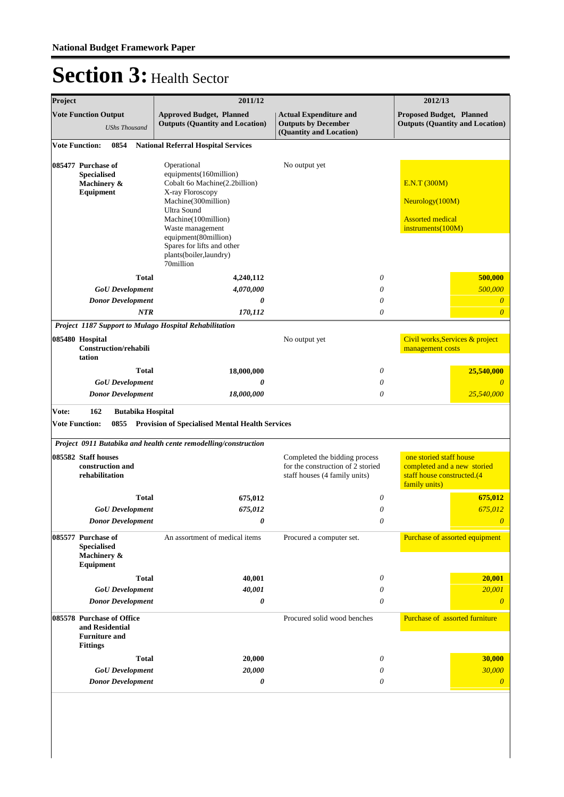| Project |                                                                      | 2011/12                                                                                                                              |                                                                                                     | 2012/13                                                                                               |
|---------|----------------------------------------------------------------------|--------------------------------------------------------------------------------------------------------------------------------------|-----------------------------------------------------------------------------------------------------|-------------------------------------------------------------------------------------------------------|
|         | <b>Vote Function Output</b><br><b>UShs Thousand</b>                  | <b>Approved Budget, Planned</b><br><b>Outputs (Quantity and Location)</b>                                                            | <b>Actual Expenditure and</b><br><b>Outputs by December</b><br>(Quantity and Location)              | Proposed Budget, Planned<br><b>Outputs (Quantity and Location)</b>                                    |
|         | 0854<br><b>Vote Function:</b>                                        | <b>National Referral Hospital Services</b>                                                                                           |                                                                                                     |                                                                                                       |
|         | 085477 Purchase of<br><b>Specialised</b>                             | Operational<br>equipments(160million)                                                                                                | No output yet                                                                                       |                                                                                                       |
|         | Machinery &<br>Equipment                                             | Cobalt 60 Machine(2.2billion)<br>X-ray Floroscopy                                                                                    |                                                                                                     | E.N.T(300M)                                                                                           |
|         |                                                                      | Machine(300million)<br>Ultra Sound                                                                                                   |                                                                                                     | Neurology(100M)                                                                                       |
|         |                                                                      | Machine(100million)<br>Waste management<br>equipment(80million)<br>Spares for lifts and other<br>plants(boiler,laundry)<br>70million |                                                                                                     | <b>Assorted</b> medical<br>instruments(100M)                                                          |
|         | Total                                                                | 4,240,112                                                                                                                            | $\theta$                                                                                            | 500,000                                                                                               |
|         | <b>GoU</b> Development                                               | 4,070,000                                                                                                                            | 0                                                                                                   | 500,000                                                                                               |
|         | <b>Donor Development</b>                                             | 0                                                                                                                                    | 0                                                                                                   | $\theta$                                                                                              |
|         | <b>NTR</b>                                                           | 170,112                                                                                                                              | 0                                                                                                   | $\overline{\theta}$                                                                                   |
|         | 085480 Hospital<br>Construction/rehabili<br>tation                   | Project 1187 Support to Mulago Hospital Rehabilitation                                                                               | No output yet                                                                                       | Civil works, Services & project<br>management costs                                                   |
|         | Total                                                                | 18,000,000                                                                                                                           | 0                                                                                                   | 25,540,000                                                                                            |
|         | <b>GoU</b> Development                                               | 0                                                                                                                                    | 0                                                                                                   |                                                                                                       |
|         | <b>Donor Development</b>                                             | 18,000,000                                                                                                                           | 0                                                                                                   | 25,540,000                                                                                            |
| Vote:   | 162<br><b>Butabika Hospital</b><br><b>Vote Function:</b><br>0855     | <b>Provision of Specialised Mental Health Services</b>                                                                               |                                                                                                     |                                                                                                       |
|         |                                                                      | Project 0911 Butabika and health cente remodelling/construction                                                                      |                                                                                                     |                                                                                                       |
|         | 085582 Staff houses<br>construction and<br>rehabilitation            |                                                                                                                                      | Completed the bidding process<br>for the construction of 2 storied<br>staff houses (4 family units) | one storied staff house<br>completed and a new storied<br>staff house constructed.(4<br>family units) |
|         | <b>Total</b>                                                         | 675,012                                                                                                                              | 0                                                                                                   | 675,012                                                                                               |
|         | <b>GoU</b> Development                                               | 675,012                                                                                                                              | 0                                                                                                   | 675,012                                                                                               |
|         | <b>Donor Development</b>                                             | 0                                                                                                                                    | $\theta$                                                                                            | $\theta$                                                                                              |
|         | 085577 Purchase of<br><b>Specialised</b><br>Machinery &<br>Equipment | An assortment of medical items                                                                                                       | Procured a computer set.                                                                            | Purchase of assorted equipment                                                                        |
|         | Total                                                                | 40,001                                                                                                                               | 0                                                                                                   | 20,001                                                                                                |
|         | <b>GoU</b> Development                                               | 40,001                                                                                                                               | 0                                                                                                   | 20,001                                                                                                |
|         | <b>Donor Development</b>                                             | 0                                                                                                                                    | 0                                                                                                   | $\overline{0}$                                                                                        |
|         | 085578 Purchase of Office<br>and Residential<br><b>Furniture and</b> |                                                                                                                                      | Procured solid wood benches                                                                         | Purchase of assorted furniture                                                                        |
|         | <b>Fittings</b>                                                      |                                                                                                                                      |                                                                                                     |                                                                                                       |
|         | Total                                                                | 20,000                                                                                                                               | 0                                                                                                   | 30,000                                                                                                |
|         | <b>GoU</b> Development<br><b>Donor Development</b>                   | 20,000<br>0                                                                                                                          | 0<br>0                                                                                              | 30,000<br>$\boldsymbol{\theta}$                                                                       |
|         |                                                                      |                                                                                                                                      |                                                                                                     |                                                                                                       |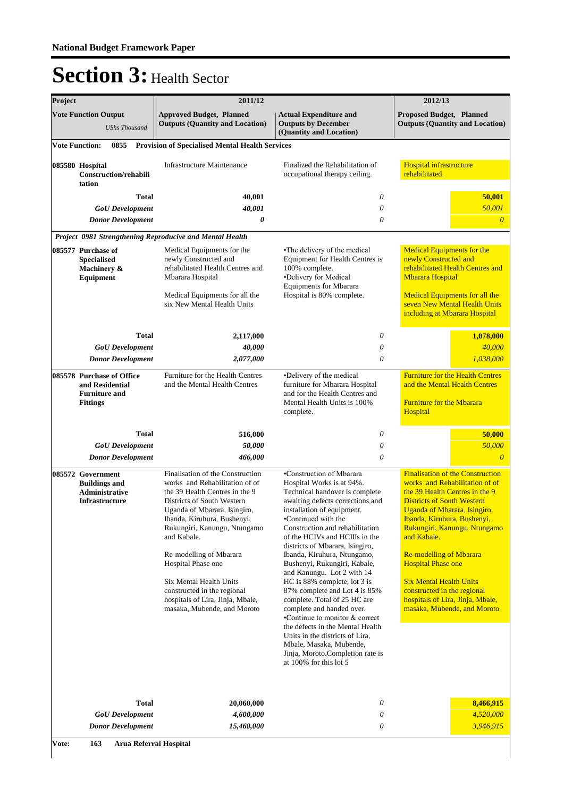| Project |                                                                                                                                                              | 2011/12                                                                                                                                                                                                                                                                                                                                                                                                                        | 2012/13                                                                                                                                                                                                                                                                                                                                                                                                                                                                                                                                                                                                                                                                                                               |                                                                                                                                                                                                                                                                                                                                                                                                                                                                   |  |
|---------|--------------------------------------------------------------------------------------------------------------------------------------------------------------|--------------------------------------------------------------------------------------------------------------------------------------------------------------------------------------------------------------------------------------------------------------------------------------------------------------------------------------------------------------------------------------------------------------------------------|-----------------------------------------------------------------------------------------------------------------------------------------------------------------------------------------------------------------------------------------------------------------------------------------------------------------------------------------------------------------------------------------------------------------------------------------------------------------------------------------------------------------------------------------------------------------------------------------------------------------------------------------------------------------------------------------------------------------------|-------------------------------------------------------------------------------------------------------------------------------------------------------------------------------------------------------------------------------------------------------------------------------------------------------------------------------------------------------------------------------------------------------------------------------------------------------------------|--|
|         | <b>Vote Function Output</b><br><b>UShs Thousand</b>                                                                                                          | <b>Approved Budget, Planned</b><br><b>Outputs (Quantity and Location)</b>                                                                                                                                                                                                                                                                                                                                                      | <b>Actual Expenditure and</b><br><b>Outputs by December</b><br>(Quantity and Location)                                                                                                                                                                                                                                                                                                                                                                                                                                                                                                                                                                                                                                | <b>Proposed Budget, Planned</b><br><b>Outputs (Quantity and Location)</b>                                                                                                                                                                                                                                                                                                                                                                                         |  |
|         | <b>Vote Function:</b><br>0855                                                                                                                                | <b>Provision of Specialised Mental Health Services</b>                                                                                                                                                                                                                                                                                                                                                                         |                                                                                                                                                                                                                                                                                                                                                                                                                                                                                                                                                                                                                                                                                                                       |                                                                                                                                                                                                                                                                                                                                                                                                                                                                   |  |
|         | 085580 Hospital<br>Construction/rehabili<br>tation                                                                                                           | <b>Infrastructure Maintenance</b>                                                                                                                                                                                                                                                                                                                                                                                              | Finalized the Rehabilitation of<br>occupational therapy ceiling.                                                                                                                                                                                                                                                                                                                                                                                                                                                                                                                                                                                                                                                      | Hospital infrastructure<br>rehabilitated.                                                                                                                                                                                                                                                                                                                                                                                                                         |  |
|         | <b>Total</b><br><b>GoU</b> Development                                                                                                                       | 40,001<br>40,001                                                                                                                                                                                                                                                                                                                                                                                                               | 0<br>0                                                                                                                                                                                                                                                                                                                                                                                                                                                                                                                                                                                                                                                                                                                | 50,001<br>50,001                                                                                                                                                                                                                                                                                                                                                                                                                                                  |  |
|         | <b>Donor Development</b>                                                                                                                                     | $\boldsymbol{\theta}$                                                                                                                                                                                                                                                                                                                                                                                                          | $\theta$                                                                                                                                                                                                                                                                                                                                                                                                                                                                                                                                                                                                                                                                                                              | $\overline{0}$                                                                                                                                                                                                                                                                                                                                                                                                                                                    |  |
|         |                                                                                                                                                              | Project 0981 Strengthening Reproducive and Mental Health                                                                                                                                                                                                                                                                                                                                                                       |                                                                                                                                                                                                                                                                                                                                                                                                                                                                                                                                                                                                                                                                                                                       |                                                                                                                                                                                                                                                                                                                                                                                                                                                                   |  |
|         | 085577 Purchase of<br><b>Specialised</b><br>Machinery &<br><b>Equipment</b>                                                                                  | Medical Equipments for the<br>newly Constructed and<br>rehabilitated Health Centres and<br>Mbarara Hospital<br>Medical Equipments for all the<br>six New Mental Health Units                                                                                                                                                                                                                                                   | •The delivery of the medical<br>Equipment for Health Centres is<br>100% complete.<br>•Delivery for Medical<br><b>Equipments for Mbarara</b><br>Hospital is 80% complete.                                                                                                                                                                                                                                                                                                                                                                                                                                                                                                                                              | <b>Medical Equipments for the</b><br>newly Constructed and<br>rehabilitated Health Centres and<br><b>Mbarara Hospital</b><br><b>Medical Equipments for all the</b><br>seven New Mental Health Units<br>including at Mbarara Hospital                                                                                                                                                                                                                              |  |
|         | <b>Total</b>                                                                                                                                                 | 2,117,000                                                                                                                                                                                                                                                                                                                                                                                                                      | 0                                                                                                                                                                                                                                                                                                                                                                                                                                                                                                                                                                                                                                                                                                                     | 1,078,000                                                                                                                                                                                                                                                                                                                                                                                                                                                         |  |
|         | <b>GoU</b> Development<br><b>Donor Development</b>                                                                                                           | 40,000<br>2,077,000                                                                                                                                                                                                                                                                                                                                                                                                            | $\theta$<br>$\theta$                                                                                                                                                                                                                                                                                                                                                                                                                                                                                                                                                                                                                                                                                                  | 40,000<br>1,038,000                                                                                                                                                                                                                                                                                                                                                                                                                                               |  |
|         | 085578 Purchase of Office<br>Furniture for the Health Centres<br>and Residential<br>and the Mental Health Centres<br><b>Furniture and</b><br><b>Fittings</b> |                                                                                                                                                                                                                                                                                                                                                                                                                                | •Delivery of the medical<br>furniture for Mbarara Hospital<br>and for the Health Centres and<br>Mental Health Units is 100%<br>complete.                                                                                                                                                                                                                                                                                                                                                                                                                                                                                                                                                                              | <b>Furniture for the Health Centres</b><br>and the Mental Health Centres<br><b>Furniture for the Mbarara</b><br>Hospital                                                                                                                                                                                                                                                                                                                                          |  |
|         | <b>Total</b>                                                                                                                                                 | 516,000                                                                                                                                                                                                                                                                                                                                                                                                                        | 0                                                                                                                                                                                                                                                                                                                                                                                                                                                                                                                                                                                                                                                                                                                     | 50,000                                                                                                                                                                                                                                                                                                                                                                                                                                                            |  |
|         | <b>GoU</b> Development                                                                                                                                       | 50,000                                                                                                                                                                                                                                                                                                                                                                                                                         | $\theta$                                                                                                                                                                                                                                                                                                                                                                                                                                                                                                                                                                                                                                                                                                              | 50,000                                                                                                                                                                                                                                                                                                                                                                                                                                                            |  |
|         | <b>Donor Development</b>                                                                                                                                     | 466,000                                                                                                                                                                                                                                                                                                                                                                                                                        | $\theta$                                                                                                                                                                                                                                                                                                                                                                                                                                                                                                                                                                                                                                                                                                              | $\theta$                                                                                                                                                                                                                                                                                                                                                                                                                                                          |  |
|         | 085572 Government<br><b>Buildings and</b><br>Administrative<br>Infrastructure                                                                                | Finalisation of the Construction<br>works and Rehabilitation of of<br>the 39 Health Centres in the 9<br>Districts of South Western<br>Uganda of Mbarara, Isingiro,<br>Ibanda, Kiruhura, Bushenyi,<br>Rukungiri, Kanungu, Ntungamo<br>and Kabale.<br>Re-modelling of Mbarara<br>Hospital Phase one<br>Six Mental Health Units<br>constructed in the regional<br>hospitals of Lira, Jinja, Mbale,<br>masaka, Mubende, and Moroto | •Construction of Mbarara<br>Hospital Works is at 94%.<br>Technical handover is complete<br>awaiting defects corrections and<br>installation of equipment.<br>•Continued with the<br>Construction and rehabilitation<br>of the HCIVs and HCIIIs in the<br>districts of Mbarara, Isingiro,<br>Ibanda, Kiruhura, Ntungamo,<br>Bushenyi, Rukungiri, Kabale,<br>and Kanungu. Lot 2 with 14<br>HC is 88% complete, lot 3 is<br>87% complete and Lot 4 is 85%<br>complete. Total of 25 HC are<br>complete and handed over.<br>•Continue to monitor & correct<br>the defects in the Mental Health<br>Units in the districts of Lira,<br>Mbale, Masaka, Mubende,<br>Jinja, Moroto.Completion rate is<br>at 100% for this lot 5 | <b>Finalisation of the Construction</b><br>works and Rehabilitation of of<br>the 39 Health Centres in the 9<br><b>Districts of South Western</b><br>Uganda of Mbarara, Isingiro,<br>Ibanda, Kiruhura, Bushenyi,<br>Rukungiri, Kanungu, Ntungamo<br>and Kabale.<br><b>Re-modelling of Mbarara</b><br><b>Hospital Phase one</b><br><b>Six Mental Health Units</b><br>constructed in the regional<br>hospitals of Lira, Jinja, Mbale,<br>masaka, Mubende, and Moroto |  |
| Vote:   | <b>Total</b><br><b>GoU</b> Development<br><b>Donor Development</b><br>163<br><b>Arua Referral Hospital</b>                                                   | 20,060,000<br>4,600,000<br>15,460,000                                                                                                                                                                                                                                                                                                                                                                                          | 0<br>0<br>0                                                                                                                                                                                                                                                                                                                                                                                                                                                                                                                                                                                                                                                                                                           | 8,466,915<br>4,520,000<br>3,946,915                                                                                                                                                                                                                                                                                                                                                                                                                               |  |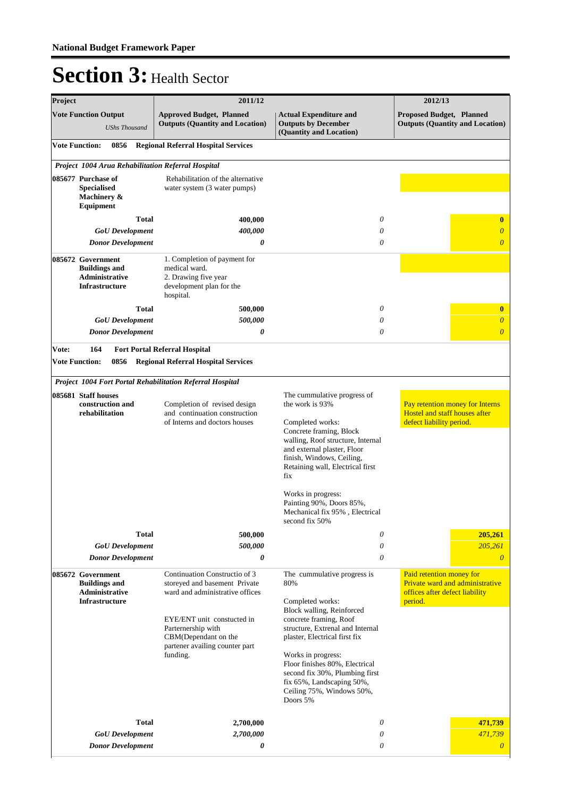| Project |                                                                                                                         | 2011/12                                                                                                                                                                                                                          |                                                                                                                                                                                                                                                                                                                                                                                                                                                                | 2012/13                                                                                      |
|---------|-------------------------------------------------------------------------------------------------------------------------|----------------------------------------------------------------------------------------------------------------------------------------------------------------------------------------------------------------------------------|----------------------------------------------------------------------------------------------------------------------------------------------------------------------------------------------------------------------------------------------------------------------------------------------------------------------------------------------------------------------------------------------------------------------------------------------------------------|----------------------------------------------------------------------------------------------|
|         | <b>Vote Function Output</b><br><b>UShs Thousand</b>                                                                     | <b>Approved Budget, Planned</b><br><b>Outputs (Quantity and Location)</b>                                                                                                                                                        | <b>Actual Expenditure and</b><br><b>Outputs by December</b><br>(Quantity and Location)                                                                                                                                                                                                                                                                                                                                                                         | <b>Proposed Budget, Planned</b><br><b>Outputs (Quantity and Location)</b>                    |
|         | <b>Vote Function:</b><br>0856                                                                                           | <b>Regional Referral Hospital Services</b>                                                                                                                                                                                       |                                                                                                                                                                                                                                                                                                                                                                                                                                                                |                                                                                              |
|         | Project 1004 Arua Rehabilitation Referral Hospital                                                                      |                                                                                                                                                                                                                                  |                                                                                                                                                                                                                                                                                                                                                                                                                                                                |                                                                                              |
|         | 085677 Purchase of<br><b>Specialised</b><br>Machinery &<br>Equipment                                                    | Rehabilitation of the alternative<br>water system (3 water pumps)                                                                                                                                                                |                                                                                                                                                                                                                                                                                                                                                                                                                                                                |                                                                                              |
|         | <b>Total</b>                                                                                                            | 400,000                                                                                                                                                                                                                          | 0                                                                                                                                                                                                                                                                                                                                                                                                                                                              | $\bf{0}$                                                                                     |
|         | <b>GoU</b> Development                                                                                                  | 400,000                                                                                                                                                                                                                          | 0                                                                                                                                                                                                                                                                                                                                                                                                                                                              | $\overline{\theta}$                                                                          |
|         | <b>Donor Development</b>                                                                                                | 0                                                                                                                                                                                                                                | 0                                                                                                                                                                                                                                                                                                                                                                                                                                                              | $\overline{0}$                                                                               |
|         | 085672 Government<br><b>Buildings and</b><br><b>Administrative</b><br><b>Infrastructure</b>                             | 1. Completion of payment for<br>medical ward.<br>2. Drawing five year<br>development plan for the<br>hospital.                                                                                                                   |                                                                                                                                                                                                                                                                                                                                                                                                                                                                |                                                                                              |
|         | <b>Total</b>                                                                                                            | 500,000                                                                                                                                                                                                                          | 0                                                                                                                                                                                                                                                                                                                                                                                                                                                              | $\bf{0}$                                                                                     |
|         | <b>GoU</b> Development                                                                                                  | 500,000                                                                                                                                                                                                                          | 0                                                                                                                                                                                                                                                                                                                                                                                                                                                              | $\boldsymbol{\theta}$                                                                        |
|         | <b>Donor Development</b>                                                                                                | 0                                                                                                                                                                                                                                | 0                                                                                                                                                                                                                                                                                                                                                                                                                                                              | $\overline{0}$                                                                               |
| Vote:   | 164<br><b>Vote Function:</b><br>0856                                                                                    | <b>Fort Portal Referral Hospital</b><br><b>Regional Referral Hospital Services</b>                                                                                                                                               |                                                                                                                                                                                                                                                                                                                                                                                                                                                                |                                                                                              |
|         |                                                                                                                         | Project 1004 Fort Portal Rehabilitation Referral Hospital                                                                                                                                                                        |                                                                                                                                                                                                                                                                                                                                                                                                                                                                |                                                                                              |
|         | 085681 Staff houses<br>construction and<br>rehabilitation                                                               | Completion of revised design<br>and continuation construction<br>of Interns and doctors houses                                                                                                                                   | The cummulative progress of<br>the work is 93%<br>Completed works:<br>Concrete framing, Block<br>walling, Roof structure, Internal<br>and external plaster, Floor<br>finish, Windows, Ceiling,<br>Retaining wall, Electrical first<br>fix<br>Works in progress:<br>Painting 90%, Doors 85%,<br>Mechanical fix 95%, Electrical<br>second fix 50%                                                                                                                | Pay retention money for Interns<br>Hostel and staff houses after<br>defect liability period. |
|         | Total                                                                                                                   | 500,000                                                                                                                                                                                                                          | 0                                                                                                                                                                                                                                                                                                                                                                                                                                                              | 205,261                                                                                      |
|         | <b>GoU</b> Development                                                                                                  | 500,000                                                                                                                                                                                                                          | 0<br>$\theta$                                                                                                                                                                                                                                                                                                                                                                                                                                                  | 205,261<br>$\theta$                                                                          |
|         | <b>Donor Development</b><br>085672 Government<br><b>Buildings and</b><br><b>Administrative</b><br><b>Infrastructure</b> | 0<br>Continuation Constructio of 3<br>storeyed and basement Private<br>ward and administrative offices<br>EYE/ENT unit constucted in<br>Parternership with<br>CBM(Dependant on the<br>partener availing counter part<br>funding. | Paid retention money for<br>The cummulative progress is<br>Private ward and administrative<br>80%<br>offices after defect liability<br>Completed works:<br>period.<br>Block walling, Reinforced<br>concrete framing, Roof<br>structure, Extrenal and Internal<br>plaster, Electrical first fix<br>Works in progress:<br>Floor finishes 80%, Electrical<br>second fix 30%, Plumbing first<br>fix 65%, Landscaping 50%,<br>Ceiling 75%, Windows 50%,<br>Doors 5% |                                                                                              |
|         | <b>Total</b>                                                                                                            | 2,700,000                                                                                                                                                                                                                        | 0                                                                                                                                                                                                                                                                                                                                                                                                                                                              | 471,739                                                                                      |
|         | <b>GoU</b> Development                                                                                                  | 2,700,000                                                                                                                                                                                                                        | 0                                                                                                                                                                                                                                                                                                                                                                                                                                                              | 471,739                                                                                      |
|         | <b>Donor Development</b>                                                                                                | 0                                                                                                                                                                                                                                | 0                                                                                                                                                                                                                                                                                                                                                                                                                                                              | $\overline{0}$                                                                               |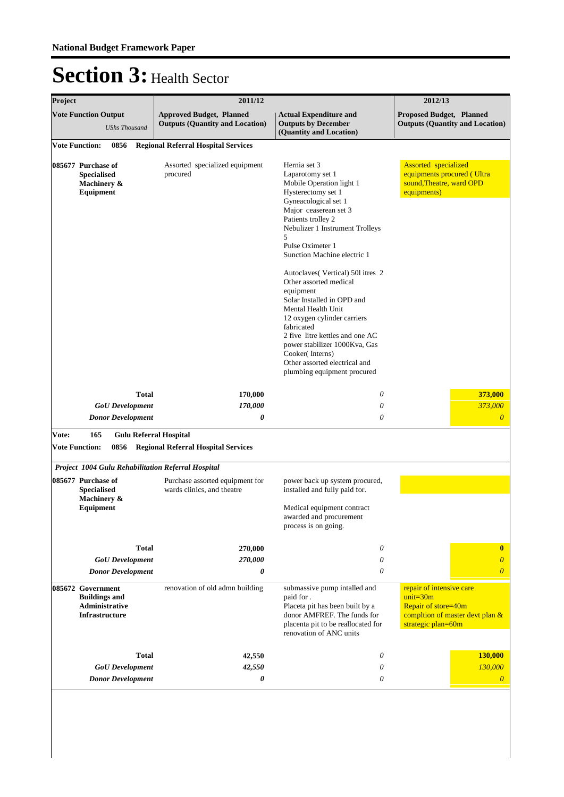| Project                                                                                               |                                                                                      |              | 2011/12                                                                   | 2012/13                                                                                                                                                                                                                                                                                                                                                                                                                                                                                                                                                                                  |                                                                                                                          |  |
|-------------------------------------------------------------------------------------------------------|--------------------------------------------------------------------------------------|--------------|---------------------------------------------------------------------------|------------------------------------------------------------------------------------------------------------------------------------------------------------------------------------------------------------------------------------------------------------------------------------------------------------------------------------------------------------------------------------------------------------------------------------------------------------------------------------------------------------------------------------------------------------------------------------------|--------------------------------------------------------------------------------------------------------------------------|--|
|                                                                                                       | <b>Vote Function Output</b><br><b>UShs Thousand</b>                                  |              | <b>Approved Budget, Planned</b><br><b>Outputs (Quantity and Location)</b> | <b>Actual Expenditure and</b><br><b>Outputs by December</b><br>(Quantity and Location)                                                                                                                                                                                                                                                                                                                                                                                                                                                                                                   | <b>Proposed Budget, Planned</b><br><b>Outputs (Quantity and Location)</b>                                                |  |
|                                                                                                       |                                                                                      |              | <b>Regional Referral Hospital Services</b>                                |                                                                                                                                                                                                                                                                                                                                                                                                                                                                                                                                                                                          |                                                                                                                          |  |
| <b>Vote Function:</b><br>0856<br>085677 Purchase of<br><b>Specialised</b><br>Machinery &<br>Equipment |                                                                                      |              | Assorted specialized equipment<br>procured                                | Hernia set 3<br>Laparotomy set 1<br>Mobile Operation light 1<br>Hysterectomy set 1<br>Gyneacological set 1<br>Major ceaserean set 3<br>Patients trolley 2<br>Nebulizer 1 Instrument Trolleys<br>5<br>Pulse Oximeter 1<br>Sunction Machine electric 1<br>Autoclaves (Vertical) 501 itres 2<br>Other assorted medical<br>equipment<br>Solar Installed in OPD and<br>Mental Health Unit<br>12 oxygen cylinder carriers<br>fabricated<br>2 five litre kettles and one AC<br>power stabilizer 1000Kva, Gas<br>Cooker(Interns)<br>Other assorted electrical and<br>plumbing equipment procured |                                                                                                                          |  |
|                                                                                                       |                                                                                      | <b>Total</b> | 170,000                                                                   | 0                                                                                                                                                                                                                                                                                                                                                                                                                                                                                                                                                                                        | 373,000                                                                                                                  |  |
|                                                                                                       | <b>GoU</b> Development                                                               |              | 170,000                                                                   | 0                                                                                                                                                                                                                                                                                                                                                                                                                                                                                                                                                                                        | 373,000                                                                                                                  |  |
|                                                                                                       | <b>Donor Development</b>                                                             |              | $\boldsymbol{\theta}$                                                     | $\theta$                                                                                                                                                                                                                                                                                                                                                                                                                                                                                                                                                                                 | $\boldsymbol{\theta}$                                                                                                    |  |
| Vote:                                                                                                 | 165                                                                                  |              | <b>Gulu Referral Hospital</b>                                             |                                                                                                                                                                                                                                                                                                                                                                                                                                                                                                                                                                                          |                                                                                                                          |  |
| <b>Vote Function:</b>                                                                                 | 0856                                                                                 |              | <b>Regional Referral Hospital Services</b>                                |                                                                                                                                                                                                                                                                                                                                                                                                                                                                                                                                                                                          |                                                                                                                          |  |
|                                                                                                       |                                                                                      |              | Project 1004 Gulu Rehabilitation Referral Hospital                        |                                                                                                                                                                                                                                                                                                                                                                                                                                                                                                                                                                                          |                                                                                                                          |  |
|                                                                                                       | 085677 Purchase of<br><b>Specialised</b><br>Machinery &<br>Equipment                 |              | Purchase assorted equipment for<br>wards clinics, and theatre             | power back up system procured,<br>installed and fully paid for.<br>Medical equipment contract<br>awarded and procurement<br>process is on going.                                                                                                                                                                                                                                                                                                                                                                                                                                         |                                                                                                                          |  |
|                                                                                                       |                                                                                      | <b>Total</b> | 270,000                                                                   | 0                                                                                                                                                                                                                                                                                                                                                                                                                                                                                                                                                                                        | $\bf{0}$                                                                                                                 |  |
|                                                                                                       | 270,000<br><b>GoU</b> Development                                                    |              | 0                                                                         | $\theta$                                                                                                                                                                                                                                                                                                                                                                                                                                                                                                                                                                                 |                                                                                                                          |  |
|                                                                                                       | <b>Donor Development</b>                                                             |              | 0                                                                         | 0                                                                                                                                                                                                                                                                                                                                                                                                                                                                                                                                                                                        | $\overline{0}$                                                                                                           |  |
|                                                                                                       | 085672 Government<br><b>Buildings and</b><br>Administrative<br><b>Infrastructure</b> |              | renovation of old admn building                                           | submassive pump intalled and<br>paid for.<br>Placeta pit has been built by a<br>donor AMFREF. The funds for<br>placenta pit to be reallocated for<br>renovation of ANC units                                                                                                                                                                                                                                                                                                                                                                                                             | repair of intensive care<br>$unit = 30m$<br>Repair of store=40m<br>compltion of master devt plan &<br>strategic plan=60m |  |
|                                                                                                       |                                                                                      |              | 42,550                                                                    | 0                                                                                                                                                                                                                                                                                                                                                                                                                                                                                                                                                                                        | 130,000                                                                                                                  |  |
| <b>Total</b><br><b>GoU</b> Development                                                                |                                                                                      |              | 42,550                                                                    | 0                                                                                                                                                                                                                                                                                                                                                                                                                                                                                                                                                                                        | 130,000                                                                                                                  |  |
| <b>Donor Development</b>                                                                              |                                                                                      |              |                                                                           |                                                                                                                                                                                                                                                                                                                                                                                                                                                                                                                                                                                          |                                                                                                                          |  |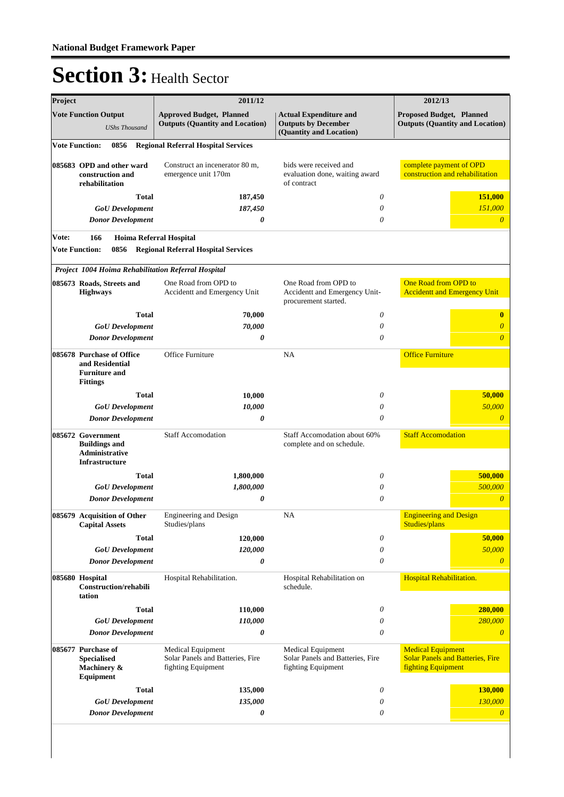| <b>Approved Budget, Planned</b><br><b>Actual Expenditure and</b><br><b>Proposed Budget, Planned</b><br><b>Outputs (Quantity and Location)</b><br><b>Outputs by December</b><br><b>Outputs (Quantity and Location)</b><br><b>UShs Thousand</b><br>(Quantity and Location)<br><b>Vote Function:</b><br>0856<br><b>Regional Referral Hospital Services</b><br>complete payment of OPD<br>Construct an incenerator 80 m,<br>bids were received and<br>085683 OPD and other ward<br>construction and rehabilitation<br>construction and<br>emergence unit 170m<br>evaluation done, waiting award<br>rehabilitation<br>of contract<br>151,000<br><b>Total</b><br>187,450<br>0<br>151,000<br>187,450<br>0<br><b>GoU</b> Development<br>0<br><b>Donor Development</b><br>0<br>0<br>Vote:<br>166<br>Hoima Referral Hospital<br><b>Vote Function:</b><br>0856<br><b>Regional Referral Hospital Services</b><br>Project 1004 Hoima Rehabilitation Referral Hospital<br>One Road from OPD to<br>One Road from OPD to<br>One Road from OPD to<br>085673 Roads, Streets and<br>Accidentt and Emergency Unit-<br><b>Accidentt and Emergency Unit</b><br><b>Highways</b><br>Accidentt and Emergency Unit<br>procurement started.<br><b>Total</b><br>70,000<br>0<br>$\bf{0}$<br><b>GoU</b> Development<br>70,000<br>0<br>0<br><b>Donor Development</b><br>0<br>$\theta$<br><b>Office Furniture</b><br>Office Furniture<br>NA<br>and Residential<br><b>Furniture and</b><br><b>Fittings</b><br><b>Total</b><br>0<br>50,000<br>10,000<br>50,000<br>0<br><b>GoU</b> Development<br>10,000<br><b>Donor Development</b><br>0<br>0<br><b>Staff Accomodation</b><br><b>Staff Accomodation</b><br>Staff Accomodation about 60%<br><b>Buildings and</b><br>complete and on schedule.<br>Administrative<br><b>Infrastructure</b><br>1,800,000<br>500,000<br><b>Total</b><br>0<br>500,000<br>1,800,000<br><b>GoU</b> Development<br>0<br>$\theta$<br><b>Donor Development</b><br>0<br><b>Engineering and Design</b><br>085679 Acquisition of Other<br>Engineering and Design<br><b>NA</b><br>Studies/plans<br>Studies/plans<br><b>Capital Assets</b><br>$\boldsymbol{\mathit{0}}$<br><b>Total</b><br>120,000<br>50,000<br>50,000<br><b>GoU</b> Development<br>120,000<br>$\boldsymbol{\mathit{0}}$<br>0<br>0<br><b>Donor Development</b><br>$\boldsymbol{\theta}$<br>Hospital Rehabilitation.<br>085680 Hospital<br>Hospital Rehabilitation.<br>Hospital Rehabilitation on<br>schedule.<br><b>Construction/rehabili</b><br>tation<br><b>Total</b><br>280,000<br>110,000<br>0<br>280,000<br><b>GoU</b> Development<br>110,000<br>0<br><b>Donor Development</b><br>0<br>$\theta$<br>$\theta$<br><b>Medical Equipment</b><br>Medical Equipment<br>Medical Equipment<br><b>Solar Panels and Batteries, Fire</b><br><b>Specialised</b><br>Solar Panels and Batteries, Fire<br>Solar Panels and Batteries, Fire<br>Machinery &<br>fighting Equipment<br>fighting Equipment<br><b>fighting Equipment</b><br><b>Equipment</b><br>130,000<br><b>Total</b><br>135,000<br>$\boldsymbol{\mathit{0}}$<br>130,000<br><b>GoU</b> Development<br>135,000<br>0<br><b>Donor Development</b><br>0<br>0<br>$\overline{0}$ | Project                     |  | 2011/12 | 2012/13 |
|---------------------------------------------------------------------------------------------------------------------------------------------------------------------------------------------------------------------------------------------------------------------------------------------------------------------------------------------------------------------------------------------------------------------------------------------------------------------------------------------------------------------------------------------------------------------------------------------------------------------------------------------------------------------------------------------------------------------------------------------------------------------------------------------------------------------------------------------------------------------------------------------------------------------------------------------------------------------------------------------------------------------------------------------------------------------------------------------------------------------------------------------------------------------------------------------------------------------------------------------------------------------------------------------------------------------------------------------------------------------------------------------------------------------------------------------------------------------------------------------------------------------------------------------------------------------------------------------------------------------------------------------------------------------------------------------------------------------------------------------------------------------------------------------------------------------------------------------------------------------------------------------------------------------------------------------------------------------------------------------------------------------------------------------------------------------------------------------------------------------------------------------------------------------------------------------------------------------------------------------------------------------------------------------------------------------------------------------------------------------------------------------------------------------------------------------------------------------------------------------------------------------------------------------------------------------------------------------------------------------------------------------------------------------------------------------------------------------------------------------------------------------------------------------------------------------------------------------------------------------------------------------------------------------------------------------------------------------------------------------------------------------------------------------------------------------------------------------------------------------------------------------------------------------------|-----------------------------|--|---------|---------|
|                                                                                                                                                                                                                                                                                                                                                                                                                                                                                                                                                                                                                                                                                                                                                                                                                                                                                                                                                                                                                                                                                                                                                                                                                                                                                                                                                                                                                                                                                                                                                                                                                                                                                                                                                                                                                                                                                                                                                                                                                                                                                                                                                                                                                                                                                                                                                                                                                                                                                                                                                                                                                                                                                                                                                                                                                                                                                                                                                                                                                                                                                                                                                                           | <b>Vote Function Output</b> |  |         |         |
|                                                                                                                                                                                                                                                                                                                                                                                                                                                                                                                                                                                                                                                                                                                                                                                                                                                                                                                                                                                                                                                                                                                                                                                                                                                                                                                                                                                                                                                                                                                                                                                                                                                                                                                                                                                                                                                                                                                                                                                                                                                                                                                                                                                                                                                                                                                                                                                                                                                                                                                                                                                                                                                                                                                                                                                                                                                                                                                                                                                                                                                                                                                                                                           |                             |  |         |         |
|                                                                                                                                                                                                                                                                                                                                                                                                                                                                                                                                                                                                                                                                                                                                                                                                                                                                                                                                                                                                                                                                                                                                                                                                                                                                                                                                                                                                                                                                                                                                                                                                                                                                                                                                                                                                                                                                                                                                                                                                                                                                                                                                                                                                                                                                                                                                                                                                                                                                                                                                                                                                                                                                                                                                                                                                                                                                                                                                                                                                                                                                                                                                                                           |                             |  |         |         |
|                                                                                                                                                                                                                                                                                                                                                                                                                                                                                                                                                                                                                                                                                                                                                                                                                                                                                                                                                                                                                                                                                                                                                                                                                                                                                                                                                                                                                                                                                                                                                                                                                                                                                                                                                                                                                                                                                                                                                                                                                                                                                                                                                                                                                                                                                                                                                                                                                                                                                                                                                                                                                                                                                                                                                                                                                                                                                                                                                                                                                                                                                                                                                                           |                             |  |         |         |
|                                                                                                                                                                                                                                                                                                                                                                                                                                                                                                                                                                                                                                                                                                                                                                                                                                                                                                                                                                                                                                                                                                                                                                                                                                                                                                                                                                                                                                                                                                                                                                                                                                                                                                                                                                                                                                                                                                                                                                                                                                                                                                                                                                                                                                                                                                                                                                                                                                                                                                                                                                                                                                                                                                                                                                                                                                                                                                                                                                                                                                                                                                                                                                           |                             |  |         |         |
|                                                                                                                                                                                                                                                                                                                                                                                                                                                                                                                                                                                                                                                                                                                                                                                                                                                                                                                                                                                                                                                                                                                                                                                                                                                                                                                                                                                                                                                                                                                                                                                                                                                                                                                                                                                                                                                                                                                                                                                                                                                                                                                                                                                                                                                                                                                                                                                                                                                                                                                                                                                                                                                                                                                                                                                                                                                                                                                                                                                                                                                                                                                                                                           |                             |  |         |         |
|                                                                                                                                                                                                                                                                                                                                                                                                                                                                                                                                                                                                                                                                                                                                                                                                                                                                                                                                                                                                                                                                                                                                                                                                                                                                                                                                                                                                                                                                                                                                                                                                                                                                                                                                                                                                                                                                                                                                                                                                                                                                                                                                                                                                                                                                                                                                                                                                                                                                                                                                                                                                                                                                                                                                                                                                                                                                                                                                                                                                                                                                                                                                                                           |                             |  |         |         |
|                                                                                                                                                                                                                                                                                                                                                                                                                                                                                                                                                                                                                                                                                                                                                                                                                                                                                                                                                                                                                                                                                                                                                                                                                                                                                                                                                                                                                                                                                                                                                                                                                                                                                                                                                                                                                                                                                                                                                                                                                                                                                                                                                                                                                                                                                                                                                                                                                                                                                                                                                                                                                                                                                                                                                                                                                                                                                                                                                                                                                                                                                                                                                                           |                             |  |         |         |
|                                                                                                                                                                                                                                                                                                                                                                                                                                                                                                                                                                                                                                                                                                                                                                                                                                                                                                                                                                                                                                                                                                                                                                                                                                                                                                                                                                                                                                                                                                                                                                                                                                                                                                                                                                                                                                                                                                                                                                                                                                                                                                                                                                                                                                                                                                                                                                                                                                                                                                                                                                                                                                                                                                                                                                                                                                                                                                                                                                                                                                                                                                                                                                           |                             |  |         |         |
|                                                                                                                                                                                                                                                                                                                                                                                                                                                                                                                                                                                                                                                                                                                                                                                                                                                                                                                                                                                                                                                                                                                                                                                                                                                                                                                                                                                                                                                                                                                                                                                                                                                                                                                                                                                                                                                                                                                                                                                                                                                                                                                                                                                                                                                                                                                                                                                                                                                                                                                                                                                                                                                                                                                                                                                                                                                                                                                                                                                                                                                                                                                                                                           |                             |  |         |         |
|                                                                                                                                                                                                                                                                                                                                                                                                                                                                                                                                                                                                                                                                                                                                                                                                                                                                                                                                                                                                                                                                                                                                                                                                                                                                                                                                                                                                                                                                                                                                                                                                                                                                                                                                                                                                                                                                                                                                                                                                                                                                                                                                                                                                                                                                                                                                                                                                                                                                                                                                                                                                                                                                                                                                                                                                                                                                                                                                                                                                                                                                                                                                                                           |                             |  |         |         |
|                                                                                                                                                                                                                                                                                                                                                                                                                                                                                                                                                                                                                                                                                                                                                                                                                                                                                                                                                                                                                                                                                                                                                                                                                                                                                                                                                                                                                                                                                                                                                                                                                                                                                                                                                                                                                                                                                                                                                                                                                                                                                                                                                                                                                                                                                                                                                                                                                                                                                                                                                                                                                                                                                                                                                                                                                                                                                                                                                                                                                                                                                                                                                                           |                             |  |         |         |
|                                                                                                                                                                                                                                                                                                                                                                                                                                                                                                                                                                                                                                                                                                                                                                                                                                                                                                                                                                                                                                                                                                                                                                                                                                                                                                                                                                                                                                                                                                                                                                                                                                                                                                                                                                                                                                                                                                                                                                                                                                                                                                                                                                                                                                                                                                                                                                                                                                                                                                                                                                                                                                                                                                                                                                                                                                                                                                                                                                                                                                                                                                                                                                           |                             |  |         |         |
|                                                                                                                                                                                                                                                                                                                                                                                                                                                                                                                                                                                                                                                                                                                                                                                                                                                                                                                                                                                                                                                                                                                                                                                                                                                                                                                                                                                                                                                                                                                                                                                                                                                                                                                                                                                                                                                                                                                                                                                                                                                                                                                                                                                                                                                                                                                                                                                                                                                                                                                                                                                                                                                                                                                                                                                                                                                                                                                                                                                                                                                                                                                                                                           | 085678 Purchase of Office   |  |         |         |
|                                                                                                                                                                                                                                                                                                                                                                                                                                                                                                                                                                                                                                                                                                                                                                                                                                                                                                                                                                                                                                                                                                                                                                                                                                                                                                                                                                                                                                                                                                                                                                                                                                                                                                                                                                                                                                                                                                                                                                                                                                                                                                                                                                                                                                                                                                                                                                                                                                                                                                                                                                                                                                                                                                                                                                                                                                                                                                                                                                                                                                                                                                                                                                           |                             |  |         |         |
|                                                                                                                                                                                                                                                                                                                                                                                                                                                                                                                                                                                                                                                                                                                                                                                                                                                                                                                                                                                                                                                                                                                                                                                                                                                                                                                                                                                                                                                                                                                                                                                                                                                                                                                                                                                                                                                                                                                                                                                                                                                                                                                                                                                                                                                                                                                                                                                                                                                                                                                                                                                                                                                                                                                                                                                                                                                                                                                                                                                                                                                                                                                                                                           |                             |  |         |         |
|                                                                                                                                                                                                                                                                                                                                                                                                                                                                                                                                                                                                                                                                                                                                                                                                                                                                                                                                                                                                                                                                                                                                                                                                                                                                                                                                                                                                                                                                                                                                                                                                                                                                                                                                                                                                                                                                                                                                                                                                                                                                                                                                                                                                                                                                                                                                                                                                                                                                                                                                                                                                                                                                                                                                                                                                                                                                                                                                                                                                                                                                                                                                                                           |                             |  |         |         |
|                                                                                                                                                                                                                                                                                                                                                                                                                                                                                                                                                                                                                                                                                                                                                                                                                                                                                                                                                                                                                                                                                                                                                                                                                                                                                                                                                                                                                                                                                                                                                                                                                                                                                                                                                                                                                                                                                                                                                                                                                                                                                                                                                                                                                                                                                                                                                                                                                                                                                                                                                                                                                                                                                                                                                                                                                                                                                                                                                                                                                                                                                                                                                                           | 085672 Government           |  |         |         |
|                                                                                                                                                                                                                                                                                                                                                                                                                                                                                                                                                                                                                                                                                                                                                                                                                                                                                                                                                                                                                                                                                                                                                                                                                                                                                                                                                                                                                                                                                                                                                                                                                                                                                                                                                                                                                                                                                                                                                                                                                                                                                                                                                                                                                                                                                                                                                                                                                                                                                                                                                                                                                                                                                                                                                                                                                                                                                                                                                                                                                                                                                                                                                                           |                             |  |         |         |
|                                                                                                                                                                                                                                                                                                                                                                                                                                                                                                                                                                                                                                                                                                                                                                                                                                                                                                                                                                                                                                                                                                                                                                                                                                                                                                                                                                                                                                                                                                                                                                                                                                                                                                                                                                                                                                                                                                                                                                                                                                                                                                                                                                                                                                                                                                                                                                                                                                                                                                                                                                                                                                                                                                                                                                                                                                                                                                                                                                                                                                                                                                                                                                           |                             |  |         |         |
|                                                                                                                                                                                                                                                                                                                                                                                                                                                                                                                                                                                                                                                                                                                                                                                                                                                                                                                                                                                                                                                                                                                                                                                                                                                                                                                                                                                                                                                                                                                                                                                                                                                                                                                                                                                                                                                                                                                                                                                                                                                                                                                                                                                                                                                                                                                                                                                                                                                                                                                                                                                                                                                                                                                                                                                                                                                                                                                                                                                                                                                                                                                                                                           |                             |  |         |         |
|                                                                                                                                                                                                                                                                                                                                                                                                                                                                                                                                                                                                                                                                                                                                                                                                                                                                                                                                                                                                                                                                                                                                                                                                                                                                                                                                                                                                                                                                                                                                                                                                                                                                                                                                                                                                                                                                                                                                                                                                                                                                                                                                                                                                                                                                                                                                                                                                                                                                                                                                                                                                                                                                                                                                                                                                                                                                                                                                                                                                                                                                                                                                                                           |                             |  |         |         |
|                                                                                                                                                                                                                                                                                                                                                                                                                                                                                                                                                                                                                                                                                                                                                                                                                                                                                                                                                                                                                                                                                                                                                                                                                                                                                                                                                                                                                                                                                                                                                                                                                                                                                                                                                                                                                                                                                                                                                                                                                                                                                                                                                                                                                                                                                                                                                                                                                                                                                                                                                                                                                                                                                                                                                                                                                                                                                                                                                                                                                                                                                                                                                                           |                             |  |         |         |
|                                                                                                                                                                                                                                                                                                                                                                                                                                                                                                                                                                                                                                                                                                                                                                                                                                                                                                                                                                                                                                                                                                                                                                                                                                                                                                                                                                                                                                                                                                                                                                                                                                                                                                                                                                                                                                                                                                                                                                                                                                                                                                                                                                                                                                                                                                                                                                                                                                                                                                                                                                                                                                                                                                                                                                                                                                                                                                                                                                                                                                                                                                                                                                           |                             |  |         |         |
|                                                                                                                                                                                                                                                                                                                                                                                                                                                                                                                                                                                                                                                                                                                                                                                                                                                                                                                                                                                                                                                                                                                                                                                                                                                                                                                                                                                                                                                                                                                                                                                                                                                                                                                                                                                                                                                                                                                                                                                                                                                                                                                                                                                                                                                                                                                                                                                                                                                                                                                                                                                                                                                                                                                                                                                                                                                                                                                                                                                                                                                                                                                                                                           |                             |  |         |         |
|                                                                                                                                                                                                                                                                                                                                                                                                                                                                                                                                                                                                                                                                                                                                                                                                                                                                                                                                                                                                                                                                                                                                                                                                                                                                                                                                                                                                                                                                                                                                                                                                                                                                                                                                                                                                                                                                                                                                                                                                                                                                                                                                                                                                                                                                                                                                                                                                                                                                                                                                                                                                                                                                                                                                                                                                                                                                                                                                                                                                                                                                                                                                                                           |                             |  |         |         |
|                                                                                                                                                                                                                                                                                                                                                                                                                                                                                                                                                                                                                                                                                                                                                                                                                                                                                                                                                                                                                                                                                                                                                                                                                                                                                                                                                                                                                                                                                                                                                                                                                                                                                                                                                                                                                                                                                                                                                                                                                                                                                                                                                                                                                                                                                                                                                                                                                                                                                                                                                                                                                                                                                                                                                                                                                                                                                                                                                                                                                                                                                                                                                                           |                             |  |         |         |
|                                                                                                                                                                                                                                                                                                                                                                                                                                                                                                                                                                                                                                                                                                                                                                                                                                                                                                                                                                                                                                                                                                                                                                                                                                                                                                                                                                                                                                                                                                                                                                                                                                                                                                                                                                                                                                                                                                                                                                                                                                                                                                                                                                                                                                                                                                                                                                                                                                                                                                                                                                                                                                                                                                                                                                                                                                                                                                                                                                                                                                                                                                                                                                           |                             |  |         |         |
|                                                                                                                                                                                                                                                                                                                                                                                                                                                                                                                                                                                                                                                                                                                                                                                                                                                                                                                                                                                                                                                                                                                                                                                                                                                                                                                                                                                                                                                                                                                                                                                                                                                                                                                                                                                                                                                                                                                                                                                                                                                                                                                                                                                                                                                                                                                                                                                                                                                                                                                                                                                                                                                                                                                                                                                                                                                                                                                                                                                                                                                                                                                                                                           |                             |  |         |         |
|                                                                                                                                                                                                                                                                                                                                                                                                                                                                                                                                                                                                                                                                                                                                                                                                                                                                                                                                                                                                                                                                                                                                                                                                                                                                                                                                                                                                                                                                                                                                                                                                                                                                                                                                                                                                                                                                                                                                                                                                                                                                                                                                                                                                                                                                                                                                                                                                                                                                                                                                                                                                                                                                                                                                                                                                                                                                                                                                                                                                                                                                                                                                                                           | 085677 Purchase of          |  |         |         |
|                                                                                                                                                                                                                                                                                                                                                                                                                                                                                                                                                                                                                                                                                                                                                                                                                                                                                                                                                                                                                                                                                                                                                                                                                                                                                                                                                                                                                                                                                                                                                                                                                                                                                                                                                                                                                                                                                                                                                                                                                                                                                                                                                                                                                                                                                                                                                                                                                                                                                                                                                                                                                                                                                                                                                                                                                                                                                                                                                                                                                                                                                                                                                                           |                             |  |         |         |
|                                                                                                                                                                                                                                                                                                                                                                                                                                                                                                                                                                                                                                                                                                                                                                                                                                                                                                                                                                                                                                                                                                                                                                                                                                                                                                                                                                                                                                                                                                                                                                                                                                                                                                                                                                                                                                                                                                                                                                                                                                                                                                                                                                                                                                                                                                                                                                                                                                                                                                                                                                                                                                                                                                                                                                                                                                                                                                                                                                                                                                                                                                                                                                           |                             |  |         |         |
|                                                                                                                                                                                                                                                                                                                                                                                                                                                                                                                                                                                                                                                                                                                                                                                                                                                                                                                                                                                                                                                                                                                                                                                                                                                                                                                                                                                                                                                                                                                                                                                                                                                                                                                                                                                                                                                                                                                                                                                                                                                                                                                                                                                                                                                                                                                                                                                                                                                                                                                                                                                                                                                                                                                                                                                                                                                                                                                                                                                                                                                                                                                                                                           |                             |  |         |         |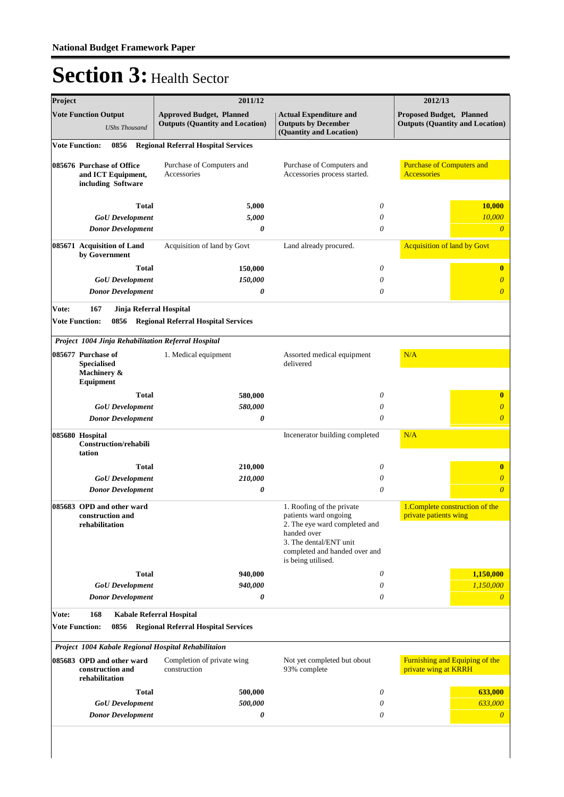| <b>Approved Budget, Planned</b><br><b>Actual Expenditure and</b><br>Proposed Budget, Planned<br><b>Outputs (Quantity and Location)</b><br><b>Outputs by December</b><br><b>Outputs (Quantity and Location)</b><br><b>UShs Thousand</b><br>(Quantity and Location)<br><b>Regional Referral Hospital Services</b><br><b>Vote Function:</b><br>0856<br><b>Purchase of Computers and</b><br>Purchase of Computers and<br>085676 Purchase of Office<br>Purchase of Computers and<br>and ICT Equipment,<br>Accessories<br>Accessories process started.<br>Accessories<br>including Software<br>Total<br>0<br>10,000<br>5,000<br><b>GoU</b> Development<br>5,000<br>10,000<br>0<br>0<br>$\theta$<br><b>Donor Development</b><br>0<br><b>Acquisition of land by Govt</b><br>Acquisition of land by Govt<br>085671 Acquisition of Land<br>Land already procured.<br>by Government<br>Total<br>0<br>150,000<br>$\bf{0}$<br>150,000<br><b>GoU</b> Development<br>0<br>$\overline{\theta}$<br><b>Donor Development</b><br>$\overline{\theta}$<br>0<br>0<br>167<br>Vote:<br>Jinja Referral Hospital<br><b>Vote Function:</b><br><b>Regional Referral Hospital Services</b><br>0856<br>Project 1004 Jinja Rehabilitation Referral Hospital<br>085677 Purchase of<br>N/A<br>1. Medical equipment<br>Assorted medical equipment<br><b>Specialised</b><br>delivered<br>Machinery &<br>Equipment<br><b>Total</b><br>580,000<br>0<br>$\bf{0}$<br>580,000<br>$\overline{\theta}$<br><b>GoU</b> Development<br>0<br>0<br>$\overline{\theta}$<br><b>Donor Development</b><br>0<br>N/A<br>085680 Hospital<br>Incenerator building completed<br><b>Construction/rehabili</b><br>tation<br>Total<br>210,000<br>0<br>$\bf{0}$<br><b>GoU</b> Development<br>210,000<br>0<br>$\overline{\theta}$<br>0<br>$\theta$<br><b>Donor Development</b><br>0<br>085683 OPD and other ward<br>1. Roofing of the private<br>1. Complete construction of the<br>patients ward ongoing<br>private patients wing<br>construction and<br>2. The eye ward completed and<br>rehabilitation<br>handed over<br>3. The dental/ENT unit<br>completed and handed over and<br>is being utilised.<br>1,150,000<br><b>Total</b><br>940,000<br>0<br>1,150,000<br>940,000<br><b>GoU</b> Development<br>0<br><b>Donor Development</b><br>0<br>0<br>$\overline{0}$<br>Vote:<br>168<br><b>Kabale Referral Hospital</b><br><b>Vote Function:</b><br><b>Regional Referral Hospital Services</b><br>0856<br>Project 1004 Kabale Regional Hospital Rehabilitaion<br>Furnishing and Equiping of the<br>085683 OPD and other ward<br>Completion of private wing<br>Not yet completed but obout<br>construction and<br>construction<br>93% complete<br>private wing at KRRH<br>rehabilitation<br>$\theta$<br>Total<br>500,000<br>633,000<br>633,000<br>500,000<br><b>GoU</b> Development<br>0<br><b>Donor Development</b><br>0<br>0<br>$\boldsymbol{\theta}$ | Project |                             | 2011/12 |  | 2012/13 |
|--------------------------------------------------------------------------------------------------------------------------------------------------------------------------------------------------------------------------------------------------------------------------------------------------------------------------------------------------------------------------------------------------------------------------------------------------------------------------------------------------------------------------------------------------------------------------------------------------------------------------------------------------------------------------------------------------------------------------------------------------------------------------------------------------------------------------------------------------------------------------------------------------------------------------------------------------------------------------------------------------------------------------------------------------------------------------------------------------------------------------------------------------------------------------------------------------------------------------------------------------------------------------------------------------------------------------------------------------------------------------------------------------------------------------------------------------------------------------------------------------------------------------------------------------------------------------------------------------------------------------------------------------------------------------------------------------------------------------------------------------------------------------------------------------------------------------------------------------------------------------------------------------------------------------------------------------------------------------------------------------------------------------------------------------------------------------------------------------------------------------------------------------------------------------------------------------------------------------------------------------------------------------------------------------------------------------------------------------------------------------------------------------------------------------------------------------------------------------------------------------------------------------------------------------------------------------------------------------------------------------------------------------------------------------------------------------------------------------------------------------------------------------------------------------------------------------------------------------------------------------------------------|---------|-----------------------------|---------|--|---------|
|                                                                                                                                                                                                                                                                                                                                                                                                                                                                                                                                                                                                                                                                                                                                                                                                                                                                                                                                                                                                                                                                                                                                                                                                                                                                                                                                                                                                                                                                                                                                                                                                                                                                                                                                                                                                                                                                                                                                                                                                                                                                                                                                                                                                                                                                                                                                                                                                                                                                                                                                                                                                                                                                                                                                                                                                                                                                                            |         | <b>Vote Function Output</b> |         |  |         |
|                                                                                                                                                                                                                                                                                                                                                                                                                                                                                                                                                                                                                                                                                                                                                                                                                                                                                                                                                                                                                                                                                                                                                                                                                                                                                                                                                                                                                                                                                                                                                                                                                                                                                                                                                                                                                                                                                                                                                                                                                                                                                                                                                                                                                                                                                                                                                                                                                                                                                                                                                                                                                                                                                                                                                                                                                                                                                            |         |                             |         |  |         |
|                                                                                                                                                                                                                                                                                                                                                                                                                                                                                                                                                                                                                                                                                                                                                                                                                                                                                                                                                                                                                                                                                                                                                                                                                                                                                                                                                                                                                                                                                                                                                                                                                                                                                                                                                                                                                                                                                                                                                                                                                                                                                                                                                                                                                                                                                                                                                                                                                                                                                                                                                                                                                                                                                                                                                                                                                                                                                            |         |                             |         |  |         |
|                                                                                                                                                                                                                                                                                                                                                                                                                                                                                                                                                                                                                                                                                                                                                                                                                                                                                                                                                                                                                                                                                                                                                                                                                                                                                                                                                                                                                                                                                                                                                                                                                                                                                                                                                                                                                                                                                                                                                                                                                                                                                                                                                                                                                                                                                                                                                                                                                                                                                                                                                                                                                                                                                                                                                                                                                                                                                            |         |                             |         |  |         |
|                                                                                                                                                                                                                                                                                                                                                                                                                                                                                                                                                                                                                                                                                                                                                                                                                                                                                                                                                                                                                                                                                                                                                                                                                                                                                                                                                                                                                                                                                                                                                                                                                                                                                                                                                                                                                                                                                                                                                                                                                                                                                                                                                                                                                                                                                                                                                                                                                                                                                                                                                                                                                                                                                                                                                                                                                                                                                            |         |                             |         |  |         |
|                                                                                                                                                                                                                                                                                                                                                                                                                                                                                                                                                                                                                                                                                                                                                                                                                                                                                                                                                                                                                                                                                                                                                                                                                                                                                                                                                                                                                                                                                                                                                                                                                                                                                                                                                                                                                                                                                                                                                                                                                                                                                                                                                                                                                                                                                                                                                                                                                                                                                                                                                                                                                                                                                                                                                                                                                                                                                            |         |                             |         |  |         |
|                                                                                                                                                                                                                                                                                                                                                                                                                                                                                                                                                                                                                                                                                                                                                                                                                                                                                                                                                                                                                                                                                                                                                                                                                                                                                                                                                                                                                                                                                                                                                                                                                                                                                                                                                                                                                                                                                                                                                                                                                                                                                                                                                                                                                                                                                                                                                                                                                                                                                                                                                                                                                                                                                                                                                                                                                                                                                            |         |                             |         |  |         |
|                                                                                                                                                                                                                                                                                                                                                                                                                                                                                                                                                                                                                                                                                                                                                                                                                                                                                                                                                                                                                                                                                                                                                                                                                                                                                                                                                                                                                                                                                                                                                                                                                                                                                                                                                                                                                                                                                                                                                                                                                                                                                                                                                                                                                                                                                                                                                                                                                                                                                                                                                                                                                                                                                                                                                                                                                                                                                            |         |                             |         |  |         |
|                                                                                                                                                                                                                                                                                                                                                                                                                                                                                                                                                                                                                                                                                                                                                                                                                                                                                                                                                                                                                                                                                                                                                                                                                                                                                                                                                                                                                                                                                                                                                                                                                                                                                                                                                                                                                                                                                                                                                                                                                                                                                                                                                                                                                                                                                                                                                                                                                                                                                                                                                                                                                                                                                                                                                                                                                                                                                            |         |                             |         |  |         |
|                                                                                                                                                                                                                                                                                                                                                                                                                                                                                                                                                                                                                                                                                                                                                                                                                                                                                                                                                                                                                                                                                                                                                                                                                                                                                                                                                                                                                                                                                                                                                                                                                                                                                                                                                                                                                                                                                                                                                                                                                                                                                                                                                                                                                                                                                                                                                                                                                                                                                                                                                                                                                                                                                                                                                                                                                                                                                            |         |                             |         |  |         |
|                                                                                                                                                                                                                                                                                                                                                                                                                                                                                                                                                                                                                                                                                                                                                                                                                                                                                                                                                                                                                                                                                                                                                                                                                                                                                                                                                                                                                                                                                                                                                                                                                                                                                                                                                                                                                                                                                                                                                                                                                                                                                                                                                                                                                                                                                                                                                                                                                                                                                                                                                                                                                                                                                                                                                                                                                                                                                            |         |                             |         |  |         |
|                                                                                                                                                                                                                                                                                                                                                                                                                                                                                                                                                                                                                                                                                                                                                                                                                                                                                                                                                                                                                                                                                                                                                                                                                                                                                                                                                                                                                                                                                                                                                                                                                                                                                                                                                                                                                                                                                                                                                                                                                                                                                                                                                                                                                                                                                                                                                                                                                                                                                                                                                                                                                                                                                                                                                                                                                                                                                            |         |                             |         |  |         |
|                                                                                                                                                                                                                                                                                                                                                                                                                                                                                                                                                                                                                                                                                                                                                                                                                                                                                                                                                                                                                                                                                                                                                                                                                                                                                                                                                                                                                                                                                                                                                                                                                                                                                                                                                                                                                                                                                                                                                                                                                                                                                                                                                                                                                                                                                                                                                                                                                                                                                                                                                                                                                                                                                                                                                                                                                                                                                            |         |                             |         |  |         |
|                                                                                                                                                                                                                                                                                                                                                                                                                                                                                                                                                                                                                                                                                                                                                                                                                                                                                                                                                                                                                                                                                                                                                                                                                                                                                                                                                                                                                                                                                                                                                                                                                                                                                                                                                                                                                                                                                                                                                                                                                                                                                                                                                                                                                                                                                                                                                                                                                                                                                                                                                                                                                                                                                                                                                                                                                                                                                            |         |                             |         |  |         |
|                                                                                                                                                                                                                                                                                                                                                                                                                                                                                                                                                                                                                                                                                                                                                                                                                                                                                                                                                                                                                                                                                                                                                                                                                                                                                                                                                                                                                                                                                                                                                                                                                                                                                                                                                                                                                                                                                                                                                                                                                                                                                                                                                                                                                                                                                                                                                                                                                                                                                                                                                                                                                                                                                                                                                                                                                                                                                            |         |                             |         |  |         |
|                                                                                                                                                                                                                                                                                                                                                                                                                                                                                                                                                                                                                                                                                                                                                                                                                                                                                                                                                                                                                                                                                                                                                                                                                                                                                                                                                                                                                                                                                                                                                                                                                                                                                                                                                                                                                                                                                                                                                                                                                                                                                                                                                                                                                                                                                                                                                                                                                                                                                                                                                                                                                                                                                                                                                                                                                                                                                            |         |                             |         |  |         |
|                                                                                                                                                                                                                                                                                                                                                                                                                                                                                                                                                                                                                                                                                                                                                                                                                                                                                                                                                                                                                                                                                                                                                                                                                                                                                                                                                                                                                                                                                                                                                                                                                                                                                                                                                                                                                                                                                                                                                                                                                                                                                                                                                                                                                                                                                                                                                                                                                                                                                                                                                                                                                                                                                                                                                                                                                                                                                            |         |                             |         |  |         |
|                                                                                                                                                                                                                                                                                                                                                                                                                                                                                                                                                                                                                                                                                                                                                                                                                                                                                                                                                                                                                                                                                                                                                                                                                                                                                                                                                                                                                                                                                                                                                                                                                                                                                                                                                                                                                                                                                                                                                                                                                                                                                                                                                                                                                                                                                                                                                                                                                                                                                                                                                                                                                                                                                                                                                                                                                                                                                            |         |                             |         |  |         |
|                                                                                                                                                                                                                                                                                                                                                                                                                                                                                                                                                                                                                                                                                                                                                                                                                                                                                                                                                                                                                                                                                                                                                                                                                                                                                                                                                                                                                                                                                                                                                                                                                                                                                                                                                                                                                                                                                                                                                                                                                                                                                                                                                                                                                                                                                                                                                                                                                                                                                                                                                                                                                                                                                                                                                                                                                                                                                            |         |                             |         |  |         |
|                                                                                                                                                                                                                                                                                                                                                                                                                                                                                                                                                                                                                                                                                                                                                                                                                                                                                                                                                                                                                                                                                                                                                                                                                                                                                                                                                                                                                                                                                                                                                                                                                                                                                                                                                                                                                                                                                                                                                                                                                                                                                                                                                                                                                                                                                                                                                                                                                                                                                                                                                                                                                                                                                                                                                                                                                                                                                            |         |                             |         |  |         |
|                                                                                                                                                                                                                                                                                                                                                                                                                                                                                                                                                                                                                                                                                                                                                                                                                                                                                                                                                                                                                                                                                                                                                                                                                                                                                                                                                                                                                                                                                                                                                                                                                                                                                                                                                                                                                                                                                                                                                                                                                                                                                                                                                                                                                                                                                                                                                                                                                                                                                                                                                                                                                                                                                                                                                                                                                                                                                            |         |                             |         |  |         |
|                                                                                                                                                                                                                                                                                                                                                                                                                                                                                                                                                                                                                                                                                                                                                                                                                                                                                                                                                                                                                                                                                                                                                                                                                                                                                                                                                                                                                                                                                                                                                                                                                                                                                                                                                                                                                                                                                                                                                                                                                                                                                                                                                                                                                                                                                                                                                                                                                                                                                                                                                                                                                                                                                                                                                                                                                                                                                            |         |                             |         |  |         |
|                                                                                                                                                                                                                                                                                                                                                                                                                                                                                                                                                                                                                                                                                                                                                                                                                                                                                                                                                                                                                                                                                                                                                                                                                                                                                                                                                                                                                                                                                                                                                                                                                                                                                                                                                                                                                                                                                                                                                                                                                                                                                                                                                                                                                                                                                                                                                                                                                                                                                                                                                                                                                                                                                                                                                                                                                                                                                            |         |                             |         |  |         |
|                                                                                                                                                                                                                                                                                                                                                                                                                                                                                                                                                                                                                                                                                                                                                                                                                                                                                                                                                                                                                                                                                                                                                                                                                                                                                                                                                                                                                                                                                                                                                                                                                                                                                                                                                                                                                                                                                                                                                                                                                                                                                                                                                                                                                                                                                                                                                                                                                                                                                                                                                                                                                                                                                                                                                                                                                                                                                            |         |                             |         |  |         |
|                                                                                                                                                                                                                                                                                                                                                                                                                                                                                                                                                                                                                                                                                                                                                                                                                                                                                                                                                                                                                                                                                                                                                                                                                                                                                                                                                                                                                                                                                                                                                                                                                                                                                                                                                                                                                                                                                                                                                                                                                                                                                                                                                                                                                                                                                                                                                                                                                                                                                                                                                                                                                                                                                                                                                                                                                                                                                            |         |                             |         |  |         |
|                                                                                                                                                                                                                                                                                                                                                                                                                                                                                                                                                                                                                                                                                                                                                                                                                                                                                                                                                                                                                                                                                                                                                                                                                                                                                                                                                                                                                                                                                                                                                                                                                                                                                                                                                                                                                                                                                                                                                                                                                                                                                                                                                                                                                                                                                                                                                                                                                                                                                                                                                                                                                                                                                                                                                                                                                                                                                            |         |                             |         |  |         |
|                                                                                                                                                                                                                                                                                                                                                                                                                                                                                                                                                                                                                                                                                                                                                                                                                                                                                                                                                                                                                                                                                                                                                                                                                                                                                                                                                                                                                                                                                                                                                                                                                                                                                                                                                                                                                                                                                                                                                                                                                                                                                                                                                                                                                                                                                                                                                                                                                                                                                                                                                                                                                                                                                                                                                                                                                                                                                            |         |                             |         |  |         |
|                                                                                                                                                                                                                                                                                                                                                                                                                                                                                                                                                                                                                                                                                                                                                                                                                                                                                                                                                                                                                                                                                                                                                                                                                                                                                                                                                                                                                                                                                                                                                                                                                                                                                                                                                                                                                                                                                                                                                                                                                                                                                                                                                                                                                                                                                                                                                                                                                                                                                                                                                                                                                                                                                                                                                                                                                                                                                            |         |                             |         |  |         |
|                                                                                                                                                                                                                                                                                                                                                                                                                                                                                                                                                                                                                                                                                                                                                                                                                                                                                                                                                                                                                                                                                                                                                                                                                                                                                                                                                                                                                                                                                                                                                                                                                                                                                                                                                                                                                                                                                                                                                                                                                                                                                                                                                                                                                                                                                                                                                                                                                                                                                                                                                                                                                                                                                                                                                                                                                                                                                            |         |                             |         |  |         |
|                                                                                                                                                                                                                                                                                                                                                                                                                                                                                                                                                                                                                                                                                                                                                                                                                                                                                                                                                                                                                                                                                                                                                                                                                                                                                                                                                                                                                                                                                                                                                                                                                                                                                                                                                                                                                                                                                                                                                                                                                                                                                                                                                                                                                                                                                                                                                                                                                                                                                                                                                                                                                                                                                                                                                                                                                                                                                            |         |                             |         |  |         |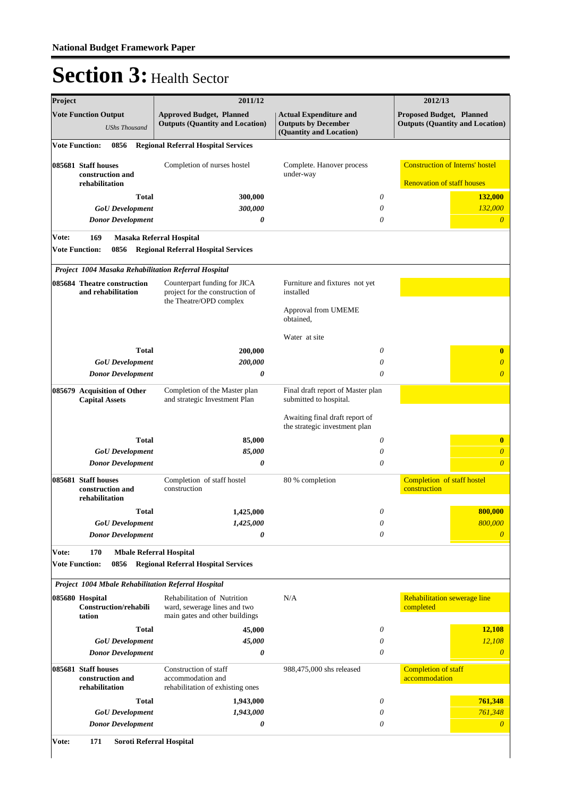| Project               |                                                           | 2011/12                                                                                    |                                                                                        | 2012/13                                                                     |
|-----------------------|-----------------------------------------------------------|--------------------------------------------------------------------------------------------|----------------------------------------------------------------------------------------|-----------------------------------------------------------------------------|
|                       | <b>Vote Function Output</b><br><b>UShs Thousand</b>       | <b>Approved Budget, Planned</b><br><b>Outputs (Quantity and Location)</b>                  | <b>Actual Expenditure and</b><br><b>Outputs by December</b><br>(Quantity and Location) | Proposed Budget, Planned<br><b>Outputs (Quantity and Location)</b>          |
| <b>Vote Function:</b> | 0856                                                      | <b>Regional Referral Hospital Services</b>                                                 |                                                                                        |                                                                             |
|                       | 085681 Staff houses<br>construction and<br>rehabilitation | Completion of nurses hostel                                                                | Complete. Hanover process<br>under-way                                                 | <b>Construction of Interns' hostel</b><br><b>Renovation of staff houses</b> |
|                       | <b>Total</b>                                              | 300,000                                                                                    | 0                                                                                      | 132,000                                                                     |
|                       | <b>GoU</b> Development                                    | 300,000                                                                                    | 0                                                                                      | 132,000                                                                     |
|                       | <b>Donor Development</b>                                  | 0                                                                                          | 0                                                                                      | $\theta$                                                                    |
| Vote:                 | 169                                                       | Masaka Referral Hospital                                                                   |                                                                                        |                                                                             |
|                       | <b>Vote Function:</b><br>0856                             | <b>Regional Referral Hospital Services</b>                                                 |                                                                                        |                                                                             |
|                       |                                                           |                                                                                            |                                                                                        |                                                                             |
|                       | Project 1004 Masaka Rehabilitation Referral Hospital      |                                                                                            |                                                                                        |                                                                             |
|                       | 085684 Theatre construction<br>and rehabilitation         | Counterpart funding for JICA<br>project for the construction of<br>the Theatre/OPD complex | Furniture and fixtures not yet<br>installed                                            |                                                                             |
|                       |                                                           |                                                                                            | Approval from UMEME<br>obtained.                                                       |                                                                             |
|                       |                                                           |                                                                                            | Water at site                                                                          |                                                                             |
|                       | <b>Total</b>                                              | 200,000                                                                                    | 0                                                                                      | $\bf{0}$                                                                    |
|                       | <b>GoU</b> Development                                    | 200,000                                                                                    | 0                                                                                      | $\overline{\theta}$                                                         |
|                       | <b>Donor Development</b>                                  | 0                                                                                          | 0                                                                                      | $\overline{\theta}$                                                         |
|                       | 085679 Acquisition of Other<br><b>Capital Assets</b>      | Completion of the Master plan<br>and strategic Investment Plan                             | Final draft report of Master plan<br>submitted to hospital.                            |                                                                             |
|                       |                                                           |                                                                                            | Awaiting final draft report of<br>the strategic investment plan                        |                                                                             |
|                       | <b>Total</b>                                              | 85,000                                                                                     | 0                                                                                      | $\bf{0}$                                                                    |
|                       | <b>GoU</b> Development                                    | 85,000                                                                                     | 0                                                                                      | $\theta$                                                                    |
|                       | <b>Donor Development</b>                                  | 0                                                                                          | 0                                                                                      | $\overline{\theta}$                                                         |
|                       | 085681 Staff houses<br>construction and<br>rehabilitation | Completion of staff hostel<br>construction                                                 | 80 % completion                                                                        | Completion of staff hostel<br>construction                                  |
|                       | <b>Total</b>                                              | 1,425,000                                                                                  | 0                                                                                      | 800,000                                                                     |
|                       | <b>GoU</b> Development                                    | 1,425,000                                                                                  | $\theta$                                                                               | 800,000                                                                     |
|                       | <b>Donor Development</b>                                  | 0                                                                                          | 0                                                                                      | $\overline{0}$                                                              |
| Vote:                 | 170<br><b>Mbale Referral Hospital</b>                     |                                                                                            |                                                                                        |                                                                             |
|                       | <b>Vote Function:</b><br>0856                             | <b>Regional Referral Hospital Services</b>                                                 |                                                                                        |                                                                             |
|                       | Project 1004 Mbale Rehabilitation Referral Hospital       |                                                                                            |                                                                                        |                                                                             |
|                       | 085680 Hospital                                           | Rehabilitation of Nutrition                                                                | N/A                                                                                    | Rehabilitation sewerage line                                                |
|                       | Construction/rehabili<br>tation                           | ward, sewerage lines and two<br>main gates and other buildings                             |                                                                                        | completed                                                                   |
|                       | <b>Total</b>                                              | 45,000                                                                                     | 0                                                                                      | 12,108                                                                      |
|                       | <b>GoU</b> Development                                    | 45,000                                                                                     | 0                                                                                      | 12,108                                                                      |
|                       | <b>Donor Development</b>                                  | 0                                                                                          | 0                                                                                      | $\theta$                                                                    |
|                       | 085681 Staff houses<br>construction and<br>rehabilitation | Construction of staff<br>accommodation and<br>rehabilitation of exhisting ones             | 988,475,000 shs released                                                               | <b>Completion of staff</b><br>accommodation                                 |
|                       | <b>Total</b>                                              | 1,943,000                                                                                  | 0                                                                                      | 761,348                                                                     |
|                       | <b>GoU</b> Development                                    | 1,943,000                                                                                  | 0                                                                                      | 761,348                                                                     |
|                       | <b>Donor Development</b>                                  | 0                                                                                          | 0                                                                                      | $\theta$                                                                    |
|                       |                                                           |                                                                                            |                                                                                        |                                                                             |

**Vote: 171 Soroti Referral Hospital**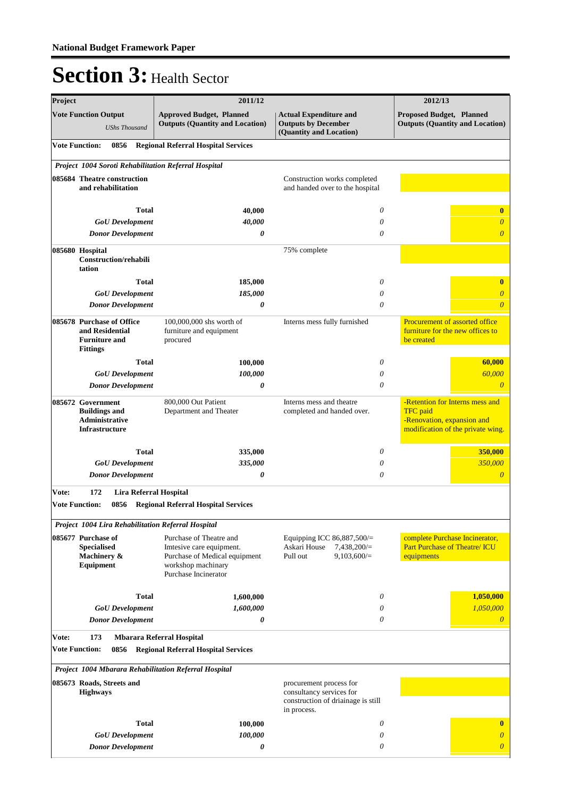| Project |                                                                                             | 2011/12                                                                                                                            | 2012/13                                                                                                  |                                                                                                                       |  |
|---------|---------------------------------------------------------------------------------------------|------------------------------------------------------------------------------------------------------------------------------------|----------------------------------------------------------------------------------------------------------|-----------------------------------------------------------------------------------------------------------------------|--|
|         | <b>Vote Function Output</b><br><b>UShs Thousand</b>                                         | <b>Approved Budget, Planned</b><br><b>Outputs (Quantity and Location)</b>                                                          | <b>Actual Expenditure and</b><br><b>Outputs by December</b><br>(Quantity and Location)                   | Proposed Budget, Planned<br><b>Outputs (Quantity and Location)</b>                                                    |  |
|         | <b>Vote Function:</b><br>0856                                                               | <b>Regional Referral Hospital Services</b>                                                                                         |                                                                                                          |                                                                                                                       |  |
|         | Project 1004 Soroti Rehabilitation Referral Hospital                                        |                                                                                                                                    |                                                                                                          |                                                                                                                       |  |
|         | 085684 Theatre construction<br>and rehabilitation                                           |                                                                                                                                    | Construction works completed<br>and handed over to the hospital                                          |                                                                                                                       |  |
|         |                                                                                             |                                                                                                                                    |                                                                                                          |                                                                                                                       |  |
|         | <b>Total</b>                                                                                | 40,000<br>40,000                                                                                                                   | 0                                                                                                        | $\bf{0}$                                                                                                              |  |
|         | <b>GoU</b> Development<br><b>Donor Development</b>                                          | 0                                                                                                                                  | 0<br>0                                                                                                   | $\boldsymbol{\theta}$<br>$\overline{\theta}$                                                                          |  |
|         |                                                                                             |                                                                                                                                    |                                                                                                          |                                                                                                                       |  |
|         | 085680 Hospital<br>Construction/rehabili<br>tation                                          |                                                                                                                                    | 75% complete                                                                                             |                                                                                                                       |  |
|         | <b>Total</b>                                                                                | 185,000                                                                                                                            | 0                                                                                                        | $\bf{0}$                                                                                                              |  |
|         | <b>GoU</b> Development                                                                      | 185,000                                                                                                                            | 0                                                                                                        | $\theta$                                                                                                              |  |
|         | <b>Donor Development</b>                                                                    | 0                                                                                                                                  | 0                                                                                                        | $\overline{\theta}$                                                                                                   |  |
|         | 085678 Purchase of Office<br>and Residential<br><b>Furniture and</b><br><b>Fittings</b>     | 100,000,000 shs worth of<br>furniture and equipment<br>procured                                                                    | Interns mess fully furnished                                                                             | Procurement of assorted office<br>furniture for the new offices to<br>be created                                      |  |
|         | <b>Total</b>                                                                                | 100,000                                                                                                                            | 0                                                                                                        | 60,000                                                                                                                |  |
|         | <b>GoU</b> Development                                                                      | 100,000                                                                                                                            | 0                                                                                                        | 60,000                                                                                                                |  |
|         | <b>Donor Development</b>                                                                    | 0                                                                                                                                  | 0                                                                                                        | $\theta$                                                                                                              |  |
|         | 085672 Government<br><b>Buildings and</b><br><b>Administrative</b><br><b>Infrastructure</b> | 800,000 Out Patient<br>Department and Theater                                                                                      | Interns mess and theatre<br>completed and handed over.                                                   | -Retention for Interns mess and<br><b>TFC</b> paid<br>-Renovation, expansion and<br>modification of the private wing. |  |
|         | <b>Total</b>                                                                                | 335,000                                                                                                                            | 0                                                                                                        | 350,000                                                                                                               |  |
|         | <b>GoU</b> Development                                                                      | 335,000                                                                                                                            | 0                                                                                                        | 350,000                                                                                                               |  |
|         | <b>Donor Development</b>                                                                    | 0                                                                                                                                  | 0                                                                                                        | $\boldsymbol{\theta}$                                                                                                 |  |
| Vote:   | 172<br>Lira Referral Hospital                                                               |                                                                                                                                    |                                                                                                          |                                                                                                                       |  |
|         | <b>Vote Function:</b>                                                                       | 0856 Regional Referral Hospital Services                                                                                           |                                                                                                          |                                                                                                                       |  |
|         | Project 1004 Lira Rehabilitation Referral Hospital                                          |                                                                                                                                    |                                                                                                          |                                                                                                                       |  |
|         | 085677 Purchase of<br><b>Specialised</b><br>Machinery &<br>Equipment                        | Purchase of Theatre and<br>Imtesive care equipment.<br>Purchase of Medical equipment<br>workshop machinary<br>Purchase Incinerator | Equipping ICC 86,887,500/=<br>Askari House<br>$7,438,200/=$<br>Pull out<br>9,103,600/                    | complete Purchase Incinerator,<br>Part Purchase of Theatre/ ICU<br>equipments                                         |  |
|         |                                                                                             |                                                                                                                                    |                                                                                                          |                                                                                                                       |  |
|         | <b>Total</b><br><b>GoU</b> Development                                                      | 1,600,000<br>1,600,000                                                                                                             | 0<br>0                                                                                                   | 1,050,000<br>1,050,000                                                                                                |  |
|         | <b>Donor Development</b>                                                                    | 0                                                                                                                                  | 0                                                                                                        | $\boldsymbol{\theta}$                                                                                                 |  |
| Vote:   | 173                                                                                         | <b>Mbarara Referral Hospital</b>                                                                                                   |                                                                                                          |                                                                                                                       |  |
|         | <b>Vote Function:</b><br>0856                                                               | <b>Regional Referral Hospital Services</b>                                                                                         |                                                                                                          |                                                                                                                       |  |
|         |                                                                                             | Project 1004 Mbarara Rehabilitation Referral Hospital                                                                              |                                                                                                          |                                                                                                                       |  |
|         | 085673 Roads, Streets and<br><b>Highways</b>                                                |                                                                                                                                    | procurement process for<br>consultancy services for<br>construction of driainage is still<br>in process. |                                                                                                                       |  |
|         | <b>Total</b>                                                                                | 100,000                                                                                                                            | 0                                                                                                        | $\mathbf{0}$                                                                                                          |  |
|         | <b>GoU</b> Development                                                                      | 100,000                                                                                                                            | 0                                                                                                        | $\overline{0}$                                                                                                        |  |
|         | <b>Donor Development</b>                                                                    | 0                                                                                                                                  | 0                                                                                                        | $\overline{0}$                                                                                                        |  |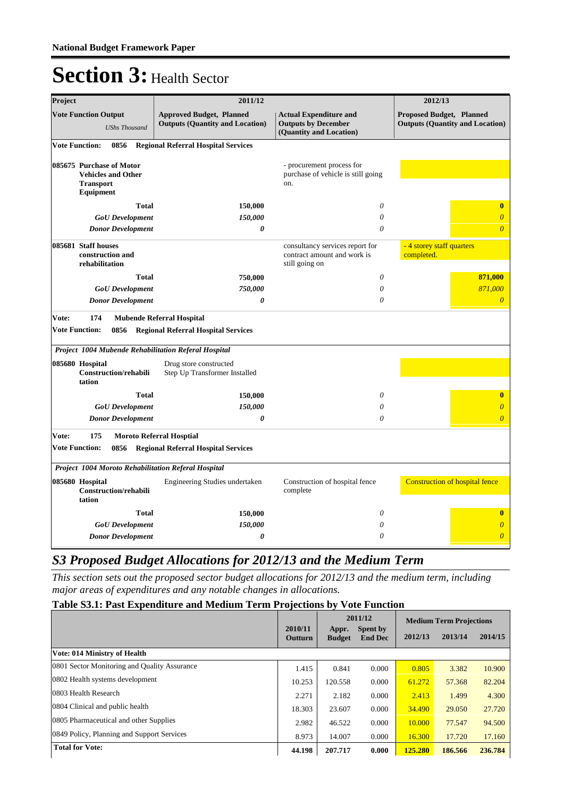| Project                                                                                | 2011/12                                                                   |                                                                                        | 2012/13                                                                   |
|----------------------------------------------------------------------------------------|---------------------------------------------------------------------------|----------------------------------------------------------------------------------------|---------------------------------------------------------------------------|
| <b>Vote Function Output</b><br><b>UShs Thousand</b>                                    | <b>Approved Budget, Planned</b><br><b>Outputs (Quantity and Location)</b> | <b>Actual Expenditure and</b><br><b>Outputs by December</b><br>(Quantity and Location) | <b>Proposed Budget, Planned</b><br><b>Outputs (Quantity and Location)</b> |
| <b>Vote Function:</b><br>0856                                                          | <b>Regional Referral Hospital Services</b>                                |                                                                                        |                                                                           |
| 085675 Purchase of Motor<br><b>Vehicles and Other</b><br><b>Transport</b><br>Equipment |                                                                           | - procurement process for<br>purchase of vehicle is still going<br>on.                 |                                                                           |
| <b>Total</b>                                                                           | 150,000                                                                   | $\theta$                                                                               | $\bf{0}$                                                                  |
| <b>GoU</b> Development                                                                 | 150,000                                                                   | $\theta$                                                                               | $\overline{0}$                                                            |
| <b>Donor Development</b>                                                               | 0                                                                         | $\theta$                                                                               | $\overline{\theta}$                                                       |
| 085681 Staff houses<br>construction and<br>rehabilitation                              |                                                                           | consultancy services report for<br>contract amount and work is<br>still going on       | - 4 storey staff quarters<br>completed.                                   |
| <b>Total</b>                                                                           | 750,000                                                                   | $\theta$                                                                               | 871,000                                                                   |
| <b>GoU</b> Development                                                                 | 750,000                                                                   | 0                                                                                      | 871,000                                                                   |
| <b>Donor Development</b>                                                               | 0                                                                         | $\theta$                                                                               | $\boldsymbol{0}$                                                          |
| 174<br>Vote:                                                                           | <b>Mubende Referral Hospital</b>                                          |                                                                                        |                                                                           |
| <b>Vote Function:</b><br>0856                                                          | <b>Regional Referral Hospital Services</b>                                |                                                                                        |                                                                           |
| Project 1004 Mubende Rehabilitation Referal Hospital                                   |                                                                           |                                                                                        |                                                                           |
| 085680 Hospital<br>Construction/rehabili<br>tation                                     | Drug store constructed<br>Step Up Transformer Installed                   |                                                                                        |                                                                           |
| <b>Total</b>                                                                           | 150,000                                                                   | $\theta$                                                                               | $\bf{0}$                                                                  |
| <b>GoU</b> Development                                                                 | 150,000                                                                   | $\theta$                                                                               | $\overline{0}$                                                            |
| <b>Donor Development</b>                                                               | 0                                                                         | $\theta$                                                                               | $\overline{0}$                                                            |
| Vote:<br>175                                                                           | <b>Moroto Referral Hosptial</b>                                           |                                                                                        |                                                                           |
| <b>Vote Function:</b><br>0856                                                          | <b>Regional Referral Hospital Services</b>                                |                                                                                        |                                                                           |
| Project 1004 Moroto Rehabilitation Referal Hospital                                    |                                                                           |                                                                                        |                                                                           |
| 085680 Hospital<br><b>Construction/rehabili</b><br>tation                              | Engineering Studies undertaken                                            | Construction of hospital fence<br>complete                                             | <b>Construction of hospital fence</b>                                     |
| <b>Total</b>                                                                           | 150,000                                                                   | 0                                                                                      | $\bf{0}$                                                                  |
| <b>GoU</b> Development                                                                 | 150,000                                                                   | $\theta$                                                                               | $\boldsymbol{\theta}$                                                     |
| <b>Donor Development</b>                                                               | 0                                                                         | $\theta$                                                                               | $\overline{\theta}$                                                       |

### *S3 Proposed Budget Allocations for 2012/13 and the Medium Term*

*This section sets out the proposed sector budget allocations for 2012/13 and the medium term, including major areas of expenditures and any notable changes in allocations.* 

### **Table S3.1: Past Expenditure and Medium Term Projections by Vote Function**

|                                              |                    | 2011/12                |                            | <b>Medium Term Projections</b> |         |         |
|----------------------------------------------|--------------------|------------------------|----------------------------|--------------------------------|---------|---------|
|                                              | 2010/11<br>Outturn | Appr.<br><b>Budget</b> | Spent by<br><b>End Dec</b> | 2012/13                        | 2013/14 | 2014/15 |
| <b>Vote: 014 Ministry of Health</b>          |                    |                        |                            |                                |         |         |
| 0801 Sector Monitoring and Quality Assurance | 1.415              | 0.841                  | 0.000                      | 0.805                          | 3.382   | 10.900  |
| 0802 Health systems development              | 10.253             | 120.558                | 0.000                      | 61.272                         | 57.368  | 82.204  |
| 0803 Health Research                         | 2.271              | 2.182                  | 0.000                      | 2.413                          | 1.499   | 4.300   |
| 0804 Clinical and public health              | 18.303             | 23.607                 | 0.000                      | 34.490                         | 29.050  | 27.720  |
| 0805 Pharmaceutical and other Supplies       | 2.982              | 46.522                 | 0.000                      | 10.000                         | 77.547  | 94.500  |
| 0849 Policy, Planning and Support Services   | 8.973              | 14.007                 | 0.000                      | 16.300                         | 17.720  | 17.160  |
| <b>Total for Vote:</b>                       | 44.198             | 207.717                | 0.000                      | 125.280                        | 186.566 | 236.784 |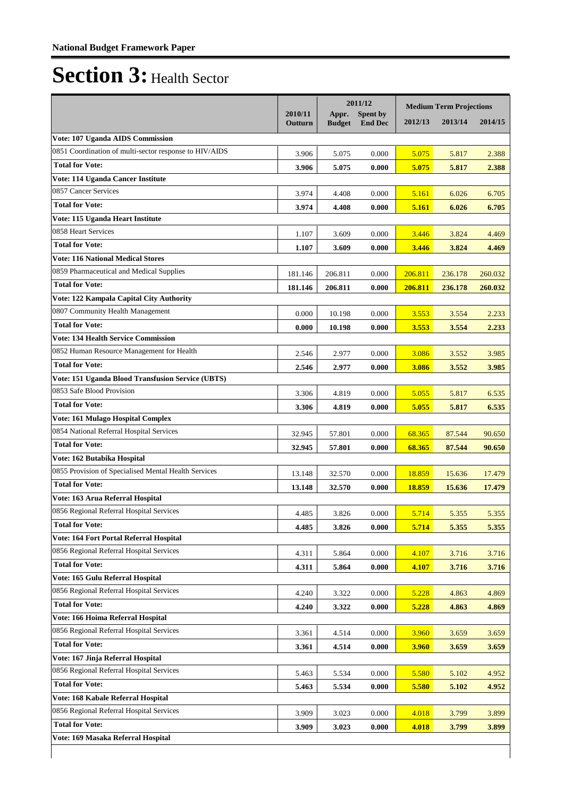|                                                                              |                    | 2011/12                |                                   | <b>Medium Term Projections</b> |         |         |
|------------------------------------------------------------------------------|--------------------|------------------------|-----------------------------------|--------------------------------|---------|---------|
|                                                                              | 2010/11<br>Outturn | Appr.<br><b>Budget</b> | <b>Spent by</b><br><b>End Dec</b> | 2012/13                        | 2013/14 | 2014/15 |
| Vote: 107 Uganda AIDS Commission                                             |                    |                        |                                   |                                |         |         |
| 0851 Coordination of multi-sector response to HIV/AIDS                       | 3.906              | 5.075                  | 0.000                             | 5.075                          | 5.817   | 2.388   |
| <b>Total for Vote:</b>                                                       | 3.906              | 5.075                  | 0.000                             | 5.075                          | 5.817   | 2.388   |
| Vote: 114 Uganda Cancer Institute                                            |                    |                        |                                   |                                |         |         |
| 0857 Cancer Services                                                         | 3.974              | 4.408                  | 0.000                             | 5.161                          | 6.026   | 6.705   |
| <b>Total for Vote:</b>                                                       |                    |                        |                                   |                                |         |         |
| Vote: 115 Uganda Heart Institute                                             | 3.974              | 4.408                  | 0.000                             | 5.161                          | 6.026   | 6.705   |
| 0858 Heart Services                                                          |                    |                        |                                   |                                |         |         |
| <b>Total for Vote:</b>                                                       | 1.107              | 3.609                  | 0.000                             | 3.446                          | 3.824   | 4.469   |
| <b>Vote: 116 National Medical Stores</b>                                     | 1.107              | 3.609                  | 0.000                             | 3.446                          | 3.824   | 4.469   |
| 0859 Pharmaceutical and Medical Supplies                                     |                    |                        |                                   |                                |         |         |
| <b>Total for Vote:</b>                                                       | 181.146            | 206.811                | 0.000                             | 206.811                        | 236.178 | 260.032 |
|                                                                              | 181.146            | 206.811                | 0.000                             | 206.811                        | 236.178 | 260.032 |
| Vote: 122 Kampala Capital City Authority<br>0807 Community Health Management |                    |                        |                                   |                                |         |         |
|                                                                              | 0.000              | 10.198                 | 0.000                             | 3.553                          | 3.554   | 2.233   |
| <b>Total for Vote:</b>                                                       | 0.000              | 10.198                 | 0.000                             | 3.553                          | 3.554   | 2.233   |
| <b>Vote: 134 Health Service Commission</b>                                   |                    |                        |                                   |                                |         |         |
| 0852 Human Resource Management for Health                                    | 2.546              | 2.977                  | 0.000                             | 3.086                          | 3.552   | 3.985   |
| <b>Total for Vote:</b>                                                       | 2.546              | 2.977                  | 0.000                             | 3.086                          | 3.552   | 3.985   |
| Vote: 151 Uganda Blood Transfusion Service (UBTS)                            |                    |                        |                                   |                                |         |         |
| 0853 Safe Blood Provision                                                    | 3.306              | 4.819                  | 0.000                             | 5.055                          | 5.817   | 6.535   |
| <b>Total for Vote:</b>                                                       | 3.306              | 4.819                  | 0.000                             | 5.055                          | 5.817   | 6.535   |
| Vote: 161 Mulago Hospital Complex                                            |                    |                        |                                   |                                |         |         |
| 0854 National Referral Hospital Services                                     | 32.945             | 57.801                 | 0.000                             | 68.365                         | 87.544  | 90.650  |
| <b>Total for Vote:</b>                                                       | 32.945             | 57.801                 | 0.000                             | 68.365                         | 87.544  | 90.650  |
| Vote: 162 Butabika Hospital                                                  |                    |                        |                                   |                                |         |         |
| 0855 Provision of Specialised Mental Health Services                         | 13.148             | 32.570                 | 0.000                             | 18.859                         | 15.636  | 17.479  |
| <b>Total for Vote:</b>                                                       | 13.148             | 32.570                 | 0.000                             | 18.859                         | 15.636  | 17.479  |
| Vote: 163 Arua Referral Hospital                                             |                    |                        |                                   |                                |         |         |
| 0856 Regional Referral Hospital Services                                     | 4.485              | 3.826                  | 0.000                             | 5.714                          | 5.355   | 5.355   |
| <b>Total for Vote:</b>                                                       | 4.485              | 3.826                  | 0.000                             | 5.714                          | 5.355   | 5.355   |
| Vote: 164 Fort Portal Referral Hospital                                      |                    |                        |                                   |                                |         |         |
| 0856 Regional Referral Hospital Services                                     | 4.311              | 5.864                  | 0.000                             | 4.107                          | 3.716   | 3.716   |
| <b>Total for Vote:</b>                                                       | 4.311              | 5.864                  | 0.000                             | 4.107                          | 3.716   | 3.716   |
| Vote: 165 Gulu Referral Hospital                                             |                    |                        |                                   |                                |         |         |
| 0856 Regional Referral Hospital Services                                     | 4.240              | 3.322                  | 0.000                             | 5.228                          | 4.863   | 4.869   |
| <b>Total for Vote:</b>                                                       | 4.240              | 3.322                  | 0.000                             | 5.228                          | 4.863   | 4.869   |
| Vote: 166 Hoima Referral Hospital                                            |                    |                        |                                   |                                |         |         |
| 0856 Regional Referral Hospital Services                                     | 3.361              | 4.514                  | 0.000                             | 3.960                          | 3.659   | 3.659   |
| <b>Total for Vote:</b>                                                       | 3.361              | 4.514                  | 0.000                             | 3.960                          | 3.659   | 3.659   |
| Vote: 167 Jinja Referral Hospital                                            |                    |                        |                                   |                                |         |         |
| 0856 Regional Referral Hospital Services                                     | 5.463              | 5.534                  | 0.000                             | 5.580                          | 5.102   | 4.952   |
| <b>Total for Vote:</b>                                                       |                    |                        |                                   |                                |         |         |
| Vote: 168 Kabale Referral Hospital                                           | 5.463              | 5.534                  | 0.000                             | 5.580                          | 5.102   | 4.952   |
| 0856 Regional Referral Hospital Services                                     | 3.909              |                        | 0.000                             |                                |         |         |
| <b>Total for Vote:</b>                                                       |                    | 3.023                  |                                   | 4.018                          | 3.799   | 3.899   |
| Vote: 169 Masaka Referral Hospital                                           | 3.909              | 3.023                  | 0.000                             | 4.018                          | 3.799   | 3.899   |
|                                                                              |                    |                        |                                   |                                |         |         |
|                                                                              |                    |                        |                                   |                                |         |         |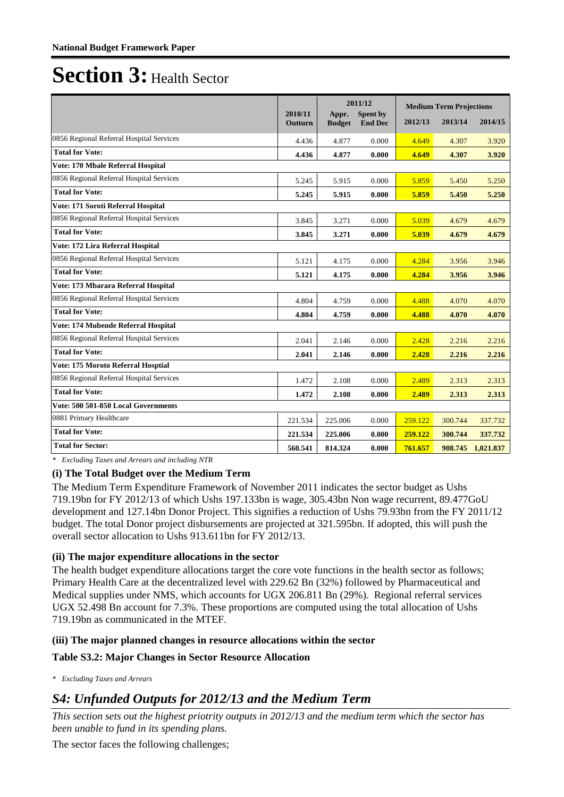|                                          |                    | 2011/12                |                            | <b>Medium Term Projections</b> |         |                   |
|------------------------------------------|--------------------|------------------------|----------------------------|--------------------------------|---------|-------------------|
|                                          | 2010/11<br>Outturn | Appr.<br><b>Budget</b> | Spent by<br><b>End Dec</b> | 2012/13                        | 2013/14 | 2014/15           |
| 0856 Regional Referral Hospital Services | 4.436              | 4.877                  | 0.000                      | 4.649                          | 4.307   | 3.920             |
| <b>Total for Vote:</b>                   | 4.436              | 4.877                  | 0.000                      | 4.649                          | 4.307   | 3.920             |
| Vote: 170 Mbale Referral Hospital        |                    |                        |                            |                                |         |                   |
| 0856 Regional Referral Hospital Services | 5.245              | 5.915                  | 0.000                      | 5.859                          | 5.450   | 5.250             |
| <b>Total for Vote:</b>                   | 5.245              | 5.915                  | 0.000                      | 5.859                          | 5.450   | 5.250             |
| Vote: 171 Soroti Referral Hospital       |                    |                        |                            |                                |         |                   |
| 0856 Regional Referral Hospital Services | 3.845              | 3.271                  | 0.000                      | 5.039                          | 4.679   | 4.679             |
| <b>Total for Vote:</b>                   | 3.845              | 3.271                  | 0.000                      | 5.039                          | 4.679   | 4.679             |
| Vote: 172 Lira Referral Hospital         |                    |                        |                            |                                |         |                   |
| 0856 Regional Referral Hospital Services | 5.121              | 4.175                  | 0.000                      | 4.284                          | 3.956   | 3.946             |
| <b>Total for Vote:</b>                   | 5.121              | 4.175                  | 0.000                      | 4.284                          | 3.956   | 3.946             |
| Vote: 173 Mbarara Referral Hospital      |                    |                        |                            |                                |         |                   |
| 0856 Regional Referral Hospital Services | 4.804              | 4.759                  | 0.000                      | 4.488                          | 4.070   | 4.070             |
| <b>Total for Vote:</b>                   | 4.804              | 4.759                  | 0.000                      | 4.488                          | 4.070   | 4.070             |
| Vote: 174 Mubende Referral Hospital      |                    |                        |                            |                                |         |                   |
| 0856 Regional Referral Hospital Services | 2.041              | 2.146                  | 0.000                      | 2.428                          | 2.216   | 2.216             |
| <b>Total for Vote:</b>                   | 2.041              | 2.146                  | 0.000                      | 2.428                          | 2.216   | 2.216             |
| Vote: 175 Moroto Referral Hosptial       |                    |                        |                            |                                |         |                   |
| 0856 Regional Referral Hospital Services | 1.472              | 2.108                  | 0.000                      | 2.489                          | 2.313   | 2.313             |
| <b>Total for Vote:</b>                   | 1.472              | 2.108                  | 0.000                      | 2.489                          | 2.313   | 2.313             |
| Vote: 500 501-850 Local Governments      |                    |                        |                            |                                |         |                   |
| 0881 Primary Healthcare                  | 221.534            | 225.006                | 0.000                      | 259.122                        | 300.744 | 337.732           |
| <b>Total for Vote:</b>                   | 221.534            | 225.006                | 0.000                      | 259.122                        | 300.744 | 337.732           |
| <b>Total for Sector:</b>                 | 560.541            | 814.324                | 0.000                      | 761.657                        |         | 908.745 1,021.837 |

*\* Excluding Taxes and Arrears and including NTR*

#### **(i) The Total Budget over the Medium Term**

The Medium Term Expenditure Framework of November 2011 indicates the sector budget as Ushs 719.19bn for FY 2012/13 of which Ushs 197.133bn is wage, 305.43bn Non wage recurrent, 89.477GoU development and 127.14bn Donor Project. This signifies a reduction of Ushs 79.93bn from the FY 2011/12 budget. The total Donor project disbursements are projected at 321.595bn. If adopted, this will push the overall sector allocation to Ushs 913.611bn for FY 2012/13.

### **(ii) The major expenditure allocations in the sector**

The health budget expenditure allocations target the core vote functions in the health sector as follows; Primary Health Care at the decentralized level with 229.62 Bn (32%) followed by Pharmaceutical and Medical supplies under NMS, which accounts for UGX 206.811 Bn (29%). Regional referral services UGX 52.498 Bn account for 7.3%. These proportions are computed using the total allocation of Ushs 719.19bn as communicated in the MTEF.

#### **(iii) The major planned changes in resource allocations within the sector**

#### **Table S3.2: Major Changes in Sector Resource Allocation**

*\* Excluding Taxes and Arrears*

### *S4: Unfunded Outputs for 2012/13 and the Medium Term*

*This section sets out the highest priotrity outputs in 2012/13 and the medium term which the sector has been unable to fund in its spending plans.*

The sector faces the following challenges;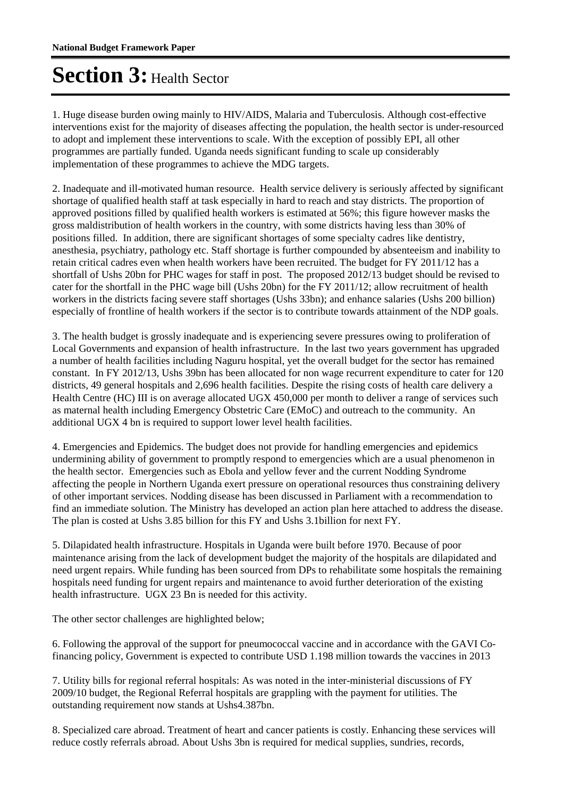1. Huge disease burden owing mainly to HIV/AIDS, Malaria and Tuberculosis. Although cost-effective interventions exist for the majority of diseases affecting the population, the health sector is under-resourced to adopt and implement these interventions to scale. With the exception of possibly EPI, all other programmes are partially funded. Uganda needs significant funding to scale up considerably implementation of these programmes to achieve the MDG targets.

2. Inadequate and ill-motivated human resource. Health service delivery is seriously affected by significant shortage of qualified health staff at task especially in hard to reach and stay districts. The proportion of approved positions filled by qualified health workers is estimated at 56%; this figure however masks the gross maldistribution of health workers in the country, with some districts having less than 30% of positions filled. In addition, there are significant shortages of some specialty cadres like dentistry, anesthesia, psychiatry, pathology etc. Staff shortage is further compounded by absenteeism and inability to retain critical cadres even when health workers have been recruited. The budget for FY 2011/12 has a shortfall of Ushs 20bn for PHC wages for staff in post. The proposed 2012/13 budget should be revised to cater for the shortfall in the PHC wage bill (Ushs 20bn) for the FY 2011/12; allow recruitment of health workers in the districts facing severe staff shortages (Ushs 33bn); and enhance salaries (Ushs 200 billion) especially of frontline of health workers if the sector is to contribute towards attainment of the NDP goals.

3. The health budget is grossly inadequate and is experiencing severe pressures owing to proliferation of Local Governments and expansion of health infrastructure. In the last two years government has upgraded a number of health facilities including Naguru hospital, yet the overall budget for the sector has remained constant. In FY 2012/13, Ushs 39bn has been allocated for non wage recurrent expenditure to cater for 120 districts, 49 general hospitals and 2,696 health facilities. Despite the rising costs of health care delivery a Health Centre (HC) III is on average allocated UGX 450,000 per month to deliver a range of services such as maternal health including Emergency Obstetric Care (EMoC) and outreach to the community. An additional UGX 4 bn is required to support lower level health facilities.

4. Emergencies and Epidemics. The budget does not provide for handling emergencies and epidemics undermining ability of government to promptly respond to emergencies which are a usual phenomenon in the health sector. Emergencies such as Ebola and yellow fever and the current Nodding Syndrome affecting the people in Northern Uganda exert pressure on operational resources thus constraining delivery of other important services. Nodding disease has been discussed in Parliament with a recommendation to find an immediate solution. The Ministry has developed an action plan here attached to address the disease. The plan is costed at Ushs 3.85 billion for this FY and Ushs 3.1billion for next FY.

5. Dilapidated health infrastructure. Hospitals in Uganda were built before 1970. Because of poor maintenance arising from the lack of development budget the majority of the hospitals are dilapidated and need urgent repairs. While funding has been sourced from DPs to rehabilitate some hospitals the remaining hospitals need funding for urgent repairs and maintenance to avoid further deterioration of the existing health infrastructure. UGX 23 Bn is needed for this activity.

The other sector challenges are highlighted below;

6. Following the approval of the support for pneumococcal vaccine and in accordance with the GAVI Cofinancing policy, Government is expected to contribute USD 1.198 million towards the vaccines in 2013

7. Utility bills for regional referral hospitals: As was noted in the inter-ministerial discussions of FY 2009/10 budget, the Regional Referral hospitals are grappling with the payment for utilities. The outstanding requirement now stands at Ushs4.387bn.

8. Specialized care abroad. Treatment of heart and cancer patients is costly. Enhancing these services will reduce costly referrals abroad. About Ushs 3bn is required for medical supplies, sundries, records,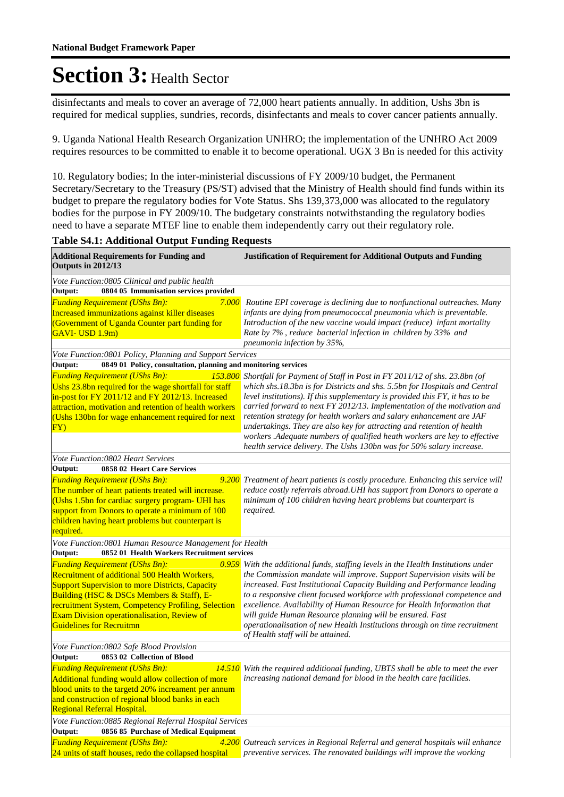disinfectants and meals to cover an average of 72,000 heart patients annually. In addition, Ushs 3bn is required for medical supplies, sundries, records, disinfectants and meals to cover cancer patients annually.

9. Uganda National Health Research Organization UNHRO; the implementation of the UNHRO Act 2009 requires resources to be committed to enable it to become operational. UGX 3 Bn is needed for this activity

10. Regulatory bodies; In the inter-ministerial discussions of FY 2009/10 budget, the Permanent Secretary/Secretary to the Treasury (PS/ST) advised that the Ministry of Health should find funds within its budget to prepare the regulatory bodies for Vote Status. Shs 139,373,000 was allocated to the regulatory bodies for the purpose in FY 2009/10. The budgetary constraints notwithstanding the regulatory bodies need to have a separate MTEF line to enable them independently carry out their regulatory role.

| <b>Table S4.1: Additional Output Funding Requests</b>                                                                                                                                                                                                                                                                                  |                                                                                                                                                                                                                                                                                                                                                                                                                                                                                                                                                                              |  |  |  |
|----------------------------------------------------------------------------------------------------------------------------------------------------------------------------------------------------------------------------------------------------------------------------------------------------------------------------------------|------------------------------------------------------------------------------------------------------------------------------------------------------------------------------------------------------------------------------------------------------------------------------------------------------------------------------------------------------------------------------------------------------------------------------------------------------------------------------------------------------------------------------------------------------------------------------|--|--|--|
| <b>Additional Requirements for Funding and</b><br>Outputs in 2012/13                                                                                                                                                                                                                                                                   | <b>Justification of Requirement for Additional Outputs and Funding</b>                                                                                                                                                                                                                                                                                                                                                                                                                                                                                                       |  |  |  |
| Vote Function:0805 Clinical and public health                                                                                                                                                                                                                                                                                          |                                                                                                                                                                                                                                                                                                                                                                                                                                                                                                                                                                              |  |  |  |
| Output:<br>0804 05 Immunisation services provided                                                                                                                                                                                                                                                                                      |                                                                                                                                                                                                                                                                                                                                                                                                                                                                                                                                                                              |  |  |  |
| <b>Funding Requirement (UShs Bn):</b><br>7.000<br>Increased immunizations against killer diseases<br>(Government of Uganda Counter part funding for<br>GAVI-USD 1.9m)                                                                                                                                                                  | Routine EPI coverage is declining due to nonfunctional outreaches. Many<br>infants are dying from pneumococcal pneumonia which is preventable.<br>Introduction of the new vaccine would impact (reduce) infant mortality<br>Rate by 7%, reduce bacterial infection in children by 33% and<br>pneumonia infection by 35%,                                                                                                                                                                                                                                                     |  |  |  |
| Vote Function:0801 Policy, Planning and Support Services                                                                                                                                                                                                                                                                               |                                                                                                                                                                                                                                                                                                                                                                                                                                                                                                                                                                              |  |  |  |
| 0849 01 Policy, consultation, planning and monitoring services<br>Output:                                                                                                                                                                                                                                                              |                                                                                                                                                                                                                                                                                                                                                                                                                                                                                                                                                                              |  |  |  |
| <b>Funding Requirement (UShs Bn):</b><br>153.800<br>Ushs 23.8bn required for the wage shortfall for staff<br>in-post for FY 2011/12 and FY 2012/13. Increased<br>attraction, motivation and retention of health workers<br>(Ushs 130bn for wage enhancement required for next<br>FY)                                                   | Shortfall for Payment of Staff in Post in FY 2011/12 of shs. 23.8bn (of<br>which shs.18.3bn is for Districts and shs. 5.5bn for Hospitals and Central<br>level institutions). If this supplementary is provided this FY, it has to be<br>carried forward to next FY 2012/13. Implementation of the motivation and<br>retention strategy for health workers and salary enhancement are JAF<br>undertakings. They are also key for attracting and retention of health<br>workers .Adequate numbers of qualified heath workers are key to effective                             |  |  |  |
|                                                                                                                                                                                                                                                                                                                                        | health service delivery. The Ushs 130bn was for 50% salary increase.                                                                                                                                                                                                                                                                                                                                                                                                                                                                                                         |  |  |  |
| Vote Function:0802 Heart Services<br>Output:<br>0858 02 Heart Care Services                                                                                                                                                                                                                                                            |                                                                                                                                                                                                                                                                                                                                                                                                                                                                                                                                                                              |  |  |  |
| <b>Funding Requirement (UShs Bn):</b><br>The number of heart patients treated will increase.<br>(Ushs 1.5bn for cardiac surgery program- UHI has<br>support from Donors to operate a minimum of 100<br>children having heart problems but counterpart is<br>required.                                                                  | 9.200 Treatment of heart patients is costly procedure. Enhancing this service will<br>reduce costly referrals abroad. UHI has support from Donors to operate a<br>minimum of 100 children having heart problems but counterpart is<br>required.                                                                                                                                                                                                                                                                                                                              |  |  |  |
| Vote Function:0801 Human Resource Management for Health                                                                                                                                                                                                                                                                                |                                                                                                                                                                                                                                                                                                                                                                                                                                                                                                                                                                              |  |  |  |
| Output:<br>0852 01 Health Workers Recruitment services                                                                                                                                                                                                                                                                                 |                                                                                                                                                                                                                                                                                                                                                                                                                                                                                                                                                                              |  |  |  |
| <b>Funding Requirement (UShs Bn):</b><br>Recruitment of additional 500 Health Workers,<br><b>Support Supervision to more Districts, Capacity</b><br>Building (HSC & DSCs Members & Staff), E-<br>recruitment System, Competency Profiling, Selection<br>Exam Division operationalisation, Review of<br><b>Guidelines for Recruitmn</b> | 0.959 With the additional funds, staffing levels in the Health Institutions under<br>the Commission mandate will improve. Support Supervision visits will be<br>increased. Fast Institutional Capacity Building and Performance leading<br>to a responsive client focused workforce with professional competence and<br>excellence. Availability of Human Resource for Health Information that<br>will guide Human Resource planning will be ensured. Fast<br>operationalisation of new Health Institutions through on time recruitment<br>of Health staff will be attained. |  |  |  |
| Vote Function:0802 Safe Blood Provision                                                                                                                                                                                                                                                                                                |                                                                                                                                                                                                                                                                                                                                                                                                                                                                                                                                                                              |  |  |  |
| Output:<br>0853 02 Collection of Blood                                                                                                                                                                                                                                                                                                 |                                                                                                                                                                                                                                                                                                                                                                                                                                                                                                                                                                              |  |  |  |
| <b>Funding Requirement (UShs Bn):</b><br>14.510<br>Additional funding would allow collection of more<br>blood units to the targetd 20% increament per annum<br>and construction of regional blood banks in each<br>Regional Referral Hospital.                                                                                         | With the required additional funding, UBTS shall be able to meet the ever<br>increasing national demand for blood in the health care facilities.                                                                                                                                                                                                                                                                                                                                                                                                                             |  |  |  |
| Vote Function:0885 Regional Referral Hospital Services                                                                                                                                                                                                                                                                                 |                                                                                                                                                                                                                                                                                                                                                                                                                                                                                                                                                                              |  |  |  |
| 0856 85 Purchase of Medical Equipment<br>Output:                                                                                                                                                                                                                                                                                       |                                                                                                                                                                                                                                                                                                                                                                                                                                                                                                                                                                              |  |  |  |
| <b>Funding Requirement (UShs Bn):</b><br>24 units of staff houses, redo the collapsed hospital                                                                                                                                                                                                                                         | 4.200 Outreach services in Regional Referral and general hospitals will enhance<br>preventive services. The renovated buildings will improve the working                                                                                                                                                                                                                                                                                                                                                                                                                     |  |  |  |